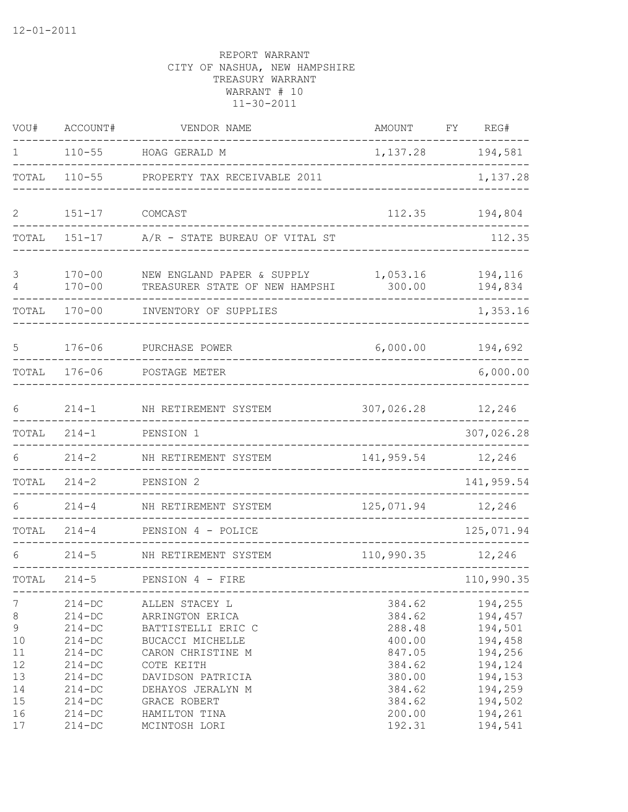| VOU#                                                | ACCOUNT#                                                                                                     | VENDOR NAME                                                                                                                                              | AMOUNT                                                                       | FY | REG#                                                                                 |
|-----------------------------------------------------|--------------------------------------------------------------------------------------------------------------|----------------------------------------------------------------------------------------------------------------------------------------------------------|------------------------------------------------------------------------------|----|--------------------------------------------------------------------------------------|
| 1                                                   | $110 - 55$                                                                                                   | HOAG GERALD M                                                                                                                                            | 1,137.28                                                                     |    | 194,581                                                                              |
| TOTAL                                               | $110 - 55$                                                                                                   | PROPERTY TAX RECEIVABLE 2011                                                                                                                             |                                                                              |    | 1,137.28                                                                             |
| 2                                                   | $151 - 17$                                                                                                   | COMCAST                                                                                                                                                  | 112.35                                                                       |    | 194,804                                                                              |
| TOTAL                                               | $151 - 17$                                                                                                   | A/R - STATE BUREAU OF VITAL ST                                                                                                                           |                                                                              |    | 112.35                                                                               |
| 3<br>4                                              | $170 - 00$<br>$170 - 00$                                                                                     | NEW ENGLAND PAPER & SUPPLY<br>TREASURER STATE OF NEW HAMPSHI                                                                                             | 1,053.16<br>300.00                                                           |    | 194,116<br>194,834                                                                   |
| TOTAL                                               | $170 - 00$                                                                                                   | INVENTORY OF SUPPLIES                                                                                                                                    |                                                                              |    | 1,353.16                                                                             |
| 5                                                   | $176 - 06$                                                                                                   | PURCHASE POWER                                                                                                                                           | 6,000.00                                                                     |    | 194,692                                                                              |
| TOTAL                                               | $176 - 06$                                                                                                   | POSTAGE METER                                                                                                                                            |                                                                              |    | 6,000.00                                                                             |
| 6                                                   | $214 - 1$                                                                                                    | NH RETIREMENT SYSTEM                                                                                                                                     | 307,026.28                                                                   |    | 12,246                                                                               |
| TOTAL                                               | $214 - 1$                                                                                                    | PENSION 1                                                                                                                                                |                                                                              |    | 307,026.28                                                                           |
| 6                                                   | $214 - 2$                                                                                                    | NH RETIREMENT SYSTEM                                                                                                                                     | 141,959.54                                                                   |    | 12,246                                                                               |
| TOTAL                                               | $214 - 2$                                                                                                    | PENSION 2                                                                                                                                                |                                                                              |    | 141,959.54                                                                           |
| 6                                                   | $214 - 4$                                                                                                    | NH RETIREMENT SYSTEM                                                                                                                                     | 125,071.94                                                                   |    | 12,246                                                                               |
| TOTAL                                               | $214 - 4$                                                                                                    | PENSION 4 - POLICE                                                                                                                                       |                                                                              |    | 125,071.94                                                                           |
| 6                                                   | $214 - 5$                                                                                                    | NH RETIREMENT SYSTEM                                                                                                                                     | 110,990.35                                                                   |    | 12,246                                                                               |
| TOTAL                                               | $214 - 5$                                                                                                    | PENSION 4 - FIRE                                                                                                                                         |                                                                              |    | 110,990.35                                                                           |
| 7<br>8<br>$\mathsf 9$<br>10<br>11<br>12<br>13<br>14 | $214 - DC$<br>$214 - DC$<br>$214 - DC$<br>$214 - DC$<br>$214 - DC$<br>$214 - DC$<br>$214 - DC$<br>$214 - DC$ | ALLEN STACEY L<br>ARRINGTON ERICA<br>BATTISTELLI ERIC C<br>BUCACCI MICHELLE<br>CARON CHRISTINE M<br>COTE KEITH<br>DAVIDSON PATRICIA<br>DEHAYOS JERALYN M | 384.62<br>384.62<br>288.48<br>400.00<br>847.05<br>384.62<br>380.00<br>384.62 |    | 194,255<br>194,457<br>194,501<br>194,458<br>194,256<br>194,124<br>194,153<br>194,259 |
| 15<br>16<br>17                                      | $214 - DC$<br>$214 - DC$<br>$214 - DC$                                                                       | GRACE ROBERT<br>HAMILTON TINA<br>MCINTOSH LORI                                                                                                           | 384.62<br>200.00<br>192.31                                                   |    | 194,502<br>194,261<br>194,541                                                        |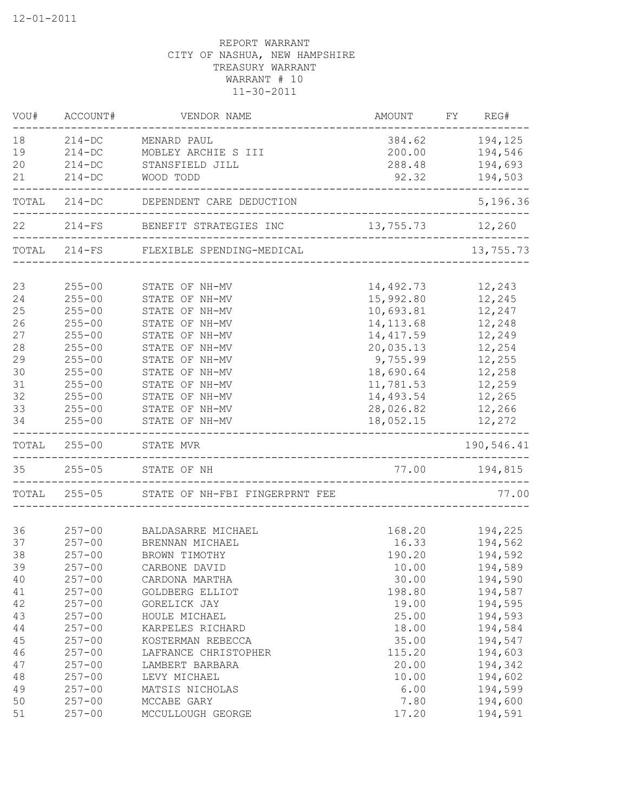| VOU#  | ACCOUNT#   | VENDOR NAME                            | <b>AMOUNT</b>    | FY | REG#       |
|-------|------------|----------------------------------------|------------------|----|------------|
| 18    | $214 - DC$ | MENARD PAUL                            | 384.62           |    | 194,125    |
| 19    | $214 - DC$ | MOBLEY ARCHIE S III                    | 200.00           |    | 194,546    |
| 20    | $214 - DC$ | STANSFIELD JILL                        | 288.48           |    | 194,693    |
| 21    | $214 - DC$ | WOOD TODD                              | 92.32            |    | 194,503    |
|       |            | TOTAL 214-DC DEPENDENT CARE DEDUCTION  |                  |    | 5,196.36   |
| 22    |            | 214-FS BENEFIT STRATEGIES INC          | 13,755.73 12,260 |    |            |
|       |            | TOTAL 214-FS FLEXIBLE SPENDING-MEDICAL |                  |    | 13,755.73  |
|       |            |                                        |                  |    |            |
| 23    | $255 - 00$ | STATE OF NH-MV                         | 14,492.73        |    | 12,243     |
| 24    | $255 - 00$ | STATE OF NH-MV                         | 15,992.80        |    | 12,245     |
| 25    | $255 - 00$ | STATE OF NH-MV                         | 10,693.81        |    | 12,247     |
| 26    | $255 - 00$ | STATE OF NH-MV                         | 14, 113.68       |    | 12,248     |
| 27    | $255 - 00$ | STATE OF NH-MV                         | 14, 417.59       |    | 12,249     |
| 28    | $255 - 00$ | STATE OF NH-MV                         | 20,035.13        |    | 12,254     |
| 29    | $255 - 00$ | STATE OF NH-MV                         | 9,755.99         |    | 12,255     |
| 30    | $255 - 00$ | STATE OF NH-MV                         | 18,690.64        |    | 12,258     |
| 31    | $255 - 00$ | STATE OF NH-MV                         | 11,781.53        |    | 12,259     |
| 32    | $255 - 00$ | STATE OF NH-MV                         | 14,493.54        |    | 12,265     |
| 33    | $255 - 00$ | STATE OF NH-MV                         | 28,026.82        |    | 12,266     |
| 34    | $255 - 00$ | STATE OF NH-MV                         | 18,052.15        |    | 12,272     |
| TOTAL | $255 - 00$ | STATE MVR                              |                  |    | 190,546.41 |
| 35    | $255 - 05$ | STATE OF NH                            |                  |    |            |
| TOTAL | $255 - 05$ | STATE OF NH-FBI FINGERPRNT FEE         |                  |    | 77.00      |
|       |            |                                        |                  |    |            |
| 36    | $257 - 00$ | BALDASARRE MICHAEL                     | 168.20           |    | 194,225    |
| 37    | $257 - 00$ | BRENNAN MICHAEL                        | 16.33            |    | 194,562    |
| 38    | $257 - 00$ | BROWN TIMOTHY                          | 190.20           |    | 194,592    |
| 39    | $257 - 00$ | CARBONE DAVID                          | 10.00            |    | 194,589    |
| 40    | $257 - 00$ | CARDONA MARTHA                         | 30.00            |    | 194,590    |
| 41    | $257 - 00$ | GOLDBERG ELLIOT                        | 198.80           |    | 194,587    |
| 42    | $257 - 00$ | GORELICK JAY                           | 19.00            |    | 194,595    |
| 43    | $257 - 00$ | HOULE MICHAEL                          | 25.00            |    | 194,593    |
| 44    | $257 - 00$ | KARPELES RICHARD                       | 18.00            |    | 194,584    |
| 45    | $257 - 00$ | KOSTERMAN REBECCA                      | 35.00            |    | 194,547    |
| 46    | $257 - 00$ | LAFRANCE CHRISTOPHER                   | 115.20           |    | 194,603    |
| 47    | $257 - 00$ | LAMBERT BARBARA                        | 20.00            |    | 194,342    |
| 48    | $257 - 00$ | LEVY MICHAEL                           | 10.00            |    | 194,602    |
| 49    | $257 - 00$ | MATSIS NICHOLAS                        | 6.00             |    | 194,599    |
| 50    | $257 - 00$ | MCCABE GARY                            | 7.80             |    | 194,600    |
| 51    | $257 - 00$ | MCCULLOUGH GEORGE                      | 17.20            |    | 194,591    |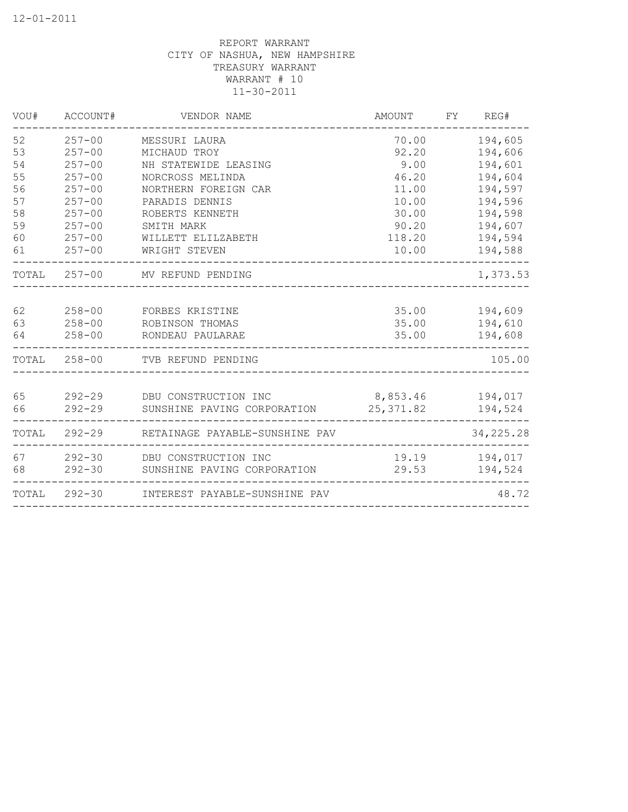| VOU#  | ACCOUNT#     | VENDOR NAME                    | <b>AMOUNT</b> | FY | REG#        |
|-------|--------------|--------------------------------|---------------|----|-------------|
| 52    | $257 - 00$   | MESSURI LAURA                  | 70.00         |    | 194,605     |
| 53    | $257 - 00$   | MICHAUD TROY                   | 92.20         |    | 194,606     |
| 54    | $257 - 00$   | NH STATEWIDE LEASING           | 9.00          |    | 194,601     |
| 55    | $257 - 00$   | NORCROSS MELINDA               | 46.20         |    | 194,604     |
| 56    | $257 - 00$   | NORTHERN FOREIGN CAR           | 11.00         |    | 194,597     |
| 57    | $257 - 00$   | PARADIS DENNIS                 | 10.00         |    | 194,596     |
| 58    | $257 - 00$   | ROBERTS KENNETH                | 30.00         |    | 194,598     |
| 59    | $257 - 00$   | SMITH MARK                     | 90.20         |    | 194,607     |
| 60    | $257 - 00$   | WILLETT ELILZABETH             | 118.20        |    | 194,594     |
| 61    | $257 - 00$   | WRIGHT STEVEN                  | 10.00         |    | 194,588     |
|       |              | TOTAL 257-00 MV REFUND PENDING |               |    | 1,373.53    |
| 62    | $258 - 00$   | FORBES KRISTINE                | 35.00         |    | 194,609     |
| 63    | $258 - 00$   | ROBINSON THOMAS                | 35.00         |    | 194,610     |
| 64    | $258 - 00$   | RONDEAU PAULARAE               | 35.00         |    | 194,608     |
|       | TOTAL 258-00 | TVB REFUND PENDING             |               |    | 105.00      |
| 65    | $292 - 29$   | DBU CONSTRUCTION INC           | 8,853.46      |    | 194,017     |
| 66    | $292 - 29$   | SUNSHINE PAVING CORPORATION    | 25, 371.82    |    | 194,524     |
| TOTAL | $292 - 29$   | RETAINAGE PAYABLE-SUNSHINE PAV |               |    | 34, 225. 28 |
| 67    |              | 292-30 DBU CONSTRUCTION INC    | 19.19         |    | 194,017     |
| 68    | $292 - 30$   | SUNSHINE PAVING CORPORATION    | 29.53         |    | 194,524     |
| TOTAL | $292 - 30$   | INTEREST PAYABLE-SUNSHINE PAV  |               |    | 48.72       |
|       |              |                                |               |    |             |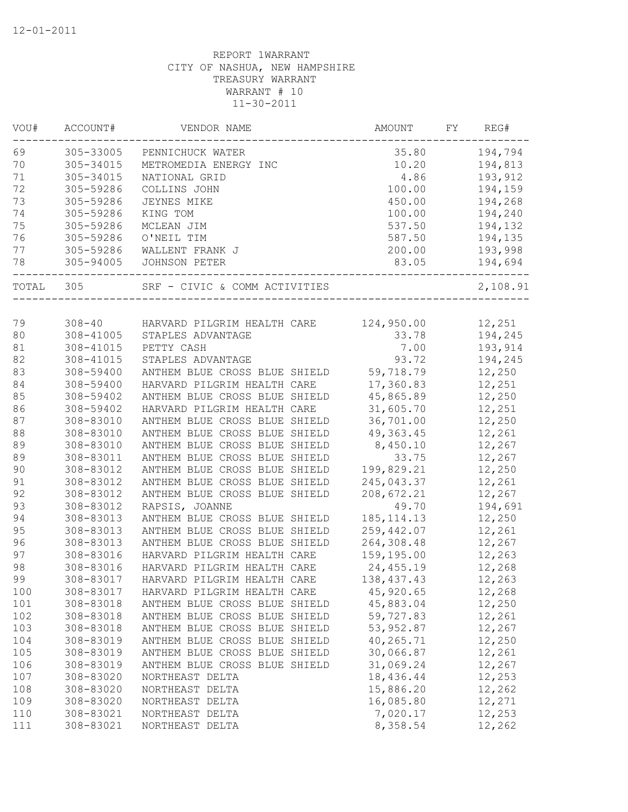| VOU#  | ACCOUNT#      | VENDOR NAME                   | AMOUNT       | REG#<br>FY |
|-------|---------------|-------------------------------|--------------|------------|
| 69    | 305-33005     | PENNICHUCK WATER              | 35.80        | 194,794    |
| 70    | 305-34015     | METROMEDIA ENERGY INC         | 10.20        | 194,813    |
| $71$  | 305-34015     | NATIONAL GRID                 | 4.86         | 193,912    |
| 72    | 305-59286     | COLLINS JOHN                  | 100.00       | 194,159    |
| 73    | 305-59286     | JEYNES MIKE                   | 450.00       | 194,268    |
| 74    | 305-59286     | KING TOM                      | 100.00       | 194,240    |
| 75    | 305-59286     | MCLEAN JIM                    | 537.50       | 194,132    |
| 76    | 305-59286     | O'NEIL TIM                    | 587.50       | 194,135    |
| 77    | 305-59286     | WALLENT FRANK J               | 200.00       | 193,998    |
| 78    | 305-94005     | JOHNSON PETER                 | 83.05        | 194,694    |
| TOTAL | 305           | SRF - CIVIC & COMM ACTIVITIES |              | 2,108.91   |
|       |               |                               |              |            |
| 79    | $308 - 40$    | HARVARD PILGRIM HEALTH CARE   | 124,950.00   | 12,251     |
| 80    | $308 - 41005$ | STAPLES ADVANTAGE             | 33.78        | 194,245    |
| 81    | 308-41015     | PETTY CASH                    | 7.00         | 193,914    |
| 82    | 308-41015     | STAPLES ADVANTAGE             | 93.72        | 194,245    |
| 83    | 308-59400     | ANTHEM BLUE CROSS BLUE SHIELD | 59,718.79    | 12,250     |
| 84    | 308-59400     | HARVARD PILGRIM HEALTH CARE   | 17,360.83    | 12,251     |
| 85    | 308-59402     | ANTHEM BLUE CROSS BLUE SHIELD | 45,865.89    | 12,250     |
| 86    | 308-59402     | HARVARD PILGRIM HEALTH CARE   | 31,605.70    | 12,251     |
| 87    | 308-83010     | ANTHEM BLUE CROSS BLUE SHIELD | 36,701.00    | 12,250     |
| 88    | 308-83010     | ANTHEM BLUE CROSS BLUE SHIELD | 49, 363.45   | 12,261     |
| 89    | 308-83010     | ANTHEM BLUE CROSS BLUE SHIELD | 8,450.10     | 12,267     |
| 89    | 308-83011     | ANTHEM BLUE CROSS BLUE SHIELD | 33.75        | 12,267     |
| 90    | 308-83012     | ANTHEM BLUE CROSS BLUE SHIELD | 199,829.21   | 12,250     |
| 91    | 308-83012     | ANTHEM BLUE CROSS BLUE SHIELD | 245,043.37   | 12,261     |
| 92    | 308-83012     | ANTHEM BLUE CROSS BLUE SHIELD | 208,672.21   | 12,267     |
| 93    | 308-83012     | RAPSIS, JOANNE                | 49.70        | 194,691    |
| 94    | 308-83013     | ANTHEM BLUE CROSS BLUE SHIELD | 185, 114. 13 | 12,250     |
| 95    | 308-83013     | ANTHEM BLUE CROSS BLUE SHIELD | 259,442.07   | 12,261     |
| 96    | 308-83013     | ANTHEM BLUE CROSS BLUE SHIELD | 264,308.48   | 12,267     |
| 97    | 308-83016     | HARVARD PILGRIM HEALTH CARE   | 159,195.00   | 12,263     |
| 98    | 308-83016     | HARVARD PILGRIM HEALTH CARE   | 24,455.19    | 12,268     |
| 99    | 308-83017     | HARVARD PILGRIM HEALTH CARE   | 138, 437. 43 | 12,263     |
| 100   | 308-83017     | HARVARD PILGRIM HEALTH CARE   | 45,920.65    | 12,268     |
| 101   | 308-83018     | ANTHEM BLUE CROSS BLUE SHIELD | 45,883.04    | 12,250     |
| 102   | 308-83018     | ANTHEM BLUE CROSS BLUE SHIELD | 59,727.83    | 12,261     |
| 103   | 308-83018     | ANTHEM BLUE CROSS BLUE SHIELD | 53,952.87    | 12,267     |
| 104   | 308-83019     | ANTHEM BLUE CROSS BLUE SHIELD | 40,265.71    | 12,250     |
| 105   | 308-83019     | ANTHEM BLUE CROSS BLUE SHIELD | 30,066.87    |            |
|       | 308-83019     |                               |              | 12,261     |
| 106   |               | ANTHEM BLUE CROSS BLUE SHIELD | 31,069.24    | 12,267     |
| 107   | 308-83020     | NORTHEAST DELTA               | 18,436.44    | 12,253     |
| 108   | 308-83020     | NORTHEAST DELTA               | 15,886.20    | 12,262     |
| 109   | 308-83020     | NORTHEAST DELTA               | 16,085.80    | 12,271     |
| 110   | 308-83021     | NORTHEAST DELTA               | 7,020.17     | 12,253     |
| 111   | 308-83021     | NORTHEAST DELTA               | 8,358.54     | 12,262     |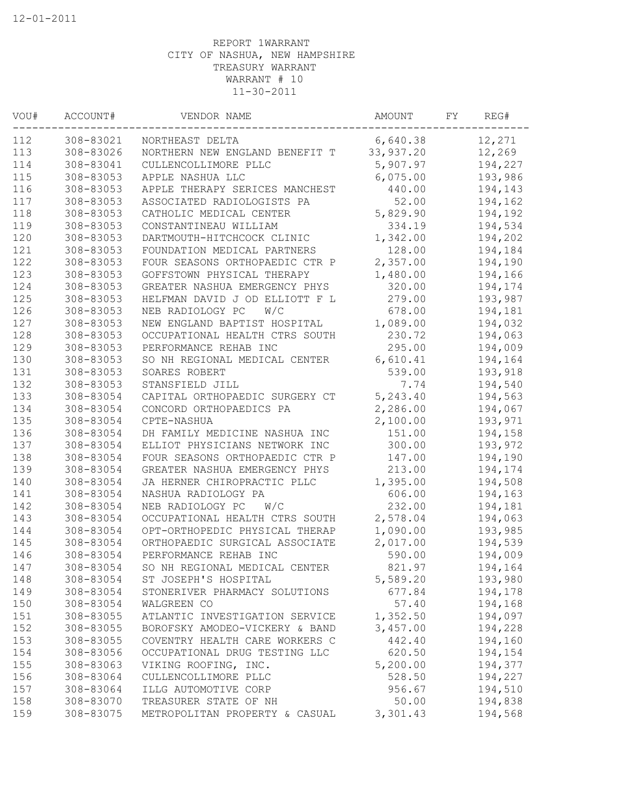| VOU# | ACCOUNT#  | VENDOR NAME                    | AMOUNT    | FΥ | REG#    |
|------|-----------|--------------------------------|-----------|----|---------|
| 112  | 308-83021 | NORTHEAST DELTA                | 6,640.38  |    | 12,271  |
| 113  | 308-83026 | NORTHERN NEW ENGLAND BENEFIT T | 33,937.20 |    | 12,269  |
| 114  | 308-83041 | CULLENCOLLIMORE PLLC           | 5,907.97  |    | 194,227 |
| 115  | 308-83053 | APPLE NASHUA LLC               | 6,075.00  |    | 193,986 |
| 116  | 308-83053 | APPLE THERAPY SERICES MANCHEST | 440.00    |    | 194,143 |
| 117  | 308-83053 | ASSOCIATED RADIOLOGISTS PA     | 52.00     |    | 194,162 |
| 118  | 308-83053 | CATHOLIC MEDICAL CENTER        | 5,829.90  |    | 194,192 |
| 119  | 308-83053 | CONSTANTINEAU WILLIAM          | 334.19    |    | 194,534 |
| 120  | 308-83053 | DARTMOUTH-HITCHCOCK CLINIC     | 1,342.00  |    | 194,202 |
| 121  | 308-83053 | FOUNDATION MEDICAL PARTNERS    | 128.00    |    | 194,184 |
| 122  | 308-83053 | FOUR SEASONS ORTHOPAEDIC CTR P | 2,357.00  |    | 194,190 |
| 123  | 308-83053 | GOFFSTOWN PHYSICAL THERAPY     | 1,480.00  |    | 194,166 |
| 124  | 308-83053 | GREATER NASHUA EMERGENCY PHYS  | 320.00    |    | 194,174 |
| 125  | 308-83053 | HELFMAN DAVID J OD ELLIOTT F L | 279.00    |    | 193,987 |
| 126  | 308-83053 | NEB RADIOLOGY PC<br>W/C        | 678.00    |    | 194,181 |
| 127  | 308-83053 | NEW ENGLAND BAPTIST HOSPITAL   | 1,089.00  |    | 194,032 |
| 128  | 308-83053 | OCCUPATIONAL HEALTH CTRS SOUTH | 230.72    |    | 194,063 |
| 129  | 308-83053 | PERFORMANCE REHAB INC          | 295.00    |    | 194,009 |
| 130  | 308-83053 | SO NH REGIONAL MEDICAL CENTER  | 6,610.41  |    | 194,164 |
| 131  | 308-83053 | SOARES ROBERT                  | 539.00    |    | 193,918 |
| 132  | 308-83053 | STANSFIELD JILL                | 7.74      |    | 194,540 |
| 133  | 308-83054 | CAPITAL ORTHOPAEDIC SURGERY CT | 5,243.40  |    | 194,563 |
| 134  | 308-83054 | CONCORD ORTHOPAEDICS PA        | 2,286.00  |    | 194,067 |
| 135  | 308-83054 | CPTE-NASHUA                    | 2,100.00  |    | 193,971 |
| 136  | 308-83054 | DH FAMILY MEDICINE NASHUA INC  | 151.00    |    | 194,158 |
| 137  | 308-83054 | ELLIOT PHYSICIANS NETWORK INC  | 300.00    |    | 193,972 |
| 138  | 308-83054 | FOUR SEASONS ORTHOPAEDIC CTR P | 147.00    |    | 194,190 |
| 139  | 308-83054 | GREATER NASHUA EMERGENCY PHYS  | 213.00    |    | 194,174 |
| 140  | 308-83054 | JA HERNER CHIROPRACTIC PLLC    | 1,395.00  |    | 194,508 |
| 141  | 308-83054 | NASHUA RADIOLOGY PA            | 606.00    |    | 194,163 |
| 142  | 308-83054 | NEB RADIOLOGY PC<br>W/C        | 232.00    |    | 194,181 |
| 143  | 308-83054 | OCCUPATIONAL HEALTH CTRS SOUTH | 2,578.04  |    | 194,063 |
| 144  | 308-83054 | OPT-ORTHOPEDIC PHYSICAL THERAP | 1,090.00  |    | 193,985 |
| 145  | 308-83054 | ORTHOPAEDIC SURGICAL ASSOCIATE | 2,017.00  |    | 194,539 |
| 146  | 308-83054 | PERFORMANCE REHAB INC          | 590.00    |    | 194,009 |
| 147  | 308-83054 | SO NH REGIONAL MEDICAL CENTER  | 821.97    |    | 194,164 |
| 148  | 308-83054 | ST JOSEPH'S HOSPITAL           | 5,589.20  |    | 193,980 |
| 149  | 308-83054 | STONERIVER PHARMACY SOLUTIONS  | 677.84    |    | 194,178 |
| 150  | 308-83054 | WALGREEN CO                    | 57.40     |    | 194,168 |
| 151  | 308-83055 | ATLANTIC INVESTIGATION SERVICE | 1,352.50  |    | 194,097 |
| 152  | 308-83055 | BOROFSKY AMODEO-VICKERY & BAND | 3,457.00  |    | 194,228 |
| 153  | 308-83055 | COVENTRY HEALTH CARE WORKERS C | 442.40    |    | 194,160 |
| 154  | 308-83056 | OCCUPATIONAL DRUG TESTING LLC  | 620.50    |    | 194,154 |
| 155  | 308-83063 | VIKING ROOFING, INC.           | 5,200.00  |    | 194,377 |
| 156  | 308-83064 | CULLENCOLLIMORE PLLC           | 528.50    |    | 194,227 |
| 157  | 308-83064 | ILLG AUTOMOTIVE CORP           | 956.67    |    | 194,510 |
| 158  | 308-83070 | TREASURER STATE OF NH          | 50.00     |    | 194,838 |
| 159  | 308-83075 | METROPOLITAN PROPERTY & CASUAL | 3,301.43  |    | 194,568 |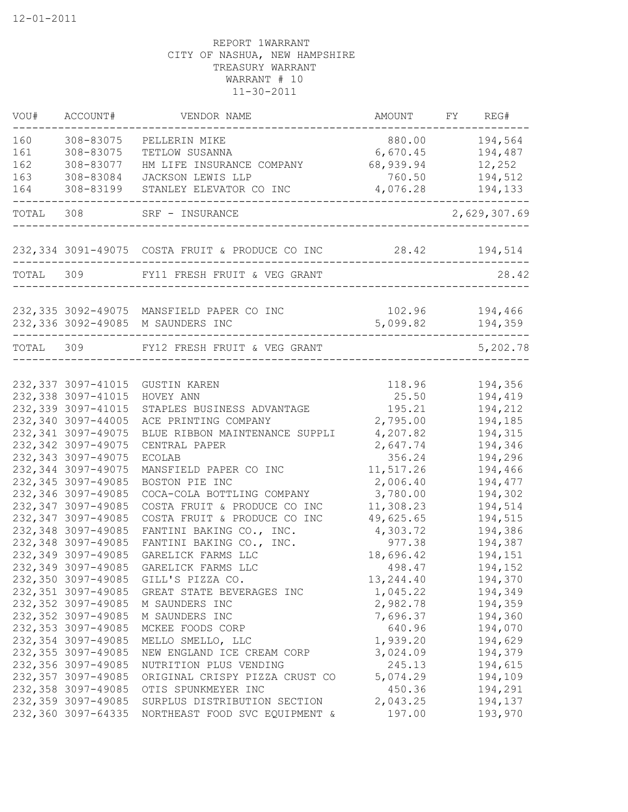| VOU#  | ACCOUNT#                                 | VENDOR NAME                                                   | AMOUNT             | FY REG#        |
|-------|------------------------------------------|---------------------------------------------------------------|--------------------|----------------|
| 160   | 308-83075                                | PELLERIN MIKE                                                 | 880.00             | 194,564        |
| 161   | 308-83075                                | TETLOW SUSANNA                                                | 6,670.45           | 194,487        |
| 162   | 308-83077                                | HM LIFE INSURANCE COMPANY                                     | 68,939.94          | 12,252         |
| 163   | 308-83084                                | JACKSON LEWIS LLP                                             | 760.50             | 194,512        |
| 164   | 308-83199                                | STANLEY ELEVATOR CO INC                                       | 4,076.28           | 194,133        |
| TOTAL | 308                                      | SRF - INSURANCE                                               |                    | 2,629,307.69   |
|       |                                          | 232,334 3091-49075 COSTA FRUIT & PRODUCE CO INC 28.42 194,514 |                    |                |
|       |                                          | TOTAL 309 FY11 FRESH FRUIT & VEG GRANT                        |                    | 28.42          |
|       |                                          | 232,335 3092-49075 MANSFIELD PAPER CO INC                     |                    | 102.96 194,466 |
|       |                                          | 232,336 3092-49085 M SAUNDERS INC                             | 5,099.82           | 194,359        |
|       |                                          | TOTAL 309 FY12 FRESH FRUIT & VEG GRANT                        |                    | 5,202.78       |
|       |                                          |                                                               |                    |                |
|       | 232, 337 3097-41015                      | <b>GUSTIN KAREN</b>                                           | 118.96             | 194,356        |
|       | 232,338 3097-41015                       | HOVEY ANN                                                     | 25.50              | 194,419        |
|       | 232,339 3097-41015                       | STAPLES BUSINESS ADVANTAGE                                    | 195.21             | 194,212        |
|       | 232,340 3097-44005                       | ACE PRINTING COMPANY                                          | 2,795.00           | 194,185        |
|       | 232,341 3097-49075                       | BLUE RIBBON MAINTENANCE SUPPLI                                | 4,207.82           | 194,315        |
|       | 232,342 3097-49075<br>232,343 3097-49075 | CENTRAL PAPER<br><b>ECOLAB</b>                                | 2,647.74<br>356.24 | 194,346        |
|       | 232,344 3097-49075                       |                                                               |                    | 194,296        |
|       |                                          | MANSFIELD PAPER CO INC                                        | 11,517.26          | 194,466        |
|       | 232, 345 3097-49085                      | BOSTON PIE INC                                                | 2,006.40           | 194,477        |
|       | 232,346 3097-49085                       | COCA-COLA BOTTLING COMPANY                                    | 3,780.00           | 194,302        |
|       | 232,347 3097-49085                       | COSTA FRUIT & PRODUCE CO INC                                  | 11,308.23          | 194,514        |
|       | 232,347 3097-49085                       | COSTA FRUIT & PRODUCE CO INC                                  | 49,625.65          | 194,515        |
|       | 232,348 3097-49085                       | FANTINI BAKING CO., INC.                                      | 4,303.72           | 194,386        |
|       | 232,348 3097-49085                       | FANTINI BAKING CO., INC.                                      | 977.38             | 194,387        |
|       | 232,349 3097-49085                       | GARELICK FARMS LLC                                            | 18,696.42          | 194,151        |
|       | 232,349 3097-49085                       | GARELICK FARMS LLC                                            | 498.47             | 194,152        |
|       | 232,350 3097-49085                       | GILL'S PIZZA CO.                                              | 13,244.40          | 194,370        |
|       | 232,351 3097-49085                       | GREAT STATE BEVERAGES INC                                     | 1,045.22           | 194,349        |
|       | 232,352 3097-49085                       | M SAUNDERS INC                                                | 2,982.78           | 194,359        |
|       | 232,352 3097-49085                       | M SAUNDERS INC                                                | 7,696.37           | 194,360        |
|       | 232,353 3097-49085                       | MCKEE FOODS CORP                                              | 640.96             | 194,070        |
|       | 232,354 3097-49085                       | MELLO SMELLO, LLC                                             | 1,939.20           | 194,629        |
|       | 232,355 3097-49085                       | NEW ENGLAND ICE CREAM CORP                                    | 3,024.09           | 194,379        |
|       | 232,356 3097-49085                       | NUTRITION PLUS VENDING                                        | 245.13             | 194,615        |
|       | 232,357 3097-49085                       | ORIGINAL CRISPY PIZZA CRUST CO                                | 5,074.29           | 194,109        |
|       | 232,358 3097-49085                       | OTIS SPUNKMEYER INC                                           | 450.36             | 194,291        |
|       | 232,359 3097-49085                       | SURPLUS DISTRIBUTION SECTION                                  | 2,043.25           | 194,137        |
|       | 232,360 3097-64335                       | NORTHEAST FOOD SVC EQUIPMENT &                                | 197.00             | 193,970        |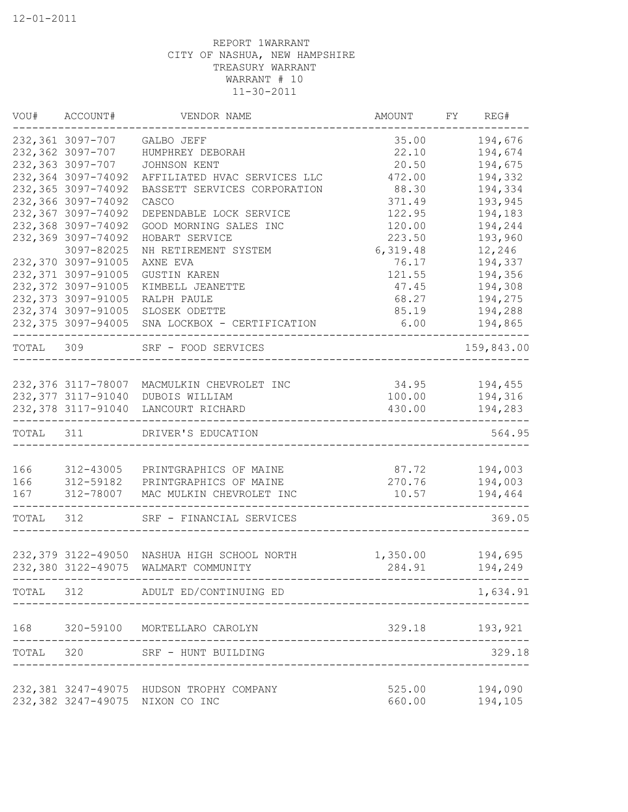| 232,361 3097-707 GALBO JEFF<br>35.00<br>232,362 3097-707<br>22.10<br>HUMPHREY DEBORAH<br>232,363 3097-707<br>20.50<br>JOHNSON KENT<br>232,364 3097-74092<br>472.00<br>AFFILIATED HVAC SERVICES LLC<br>232,365 3097-74092<br>88.30<br>BASSETT SERVICES CORPORATION<br>232,366 3097-74092<br>371.49<br>CASCO<br>232,367 3097-74092<br>122.95<br>DEPENDABLE LOCK SERVICE<br>232,368 3097-74092<br>120.00<br>GOOD MORNING SALES INC<br>232,369 3097-74092<br>223.50<br>HOBART SERVICE<br>6,319.48<br>12,246<br>3097-82025<br>NH RETIREMENT SYSTEM<br>232,370 3097-91005<br>AXNE EVA<br>76.17<br>232,371 3097-91005<br>121.55<br><b>GUSTIN KAREN</b><br>232,372 3097-91005<br>47.45<br>KIMBELL JEANETTE<br>232, 373 3097-91005<br>68.27<br>RALPH PAULE<br>232, 374 3097-91005<br>SLOSEK ODETTE<br>85.19<br>232,375 3097-94005 SNA LOCKBOX - CERTIFICATION<br>6.00<br>--------<br>TOTAL 309 SRF - FOOD SERVICES<br>$34.95$ $194,455$<br>232,376 3117-78007 MACMULKIN CHEVROLET INC<br>232,377 3117-91040<br>100.00 194,316<br>DUBOIS WILLIAM<br>232,378 3117-91040 LANCOURT RICHARD<br>430.00<br>----------<br>TOTAL 311 DRIVER'S EDUCATION<br>166<br>87.72 194,003<br>312-43005<br>PRINTGRAPHICS OF MAINE<br>166<br>312-59182<br>PRINTGRAPHICS OF MAINE<br>270.76<br>194,003<br>167<br>312-78007<br>MAC MULKIN CHEVROLET INC<br>10.57<br>194,464<br>TOTAL<br>312 SRF - FINANCIAL SERVICES<br>1,350.00<br>194,695<br>232,380 3122-49075<br>WALMART COMMUNITY<br>194,249<br>284.91<br>--------------------------------------<br>TOTAL 312 ADULT ED/CONTINUING ED<br>_____________________<br>168 320-59100 MORTELLARO CAROLYN<br>329.18 193,921<br>TOTAL 320 SRF - HUNT BUILDING<br>329.18 | VOU# ACCOUNT# | VENDOR NAME | AMOUNT FY REG# |            |
|-------------------------------------------------------------------------------------------------------------------------------------------------------------------------------------------------------------------------------------------------------------------------------------------------------------------------------------------------------------------------------------------------------------------------------------------------------------------------------------------------------------------------------------------------------------------------------------------------------------------------------------------------------------------------------------------------------------------------------------------------------------------------------------------------------------------------------------------------------------------------------------------------------------------------------------------------------------------------------------------------------------------------------------------------------------------------------------------------------------------------------------------------------------------------------------------------------------------------------------------------------------------------------------------------------------------------------------------------------------------------------------------------------------------------------------------------------------------------------------------------------------------------------------------------------------------------------------------------------------------------------------------------------------------------------------|---------------|-------------|----------------|------------|
| 232,379 3122-49050 NASHUA HIGH SCHOOL NORTH                                                                                                                                                                                                                                                                                                                                                                                                                                                                                                                                                                                                                                                                                                                                                                                                                                                                                                                                                                                                                                                                                                                                                                                                                                                                                                                                                                                                                                                                                                                                                                                                                                         |               |             |                | 194,676    |
|                                                                                                                                                                                                                                                                                                                                                                                                                                                                                                                                                                                                                                                                                                                                                                                                                                                                                                                                                                                                                                                                                                                                                                                                                                                                                                                                                                                                                                                                                                                                                                                                                                                                                     |               |             |                | 194,674    |
|                                                                                                                                                                                                                                                                                                                                                                                                                                                                                                                                                                                                                                                                                                                                                                                                                                                                                                                                                                                                                                                                                                                                                                                                                                                                                                                                                                                                                                                                                                                                                                                                                                                                                     |               |             |                | 194,675    |
|                                                                                                                                                                                                                                                                                                                                                                                                                                                                                                                                                                                                                                                                                                                                                                                                                                                                                                                                                                                                                                                                                                                                                                                                                                                                                                                                                                                                                                                                                                                                                                                                                                                                                     |               |             |                | 194,332    |
|                                                                                                                                                                                                                                                                                                                                                                                                                                                                                                                                                                                                                                                                                                                                                                                                                                                                                                                                                                                                                                                                                                                                                                                                                                                                                                                                                                                                                                                                                                                                                                                                                                                                                     |               |             |                | 194,334    |
|                                                                                                                                                                                                                                                                                                                                                                                                                                                                                                                                                                                                                                                                                                                                                                                                                                                                                                                                                                                                                                                                                                                                                                                                                                                                                                                                                                                                                                                                                                                                                                                                                                                                                     |               |             |                | 193,945    |
|                                                                                                                                                                                                                                                                                                                                                                                                                                                                                                                                                                                                                                                                                                                                                                                                                                                                                                                                                                                                                                                                                                                                                                                                                                                                                                                                                                                                                                                                                                                                                                                                                                                                                     |               |             |                | 194,183    |
|                                                                                                                                                                                                                                                                                                                                                                                                                                                                                                                                                                                                                                                                                                                                                                                                                                                                                                                                                                                                                                                                                                                                                                                                                                                                                                                                                                                                                                                                                                                                                                                                                                                                                     |               |             |                | 194,244    |
|                                                                                                                                                                                                                                                                                                                                                                                                                                                                                                                                                                                                                                                                                                                                                                                                                                                                                                                                                                                                                                                                                                                                                                                                                                                                                                                                                                                                                                                                                                                                                                                                                                                                                     |               |             |                | 193,960    |
|                                                                                                                                                                                                                                                                                                                                                                                                                                                                                                                                                                                                                                                                                                                                                                                                                                                                                                                                                                                                                                                                                                                                                                                                                                                                                                                                                                                                                                                                                                                                                                                                                                                                                     |               |             |                |            |
|                                                                                                                                                                                                                                                                                                                                                                                                                                                                                                                                                                                                                                                                                                                                                                                                                                                                                                                                                                                                                                                                                                                                                                                                                                                                                                                                                                                                                                                                                                                                                                                                                                                                                     |               |             |                | 194,337    |
|                                                                                                                                                                                                                                                                                                                                                                                                                                                                                                                                                                                                                                                                                                                                                                                                                                                                                                                                                                                                                                                                                                                                                                                                                                                                                                                                                                                                                                                                                                                                                                                                                                                                                     |               |             |                | 194,356    |
|                                                                                                                                                                                                                                                                                                                                                                                                                                                                                                                                                                                                                                                                                                                                                                                                                                                                                                                                                                                                                                                                                                                                                                                                                                                                                                                                                                                                                                                                                                                                                                                                                                                                                     |               |             |                | 194,308    |
|                                                                                                                                                                                                                                                                                                                                                                                                                                                                                                                                                                                                                                                                                                                                                                                                                                                                                                                                                                                                                                                                                                                                                                                                                                                                                                                                                                                                                                                                                                                                                                                                                                                                                     |               |             |                | 194,275    |
|                                                                                                                                                                                                                                                                                                                                                                                                                                                                                                                                                                                                                                                                                                                                                                                                                                                                                                                                                                                                                                                                                                                                                                                                                                                                                                                                                                                                                                                                                                                                                                                                                                                                                     |               |             |                | 194,288    |
|                                                                                                                                                                                                                                                                                                                                                                                                                                                                                                                                                                                                                                                                                                                                                                                                                                                                                                                                                                                                                                                                                                                                                                                                                                                                                                                                                                                                                                                                                                                                                                                                                                                                                     |               |             |                | 194,865    |
|                                                                                                                                                                                                                                                                                                                                                                                                                                                                                                                                                                                                                                                                                                                                                                                                                                                                                                                                                                                                                                                                                                                                                                                                                                                                                                                                                                                                                                                                                                                                                                                                                                                                                     |               |             |                | 159,843.00 |
|                                                                                                                                                                                                                                                                                                                                                                                                                                                                                                                                                                                                                                                                                                                                                                                                                                                                                                                                                                                                                                                                                                                                                                                                                                                                                                                                                                                                                                                                                                                                                                                                                                                                                     |               |             |                |            |
|                                                                                                                                                                                                                                                                                                                                                                                                                                                                                                                                                                                                                                                                                                                                                                                                                                                                                                                                                                                                                                                                                                                                                                                                                                                                                                                                                                                                                                                                                                                                                                                                                                                                                     |               |             |                |            |
|                                                                                                                                                                                                                                                                                                                                                                                                                                                                                                                                                                                                                                                                                                                                                                                                                                                                                                                                                                                                                                                                                                                                                                                                                                                                                                                                                                                                                                                                                                                                                                                                                                                                                     |               |             |                |            |
|                                                                                                                                                                                                                                                                                                                                                                                                                                                                                                                                                                                                                                                                                                                                                                                                                                                                                                                                                                                                                                                                                                                                                                                                                                                                                                                                                                                                                                                                                                                                                                                                                                                                                     |               |             |                | 194,283    |
|                                                                                                                                                                                                                                                                                                                                                                                                                                                                                                                                                                                                                                                                                                                                                                                                                                                                                                                                                                                                                                                                                                                                                                                                                                                                                                                                                                                                                                                                                                                                                                                                                                                                                     |               |             |                | 564.95     |
|                                                                                                                                                                                                                                                                                                                                                                                                                                                                                                                                                                                                                                                                                                                                                                                                                                                                                                                                                                                                                                                                                                                                                                                                                                                                                                                                                                                                                                                                                                                                                                                                                                                                                     |               |             |                |            |
|                                                                                                                                                                                                                                                                                                                                                                                                                                                                                                                                                                                                                                                                                                                                                                                                                                                                                                                                                                                                                                                                                                                                                                                                                                                                                                                                                                                                                                                                                                                                                                                                                                                                                     |               |             |                |            |
|                                                                                                                                                                                                                                                                                                                                                                                                                                                                                                                                                                                                                                                                                                                                                                                                                                                                                                                                                                                                                                                                                                                                                                                                                                                                                                                                                                                                                                                                                                                                                                                                                                                                                     |               |             |                |            |
|                                                                                                                                                                                                                                                                                                                                                                                                                                                                                                                                                                                                                                                                                                                                                                                                                                                                                                                                                                                                                                                                                                                                                                                                                                                                                                                                                                                                                                                                                                                                                                                                                                                                                     |               |             |                |            |
|                                                                                                                                                                                                                                                                                                                                                                                                                                                                                                                                                                                                                                                                                                                                                                                                                                                                                                                                                                                                                                                                                                                                                                                                                                                                                                                                                                                                                                                                                                                                                                                                                                                                                     |               |             |                | 369.05     |
|                                                                                                                                                                                                                                                                                                                                                                                                                                                                                                                                                                                                                                                                                                                                                                                                                                                                                                                                                                                                                                                                                                                                                                                                                                                                                                                                                                                                                                                                                                                                                                                                                                                                                     |               |             |                |            |
|                                                                                                                                                                                                                                                                                                                                                                                                                                                                                                                                                                                                                                                                                                                                                                                                                                                                                                                                                                                                                                                                                                                                                                                                                                                                                                                                                                                                                                                                                                                                                                                                                                                                                     |               |             |                |            |
|                                                                                                                                                                                                                                                                                                                                                                                                                                                                                                                                                                                                                                                                                                                                                                                                                                                                                                                                                                                                                                                                                                                                                                                                                                                                                                                                                                                                                                                                                                                                                                                                                                                                                     |               |             |                |            |
|                                                                                                                                                                                                                                                                                                                                                                                                                                                                                                                                                                                                                                                                                                                                                                                                                                                                                                                                                                                                                                                                                                                                                                                                                                                                                                                                                                                                                                                                                                                                                                                                                                                                                     |               |             |                | 1,634.91   |
|                                                                                                                                                                                                                                                                                                                                                                                                                                                                                                                                                                                                                                                                                                                                                                                                                                                                                                                                                                                                                                                                                                                                                                                                                                                                                                                                                                                                                                                                                                                                                                                                                                                                                     |               |             |                |            |
|                                                                                                                                                                                                                                                                                                                                                                                                                                                                                                                                                                                                                                                                                                                                                                                                                                                                                                                                                                                                                                                                                                                                                                                                                                                                                                                                                                                                                                                                                                                                                                                                                                                                                     |               |             |                |            |
|                                                                                                                                                                                                                                                                                                                                                                                                                                                                                                                                                                                                                                                                                                                                                                                                                                                                                                                                                                                                                                                                                                                                                                                                                                                                                                                                                                                                                                                                                                                                                                                                                                                                                     |               |             |                |            |
| 232,381 3247-49075 HUDSON TROPHY COMPANY                                                                                                                                                                                                                                                                                                                                                                                                                                                                                                                                                                                                                                                                                                                                                                                                                                                                                                                                                                                                                                                                                                                                                                                                                                                                                                                                                                                                                                                                                                                                                                                                                                            |               |             | 525.00         | 194,090    |
| 232,382 3247-49075 NIXON CO INC<br>660.00                                                                                                                                                                                                                                                                                                                                                                                                                                                                                                                                                                                                                                                                                                                                                                                                                                                                                                                                                                                                                                                                                                                                                                                                                                                                                                                                                                                                                                                                                                                                                                                                                                           |               |             |                | 194,105    |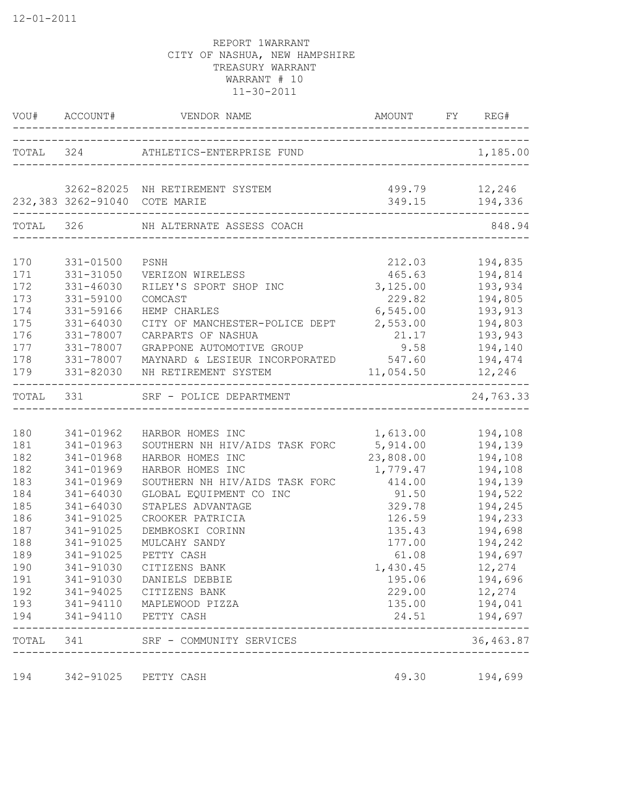|            | VOU# ACCOUNT#                 | VENDOR NAME                                                             | AMOUNT FY REG#                 |                    |
|------------|-------------------------------|-------------------------------------------------------------------------|--------------------------------|--------------------|
|            | TOTAL 324                     | ATHLETICS-ENTERPRISE FUND                                               |                                | 1,185.00           |
|            |                               |                                                                         |                                |                    |
|            |                               | 3262-82025 NH RETIREMENT SYSTEM                                         |                                | 499.79 12,246      |
|            | 232,383 3262-91040 COTE MARIE |                                                                         |                                | 349.15 194,336     |
| TOTAL 326  |                               | NH ALTERNATE ASSESS COACH                                               |                                | 848.94             |
|            |                               |                                                                         |                                |                    |
| 170        | 331-01500                     | PSNH                                                                    | 212.03                         | 194,835            |
| 171        | 331-31050                     | VERIZON WIRELESS                                                        | 465.63                         | 194,814            |
| 172<br>173 | 331-46030                     | RILEY'S SPORT SHOP INC                                                  | 3,125.00                       | 193,934            |
| 174        | 331-59100                     | COMCAST<br>HEMP CHARLES                                                 | 229.82                         | 194,805            |
| 175        | 331-59166<br>331-64030        |                                                                         | 6,545.00                       | 193,913            |
| 176        | 331-78007                     | CITY OF MANCHESTER-POLICE DEPT                                          | 2,553.00<br>21.17              | 194,803<br>193,943 |
| 177        | 331-78007                     | CARPARTS OF NASHUA<br>GRAPPONE AUTOMOTIVE GROUP                         |                                |                    |
|            |                               |                                                                         | 9.58                           | 194,140            |
| 178        |                               | 331-78007 MAYNARD & LESIEUR INCORPORATED 547.60                         |                                | 194,474            |
| 179        |                               | 331-82030 NH RETIREMENT SYSTEM<br>_____________________________________ |                                | 11,054.50 12,246   |
|            |                               | TOTAL 331 SRF - POLICE DEPARTMENT                                       |                                | 24,763.33          |
|            |                               |                                                                         |                                |                    |
| 180        | 341-01962                     | HARBOR HOMES INC                                                        | 1,613.00                       | 194,108            |
| 181        | 341-01963                     | SOUTHERN NH HIV/AIDS TASK FORC                                          | 5,914.00                       | 194,139            |
| 182        | 341-01968                     | HARBOR HOMES INC                                                        | 23,808.00                      | 194,108            |
| 182        | 341-01969                     | HARBOR HOMES INC                                                        | 1,779.47                       | 194,108            |
| 183        | 341-01969                     | SOUTHERN NH HIV/AIDS TASK FORC                                          | 414.00                         | 194,139            |
| 184        | 341-64030                     | GLOBAL EQUIPMENT CO INC                                                 | 91.50                          | 194,522            |
| 185        | 341-64030                     | STAPLES ADVANTAGE                                                       | 329.78                         | 194,245            |
| 186        | 341-91025                     | CROOKER PATRICIA                                                        | 126.59                         | 194,233            |
| 187        | 341-91025                     | DEMBKOSKI CORINN                                                        | 135.43                         | 194,698            |
| 188        | 341-91025                     | MULCAHY SANDY                                                           | 177.00                         | 194,242            |
| 189        | 341-91025                     | PETTY CASH                                                              | 61.08                          | 194,697            |
| 190        | 341-91030                     | CITIZENS BANK                                                           | 1,430.45                       | 12,274             |
| 191        |                               | 341-91030 DANIELS DEBBIE                                                | 195.06                         | 194,696            |
| 192        |                               | 341-94025 CITIZENS BANK                                                 | 229.00                         | 12,274             |
| 193        |                               | 341-94110 MAPLEWOOD PIZZA                                               | 135.00                         | 194,041            |
| 194        |                               | 341-94110 PETTY CASH                                                    | 24.51                          | 194,697            |
|            |                               | TOTAL 341 SRF - COMMUNITY SERVICES                                      | ______________________________ | 36,463.87          |
| 194        |                               | 342-91025 PETTY CASH                                                    | 49.30                          | 194,699            |
|            |                               |                                                                         |                                |                    |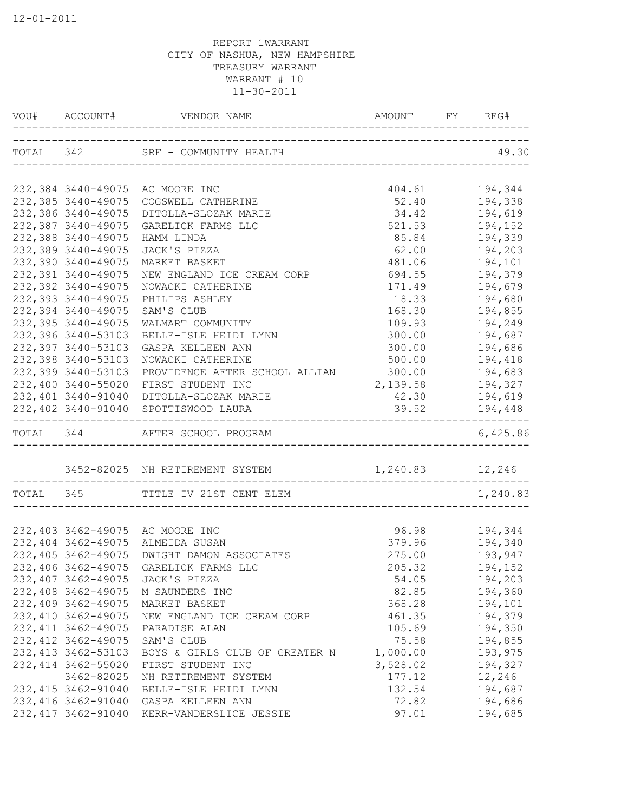|                     | TOTAL 342 SRF - COMMUNITY HEALTH                |                  | 49.30          |
|---------------------|-------------------------------------------------|------------------|----------------|
|                     | 232,384 3440-49075 AC MOORE INC                 |                  | 404.61 194,344 |
| 232,385 3440-49075  | COGSWELL CATHERINE                              | 52.40            | 194,338        |
| 232,386 3440-49075  | DITOLLA-SLOZAK MARIE                            | 34.42            | 194,619        |
| 232,387 3440-49075  | GARELICK FARMS LLC                              | 521.53           | 194,152        |
| 232,388 3440-49075  | HAMM LINDA                                      | 85.84            | 194,339        |
| 232,389 3440-49075  | JACK'S PIZZA                                    | 62.00            | 194,203        |
| 232,390 3440-49075  | MARKET BASKET                                   | 481.06           | 194,101        |
| 232,391 3440-49075  | NEW ENGLAND ICE CREAM CORP                      | 694.55           | 194,379        |
| 232,392 3440-49075  | NOWACKI CATHERINE                               | 171.49           | 194,679        |
| 232,393 3440-49075  | PHILIPS ASHLEY                                  | 18.33            | 194,680        |
| 232,394 3440-49075  | SAM'S CLUB                                      | 168.30           | 194,855        |
| 232,395 3440-49075  | WALMART COMMUNITY                               | 109.93           | 194,249        |
| 232,396 3440-53103  | BELLE-ISLE HEIDI LYNN                           | 300.00           | 194,687        |
| 232,397 3440-53103  | GASPA KELLEEN ANN                               | 300.00           | 194,686        |
| 232,398 3440-53103  | NOWACKI CATHERINE                               | 500.00           | 194,418        |
| 232,399 3440-53103  | PROVIDENCE AFTER SCHOOL ALLIAN                  | 300.00           | 194,683        |
| 232,400 3440-55020  | FIRST STUDENT INC                               | 2,139.58 194,327 |                |
| 232,401 3440-91040  | DITOLLA-SLOZAK MARIE                            | 42.30 194,619    |                |
|                     | 232,402 3440-91040 SPOTTISWOOD LAURA            | 39.52 194,448    |                |
|                     | TOTAL 344 AFTER SCHOOL PROGRAM                  |                  | 6,425.86       |
|                     | 3452-82025 NH RETIREMENT SYSTEM 1,240.83 12,246 |                  |                |
|                     | TOTAL 345 TITLE IV 21ST CENT ELEM               |                  | 1,240.83       |
|                     |                                                 |                  |                |
|                     | 232,403 3462-49075 AC MOORE INC                 | 96.98            | 194,344        |
| 232,404 3462-49075  | ALMEIDA SUSAN                                   |                  | 379.96 194,340 |
| 232,405 3462-49075  | DWIGHT DAMON ASSOCIATES                         | 275.00           | 193,947        |
| 232,406 3462-49075  | GARELICK FARMS LLC                              | 205.32           | 194,152        |
| 232,407 3462-49075  | JACK'S PIZZA                                    | 54.05            | 194,203        |
| 232,408 3462-49075  | M SAUNDERS INC                                  | 82.85            | 194,360        |
| 232,409 3462-49075  | MARKET BASKET                                   | 368.28           | 194,101        |
| 232,410 3462-49075  | NEW ENGLAND ICE CREAM CORP                      | 461.35           | 194,379        |
| 232, 411 3462-49075 | PARADISE ALAN                                   | 105.69           | 194,350        |
| 232, 412 3462-49075 | SAM'S CLUB                                      | 75.58            | 194,855        |
| 232, 413 3462-53103 | BOYS & GIRLS CLUB OF GREATER N                  | 1,000.00         | 193,975        |
| 232, 414 3462-55020 | FIRST STUDENT INC                               | 3,528.02         | 194,327        |
| 3462-82025          | NH RETIREMENT SYSTEM                            | 177.12           | 12,246         |
| 232, 415 3462-91040 | BELLE-ISLE HEIDI LYNN                           | 132.54           | 194,687        |
| 232,416 3462-91040  | GASPA KELLEEN ANN                               | 72.82            | 194,686        |
| 232, 417 3462-91040 | KERR-VANDERSLICE JESSIE                         | 97.01            | 194,685        |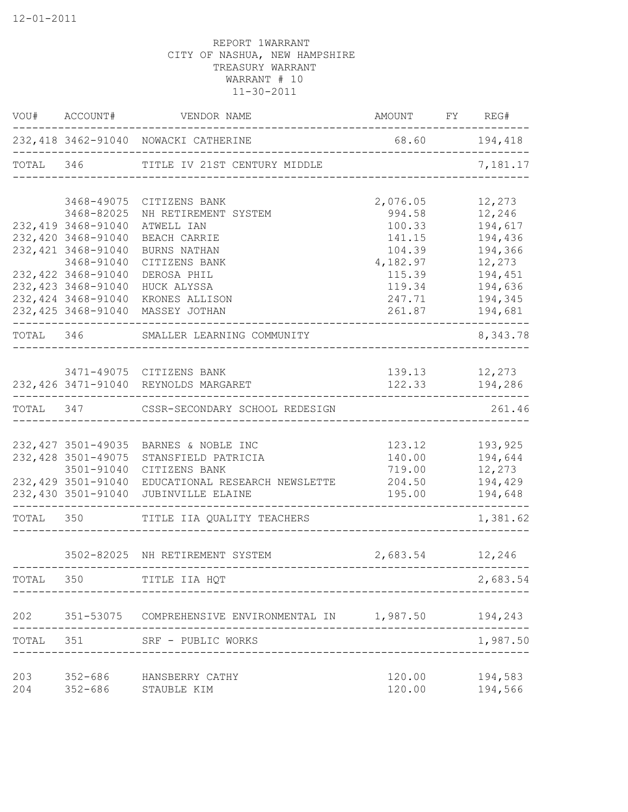|           | VOU# ACCOUNT#       | VENDOR NAME                                                      | AMOUNT FY REG#   |                                 |
|-----------|---------------------|------------------------------------------------------------------|------------------|---------------------------------|
|           |                     | 232,418 3462-91040 NOWACKI CATHERINE                             | 68.60 194,418    |                                 |
|           |                     | TOTAL 346 TITLE IV 21ST CENTURY MIDDLE                           |                  | 7,181.17                        |
|           |                     | 3468-49075 CITIZENS BANK                                         | 2,076.05         | 12,273                          |
|           | 3468-82025          | NH RETIREMENT SYSTEM                                             | 994.58           | 12,246                          |
|           | 232,419 3468-91040  | ATWELL IAN                                                       | 100.33           | 194,617                         |
|           | 232,420 3468-91040  | BEACH CARRIE                                                     | 141.15           | 194,436                         |
|           | 232, 421 3468-91040 | BURNS NATHAN                                                     | 104.39           | 194,366                         |
|           | 3468-91040          | CITIZENS BANK                                                    | 4,182.97         | 12,273                          |
|           | 232,422 3468-91040  | DEROSA PHIL                                                      | 115.39           | 194,451                         |
|           | 232, 423 3468-91040 | HUCK ALYSSA                                                      | 119.34           | 194,636                         |
|           | 232, 424 3468-91040 | KRONES ALLISON                                                   | 247.71           | 194,345                         |
|           | 232,425 3468-91040  | MASSEY JOTHAN                                                    | 261.87           | 194,681                         |
|           |                     | TOTAL 346 SMALLER LEARNING COMMUNITY                             |                  | 8,343.78                        |
|           |                     |                                                                  |                  |                                 |
|           |                     | 3471-49075 CITIZENS BANK<br>232,426 3471-91040 REYNOLDS MARGARET |                  | 139.13 12,273<br>122.33 194,286 |
|           |                     | ------------------------                                         |                  |                                 |
|           |                     | TOTAL 347 CSSR-SECONDARY SCHOOL REDESIGN                         |                  | 261.46                          |
|           |                     |                                                                  |                  |                                 |
|           |                     | 232, 427 3501-49035 BARNES & NOBLE INC                           |                  | 123.12 193,925                  |
|           | 232,428 3501-49075  | STANSFIELD PATRICIA                                              |                  |                                 |
|           | 3501-91040          | CITIZENS BANK                                                    | 719.00           | 12,273                          |
|           |                     | 232,429 3501-91040 EDUCATIONAL RESEARCH NEWSLETTE                |                  | 204.50 194,429                  |
|           | 232,430 3501-91040  | JUBINVILLE ELAINE                                                | 195.00           | 194,648                         |
| TOTAL 350 |                     | TITLE IIA QUALITY TEACHERS                                       |                  | 1,381.62                        |
|           |                     | 3502-82025 NH RETIREMENT SYSTEM                                  | 2,683.54 12,246  |                                 |
| TOTAL     | 350                 | TITLE IIA HOT                                                    |                  | 2,683.54                        |
|           |                     |                                                                  |                  |                                 |
| 202       | 351-53075           | COMPREHENSIVE ENVIRONMENTAL IN 1,987.50                          |                  | 194,243                         |
| TOTAL     | 351                 | SRF - PUBLIC WORKS                                               |                  | 1,987.50                        |
| 203       | $352 - 686$         | HANSBERRY CATHY                                                  |                  |                                 |
| 204       | $352 - 686$         | STAUBLE KIM                                                      | 120.00<br>120.00 | 194,583<br>194,566              |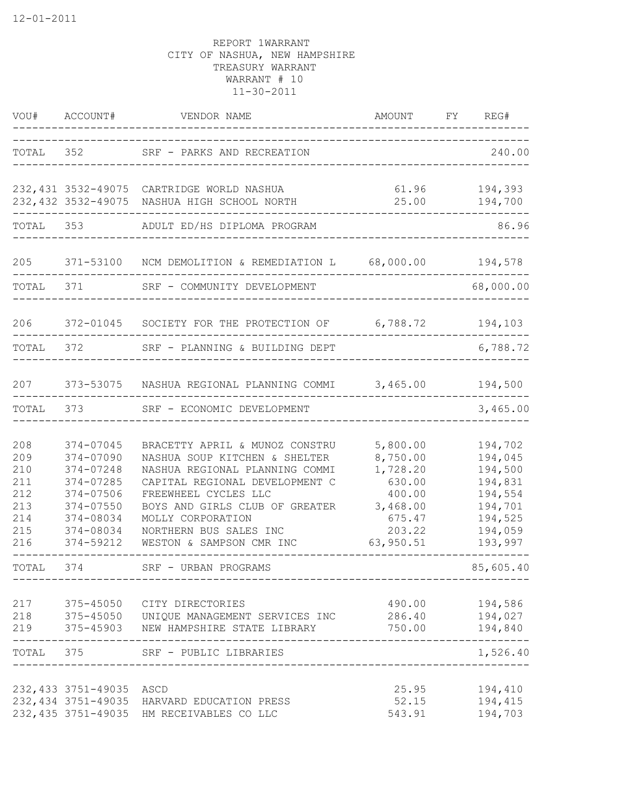|                                                             | VOU# ACCOUNT#                                                                                                     | VENDOR NAME<br>--------------                                                                                                                                                                                                                                            | AMOUNT FY REG#<br>----------------------------------                                              |                                                                                                 |
|-------------------------------------------------------------|-------------------------------------------------------------------------------------------------------------------|--------------------------------------------------------------------------------------------------------------------------------------------------------------------------------------------------------------------------------------------------------------------------|---------------------------------------------------------------------------------------------------|-------------------------------------------------------------------------------------------------|
| TOTAL 352                                                   |                                                                                                                   | SRF - PARKS AND RECREATION                                                                                                                                                                                                                                               |                                                                                                   | 240.00                                                                                          |
|                                                             |                                                                                                                   | 232,431 3532-49075 CARTRIDGE WORLD NASHUA<br>232,432 3532-49075 NASHUA HIGH SCHOOL NORTH                                                                                                                                                                                 | 61.96<br>25.00                                                                                    | 194,393<br>194,700                                                                              |
|                                                             |                                                                                                                   | TOTAL 353 ADULT ED/HS DIPLOMA PROGRAM                                                                                                                                                                                                                                    |                                                                                                   | 86.96                                                                                           |
| 205                                                         |                                                                                                                   | 371-53100 NCM DEMOLITION & REMEDIATION L 68,000.00 194,578                                                                                                                                                                                                               |                                                                                                   |                                                                                                 |
| TOTAL 371                                                   |                                                                                                                   | SRF - COMMUNITY DEVELOPMENT                                                                                                                                                                                                                                              |                                                                                                   | 68,000.00                                                                                       |
| 206                                                         |                                                                                                                   | 372-01045 SOCIETY FOR THE PROTECTION OF 6,788.72 194,103                                                                                                                                                                                                                 |                                                                                                   |                                                                                                 |
| TOTAL                                                       |                                                                                                                   | 372 SRF - PLANNING & BUILDING DEPT                                                                                                                                                                                                                                       |                                                                                                   | 6,788.72                                                                                        |
| 207                                                         |                                                                                                                   | 373-53075 NASHUA REGIONAL PLANNING COMMI 3,465.00 194,500                                                                                                                                                                                                                |                                                                                                   |                                                                                                 |
| TOTAL                                                       | 373                                                                                                               | SRF - ECONOMIC DEVELOPMENT                                                                                                                                                                                                                                               |                                                                                                   | 3,465.00                                                                                        |
| 208<br>209<br>210<br>211<br>212<br>213<br>214<br>215<br>216 | 374-07045<br>374-07090<br>374-07248<br>374-07285<br>374-07506<br>374-07550<br>374-08034<br>374-08034<br>374-59212 | BRACETTY APRIL & MUNOZ CONSTRU<br>NASHUA SOUP KITCHEN & SHELTER<br>NASHUA REGIONAL PLANNING COMMI<br>CAPITAL REGIONAL DEVELOPMENT C<br>FREEWHEEL CYCLES LLC<br>BOYS AND GIRLS CLUB OF GREATER<br>MOLLY CORPORATION<br>NORTHERN BUS SALES INC<br>WESTON & SAMPSON CMR INC | 5,800.00<br>8,750.00<br>1,728.20<br>630.00<br>400.00<br>3,468.00<br>675.47<br>203.22<br>63,950.51 | 194,702<br>194,045<br>194,500<br>194,831<br>194,554<br>194,701<br>194,525<br>194,059<br>193,997 |
| TOTAL                                                       | 374                                                                                                               | SRF - URBAN PROGRAMS                                                                                                                                                                                                                                                     |                                                                                                   | 85,605.40                                                                                       |
|                                                             |                                                                                                                   | 217 375-45050 CITY DIRECTORIES<br>218 375-45050 UNIQUE MANAGEMENT SERVICES INC 286.40 194,027<br>219 375-45903 NEW HAMPSHIRE STATE LIBRARY                                                                                                                               | 490.00                                                                                            | 194,586<br>750.00    194,840<br>-----                                                           |
|                                                             |                                                                                                                   | TOTAL 375 SRF - PUBLIC LIBRARIES                                                                                                                                                                                                                                         |                                                                                                   | 1,526.40                                                                                        |
|                                                             | 232,433 3751-49035 ASCD                                                                                           | 232,434 3751-49035 HARVARD EDUCATION PRESS<br>232,435 3751-49035 HM RECEIVABLES CO LLC                                                                                                                                                                                   | 25.95<br>52.15<br>543.91                                                                          | 194,410<br>194,415<br>194,703                                                                   |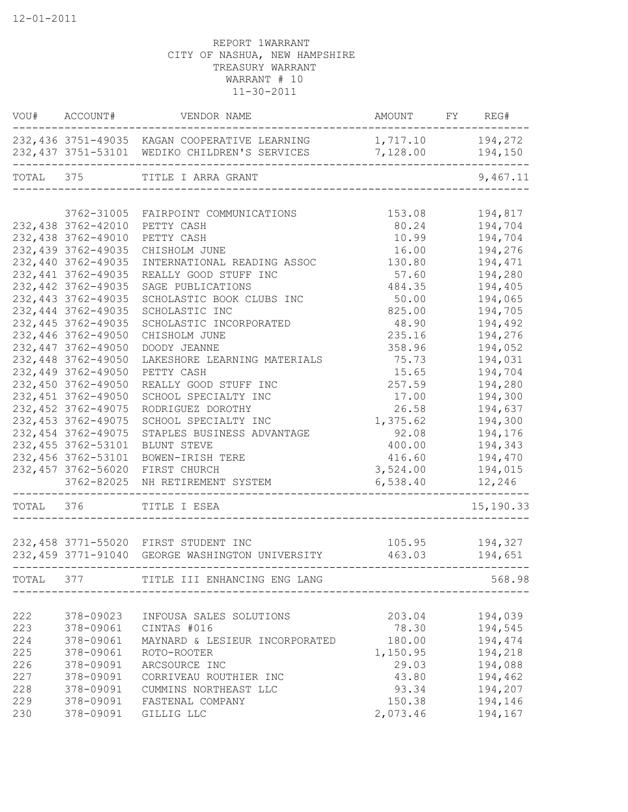|       | VOU# ACCOUNT#       | VENDOR NAME                                                                                                         | AMOUNT FY REG#               |           |
|-------|---------------------|---------------------------------------------------------------------------------------------------------------------|------------------------------|-----------|
|       |                     | 232,436 3751-49035 KAGAN COOPERATIVE LEARNING<br>232,437 3751-53101 WEDIKO CHILDREN'S SERVICES<br>_________________ | 1,717.10 194,272<br>7,128.00 | 194,150   |
|       |                     | TOTAL 375 TITLE I ARRA GRANT                                                                                        |                              | 9,467.11  |
|       |                     |                                                                                                                     |                              |           |
|       | 3762-31005          | FAIRPOINT COMMUNICATIONS                                                                                            | 153.08                       | 194,817   |
|       | 232,438 3762-42010  | PETTY CASH                                                                                                          | 80.24                        | 194,704   |
|       | 232,438 3762-49010  | PETTY CASH                                                                                                          | 10.99                        | 194,704   |
|       | 232,439 3762-49035  | CHISHOLM JUNE                                                                                                       | 16.00                        | 194,276   |
|       | 232,440 3762-49035  | INTERNATIONAL READING ASSOC                                                                                         | 130.80                       | 194,471   |
|       | 232, 441 3762-49035 | REALLY GOOD STUFF INC                                                                                               | 57.60                        | 194,280   |
|       | 232, 442 3762-49035 | SAGE PUBLICATIONS                                                                                                   | 484.35                       | 194,405   |
|       | 232, 443 3762-49035 | SCHOLASTIC BOOK CLUBS INC                                                                                           | 50.00                        | 194,065   |
|       | 232, 444 3762-49035 | SCHOLASTIC INC                                                                                                      | 825.00                       | 194,705   |
|       | 232, 445 3762-49035 | SCHOLASTIC INCORPORATED                                                                                             | 48.90                        | 194,492   |
|       | 232,446 3762-49050  | CHISHOLM JUNE                                                                                                       | 235.16                       | 194,276   |
|       | 232,447 3762-49050  | DOODY JEANNE                                                                                                        | 358.96                       | 194,052   |
|       | 232,448 3762-49050  | LAKESHORE LEARNING MATERIALS                                                                                        | 75.73                        | 194,031   |
|       | 232,449 3762-49050  | PETTY CASH                                                                                                          | 15.65                        | 194,704   |
|       | 232,450 3762-49050  | REALLY GOOD STUFF INC                                                                                               | 257.59                       | 194,280   |
|       | 232, 451 3762-49050 | SCHOOL SPECIALTY INC                                                                                                | 17.00                        | 194,300   |
|       | 232, 452 3762-49075 | RODRIGUEZ DOROTHY                                                                                                   | 26.58                        | 194,637   |
|       | 232, 453 3762-49075 | SCHOOL SPECIALTY INC                                                                                                | 1,375.62                     | 194,300   |
|       | 232, 454 3762-49075 | STAPLES BUSINESS ADVANTAGE                                                                                          | 92.08                        | 194,176   |
|       | 232, 455 3762-53101 | BLUNT STEVE                                                                                                         | 400.00                       | 194,343   |
|       | 232,456 3762-53101  | BOWEN-IRISH TERE                                                                                                    | 416.60                       | 194,470   |
|       | 232, 457 3762-56020 | FIRST CHURCH                                                                                                        | 3,524.00                     | 194,015   |
|       | 3762-82025          | NH RETIREMENT SYSTEM                                                                                                | 6,538.40                     | 12,246    |
|       | TOTAL 376           | TITLE I ESEA                                                                                                        |                              | 15,190.33 |
|       |                     |                                                                                                                     |                              |           |
|       |                     | 232,458 3771-55020 FIRST STUDENT INC                                                                                | 105.95                       | 194,327   |
|       |                     | 232,459 3771-91040 GEORGE WASHINGTON UNIVERSITY                                                                     | 463.03                       | 194,651   |
| TOTAL | 377                 | TITLE III ENHANCING ENG LANG                                                                                        |                              | 568.98    |
|       |                     |                                                                                                                     |                              |           |
| 222   | 378-09023           | INFOUSA SALES SOLUTIONS                                                                                             | 203.04                       | 194,039   |
| 223   | 378-09061           | CINTAS #016                                                                                                         | 78.30                        | 194,545   |
| 224   | 378-09061           | MAYNARD & LESIEUR INCORPORATED                                                                                      | 180.00                       | 194,474   |
| 225   | 378-09061           | ROTO-ROOTER                                                                                                         | 1,150.95                     | 194,218   |
| 226   | 378-09091           | ARCSOURCE INC                                                                                                       | 29.03                        | 194,088   |
| 227   | 378-09091           | CORRIVEAU ROUTHIER INC                                                                                              | 43.80                        | 194,462   |
| 228   | 378-09091           | CUMMINS NORTHEAST LLC                                                                                               | 93.34                        | 194,207   |
| 229   | 378-09091           | FASTENAL COMPANY                                                                                                    | 150.38                       | 194,146   |
| 230   | 378-09091           | GILLIG LLC                                                                                                          | 2,073.46                     | 194,167   |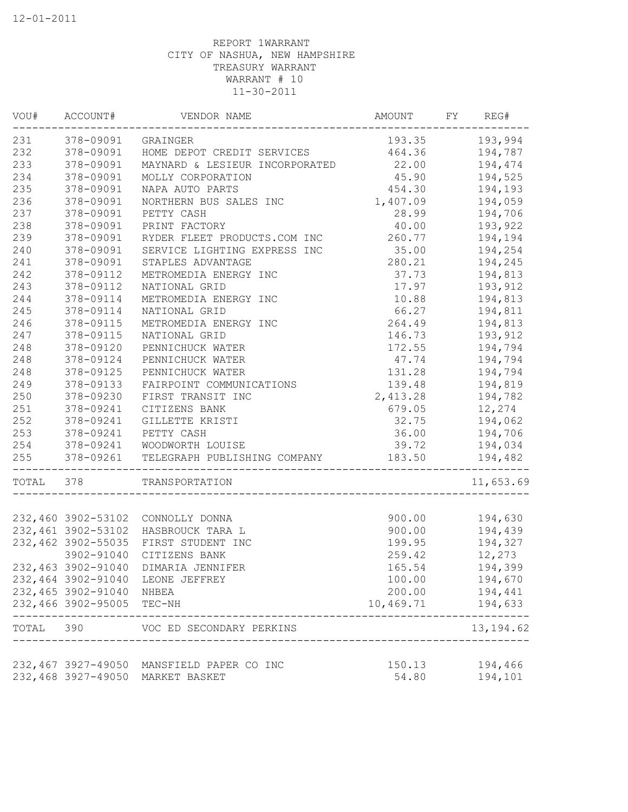|           | VOU# ACCOUNT#          | VENDOR NAME                                         | AMOUNT          | FY | REG#           |
|-----------|------------------------|-----------------------------------------------------|-----------------|----|----------------|
|           | 231 378-09091 GRAINGER |                                                     |                 |    | 193.35 193,994 |
| 232       | 378-09091              | HOME DEPOT CREDIT SERVICES                          | 464.36          |    | 194,787        |
| 233       | 378-09091              | MAYNARD & LESIEUR INCORPORATED                      | 22.00           |    | 194,474        |
| 234       | 378-09091              | MOLLY CORPORATION                                   | 45.90           |    | 194,525        |
| 235       | 378-09091              | NAPA AUTO PARTS                                     | 454.30          |    | 194,193        |
| 236       | 378-09091              | NORTHERN BUS SALES INC                              | 1,407.09        |    | 194,059        |
| 237       | 378-09091              | PETTY CASH                                          | 28.99           |    | 194,706        |
| 238       | 378-09091              | PRINT FACTORY                                       | 40.00           |    | 193,922        |
| 239       | 378-09091              | RYDER FLEET PRODUCTS.COM INC                        | 260.77          |    | 194,194        |
| 240       | 378-09091              | SERVICE LIGHTING EXPRESS INC                        | 35.00           |    | 194,254        |
| 241       | 378-09091              | STAPLES ADVANTAGE                                   | 280.21          |    | 194,245        |
| 242       | 378-09112              | METROMEDIA ENERGY INC                               | 37.73           |    | 194,813        |
| 243       | 378-09112              | NATIONAL GRID                                       | 17.97           |    | 193,912        |
| 244       | 378-09114              | METROMEDIA ENERGY INC                               | 10.88           |    | 194,813        |
| 245       | 378-09114              | NATIONAL GRID                                       | 66.27           |    | 194,811        |
| 246       | 378-09115              | METROMEDIA ENERGY INC                               | 264.49          |    | 194,813        |
| 247       | 378-09115              | NATIONAL GRID                                       | 146.73          |    | 193,912        |
| 248       | 378-09120              | PENNICHUCK WATER                                    | 172.55          |    | 194,794        |
| 248       | 378-09124              | PENNICHUCK WATER                                    | 47.74           |    | 194,794        |
| 248       | 378-09125              | PENNICHUCK WATER                                    | 131.28          |    | 194,794        |
| 249       | 378-09133              | FAIRPOINT COMMUNICATIONS                            | 139.48          |    | 194,819        |
| 250       | 378-09230              | FIRST TRANSIT INC                                   | 2,413.28        |    | 194,782        |
| 251       | 378-09241              | CITIZENS BANK                                       |                 |    | 679.05 12,274  |
| 252       | 378-09241              | GILLETTE KRISTI                                     | 32.75 194,062   |    |                |
| 253       | 378-09241              | PETTY CASH                                          | 36.00 194,706   |    |                |
| 254       | 378-09241              | WOODWORTH LOUISE                                    | 39.72 194,034   |    |                |
| 255       |                        | 378-09261 TELEGRAPH PUBLISHING COMPANY              | 183.50          |    | 194,482        |
| TOTAL 378 |                        | TRANSPORTATION<br>_________________________________ |                 |    | 11,653.69      |
|           |                        |                                                     |                 |    |                |
|           |                        | 232,460 3902-53102 CONNOLLY DONNA                   | 900.00          |    | 194,630        |
|           | 232,461 3902-53102     | HASBROUCK TARA L                                    |                 |    | 900.00 194,439 |
|           | 232,462 3902-55035     | FIRST STUDENT INC                                   | 199.95          |    | 194,327        |
|           | 3902-91040             | CITIZENS BANK                                       | 259.42          |    | 12,273         |
|           | 232,463 3902-91040     | DIMARIA JENNIFER                                    | 165.54          |    | 194,399        |
|           | 232,464 3902-91040     | LEONE JEFFREY                                       | 100.00          |    | 194,670        |
|           | 232,465 3902-91040     | NHBEA                                               | 200.00          |    | 194,441        |
|           | 232,466 3902-95005     | TEC-NH                                              | 10,469.71       |    | 194,633        |
| TOTAL     | 390                    | VOC ED SECONDARY PERKINS                            |                 |    | 13, 194.62     |
|           | 232,467 3927-49050     |                                                     |                 |    | 194,466        |
|           |                        | MANSFIELD PAPER CO INC                              | 150.13<br>54.80 |    |                |
|           | 232,468 3927-49050     | MARKET BASKET                                       |                 |    | 194,101        |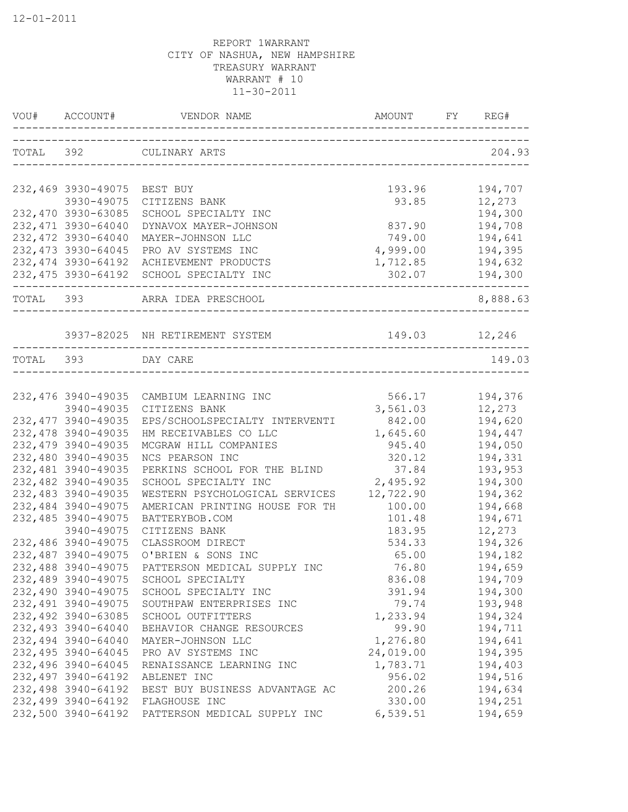| VOU# ACCOUNT#       |                                         |               | FY REG#            |
|---------------------|-----------------------------------------|---------------|--------------------|
|                     | TOTAL 392 CULINARY ARTS                 |               | 204.93             |
| 232,469 3930-49075  | BEST BUY                                | 193.96        | 194,707            |
| 3930-49075          | CITIZENS BANK                           | 93.85         | 12,273             |
| 232,470 3930-63085  | SCHOOL SPECIALTY INC                    |               | 194,300            |
| 232,471 3930-64040  | DYNAVOX MAYER-JOHNSON                   | 837.90        | 194,708            |
| 232,472 3930-64040  | MAYER-JOHNSON LLC                       | 749.00        | 194,641            |
| 232, 473 3930-64045 | PRO AV SYSTEMS INC                      | 4,999.00      | 194,395            |
| 232, 474 3930-64192 | ACHIEVEMENT PRODUCTS                    | 1,712.85      | 194,632            |
| 232,475 3930-64192  | SCHOOL SPECIALTY INC                    | 302.07        | 194,300            |
|                     | TOTAL 393 ARRA IDEA PRESCHOOL           |               | ------<br>8,888.63 |
|                     | 3937-82025 NH RETIREMENT SYSTEM         | 149.03 12,246 |                    |
| TOTAL 393 DAY CARE  |                                         |               | 149.03             |
|                     |                                         |               |                    |
|                     | 232,476 3940-49035 CAMBIUM LEARNING INC | 566.17        | 194,376            |
| 3940-49035          | CITIZENS BANK                           | 3,561.03      | 12,273             |
| 232, 477 3940-49035 | EPS/SCHOOLSPECIALTY INTERVENTI          | 842.00        | 194,620            |
| 232,478 3940-49035  | HM RECEIVABLES CO LLC                   | 1,645.60      | 194,447            |
| 232, 479 3940-49035 | MCGRAW HILL COMPANIES                   | 945.40        | 194,050            |
| 232,480 3940-49035  | NCS PEARSON INC                         | 320.12        | 194,331            |
| 232,481 3940-49035  | PERKINS SCHOOL FOR THE BLIND            | 37.84         | 193,953            |
| 232,482 3940-49035  | SCHOOL SPECIALTY INC                    | 2,495.92      | 194,300            |
| 232,483 3940-49035  | WESTERN PSYCHOLOGICAL SERVICES          | 12,722.90     | 194,362            |
| 232,484 3940-49075  | AMERICAN PRINTING HOUSE FOR TH          | 100.00        | 194,668            |
| 232,485 3940-49075  | BATTERYBOB.COM                          | 101.48        | 194,671            |
| 3940-49075          | CITIZENS BANK                           | 183.95        | 12,273             |
| 232,486 3940-49075  | CLASSROOM DIRECT                        | 534.33        | 194,326            |
| 232,487 3940-49075  | O'BRIEN & SONS INC                      | 65.00         | 194,182            |
| 232,488 3940-49075  | PATTERSON MEDICAL SUPPLY INC            | 76.80         | 194,659            |
| 232,489 3940-49075  | SCHOOL SPECIALTY                        | 836.08        | 194,709            |
| 232,490 3940-49075  | SCHOOL SPECIALTY INC                    | 391.94        | 194,300            |
| 232, 491 3940-49075 | SOUTHPAW ENTERPRISES INC                | 79.74         | 193,948            |
| 232,492 3940-63085  | SCHOOL OUTFITTERS                       | 1,233.94      | 194,324            |
| 232,493 3940-64040  | BEHAVIOR CHANGE RESOURCES               | 99.90         | 194,711            |
| 232,494 3940-64040  | MAYER-JOHNSON LLC                       | 1,276.80      | 194,641            |
| 232,495 3940-64045  | PRO AV SYSTEMS INC                      | 24,019.00     | 194,395            |
| 232,496 3940-64045  | RENAISSANCE LEARNING INC                | 1,783.71      | 194,403            |
| 232,497 3940-64192  | ABLENET INC                             | 956.02        | 194,516            |
| 232,498 3940-64192  | BEST BUY BUSINESS ADVANTAGE AC          | 200.26        | 194,634            |
| 232,499 3940-64192  | FLAGHOUSE INC                           | 330.00        | 194,251            |
| 232,500 3940-64192  | PATTERSON MEDICAL SUPPLY INC            | 6,539.51      | 194,659            |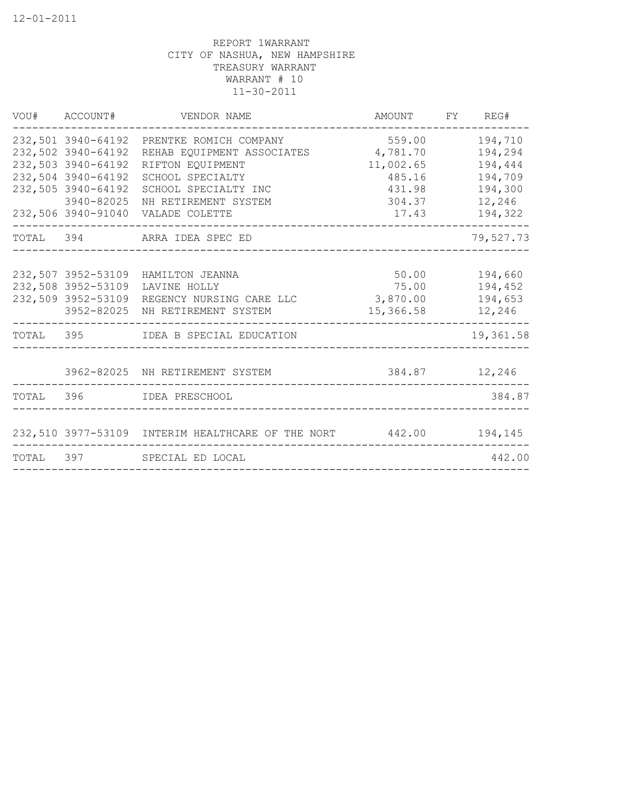| 232,501 3940-64192<br>559.00<br>194,710<br>PRENTKE ROMICH COMPANY<br>4,781.70<br>232,502 3940-64192<br>REHAB EQUIPMENT ASSOCIATES<br>194,294<br>232,503 3940-64192<br>11,002.65<br>RIFTON EQUIPMENT<br>194,444<br>232,504 3940-64192<br>SCHOOL SPECIALTY<br>194,709<br>485.16<br>232,505 3940-64192<br>SCHOOL SPECIALTY INC<br>431.98<br>194,300<br>3940-82025<br>12,246<br>304.37<br>NH RETIREMENT SYSTEM<br>232,506 3940-91040<br>VALADE COLETTE<br>17.43<br>194,322<br>79,527.73<br>TOTAL 394 ARRA IDEA SPEC ED<br>50.00<br>232,507 3952-53109 HAMILTON JEANNA<br>194,660<br>232,508 3952-53109<br>75.00<br>194,452<br>LAVINE HOLLY<br>232,509 3952-53109 REGENCY NURSING CARE LLC<br>3,870.00<br>194,653<br>3952-82025 NH RETIREMENT SYSTEM<br>15,366.58<br>12,246<br>TOTAL 395 IDEA B SPECIAL EDUCATION<br>19,361.58<br>3962-82025 NH RETIREMENT SYSTEM<br>384.87 12,246<br>TOTAL 396 IDEA PRESCHOOL<br>384.87<br>232,510 3977-53109 INTERIM HEALTHCARE OF THE NORT 442.00 194,145<br>442.00<br>TOTAL 397 SPECIAL ED LOCAL | VOU# ACCOUNT# | VENDOR NAME | AMOUNT FY REG# |  |
|---------------------------------------------------------------------------------------------------------------------------------------------------------------------------------------------------------------------------------------------------------------------------------------------------------------------------------------------------------------------------------------------------------------------------------------------------------------------------------------------------------------------------------------------------------------------------------------------------------------------------------------------------------------------------------------------------------------------------------------------------------------------------------------------------------------------------------------------------------------------------------------------------------------------------------------------------------------------------------------------------------------------------------|---------------|-------------|----------------|--|
|                                                                                                                                                                                                                                                                                                                                                                                                                                                                                                                                                                                                                                                                                                                                                                                                                                                                                                                                                                                                                                 |               |             |                |  |
|                                                                                                                                                                                                                                                                                                                                                                                                                                                                                                                                                                                                                                                                                                                                                                                                                                                                                                                                                                                                                                 |               |             |                |  |
|                                                                                                                                                                                                                                                                                                                                                                                                                                                                                                                                                                                                                                                                                                                                                                                                                                                                                                                                                                                                                                 |               |             |                |  |
|                                                                                                                                                                                                                                                                                                                                                                                                                                                                                                                                                                                                                                                                                                                                                                                                                                                                                                                                                                                                                                 |               |             |                |  |
|                                                                                                                                                                                                                                                                                                                                                                                                                                                                                                                                                                                                                                                                                                                                                                                                                                                                                                                                                                                                                                 |               |             |                |  |
|                                                                                                                                                                                                                                                                                                                                                                                                                                                                                                                                                                                                                                                                                                                                                                                                                                                                                                                                                                                                                                 |               |             |                |  |
|                                                                                                                                                                                                                                                                                                                                                                                                                                                                                                                                                                                                                                                                                                                                                                                                                                                                                                                                                                                                                                 |               |             |                |  |
|                                                                                                                                                                                                                                                                                                                                                                                                                                                                                                                                                                                                                                                                                                                                                                                                                                                                                                                                                                                                                                 |               |             |                |  |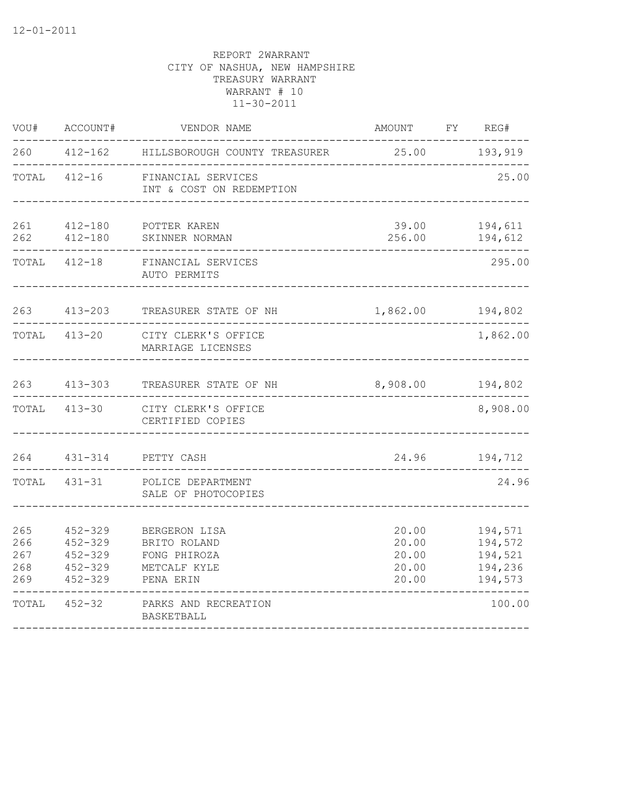| WOU#                            | ACCOUNT#                                                                | VENDOR NAME                                                                | AMOUNT                                    | FY | REG#                                                |
|---------------------------------|-------------------------------------------------------------------------|----------------------------------------------------------------------------|-------------------------------------------|----|-----------------------------------------------------|
| 260                             |                                                                         | 412-162 HILLSBOROUGH COUNTY TREASURER                                      | 25.00                                     |    | 193,919                                             |
| TOTAL                           | $412 - 16$                                                              | FINANCIAL SERVICES<br>INT & COST ON REDEMPTION                             |                                           |    | 25.00                                               |
| 261<br>262                      | $412 - 180$<br>$412 - 180$                                              | POTTER KAREN<br>SKINNER NORMAN                                             | 39.00<br>256.00                           |    | 194,611<br>194,612                                  |
| TOTAL                           | $412 - 18$                                                              | FINANCIAL SERVICES<br>AUTO PERMITS                                         |                                           |    | 295.00                                              |
| 263                             | $413 - 203$                                                             | TREASURER STATE OF NH                                                      | 1,862.00                                  |    | 194,802                                             |
| TOTAL                           | $413 - 20$                                                              | CITY CLERK'S OFFICE<br>MARRIAGE LICENSES                                   |                                           |    | 1,862.00                                            |
| 263                             | $413 - 303$                                                             | TREASURER STATE OF NH                                                      | 8,908.00                                  |    | 194,802                                             |
| TOTAL                           | $413 - 30$                                                              | CITY CLERK'S OFFICE<br>CERTIFIED COPIES                                    |                                           |    | 8,908.00                                            |
|                                 | 264 431-314                                                             | PETTY CASH                                                                 | 24.96                                     |    | 194,712                                             |
|                                 | TOTAL 431-31                                                            | POLICE DEPARTMENT<br>SALE OF PHOTOCOPIES                                   |                                           |    | 24.96                                               |
| 265<br>266<br>267<br>268<br>269 | $452 - 329$<br>$452 - 329$<br>$452 - 329$<br>$452 - 329$<br>$452 - 329$ | BERGERON LISA<br>BRITO ROLAND<br>FONG PHIROZA<br>METCALF KYLE<br>PENA ERIN | 20.00<br>20.00<br>20.00<br>20.00<br>20.00 |    | 194,571<br>194,572<br>194,521<br>194,236<br>194,573 |
| TOTAL                           | $452 - 32$                                                              | PARKS AND RECREATION<br>BASKETBALL                                         |                                           |    | 100.00                                              |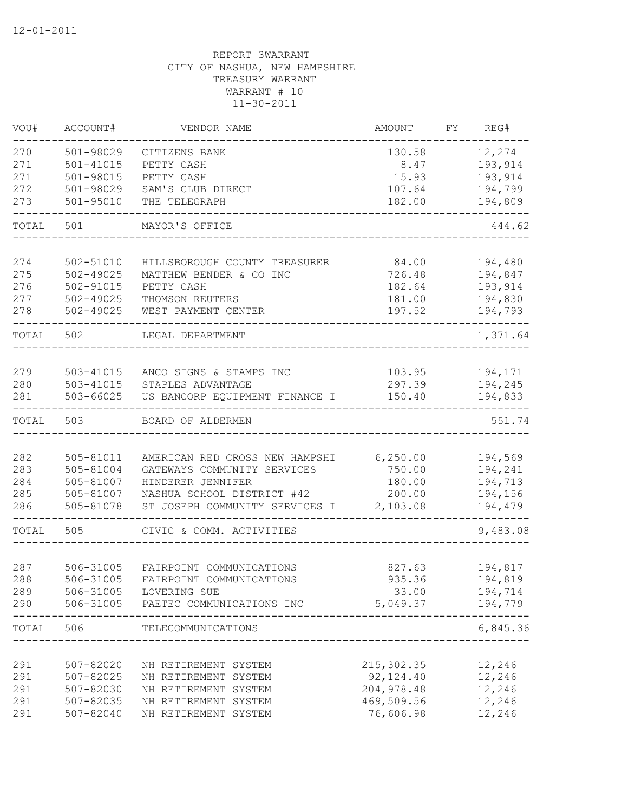| VOU#  | ACCOUNT#      | VENDOR NAME                    | AMOUNT      | FY. | REG#     |
|-------|---------------|--------------------------------|-------------|-----|----------|
| 270   | 501-98029     | CITIZENS BANK                  | 130.58      |     | 12,274   |
| 271   | $501 - 41015$ | PETTY CASH                     | 8.47        |     | 193,914  |
| 271   | 501-98015     | PETTY CASH                     | 15.93       |     | 193,914  |
| 272   | 501-98029     | SAM'S CLUB DIRECT              | 107.64      |     | 194,799  |
| 273   | $501 - 95010$ | THE TELEGRAPH                  | 182.00      |     | 194,809  |
| TOTAL | 501           | MAYOR'S OFFICE                 |             |     | 444.62   |
| 274   | 502-51010     | HILLSBOROUGH COUNTY TREASURER  | 84.00       |     | 194,480  |
| 275   | $502 - 49025$ | MATTHEW BENDER & CO INC        | 726.48      |     | 194,847  |
| 276   | 502-91015     | PETTY CASH                     | 182.64      |     | 193,914  |
| 277   | $502 - 49025$ | THOMSON REUTERS                | 181.00      |     | 194,830  |
| 278   | $502 - 49025$ | WEST PAYMENT CENTER            | 197.52      |     | 194,793  |
| TOTAL | 502           | LEGAL DEPARTMENT               |             |     | 1,371.64 |
|       |               |                                |             |     |          |
| 279   | 503-41015     | ANCO SIGNS & STAMPS INC        | 103.95      |     | 194,171  |
| 280   | $503 - 41015$ | STAPLES ADVANTAGE              | 297.39      |     | 194,245  |
| 281   | 503-66025     | US BANCORP EQUIPMENT FINANCE I | 150.40      |     | 194,833  |
| TOTAL | 503           | BOARD OF ALDERMEN              |             |     | 551.74   |
|       |               |                                |             |     |          |
| 282   | 505-81011     | AMERICAN RED CROSS NEW HAMPSHI | 6, 250.00   |     | 194,569  |
| 283   | 505-81004     | GATEWAYS COMMUNITY SERVICES    | 750.00      |     | 194,241  |
| 284   | 505-81007     | HINDERER JENNIFER              | 180.00      |     | 194,713  |
| 285   | 505-81007     | NASHUA SCHOOL DISTRICT #42     | 200.00      |     | 194,156  |
| 286   | 505-81078     | ST JOSEPH COMMUNITY SERVICES I | 2,103.08    |     | 194,479  |
| TOTAL | 505           | CIVIC & COMM. ACTIVITIES       |             |     | 9,483.08 |
| 287   | 506-31005     | FAIRPOINT COMMUNICATIONS       | 827.63      |     | 194,817  |
| 288   | 506-31005     | FAIRPOINT COMMUNICATIONS       | 935.36      |     | 194,819  |
| 289   | 506-31005     | LOVERING SUE                   | 33.00       |     | 194,714  |
| 290   | 506-31005     | PAETEC COMMUNICATIONS INC      | 5,049.37    |     | 194,779  |
| TOTAL | 506           | TELECOMMUNICATIONS             |             |     | 6,845.36 |
|       |               |                                |             |     |          |
| 291   | 507-82020     | NH RETIREMENT SYSTEM           | 215, 302.35 |     | 12,246   |
| 291   | $507 - 82025$ | NH RETIREMENT SYSTEM           | 92, 124.40  |     | 12,246   |
| 291   | 507-82030     | NH RETIREMENT SYSTEM           | 204, 978.48 |     | 12,246   |
| 291   | 507-82035     | NH RETIREMENT SYSTEM           | 469,509.56  |     | 12,246   |
| 291   | 507-82040     | NH RETIREMENT SYSTEM           | 76,606.98   |     | 12,246   |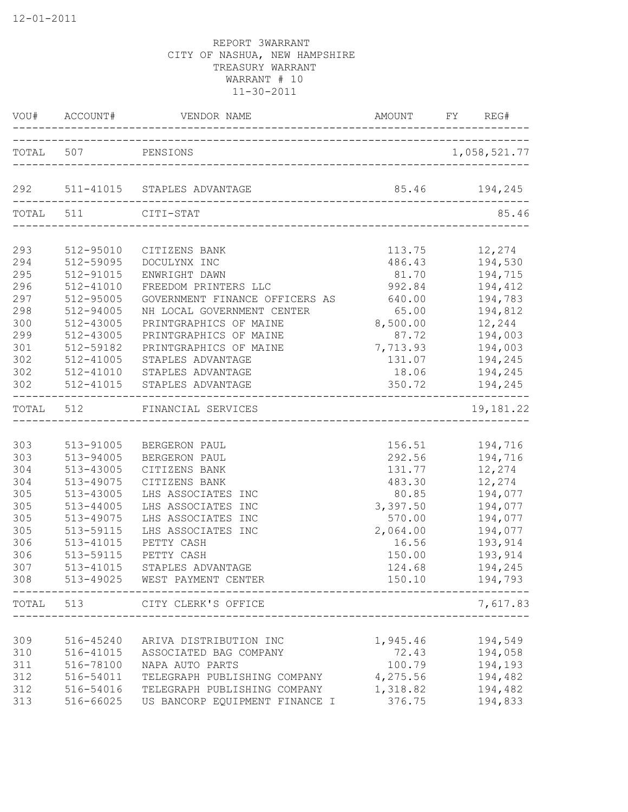|                                                                           | VOU# ACCOUNT#                                                                                                                                        | VENDOR NAME                                                                                                                                                                                                                                       | AMOUNT FY                                                                                                    | REG#                                                                                                                |
|---------------------------------------------------------------------------|------------------------------------------------------------------------------------------------------------------------------------------------------|---------------------------------------------------------------------------------------------------------------------------------------------------------------------------------------------------------------------------------------------------|--------------------------------------------------------------------------------------------------------------|---------------------------------------------------------------------------------------------------------------------|
| TOTAL 507                                                                 |                                                                                                                                                      | PENSIONS                                                                                                                                                                                                                                          |                                                                                                              | 1,058,521.77                                                                                                        |
|                                                                           |                                                                                                                                                      | 292 511-41015 STAPLES ADVANTAGE                                                                                                                                                                                                                   |                                                                                                              | 85.46 194,245                                                                                                       |
| TOTAL 511                                                                 |                                                                                                                                                      | CITI-STAT<br>____________________________________                                                                                                                                                                                                 |                                                                                                              | 85.46                                                                                                               |
| 293<br>294<br>295<br>296<br>297<br>298<br>300<br>299<br>301<br>302        | 512-95010<br>512-59095<br>512-91015<br>512-41010<br>512-95005<br>512-94005<br>512-43005<br>512-43005<br>512-59182<br>512-41005                       | CITIZENS BANK<br>DOCULYNX INC<br>ENWRIGHT DAWN<br>FREEDOM PRINTERS LLC<br>GOVERNMENT FINANCE OFFICERS AS<br>NH LOCAL GOVERNMENT CENTER<br>PRINTGRAPHICS OF MAINE<br>PRINTGRAPHICS OF MAINE<br>PRINTGRAPHICS OF MAINE<br>STAPLES ADVANTAGE         | 113.75<br>486.43<br>81.70<br>992.84<br>640.00<br>65.00<br>8,500.00<br>87.72<br>7,713.93<br>131.07            | 12,274<br>194,530<br>194,715<br>194,412<br>194,783<br>194,812<br>12,244<br>194,003<br>194,003<br>194,245            |
| 302<br>302                                                                | 512-41010<br>$512 - 41015$                                                                                                                           | STAPLES ADVANTAGE<br>STAPLES ADVANTAGE                                                                                                                                                                                                            | 18.06<br>350.72                                                                                              | 194,245<br>194,245                                                                                                  |
|                                                                           | TOTAL 512                                                                                                                                            | FINANCIAL SERVICES                                                                                                                                                                                                                                |                                                                                                              | 19,181.22                                                                                                           |
| 303<br>303<br>304<br>304<br>305<br>305<br>305<br>305<br>306<br>306<br>307 | 513-91005<br>513-94005<br>513-43005<br>513-49075<br>513-43005<br>$513 - 44005$<br>513-49075<br>513-59115<br>513-41015<br>513-59115<br>513-41015<br>. | BERGERON PAUL<br>BERGERON PAUL<br>CITIZENS BANK<br>CITIZENS BANK<br>LHS ASSOCIATES<br>INC<br>LHS ASSOCIATES INC<br>LHS ASSOCIATES INC<br>LHS ASSOCIATES INC<br>PETTY CASH<br>PETTY CASH<br>STAPLES ADVANTAGE<br>308 513-49025 WEST PAYMENT CENTER | 156.51<br>292.56<br>131.77<br>483.30<br>80.85<br>3,397.50<br>570.00<br>2,064.00<br>16.56<br>150.00<br>124.68 | 194,716<br>194,716<br>12,274<br>12,274<br>194,077<br>194,077<br>194,077<br>194,077<br>193,914<br>193,914<br>194,245 |
|                                                                           |                                                                                                                                                      | TOTAL 513 CITY CLERK'S OFFICE                                                                                                                                                                                                                     |                                                                                                              | 7,617.83                                                                                                            |
| 309<br>310<br>311<br>312<br>312<br>313                                    | 516-78100<br>516-54011                                                                                                                               | 516-45240 ARIVA DISTRIBUTION INC<br>516-41015 ASSOCIATED BAG COMPANY<br>NAPA AUTO PARTS<br>TELEGRAPH PUBLISHING COMPANY 4,275.56<br>516-54016 TELEGRAPH PUBLISHING COMPANY 1,318.82<br>516-66025 US BANCORP EQUIPMENT FINANCE I 376.75            | 1,945.46<br>72.43 194,058<br>100.79 194,193                                                                  | 194,549<br>194,482<br>194,482<br>194,833                                                                            |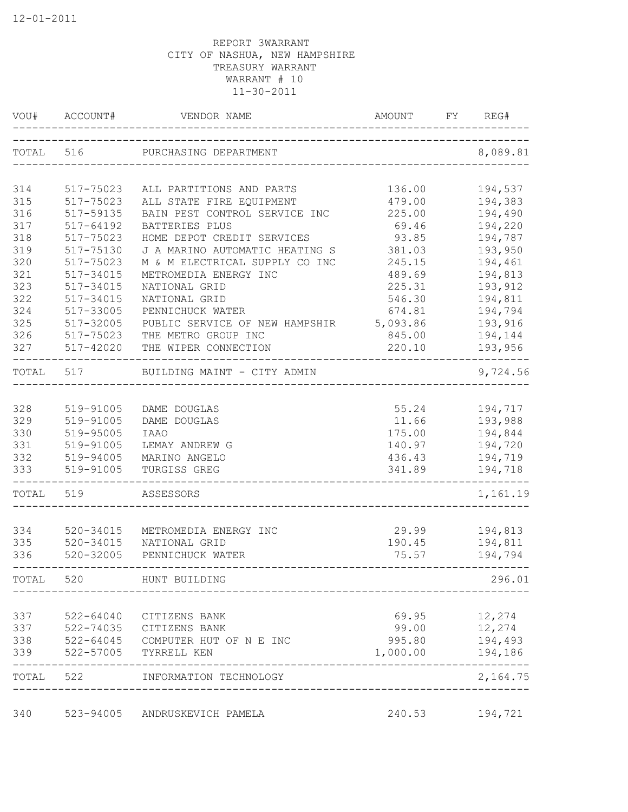|       | VOU# ACCOUNT# | VENDOR NAME                       | <b>AMOUNT</b><br>_________________________ | REG#<br>FY              |
|-------|---------------|-----------------------------------|--------------------------------------------|-------------------------|
|       |               | TOTAL 516 PURCHASING DEPARTMENT   |                                            | 8,089.81                |
| 314   | 517-75023     | ALL PARTITIONS AND PARTS          | 136.00                                     | 194,537                 |
| 315   | 517-75023     | ALL STATE FIRE EQUIPMENT          | 479.00                                     | 194,383                 |
| 316   | 517-59135     | BAIN PEST CONTROL SERVICE INC     | 225.00                                     | 194,490                 |
| 317   | $517 - 64192$ | BATTERIES PLUS                    | 69.46                                      | 194,220                 |
| 318   | 517-75023     | HOME DEPOT CREDIT SERVICES        | 93.85                                      | 194,787                 |
| 319   | 517-75130     | J A MARINO AUTOMATIC HEATING S    | 381.03                                     | 193,950                 |
| 320   | 517-75023     | M & M ELECTRICAL SUPPLY CO INC    | 245.15                                     | 194,461                 |
| 321   | 517-34015     | METROMEDIA ENERGY INC             | 489.69                                     | 194,813                 |
| 323   | 517-34015     | NATIONAL GRID                     | 225.31                                     | 193,912                 |
| 322   | 517-34015     | NATIONAL GRID                     | 546.30                                     | 194,811                 |
| 324   | 517-33005     | PENNICHUCK WATER                  | 674.81                                     | 194,794                 |
| 325   | 517-32005     | PUBLIC SERVICE OF NEW HAMPSHIR    | 5,093.86                                   | 193,916                 |
| 326   | 517-75023     | THE METRO GROUP INC               | 845.00                                     | 194,144                 |
| 327   | 517-42020     | THE WIPER CONNECTION              | 220.10                                     | 193,956                 |
| TOTAL | 517           | BUILDING MAINT - CITY ADMIN       |                                            | 9,724.56                |
| 328   | 519-91005     | DAME DOUGLAS                      |                                            | 55.24 194,717           |
| 329   | 519-91005     | DAME DOUGLAS                      | 11.66                                      | 193,988                 |
| 330   | 519-95005     | <b>IAAO</b>                       | 175.00                                     | 194,844                 |
| 331   | 519-91005     | LEMAY ANDREW G                    | 140.97                                     | 194,720                 |
| 332   | 519-94005     | MARINO ANGELO                     | 436.43                                     | 194,719                 |
| 333   | 519-91005     | TURGISS GREG                      | 341.89                                     | 194,718                 |
| TOTAL | 519           | ASSESSORS                         |                                            | 1,161.19                |
| 334   | 520-34015     | METROMEDIA ENERGY INC             | 29.99                                      | 194,813                 |
| 335   | 520-34015     | NATIONAL GRID                     | 190.45                                     | 194,811                 |
| 336   | 520-32005     | PENNICHUCK WATER                  | 75.57                                      | 194,794                 |
| TOTAL | 520           | HUNT BUILDING                     |                                            | 296.01                  |
| 337   | 522-64040     | CITIZENS BANK                     | 69.95                                      | 12,274                  |
| 337   | 522-74035     | CITIZENS BANK                     | 99.00                                      | 12,274                  |
| 338   |               | 522-64045 COMPUTER HUT OF N E INC | 995.80                                     | 194,493                 |
| 339   | 522-57005     | TYRRELL KEN                       | 1,000.00                                   | 194,186                 |
| TOTAL | 522           | INFORMATION TECHNOLOGY            |                                            | $- - - - -$<br>2,164.75 |
| 340   | 523-94005     | ANDRUSKEVICH PAMELA               | 240.53                                     | 194,721                 |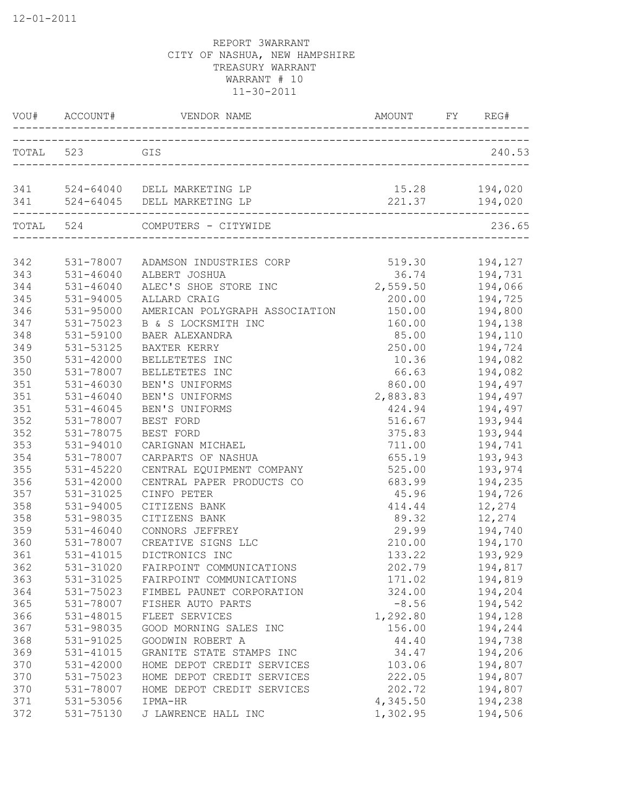|     |               | VOU# ACCOUNT# VENDOR NAME                                          | AMOUNT FY REG# |                |
|-----|---------------|--------------------------------------------------------------------|----------------|----------------|
|     | TOTAL 523     | GIS                                                                |                | 240.53         |
|     |               | 341 524-64040 DELL MARKETING LP<br>341 524-64045 DELL MARKETING LP |                | 221.37 194,020 |
|     | TOTAL 524     | _____________________________________<br>COMPUTERS - CITYWIDE      |                | 236.65         |
| 342 |               | 531-78007 ADAMSON INDUSTRIES CORP                                  | 519.30 194,127 |                |
| 343 | 531-46040     | ALBERT JOSHUA                                                      | 36.74          | 194,731        |
| 344 | 531-46040     | ALEC'S SHOE STORE INC                                              | 2,559.50       | 194,066        |
| 345 | 531-94005     | ALLARD CRAIG                                                       | 200.00         | 194,725        |
| 346 | 531-95000     | AMERICAN POLYGRAPH ASSOCIATION                                     | 150.00         | 194,800        |
| 347 | 531-75023     | B & S LOCKSMITH INC                                                | 160.00         | 194,138        |
| 348 | 531-59100     | BAER ALEXANDRA                                                     | 85.00          | 194,110        |
| 349 | 531-53125     | BAXTER KERRY                                                       | 250.00         | 194,724        |
| 350 | 531-42000     | BELLETETES INC                                                     | 10.36          | 194,082        |
| 350 | 531-78007     | BELLETETES INC                                                     | 66.63          | 194,082        |
| 351 | $531 - 46030$ | BEN'S UNIFORMS                                                     | 860.00         | 194,497        |
| 351 | $531 - 46040$ | BEN'S UNIFORMS                                                     | 2,883.83       | 194,497        |
| 351 | $531 - 46045$ | BEN'S UNIFORMS                                                     | 424.94         | 194,497        |
| 352 | 531-78007     | BEST FORD                                                          | 516.67         | 193,944        |
| 352 | 531-78075     | BEST FORD                                                          | 375.83         | 193,944        |
| 353 | 531-94010     | CARIGNAN MICHAEL                                                   | 711.00         | 194,741        |
| 354 | 531-78007     | CARPARTS OF NASHUA                                                 | 655.19         | 193,943        |
| 355 | 531-45220     | CENTRAL EQUIPMENT COMPANY                                          | 525.00         | 193,974        |
| 356 | 531-42000     | CENTRAL PAPER PRODUCTS CO                                          | 683.99         | 194,235        |
| 357 | 531-31025     | CINFO PETER                                                        | 45.96          | 194,726        |
| 358 | 531-94005     | CITIZENS BANK                                                      | 414.44         | 12,274         |
| 358 | 531-98035     | CITIZENS BANK                                                      | 89.32          | 12,274         |
| 359 | 531-46040     | CONNORS JEFFREY                                                    | 29.99          | 194,740        |
| 360 | 531-78007     | CREATIVE SIGNS LLC                                                 | 210.00         | 194,170        |
| 361 | 531-41015     | DICTRONICS INC                                                     | 133.22         | 193,929        |
| 362 |               | 531-31020 FAIRPOINT COMMUNICATIONS                                 | 202.79         | 194,817        |
| 363 | 531-31025     | FAIRPOINT COMMUNICATIONS                                           | 171.02         | 194,819        |
| 364 | 531-75023     | FIMBEL PAUNET CORPORATION                                          | 324.00         | 194,204        |
| 365 | 531-78007     | FISHER AUTO PARTS                                                  | $-8.56$        | 194,542        |
| 366 | 531-48015     | FLEET SERVICES                                                     | 1,292.80       | 194,128        |
| 367 | 531-98035     | GOOD MORNING SALES INC                                             | 156.00         | 194,244        |
| 368 | 531-91025     | GOODWIN ROBERT A                                                   | 44.40          | 194,738        |
| 369 | 531-41015     | GRANITE STATE STAMPS INC                                           | 34.47          | 194,206        |
| 370 | $531 - 42000$ | HOME DEPOT CREDIT SERVICES                                         | 103.06         | 194,807        |
| 370 | 531-75023     | HOME DEPOT CREDIT SERVICES                                         | 222.05         | 194,807        |
| 370 | 531-78007     | HOME DEPOT CREDIT SERVICES                                         | 202.72         | 194,807        |
| 371 | 531-53056     | IPMA-HR                                                            | 4,345.50       | 194,238        |
| 372 | 531-75130     | J LAWRENCE HALL INC                                                | 1,302.95       | 194,506        |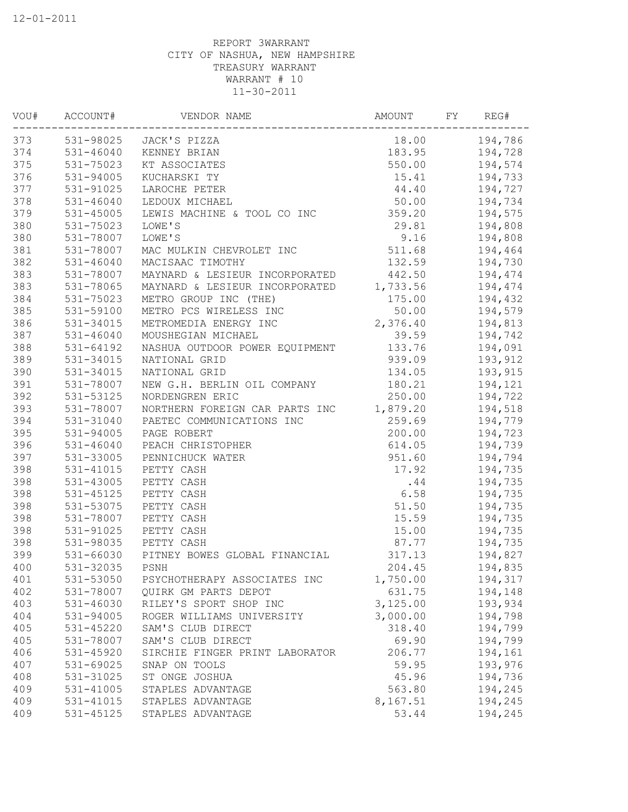| WOU# | ACCOUNT#      | VENDOR NAME                    | AMOUNT   | FY | REG#    |
|------|---------------|--------------------------------|----------|----|---------|
| 373  |               | 531-98025 JACK'S PIZZA         | 18.00    |    | 194,786 |
| 374  | 531-46040     | KENNEY BRIAN                   | 183.95   |    | 194,728 |
| 375  | 531-75023     | KT ASSOCIATES                  | 550.00   |    | 194,574 |
| 376  | 531-94005     | KUCHARSKI TY                   | 15.41    |    | 194,733 |
| 377  | 531-91025     | LAROCHE PETER                  | 44.40    |    | 194,727 |
| 378  | $531 - 46040$ | LEDOUX MICHAEL                 | 50.00    |    | 194,734 |
| 379  | 531-45005     | LEWIS MACHINE & TOOL CO INC    | 359.20   |    | 194,575 |
| 380  | 531-75023     | LOWE'S                         | 29.81    |    | 194,808 |
| 380  | 531-78007     | LOWE'S                         | 9.16     |    | 194,808 |
| 381  | 531-78007     | MAC MULKIN CHEVROLET INC       | 511.68   |    | 194,464 |
| 382  | $531 - 46040$ | MACISAAC TIMOTHY               | 132.59   |    | 194,730 |
| 383  | 531-78007     | MAYNARD & LESIEUR INCORPORATED | 442.50   |    | 194,474 |
| 383  | 531-78065     | MAYNARD & LESIEUR INCORPORATED | 1,733.56 |    | 194,474 |
| 384  | 531-75023     | METRO GROUP INC (THE)          | 175.00   |    | 194,432 |
| 385  | 531-59100     | METRO PCS WIRELESS INC         | 50.00    |    | 194,579 |
| 386  | 531-34015     | METROMEDIA ENERGY INC          | 2,376.40 |    | 194,813 |
| 387  | 531-46040     | MOUSHEGIAN MICHAEL             | 39.59    |    | 194,742 |
| 388  | $531 - 64192$ | NASHUA OUTDOOR POWER EQUIPMENT | 133.76   |    | 194,091 |
| 389  | 531-34015     | NATIONAL GRID                  | 939.09   |    | 193,912 |
| 390  | 531-34015     | NATIONAL GRID                  | 134.05   |    | 193,915 |
| 391  | 531-78007     | NEW G.H. BERLIN OIL COMPANY    | 180.21   |    | 194,121 |
| 392  | 531-53125     | NORDENGREN ERIC                | 250.00   |    | 194,722 |
| 393  | 531-78007     | NORTHERN FOREIGN CAR PARTS INC | 1,879.20 |    | 194,518 |
| 394  | 531-31040     | PAETEC COMMUNICATIONS INC      | 259.69   |    | 194,779 |
| 395  | 531-94005     | PAGE ROBERT                    | 200.00   |    | 194,723 |
| 396  | 531-46040     | PEACH CHRISTOPHER              | 614.05   |    | 194,739 |
| 397  | 531-33005     | PENNICHUCK WATER               | 951.60   |    | 194,794 |
| 398  | 531-41015     | PETTY CASH                     | 17.92    |    | 194,735 |
| 398  | 531-43005     | PETTY CASH                     | .44      |    | 194,735 |
| 398  | 531-45125     | PETTY CASH                     | 6.58     |    | 194,735 |
| 398  | 531-53075     | PETTY CASH                     | 51.50    |    | 194,735 |
| 398  | 531-78007     | PETTY CASH                     | 15.59    |    | 194,735 |
| 398  | 531-91025     | PETTY CASH                     | 15.00    |    | 194,735 |
| 398  | 531-98035     | PETTY CASH                     | 87.77    |    | 194,735 |
| 399  | $531 - 66030$ | PITNEY BOWES GLOBAL FINANCIAL  | 317.13   |    | 194,827 |
| 400  | 531-32035     | PSNH                           | 204.45   |    | 194,835 |
| 401  | 531-53050     | PSYCHOTHERAPY ASSOCIATES INC   | 1,750.00 |    | 194,317 |
| 402  | 531-78007     | QUIRK GM PARTS DEPOT           | 631.75   |    | 194,148 |
| 403  | 531-46030     | RILEY'S SPORT SHOP INC         | 3,125.00 |    | 193,934 |
| 404  |               |                                | 3,000.00 |    | 194,798 |
|      | 531-94005     | ROGER WILLIAMS UNIVERSITY      |          |    |         |
| 405  | 531-45220     | SAM'S CLUB DIRECT              | 318.40   |    | 194,799 |
| 405  | 531-78007     | SAM'S CLUB DIRECT              | 69.90    |    | 194,799 |
| 406  | 531-45920     | SIRCHIE FINGER PRINT LABORATOR | 206.77   |    | 194,161 |
| 407  | 531-69025     | SNAP ON TOOLS                  | 59.95    |    | 193,976 |
| 408  | 531-31025     | ST ONGE JOSHUA                 | 45.96    |    | 194,736 |
| 409  | 531-41005     | STAPLES ADVANTAGE              | 563.80   |    | 194,245 |
| 409  | 531-41015     | STAPLES ADVANTAGE              | 8,167.51 |    | 194,245 |
| 409  | 531-45125     | STAPLES ADVANTAGE              | 53.44    |    | 194,245 |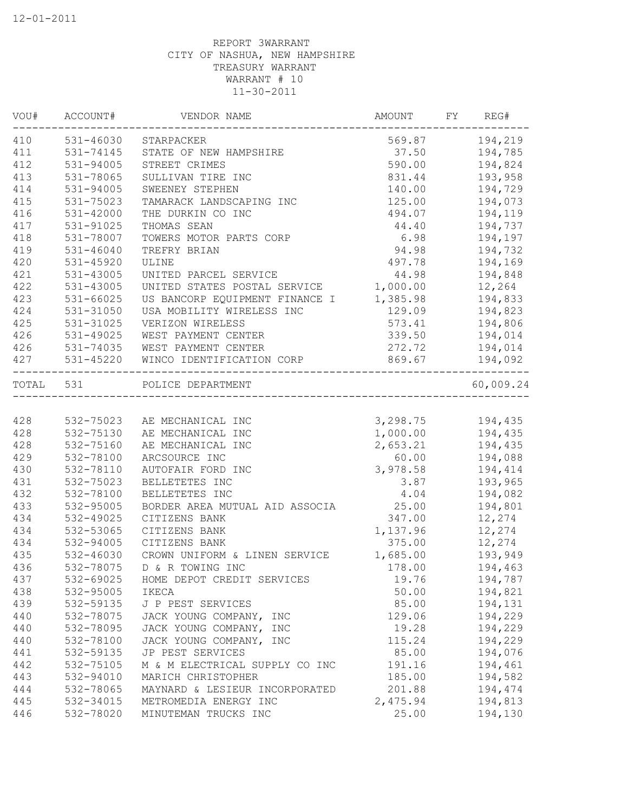|           | VOU# ACCOUNT# | VENDOR NAME                                      | AMOUNT              | FY | REG#           |
|-----------|---------------|--------------------------------------------------|---------------------|----|----------------|
| 410       |               | 531-46030 STARPACKER                             |                     |    | 569.87 194,219 |
| 411       | 531-74145     | STATE OF NEW HAMPSHIRE                           | 37.50               |    | 194,785        |
| 412       | 531-94005     | STREET CRIMES                                    | 590.00              |    | 194,824        |
| 413       | 531-78065     | SULLIVAN TIRE INC                                | 831.44              |    | 193,958        |
| 414       | 531-94005     | SWEENEY STEPHEN                                  | 140.00              |    | 194,729        |
| 415       | 531-75023     | TAMARACK LANDSCAPING INC                         | 125.00              |    | 194,073        |
| 416       | 531-42000     | THE DURKIN CO INC                                | 494.07              |    | 194,119        |
| 417       | 531-91025     | THOMAS SEAN                                      | 44.40               |    | 194,737        |
| 418       | 531-78007     | TOWERS MOTOR PARTS CORP                          | 6.98                |    | 194,197        |
| 419       | $531 - 46040$ | TREFRY BRIAN                                     | 94.98               |    | 194,732        |
| 420       | 531-45920     | ULINE                                            | 497.78              |    | 194,169        |
| 421       | 531-43005     | UNITED PARCEL SERVICE                            | 44.98               |    | 194,848        |
| 422       | 531-43005     | UNITED STATES POSTAL SERVICE                     | 1,000.00            |    | 12,264         |
| 423       | $531 - 66025$ | US BANCORP EQUIPMENT FINANCE I                   | 1,385.98            |    | 194,833        |
| 424       | 531-31050     | USA MOBILITY WIRELESS INC                        | 129.09              |    | 194,823        |
| 425       | 531-31025     | VERIZON WIRELESS                                 | 573.41              |    | 194,806        |
| 426       | 531-49025     | WEST PAYMENT CENTER                              | 339.50              |    | 194,014        |
| 426       | 531-74035     | WEST PAYMENT CENTER                              | 272.72              |    | 194,014        |
| 427       | 531-45220     | WINCO IDENTIFICATION CORP<br>___________________ | 869.67              |    | 194,092        |
| TOTAL 531 |               | POLICE DEPARTMENT                                |                     |    | 60,009.24      |
|           |               | ____________________________                     |                     |    |                |
| 428       | 532-75023     | AE MECHANICAL INC                                | 3, 298. 75 194, 435 |    |                |
| 428       | 532-75130     | AE MECHANICAL INC                                | 1,000.00 194,435    |    |                |
| 428       | 532-75160     | AE MECHANICAL INC                                | 2,653.21            |    | 194,435        |
| 429       | 532-78100     | ARCSOURCE INC                                    | 60.00               |    | 194,088        |
| 430       | 532-78110     | AUTOFAIR FORD INC                                | 3,978.58            |    | 194,414        |
| 431       | 532-75023     | BELLETETES INC                                   | 3.87                |    | 193,965        |
| 432       | 532-78100     | BELLETETES INC                                   | 4.04                |    | 194,082        |
| 433       | 532-95005     | BORDER AREA MUTUAL AID ASSOCIA                   | 25.00               |    | 194,801        |
| 434       | 532-49025     | CITIZENS BANK                                    | 347.00              |    | 12,274         |
| 434       | 532-53065     | CITIZENS BANK                                    | 1,137.96            |    | 12,274         |
| 434       | 532-94005     | CITIZENS BANK                                    | 375.00              |    | 12,274         |
| 435       | 532-46030     | CROWN UNIFORM & LINEN SERVICE                    | 1,685.00            |    | 193,949        |
| 436       | 532-78075     | D & R TOWING INC                                 | 178.00              |    | 194,463        |
| 437       | 532-69025     | HOME DEPOT CREDIT SERVICES                       | 19.76               |    | 194,787        |
| 438       | 532-95005     | IKECA                                            | 50.00               |    | 194,821        |
| 439       | 532-59135     | J P PEST SERVICES                                | 85.00               |    | 194,131        |
| 440       | 532-78075     | JACK YOUNG COMPANY, INC                          | 129.06              |    | 194,229        |
| 440       | 532-78095     | JACK YOUNG COMPANY, INC                          | 19.28               |    | 194,229        |
| 440       | 532-78100     | JACK YOUNG COMPANY, INC                          | 115.24              |    | 194,229        |
| 441       | 532-59135     | JP PEST SERVICES                                 | 85.00               |    | 194,076        |
| 442       | 532-75105     | M & M ELECTRICAL SUPPLY CO INC                   | 191.16              |    | 194,461        |
| 443       | 532-94010     | MARICH CHRISTOPHER                               | 185.00              |    | 194,582        |
| 444       | 532-78065     | MAYNARD & LESIEUR INCORPORATED                   | 201.88              |    | 194,474        |
| 445       | 532-34015     | METROMEDIA ENERGY INC                            | 2,475.94            |    | 194,813        |
| 446       | 532-78020     | MINUTEMAN TRUCKS INC                             | 25.00               |    | 194,130        |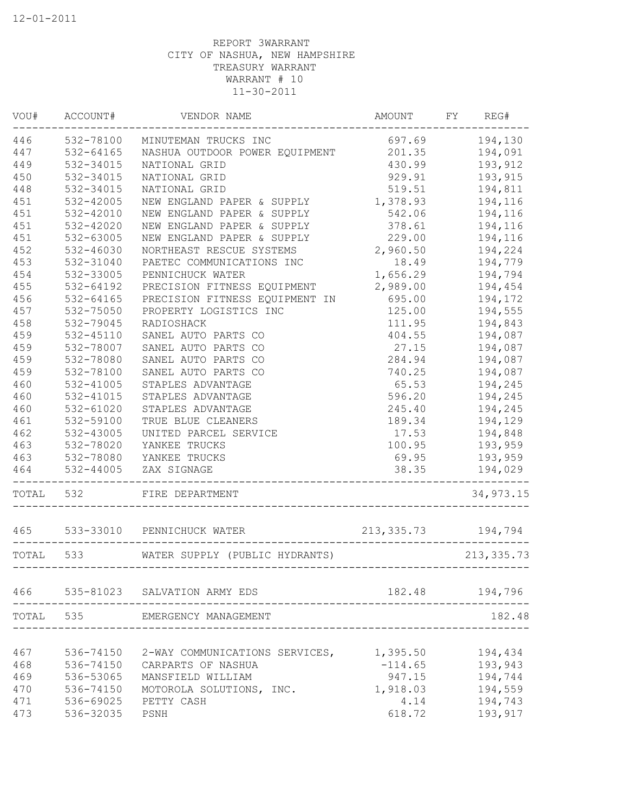|           | VOU# ACCOUNT# | VENDOR NAME                                         | AMOUNT FY REG# |                |
|-----------|---------------|-----------------------------------------------------|----------------|----------------|
| 446       |               | 532-78100 MINUTEMAN TRUCKS INC                      | 697.69 194,130 |                |
| 447       | 532-64165     | NASHUA OUTDOOR POWER EQUIPMENT                      | 201.35         | 194,091        |
| 449       | 532-34015     | NATIONAL GRID                                       | 430.99         | 193,912        |
| 450       | 532-34015     | NATIONAL GRID                                       | 929.91         | 193,915        |
| 448       | 532-34015     | NATIONAL GRID                                       | 519.51         | 194,811        |
| 451       | 532-42005     | NEW ENGLAND PAPER & SUPPLY                          | 1,378.93       | 194,116        |
| 451       | 532-42010     | NEW ENGLAND PAPER & SUPPLY                          | 542.06         | 194,116        |
| 451       | 532-42020     | NEW ENGLAND PAPER & SUPPLY                          | 378.61         | 194,116        |
| 451       | 532-63005     | NEW ENGLAND PAPER & SUPPLY                          | 229.00         | 194,116        |
| 452       | 532-46030     | NORTHEAST RESCUE SYSTEMS                            | 2,960.50       | 194,224        |
| 453       | 532-31040     | PAETEC COMMUNICATIONS INC                           | 18.49          | 194,779        |
| 454       | 532-33005     | PENNICHUCK WATER                                    | 1,656.29       | 194,794        |
| 455       | 532-64192     | PRECISION FITNESS EQUIPMENT                         | 2,989.00       | 194,454        |
| 456       | 532-64165     | PRECISION FITNESS EQUIPMENT IN                      | 695.00         | 194,172        |
| 457       | 532-75050     | PROPERTY LOGISTICS INC                              | 125.00         | 194,555        |
| 458       | 532-79045     | RADIOSHACK                                          | 111.95         | 194,843        |
| 459       | 532-45110     | SANEL AUTO PARTS CO                                 | 404.55         | 194,087        |
| 459       | 532-78007     | SANEL AUTO PARTS CO                                 | 27.15          | 194,087        |
| 459       | 532-78080     | SANEL AUTO PARTS CO                                 | 284.94         | 194,087        |
| 459       | 532-78100     | SANEL AUTO PARTS CO                                 | 740.25         | 194,087        |
| 460       | 532-41005     | STAPLES ADVANTAGE                                   | 65.53          | 194,245        |
| 460       | 532-41015     | STAPLES ADVANTAGE                                   | 596.20         | 194,245        |
| 460       | $532 - 61020$ | STAPLES ADVANTAGE                                   | 245.40         | 194,245        |
| 461       | 532-59100     | TRUE BLUE CLEANERS                                  | 189.34         | 194,129        |
| 462       | 532-43005     | UNITED PARCEL SERVICE                               | 17.53 194,848  |                |
| 463       | 532-78020     | YANKEE TRUCKS                                       |                | 100.95 193,959 |
| 463       | 532-78080     | YANKEE TRUCKS                                       | 69.95          | 193,959        |
| 464       | 532-44005     | ZAX SIGNAGE                                         | 38.35          | 194,029        |
| TOTAL 532 |               | FIRE DEPARTMENT                                     |                | 34,973.15      |
| 465       |               | 533-33010 PENNICHUCK WATER<br>$213, 335.73$ 194,794 |                |                |
| TOTAL     | 533           | WATER SUPPLY (PUBLIC HYDRANTS)                      |                | 213, 335.73    |
|           |               |                                                     |                |                |
| 466       |               | 535-81023 SALVATION ARMY EDS                        | 182.48         | 194,796        |
| TOTAL     | 535           | EMERGENCY MANAGEMENT                                |                | 182.48         |
| 467       | 536-74150     | 2-WAY COMMUNICATIONS SERVICES,                      | 1,395.50       | 194,434        |
| 468       | 536-74150     | CARPARTS OF NASHUA                                  | $-114.65$      | 193,943        |
| 469       | 536-53065     | MANSFIELD WILLIAM                                   | 947.15         | 194,744        |
| 470       | 536-74150     | MOTOROLA SOLUTIONS, INC.                            | 1,918.03       | 194,559        |
| 471       | 536-69025     | PETTY CASH                                          | 4.14           | 194,743        |
| 473       | 536-32035     | PSNH                                                | 618.72         | 193,917        |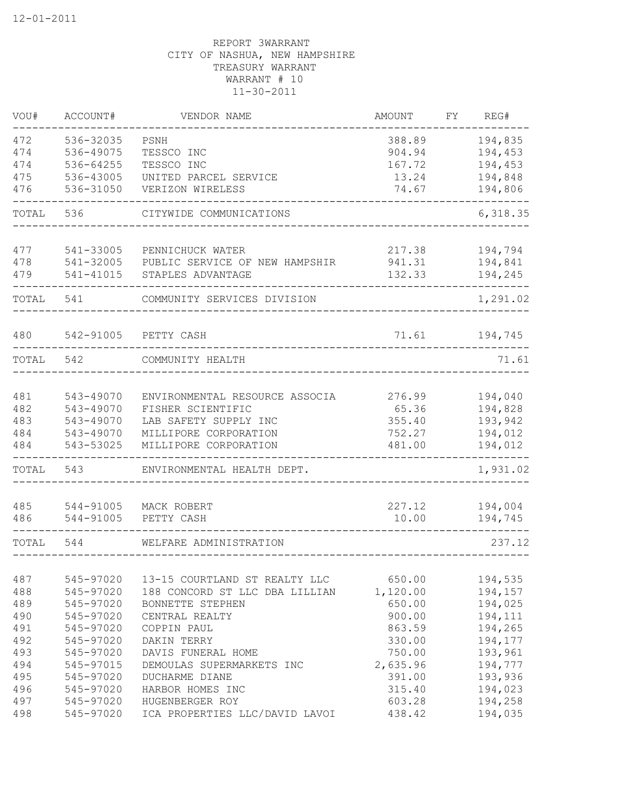| VOU#       | ACCOUNT#               | VENDOR NAME                                    | AMOUNT             | FΥ | REG#               |
|------------|------------------------|------------------------------------------------|--------------------|----|--------------------|
| 472        | 536-32035              | PSNH                                           | 388.89             |    | 194,835            |
| 474        | 536-49075              | TESSCO INC                                     | 904.94             |    | 194,453            |
| 474        | 536-64255              | TESSCO INC                                     | 167.72             |    | 194,453            |
| 475        | 536-43005              | UNITED PARCEL SERVICE                          | 13.24              |    | 194,848            |
| 476        | 536-31050              | VERIZON WIRELESS                               | 74.67              |    | 194,806            |
| TOTAL      | 536                    | CITYWIDE COMMUNICATIONS                        |                    |    | 6,318.35           |
| 477        | 541-33005              | PENNICHUCK WATER                               | 217.38             |    | 194,794            |
| 478        | 541-32005              | PUBLIC SERVICE OF NEW HAMPSHIR                 | 941.31             |    | 194,841            |
| 479        | 541-41015              | STAPLES ADVANTAGE                              | 132.33             |    | 194,245            |
| TOTAL      | 541                    | COMMUNITY SERVICES DIVISION                    |                    |    | 1,291.02           |
| 480        | 542-91005              | PETTY CASH                                     | 71.61              |    | 194,745            |
| TOTAL      | 542                    | COMMUNITY HEALTH                               |                    |    | 71.61              |
|            |                        |                                                |                    |    |                    |
| 481        | 543-49070              | ENVIRONMENTAL RESOURCE ASSOCIA                 | 276.99             |    | 194,040            |
| 482        | 543-49070              | FISHER SCIENTIFIC                              | 65.36              |    | 194,828            |
| 483        | 543-49070              | LAB SAFETY SUPPLY INC                          | 355.40             |    | 193,942            |
| 484<br>484 | 543-49070<br>543-53025 | MILLIPORE CORPORATION<br>MILLIPORE CORPORATION | 752.27<br>481.00   |    | 194,012<br>194,012 |
|            |                        |                                                |                    |    |                    |
| TOTAL      | 543                    | ENVIRONMENTAL HEALTH DEPT.                     |                    |    | 1,931.02           |
| 485        | 544-91005              | MACK ROBERT                                    | 227.12             |    | 194,004            |
| 486        | 544-91005              | PETTY CASH                                     | 10.00              |    | 194,745            |
| TOTAL      | 544                    | WELFARE ADMINISTRATION                         |                    |    | 237.12             |
| 487        | 545-97020              | 13-15 COURTLAND ST REALTY LLC                  |                    |    |                    |
| 488        | 545-97020              | 188 CONCORD ST LLC DBA LILLIAN                 | 650.00<br>1,120.00 |    | 194,535<br>194,157 |
| 489        | 545-97020              |                                                | 650.00             |    | 194,025            |
|            | 545-97020              | BONNETTE STEPHEN                               |                    |    |                    |
| 490<br>491 |                        | CENTRAL REALTY                                 | 900.00             |    | 194,111            |
| 492        | 545-97020              | COPPIN PAUL                                    | 863.59             |    | 194,265            |
|            | 545-97020              | DAKIN TERRY                                    | 330.00             |    | 194,177            |
| 493        | 545-97020              | DAVIS FUNERAL HOME                             | 750.00             |    | 193,961            |
| 494        | 545-97015              | DEMOULAS SUPERMARKETS INC                      | 2,635.96           |    | 194,777            |
| 495        | 545-97020              | DUCHARME DIANE                                 | 391.00             |    | 193,936            |
| 496        | 545-97020              | HARBOR HOMES INC                               | 315.40             |    | 194,023            |
| 497        | 545-97020              | HUGENBERGER ROY                                | 603.28             |    | 194,258            |
| 498        | 545-97020              | ICA PROPERTIES LLC/DAVID LAVOI                 | 438.42             |    | 194,035            |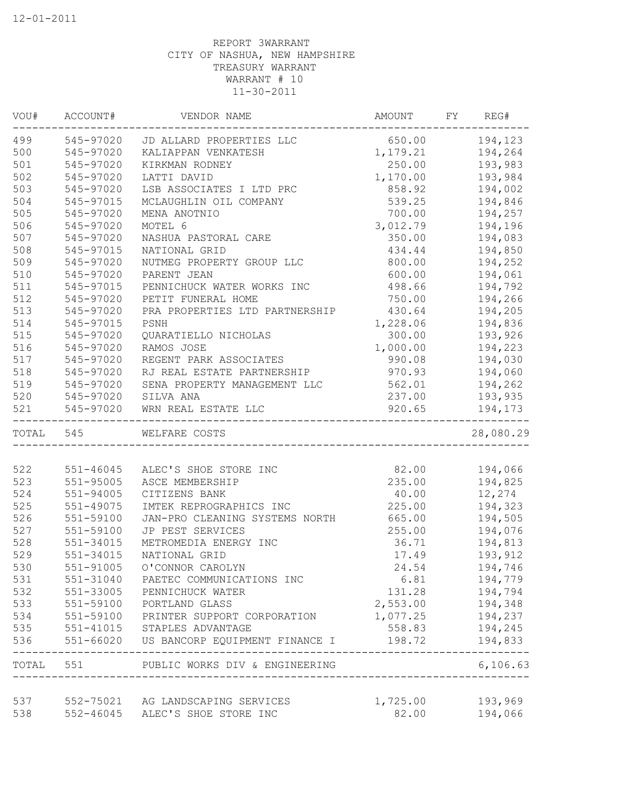| VOU#       | ACCOUNT#      | VENDOR NAME                        | AMOUNT            | FY | REG#      |
|------------|---------------|------------------------------------|-------------------|----|-----------|
| 499        |               | 545-97020 JD ALLARD PROPERTIES LLC | 650.00            |    | 194,123   |
| 500        | 545-97020     | KALIAPPAN VENKATESH                | 1,179.21          |    | 194,264   |
| 501        | 545-97020     | KIRKMAN RODNEY                     | 250.00            |    | 193,983   |
| 502        | 545-97020     | LATTI DAVID                        | 1,170.00          |    | 193,984   |
| 503        | 545-97020     | LSB ASSOCIATES I LTD PRC           | 858.92            |    | 194,002   |
| 504        | 545-97015     | MCLAUGHLIN OIL COMPANY             | 539.25            |    | 194,846   |
| 505        | 545-97020     | MENA ANOTNIO                       | 700.00            |    | 194,257   |
| 506        | 545-97020     | MOTEL 6                            | 3,012.79          |    | 194,196   |
| 507        | 545-97020     | NASHUA PASTORAL CARE               | 350.00            |    | 194,083   |
| 508        | 545-97015     | NATIONAL GRID                      | 434.44            |    | 194,850   |
| 509        | 545-97020     | NUTMEG PROPERTY GROUP LLC          | 800.00            |    | 194,252   |
| 510        | 545-97020     | PARENT JEAN                        | 600.00            |    | 194,061   |
| 511        | 545-97015     | PENNICHUCK WATER WORKS INC         | 498.66            |    | 194,792   |
| 512        | 545-97020     | PETIT FUNERAL HOME                 | 750.00            |    | 194,266   |
| 513        | 545-97020     | PRA PROPERTIES LTD PARTNERSHIP     | 430.64            |    | 194,205   |
| 514        | 545-97015     | PSNH                               | 1,228.06          |    | 194,836   |
| 515        | 545-97020     | QUARATIELLO NICHOLAS               | 300.00            |    | 193,926   |
| 516        | 545-97020     | RAMOS JOSE                         | 1,000.00          |    | 194,223   |
| 517        | 545-97020     | REGENT PARK ASSOCIATES             | 990.08            |    | 194,030   |
| 518        | 545-97020     | RJ REAL ESTATE PARTNERSHIP         | 970.93            |    | 194,060   |
| 519        | 545-97020     | SENA PROPERTY MANAGEMENT LLC       | 562.01            |    | 194,262   |
| 520        | 545-97020     | SILVA ANA                          | 237.00            |    | 193,935   |
| 521        | 545-97020     | WRN REAL ESTATE LLC                | 920.65            |    | 194,173   |
| TOTAL 545  |               | WELFARE COSTS                      |                   |    | 28,080.29 |
|            |               |                                    |                   |    |           |
| 522        | 551-46045     | ALEC'S SHOE STORE INC              | 82.00             |    | 194,066   |
| 523        | 551-95005     | ASCE MEMBERSHIP                    | 235.00            |    | 194,825   |
| 524        | 551-94005     | CITIZENS BANK                      | 40.00             |    | 12,274    |
| 525        | 551-49075     | IMTEK REPROGRAPHICS INC            | 225.00            |    | 194,323   |
| 526        | 551-59100     | JAN-PRO CLEANING SYSTEMS NORTH     | 665.00            |    | 194,505   |
| 527        | 551-59100     | JP PEST SERVICES                   | 255.00            |    | 194,076   |
| 528        | 551-34015     | METROMEDIA ENERGY INC              | 36.71             |    | 194,813   |
| 529        | 551-34015     | NATIONAL GRID                      | 17.49             |    | 193,912   |
| 530        | 551-91005     | O'CONNOR CAROLYN                   | 24.54             |    | 194,746   |
| 531        | 551-31040     | PAETEC COMMUNICATIONS INC          | 6.81              |    | 194,779   |
| 532        | 551-33005     | PENNICHUCK WATER                   | 131.28            |    | 194,794   |
| 533        | 551-59100     | PORTLAND GLASS                     | 2,553.00          |    | 194,348   |
| 534        | 551-59100     | PRINTER SUPPORT CORPORATION        | 1,077.25          |    | 194,237   |
| 535        | 551-41015     | STAPLES ADVANTAGE                  | 558.83            |    | 194,245   |
| 536        | $551 - 66020$ | US BANCORP EQUIPMENT FINANCE I     | 198.72            |    | 194,833   |
| TOTAL      | 551           | PUBLIC WORKS DIV & ENGINEERING     |                   |    | 6,106.63  |
|            |               |                                    |                   |    |           |
| 537<br>538 |               | 552-75021 AG LANDSCAPING SERVICES  | 1,725.00<br>82.00 |    | 193,969   |
|            | $552 - 46045$ | ALEC'S SHOE STORE INC              |                   |    | 194,066   |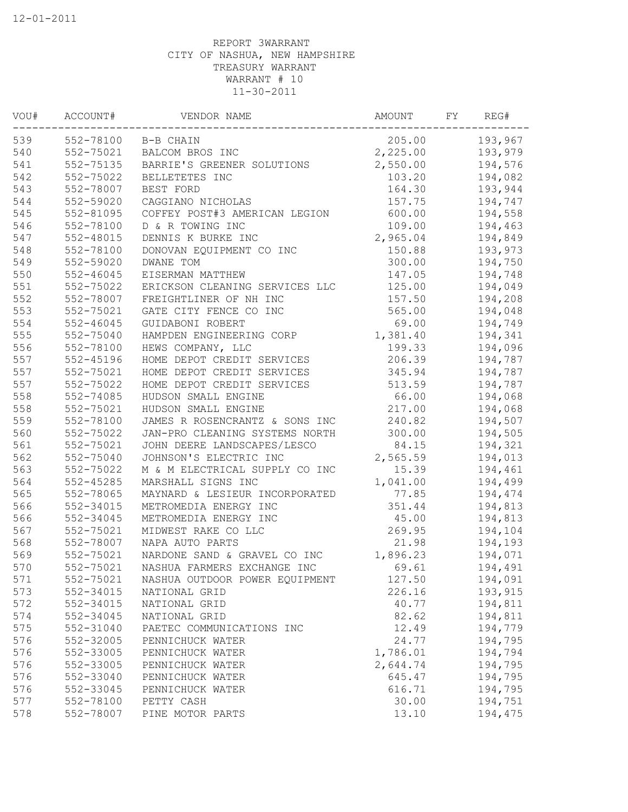| WOU# | ACCOUNT#      | VENDOR NAME                    | AMOUNT   | FΥ | REG#    |
|------|---------------|--------------------------------|----------|----|---------|
| 539  |               | 552-78100 B-B CHAIN            | 205.00   |    | 193,967 |
| 540  | 552-75021     | BALCOM BROS INC                | 2,225.00 |    | 193,979 |
| 541  | 552-75135     | BARRIE'S GREENER SOLUTIONS     | 2,550.00 |    | 194,576 |
| 542  | 552-75022     | BELLETETES INC                 | 103.20   |    | 194,082 |
| 543  | 552-78007     | BEST FORD                      | 164.30   |    | 193,944 |
| 544  | 552-59020     | CAGGIANO NICHOLAS              | 157.75   |    | 194,747 |
| 545  | 552-81095     | COFFEY POST#3 AMERICAN LEGION  | 600.00   |    | 194,558 |
| 546  | 552-78100     | D & R TOWING INC               | 109.00   |    | 194,463 |
| 547  | $552 - 48015$ | DENNIS K BURKE INC             | 2,965.04 |    | 194,849 |
| 548  | 552-78100     | DONOVAN EQUIPMENT CO INC       | 150.88   |    | 193,973 |
| 549  | 552-59020     | DWANE TOM                      | 300.00   |    | 194,750 |
| 550  | 552-46045     | EISERMAN MATTHEW               | 147.05   |    | 194,748 |
| 551  | 552-75022     | ERICKSON CLEANING SERVICES LLC | 125.00   |    | 194,049 |
| 552  | 552-78007     | FREIGHTLINER OF NH INC         | 157.50   |    | 194,208 |
| 553  | 552-75021     | GATE CITY FENCE CO INC         | 565.00   |    | 194,048 |
| 554  | $552 - 46045$ | GUIDABONI ROBERT               | 69.00    |    | 194,749 |
| 555  | 552-75040     | HAMPDEN ENGINEERING CORP       | 1,381.40 |    | 194,341 |
| 556  | 552-78100     | HEWS COMPANY, LLC              | 199.33   |    | 194,096 |
| 557  | 552-45196     | HOME DEPOT CREDIT SERVICES     | 206.39   |    | 194,787 |
| 557  | 552-75021     | HOME DEPOT CREDIT SERVICES     | 345.94   |    | 194,787 |
| 557  | 552-75022     | HOME DEPOT CREDIT SERVICES     | 513.59   |    | 194,787 |
| 558  | 552-74085     | HUDSON SMALL ENGINE            | 66.00    |    | 194,068 |
| 558  | 552-75021     | HUDSON SMALL ENGINE            | 217.00   |    | 194,068 |
| 559  | 552-78100     | JAMES R ROSENCRANTZ & SONS INC | 240.82   |    | 194,507 |
| 560  | 552-75022     | JAN-PRO CLEANING SYSTEMS NORTH | 300.00   |    | 194,505 |
| 561  | 552-75021     | JOHN DEERE LANDSCAPES/LESCO    | 84.15    |    | 194,321 |
| 562  | 552-75040     | JOHNSON'S ELECTRIC INC         | 2,565.59 |    | 194,013 |
| 563  | 552-75022     | M & M ELECTRICAL SUPPLY CO INC | 15.39    |    | 194,461 |
| 564  | 552-45285     | MARSHALL SIGNS INC             | 1,041.00 |    | 194,499 |
| 565  | 552-78065     | MAYNARD & LESIEUR INCORPORATED | 77.85    |    | 194,474 |
| 566  | 552-34015     | METROMEDIA ENERGY INC          | 351.44   |    | 194,813 |
| 566  | 552-34045     | METROMEDIA ENERGY INC          | 45.00    |    | 194,813 |
| 567  | 552-75021     | MIDWEST RAKE CO LLC            | 269.95   |    | 194,104 |
| 568  | 552-78007     | NAPA AUTO PARTS                | 21.98    |    | 194,193 |
| 569  | 552-75021     | NARDONE SAND & GRAVEL CO INC   | 1,896.23 |    | 194,071 |
| 570  | 552-75021     | NASHUA FARMERS EXCHANGE INC    | 69.61    |    | 194,491 |
| 571  | 552-75021     | NASHUA OUTDOOR POWER EQUIPMENT | 127.50   |    | 194,091 |
| 573  | 552-34015     | NATIONAL GRID                  | 226.16   |    | 193,915 |
| 572  | 552-34015     | NATIONAL GRID                  | 40.77    |    | 194,811 |
| 574  | 552-34045     | NATIONAL GRID                  | 82.62    |    | 194,811 |
| 575  | 552-31040     | PAETEC COMMUNICATIONS INC      | 12.49    |    | 194,779 |
| 576  | 552-32005     | PENNICHUCK WATER               | 24.77    |    | 194,795 |
| 576  | 552-33005     | PENNICHUCK WATER               | 1,786.01 |    | 194,794 |
| 576  | 552-33005     | PENNICHUCK WATER               | 2,644.74 |    | 194,795 |
| 576  | 552-33040     | PENNICHUCK WATER               | 645.47   |    | 194,795 |
| 576  | 552-33045     | PENNICHUCK WATER               | 616.71   |    | 194,795 |
| 577  | 552-78100     | PETTY CASH                     | 30.00    |    | 194,751 |
| 578  | 552-78007     | PINE MOTOR PARTS               | 13.10    |    | 194,475 |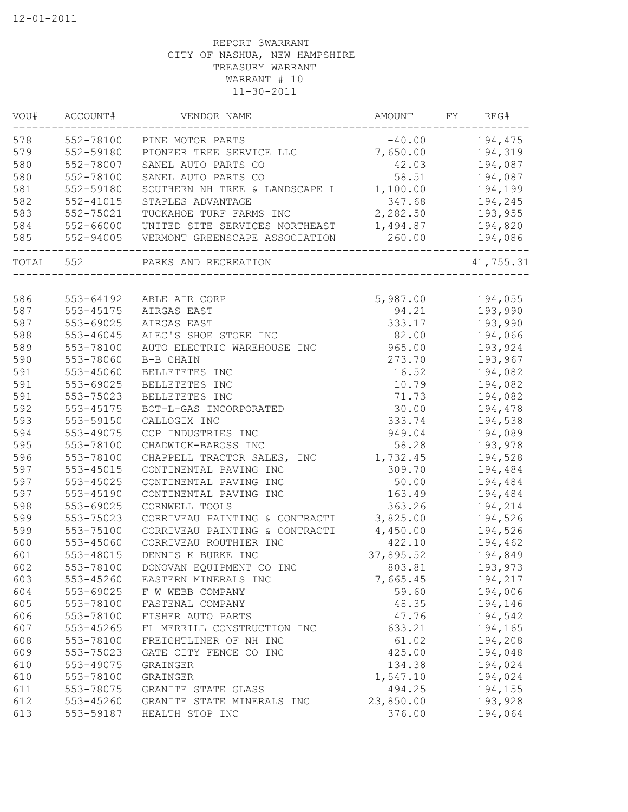| 578<br>552-78100<br>$-40.00$<br>PINE MOTOR PARTS<br>579<br>552-59180<br>7,650.00<br>PIONEER TREE SERVICE LLC | 194,475   |
|--------------------------------------------------------------------------------------------------------------|-----------|
|                                                                                                              |           |
|                                                                                                              | 194,319   |
| 580<br>552-78007<br>42.03<br>SANEL AUTO PARTS CO                                                             | 194,087   |
| 580<br>552-78100<br>SANEL AUTO PARTS CO<br>58.51                                                             | 194,087   |
| 581<br>552-59180<br>1,100.00<br>SOUTHERN NH TREE & LANDSCAPE L                                               | 194,199   |
| 582<br>347.68<br>$552 - 41015$<br>STAPLES ADVANTAGE                                                          | 194,245   |
| 2,282.50<br>583<br>TUCKAHOE TURF FARMS INC<br>552-75021                                                      | 193,955   |
| 584<br>1,494.87<br>552-66000<br>UNITED SITE SERVICES NORTHEAST                                               | 194,820   |
| 585<br>260.00<br>552-94005<br>VERMONT GREENSCAPE ASSOCIATION                                                 | 194,086   |
| TOTAL<br>552<br>PARKS AND RECREATION                                                                         | 41,755.31 |
|                                                                                                              |           |
| 586<br>553-64192<br>5,987.00<br>ABLE AIR CORP                                                                | 194,055   |
| 587<br>553-45175<br>AIRGAS EAST<br>94.21                                                                     | 193,990   |
| 587<br>333.17<br>$553 - 69025$<br>AIRGAS EAST                                                                | 193,990   |
| 588<br>82.00<br>553-46045<br>ALEC'S SHOE STORE INC                                                           | 194,066   |
| 589<br>553-78100<br>965.00<br>AUTO ELECTRIC WAREHOUSE INC                                                    | 193,924   |
| 590<br>553-78060<br>273.70<br>B-B CHAIN                                                                      | 193,967   |
| 591<br>553-45060<br>BELLETETES INC<br>16.52                                                                  | 194,082   |
| 591<br>553-69025<br>BELLETETES INC<br>10.79                                                                  | 194,082   |
| 591<br>553-75023<br>BELLETETES INC<br>71.73                                                                  | 194,082   |
| 592<br>553-45175<br>30.00<br>BOT-L-GAS INCORPORATED                                                          | 194,478   |
| 593<br>553-59150<br>CALLOGIX INC<br>333.74                                                                   | 194,538   |
| 594<br>553-49075<br>CCP INDUSTRIES INC<br>949.04                                                             | 194,089   |
| 595<br>553-78100<br>58.28<br>CHADWICK-BAROSS INC                                                             | 193,978   |
| 596<br>553-78100<br>CHAPPELL TRACTOR SALES,<br>1,732.45<br>INC                                               | 194,528   |
| 597<br>553-45015<br>CONTINENTAL PAVING INC<br>309.70                                                         | 194,484   |
| 597<br>553-45025<br>CONTINENTAL PAVING INC<br>50.00                                                          | 194,484   |
| 597<br>553-45190<br>CONTINENTAL PAVING INC<br>163.49                                                         | 194,484   |
| 598<br>553-69025<br>CORNWELL TOOLS<br>363.26                                                                 | 194,214   |
| 599<br>3,825.00<br>553-75023<br>CORRIVEAU PAINTING & CONTRACTI                                               | 194,526   |
| 599<br>553-75100<br>CORRIVEAU PAINTING & CONTRACTI<br>4,450.00                                               | 194,526   |
| 600<br>553-45060<br>CORRIVEAU ROUTHIER INC<br>422.10                                                         | 194,462   |
| 601<br>553-48015<br>DENNIS K BURKE INC<br>37,895.52                                                          | 194,849   |
| 602<br>553-78100<br>DONOVAN EQUIPMENT CO INC<br>803.81                                                       | 193,973   |
| 603<br>553-45260<br>7,665.45<br>EASTERN MINERALS INC                                                         | 194,217   |
| 604<br>59.60<br>553-69025<br>F W WEBB COMPANY                                                                | 194,006   |
| 605<br>48.35<br>553-78100<br>FASTENAL COMPANY                                                                | 194,146   |
| 606<br>553-78100<br>47.76<br>FISHER AUTO PARTS                                                               | 194,542   |
| 607<br>553-45265<br>FL MERRILL CONSTRUCTION INC<br>633.21                                                    | 194,165   |
| 608<br>553-78100<br>FREIGHTLINER OF NH INC<br>61.02                                                          | 194,208   |
| 609<br>553-75023<br>425.00<br>GATE CITY FENCE CO INC                                                         | 194,048   |
| 610<br>553-49075<br>134.38<br>GRAINGER                                                                       | 194,024   |
| 610<br>553-78100<br>1,547.10<br>GRAINGER                                                                     | 194,024   |
| 611<br>553-78075<br>494.25<br>GRANITE STATE GLASS                                                            | 194,155   |
| 612<br>553-45260<br>23,850.00<br>GRANITE STATE MINERALS INC                                                  | 193,928   |
| 376.00<br>613<br>553-59187<br>HEALTH STOP INC                                                                | 194,064   |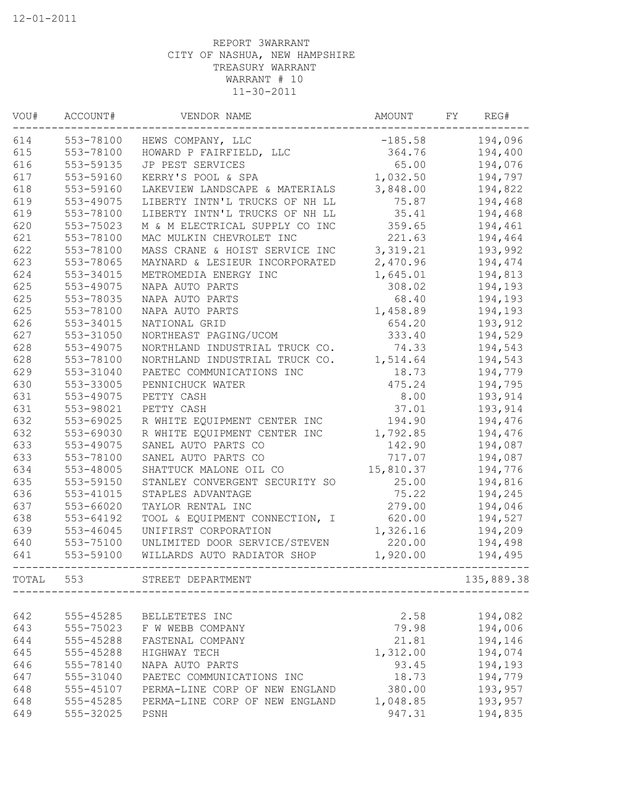| VOU#  | ACCOUNT#      | VENDOR NAME                    | AMOUNT    | FΥ | REG#       |
|-------|---------------|--------------------------------|-----------|----|------------|
| 614   | 553-78100     | HEWS COMPANY, LLC              | $-185.58$ |    | 194,096    |
| 615   | 553-78100     | HOWARD P FAIRFIELD, LLC        | 364.76    |    | 194,400    |
| 616   | 553-59135     | JP PEST SERVICES               | 65.00     |    | 194,076    |
| 617   | 553-59160     | KERRY'S POOL & SPA             | 1,032.50  |    | 194,797    |
| 618   | 553-59160     | LAKEVIEW LANDSCAPE & MATERIALS | 3,848.00  |    | 194,822    |
| 619   | 553-49075     | LIBERTY INTN'L TRUCKS OF NH LL | 75.87     |    | 194,468    |
| 619   | 553-78100     | LIBERTY INTN'L TRUCKS OF NH LL | 35.41     |    | 194,468    |
| 620   | 553-75023     | M & M ELECTRICAL SUPPLY CO INC | 359.65    |    | 194,461    |
| 621   | 553-78100     | MAC MULKIN CHEVROLET INC       | 221.63    |    | 194,464    |
| 622   | 553-78100     | MASS CRANE & HOIST SERVICE INC | 3,319.21  |    | 193,992    |
| 623   | 553-78065     | MAYNARD & LESIEUR INCORPORATED | 2,470.96  |    | 194,474    |
| 624   | 553-34015     | METROMEDIA ENERGY INC          | 1,645.01  |    | 194,813    |
| 625   | 553-49075     | NAPA AUTO PARTS                | 308.02    |    | 194,193    |
| 625   | 553-78035     | NAPA AUTO PARTS                | 68.40     |    | 194,193    |
| 625   | 553-78100     | NAPA AUTO PARTS                | 1,458.89  |    | 194,193    |
| 626   | 553-34015     | NATIONAL GRID                  | 654.20    |    | 193,912    |
| 627   | 553-31050     | NORTHEAST PAGING/UCOM          | 333.40    |    | 194,529    |
| 628   | 553-49075     | NORTHLAND INDUSTRIAL TRUCK CO. | 74.33     |    | 194,543    |
| 628   | 553-78100     | NORTHLAND INDUSTRIAL TRUCK CO. | 1,514.64  |    | 194,543    |
| 629   | 553-31040     | PAETEC COMMUNICATIONS INC      | 18.73     |    | 194,779    |
| 630   | 553-33005     | PENNICHUCK WATER               | 475.24    |    | 194,795    |
| 631   | 553-49075     | PETTY CASH                     | 8.00      |    | 193,914    |
| 631   | 553-98021     | PETTY CASH                     | 37.01     |    | 193,914    |
| 632   | 553-69025     | R WHITE EQUIPMENT CENTER INC   | 194.90    |    | 194,476    |
| 632   | 553-69030     | R WHITE EQUIPMENT CENTER INC   | 1,792.85  |    | 194,476    |
| 633   | 553-49075     | SANEL AUTO PARTS CO            | 142.90    |    | 194,087    |
| 633   | 553-78100     | SANEL AUTO PARTS CO            | 717.07    |    | 194,087    |
| 634   | 553-48005     | SHATTUCK MALONE OIL CO         | 15,810.37 |    | 194,776    |
| 635   | 553-59150     | STANLEY CONVERGENT SECURITY SO | 25.00     |    | 194,816    |
|       |               |                                |           |    |            |
| 636   | 553-41015     | STAPLES ADVANTAGE              | 75.22     |    | 194,245    |
| 637   | 553-66020     | TAYLOR RENTAL INC              | 279.00    |    | 194,046    |
| 638   | 553-64192     | TOOL & EQUIPMENT CONNECTION, I | 620.00    |    | 194,527    |
| 639   | $553 - 46045$ | UNIFIRST CORPORATION           | 1,326.16  |    | 194,209    |
| 640   | 553-75100     | UNLIMITED DOOR SERVICE/STEVEN  | 220.00    |    | 194,498    |
| 641   | 553-59100     | WILLARDS AUTO RADIATOR SHOP    | 1,920.00  |    | 194,495    |
| TOTAL | 553           | STREET DEPARTMENT              |           |    | 135,889.38 |
|       |               |                                |           |    |            |
| 642   | 555-45285     | BELLETETES INC                 | 2.58      |    | 194,082    |
| 643   | 555-75023     | F W WEBB COMPANY               | 79.98     |    | 194,006    |
| 644   | 555-45288     | FASTENAL COMPANY               | 21.81     |    | 194,146    |
| 645   | 555-45288     | HIGHWAY TECH                   | 1,312.00  |    | 194,074    |
| 646   | 555-78140     | NAPA AUTO PARTS                | 93.45     |    | 194,193    |
| 647   | 555-31040     | PAETEC COMMUNICATIONS INC      | 18.73     |    | 194,779    |
| 648   | 555-45107     | PERMA-LINE CORP OF NEW ENGLAND | 380.00    |    | 193,957    |
| 648   | 555-45285     | PERMA-LINE CORP OF NEW ENGLAND | 1,048.85  |    | 193,957    |
| 649   | 555-32025     | PSNH                           | 947.31    |    | 194,835    |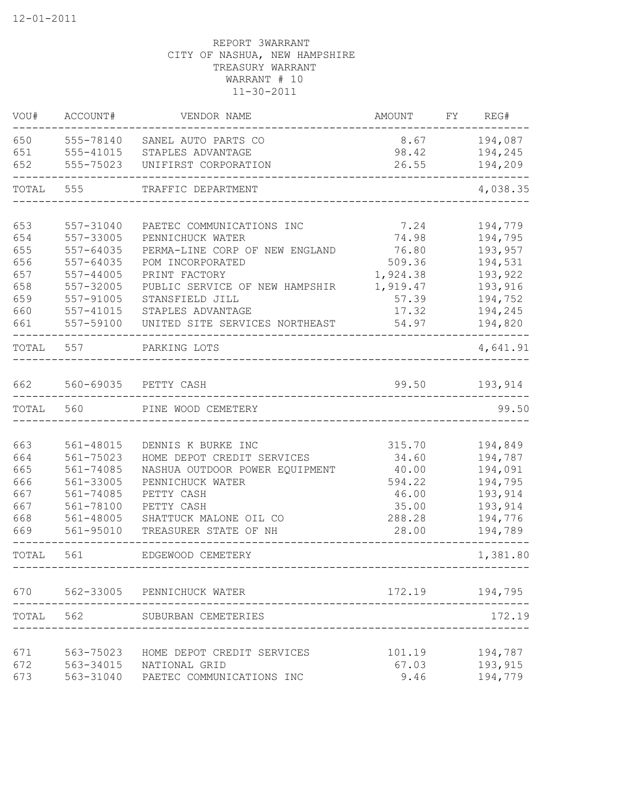| VOU#  | ACCOUNT#      | VENDOR NAME                    | AMOUNT   | FY | REG#     |
|-------|---------------|--------------------------------|----------|----|----------|
| 650   | 555-78140     | SANEL AUTO PARTS CO            | 8.67     |    | 194,087  |
| 651   | 555-41015     | STAPLES ADVANTAGE              | 98.42    |    | 194,245  |
| 652   | 555-75023     | UNIFIRST CORPORATION           | 26.55    |    | 194,209  |
| TOTAL | 555           | TRAFFIC DEPARTMENT             |          |    | 4,038.35 |
| 653   | 557-31040     | PAETEC COMMUNICATIONS INC      | 7.24     |    | 194,779  |
| 654   | 557-33005     | PENNICHUCK WATER               | 74.98    |    | 194,795  |
| 655   | 557-64035     | PERMA-LINE CORP OF NEW ENGLAND | 76.80    |    | 193,957  |
| 656   | 557-64035     | POM INCORPORATED               | 509.36   |    | 194,531  |
| 657   | $557 - 44005$ | PRINT FACTORY                  | 1,924.38 |    | 193,922  |
| 658   | 557-32005     | PUBLIC SERVICE OF NEW HAMPSHIR | 1,919.47 |    | 193,916  |
| 659   | 557-91005     | STANSFIELD JILL                | 57.39    |    | 194,752  |
| 660   | 557-41015     | STAPLES ADVANTAGE              | 17.32    |    | 194,245  |
| 661   | 557-59100     | UNITED SITE SERVICES NORTHEAST | 54.97    |    | 194,820  |
| TOTAL | 557           | PARKING LOTS                   |          |    | 4,641.91 |
| 662   | 560-69035     | PETTY CASH                     | 99.50    |    | 193,914  |
| TOTAL | 560           | PINE WOOD CEMETERY             |          |    | 99.50    |
|       |               |                                |          |    |          |
| 663   | 561-48015     | DENNIS K BURKE INC             | 315.70   |    | 194,849  |
| 664   | 561-75023     | HOME DEPOT CREDIT SERVICES     | 34.60    |    | 194,787  |
| 665   | 561-74085     | NASHUA OUTDOOR POWER EQUIPMENT | 40.00    |    | 194,091  |
| 666   | 561-33005     | PENNICHUCK WATER               | 594.22   |    | 194,795  |
| 667   | 561-74085     | PETTY CASH                     | 46.00    |    | 193,914  |
| 667   | 561-78100     | PETTY CASH                     | 35.00    |    | 193,914  |
| 668   | 561-48005     | SHATTUCK MALONE OIL CO         | 288.28   |    | 194,776  |
| 669   | 561-95010     | TREASURER STATE OF NH          | 28.00    |    | 194,789  |
| TOTAL | 561           | EDGEWOOD CEMETERY              |          |    | 1,381.80 |
| 670   |               | 562-33005 PENNICHUCK WATER     | 172.19   |    | 194,795  |
| TOTAL | 562           | SUBURBAN CEMETERIES            |          |    | 172.19   |
|       |               |                                |          |    |          |
| 671   | 563-75023     | HOME DEPOT CREDIT SERVICES     | 101.19   |    | 194,787  |
| 672   | 563-34015     | NATIONAL GRID                  | 67.03    |    | 193,915  |
| 673   | 563-31040     | PAETEC COMMUNICATIONS INC      | 9.46     |    | 194,779  |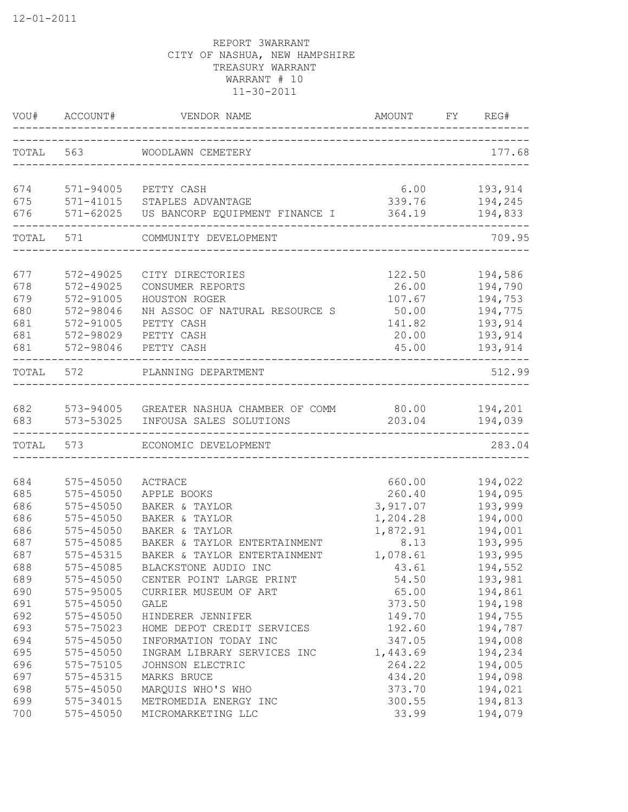| VOU#       | ACCOUNT#               | VENDOR NAME<br>------------------------------- | AMOUNT<br>____________________________ | FY | REG#               |
|------------|------------------------|------------------------------------------------|----------------------------------------|----|--------------------|
| TOTAL      | 563                    | WOODLAWN CEMETERY                              | ________________________               |    | 177.68             |
| 674        | 571-94005              | PETTY CASH                                     | 6.00                                   |    | 193,914            |
| 675        | 571-41015              | STAPLES ADVANTAGE                              | 339.76                                 |    | 194,245            |
| 676        | $571 - 62025$          | US BANCORP EQUIPMENT FINANCE I                 | 364.19                                 |    | 194,833            |
| TOTAL      | 571                    | COMMUNITY DEVELOPMENT                          |                                        |    | 709.95             |
| 677        | 572-49025              | CITY DIRECTORIES                               | 122.50                                 |    | 194,586            |
| 678        | 572-49025              | CONSUMER REPORTS                               | 26.00                                  |    | 194,790            |
| 679        | 572-91005              | HOUSTON ROGER                                  | 107.67                                 |    | 194,753            |
| 680        | 572-98046              | NH ASSOC OF NATURAL RESOURCE S                 | 50.00                                  |    | 194,775            |
| 681        | 572-91005              | PETTY CASH                                     | 141.82                                 |    | 193,914            |
| 681        | 572-98029              | PETTY CASH                                     | 20.00                                  |    | 193,914            |
| 681        | 572-98046              | PETTY CASH                                     | 45.00                                  |    | 193,914            |
| TOTAL      | 572                    | PLANNING DEPARTMENT                            |                                        |    | 512.99             |
| 682        | 573-94005              | GREATER NASHUA CHAMBER OF COMM                 | 80.00                                  |    | 194,201            |
| 683        | 573-53025              | INFOUSA SALES SOLUTIONS                        | 203.04                                 |    | 194,039            |
| TOTAL      | 573                    | ECONOMIC DEVELOPMENT                           |                                        |    | 283.04             |
|            |                        |                                                |                                        |    |                    |
| 684        | 575-45050              | ACTRACE                                        | 660.00                                 |    | 194,022            |
| 685        | 575-45050              | APPLE BOOKS                                    | 260.40                                 |    | 194,095            |
| 686<br>686 | 575-45050<br>575-45050 | BAKER & TAYLOR                                 | 3,917.07                               |    | 193,999            |
| 686        | 575-45050              | BAKER & TAYLOR<br>BAKER & TAYLOR               | 1,204.28<br>1,872.91                   |    | 194,000<br>194,001 |
| 687        | 575-45085              | BAKER & TAYLOR ENTERTAINMENT                   | 8.13                                   |    | 193,995            |
| 687        | 575-45315              | BAKER & TAYLOR ENTERTAINMENT                   | 1,078.61                               |    | 193,995            |
| 688        | 575-45085              | BLACKSTONE AUDIO INC                           | 43.61                                  |    | 194,552            |
| 689        | 575-45050              | CENTER POINT LARGE PRINT                       | 54.50                                  |    | 193,981            |
| 690        | 575-95005              | CURRIER MUSEUM OF ART                          | 65.00                                  |    | 194,861            |
| 691        | $575 - 45050$          | GALE                                           | 373.50                                 |    | 194,198            |
| 692        | $575 - 45050$          | HINDERER JENNIFER                              | 149.70                                 |    | 194,755            |
| 693        | 575-75023              | HOME DEPOT CREDIT SERVICES                     | 192.60                                 |    | 194,787            |
| 694        | 575-45050              | INFORMATION TODAY INC                          | 347.05                                 |    | 194,008            |
| 695        | 575-45050              | INGRAM LIBRARY SERVICES INC                    | 1,443.69                               |    | 194,234            |
| 696        | 575-75105              | JOHNSON ELECTRIC                               | 264.22                                 |    | 194,005            |
| 697        | 575-45315              | MARKS BRUCE                                    | 434.20                                 |    | 194,098            |
| 698        | 575-45050              | MARQUIS WHO'S WHO                              | 373.70                                 |    | 194,021            |
| 699        | 575-34015              | METROMEDIA ENERGY INC                          | 300.55                                 |    | 194,813            |
| 700        | $575 - 45050$          | MICROMARKETING LLC                             | 33.99                                  |    | 194,079            |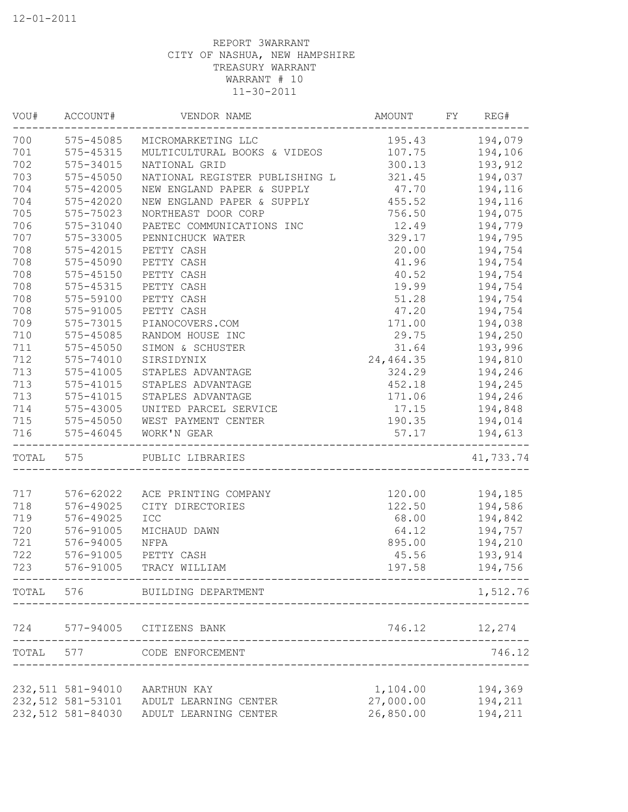|           | VOU# ACCOUNT#     | VENDOR NAME                      | <b>AMOUNT</b>  | FY | REG#           |
|-----------|-------------------|----------------------------------|----------------|----|----------------|
|           |                   | 700 575-45085 MICROMARKETING LLC | 195.43 194,079 |    |                |
| 701       | 575-45315         | MULTICULTURAL BOOKS & VIDEOS     | 107.75         |    | 194,106        |
| 702       | 575-34015         | NATIONAL GRID                    | 300.13         |    | 193,912        |
| 703       | $575 - 45050$     | NATIONAL REGISTER PUBLISHING L   | 321.45         |    | 194,037        |
| 704       | 575-42005         | NEW ENGLAND PAPER & SUPPLY       | 47.70          |    | 194,116        |
| 704       | 575-42020         | NEW ENGLAND PAPER & SUPPLY       | 455.52         |    | 194,116        |
| 705       | 575-75023         | NORTHEAST DOOR CORP              | 756.50         |    | 194,075        |
| 706       | 575-31040         | PAETEC COMMUNICATIONS INC        | 12.49          |    | 194,779        |
| 707       | 575-33005         | PENNICHUCK WATER                 | 329.17         |    | 194,795        |
| 708       | 575-42015         | PETTY CASH                       | 20.00          |    | 194,754        |
| 708       | 575-45090         | PETTY CASH                       | 41.96          |    | 194,754        |
| 708       | 575-45150         | PETTY CASH                       | 40.52          |    | 194,754        |
| 708       | 575-45315         | PETTY CASH                       | 19.99          |    | 194,754        |
| 708       | 575-59100         | PETTY CASH                       | 51.28          |    | 194,754        |
| 708       | 575-91005         | PETTY CASH                       | 47.20          |    | 194,754        |
| 709       | 575-73015         | PIANOCOVERS.COM                  | 171.00         |    | 194,038        |
| 710       | 575-45085         | RANDOM HOUSE INC                 | 29.75          |    | 194,250        |
| 711       | 575-45050         | SIMON & SCHUSTER                 | 31.64          |    | 193,996        |
| 712       | 575-74010         | SIRSIDYNIX                       | 24,464.35      |    | 194,810        |
| 713       | 575-41005         | STAPLES ADVANTAGE                | 324.29         |    | 194,246        |
| 713       | 575-41015         | STAPLES ADVANTAGE                | 452.18         |    | 194,245        |
| 713       | 575-41015         | STAPLES ADVANTAGE                |                |    | 171.06 194,246 |
| 714       | 575-43005         | UNITED PARCEL SERVICE            |                |    | 17.15 194,848  |
| 715       |                   | 575-45050 WEST PAYMENT CENTER    |                |    | 190.35 194,014 |
| 716       | 575-46045         | WORK'N GEAR                      | 57.17          |    | 194,613        |
| TOTAL 575 |                   | PUBLIC LIBRARIES                 |                |    | 41,733.74      |
|           |                   |                                  |                |    |                |
| 717       |                   | 576-62022 ACE PRINTING COMPANY   | 120.00         |    | 194,185        |
| 718       | 576-49025         | CITY DIRECTORIES                 |                |    | 122.50 194,586 |
| 719       | 576-49025         | ICC                              |                |    |                |
| 720       | 576-91005         | MICHAUD DAWN                     | 64.12          |    | 194,757        |
| 721       | 576-94005         | NFPA                             | 895.00         |    | 194,210        |
| 722       | 576-91005         | PETTY CASH                       |                |    | 45.56 193,914  |
| 723       | 576-91005         | TRACY WILLIAM                    | 197.58         |    | 194,756        |
|           |                   | TOTAL 576 BUILDING DEPARTMENT    |                |    | 1,512.76       |
| 724       | 577-94005         | CITIZENS BANK                    | 746.12         |    | 12,274         |
|           | TOTAL 577         | CODE ENFORCEMENT                 |                |    | 746.12         |
|           |                   |                                  |                |    |                |
|           | 232,511 581-94010 | AARTHUN KAY                      | 1,104.00       |    | 194,369        |
|           | 232,512 581-53101 | ADULT LEARNING CENTER            | 27,000.00      |    | 194,211        |
|           | 232,512 581-84030 | ADULT LEARNING CENTER            | 26,850.00      |    | 194,211        |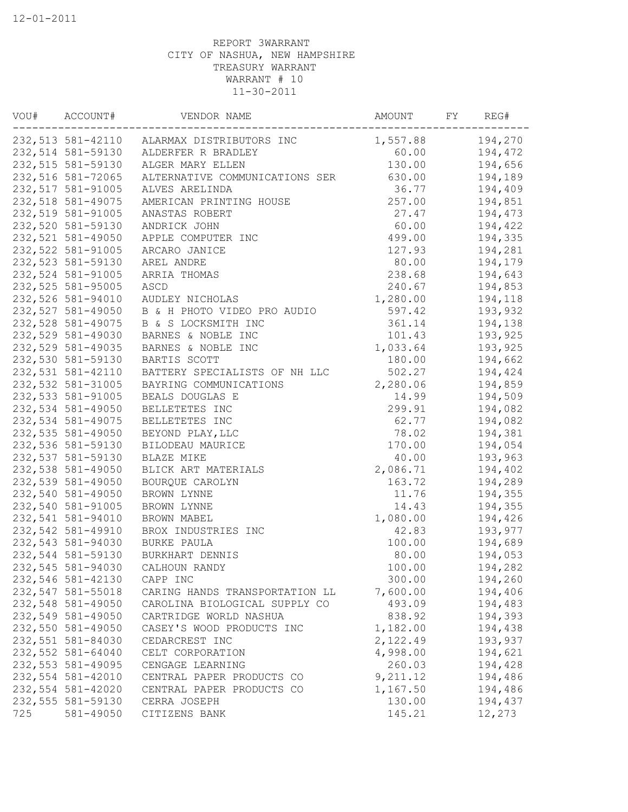| VOU# | ACCOUNT#          | VENDOR NAME                                | AMOUNT   | FY | REG#    |
|------|-------------------|--------------------------------------------|----------|----|---------|
|      |                   | 232,513 581-42110 ALARMAX DISTRIBUTORS INC | 1,557.88 |    | 194,270 |
|      | 232,514 581-59130 | ALDERFER R BRADLEY                         | 60.00    |    | 194,472 |
|      | 232,515 581-59130 | ALGER MARY ELLEN                           | 130.00   |    | 194,656 |
|      | 232,516 581-72065 | ALTERNATIVE COMMUNICATIONS SER             | 630.00   |    | 194,189 |
|      | 232,517 581-91005 | ALVES ARELINDA                             | 36.77    |    | 194,409 |
|      | 232,518 581-49075 | AMERICAN PRINTING HOUSE                    | 257.00   |    | 194,851 |
|      | 232,519 581-91005 | ANASTAS ROBERT                             | 27.47    |    | 194,473 |
|      | 232,520 581-59130 | ANDRICK JOHN                               | 60.00    |    | 194,422 |
|      | 232,521 581-49050 | APPLE COMPUTER INC                         | 499.00   |    | 194,335 |
|      | 232,522 581-91005 | ARCARO JANICE                              | 127.93   |    | 194,281 |
|      | 232,523 581-59130 | AREL ANDRE                                 | 80.00    |    | 194,179 |
|      | 232,524 581-91005 | ARRIA THOMAS                               | 238.68   |    | 194,643 |
|      | 232,525 581-95005 | ASCD                                       | 240.67   |    | 194,853 |
|      | 232,526 581-94010 | AUDLEY NICHOLAS                            | 1,280.00 |    | 194,118 |
|      | 232,527 581-49050 | B & H PHOTO VIDEO PRO AUDIO                | 597.42   |    | 193,932 |
|      | 232,528 581-49075 | B & S LOCKSMITH INC                        | 361.14   |    | 194,138 |
|      | 232,529 581-49030 | BARNES & NOBLE INC                         | 101.43   |    | 193,925 |
|      | 232,529 581-49035 | BARNES & NOBLE INC                         | 1,033.64 |    | 193,925 |
|      | 232,530 581-59130 | BARTIS SCOTT                               | 180.00   |    | 194,662 |
|      | 232,531 581-42110 | BATTERY SPECIALISTS OF NH LLC              | 502.27   |    | 194,424 |
|      | 232,532 581-31005 | BAYRING COMMUNICATIONS                     | 2,280.06 |    | 194,859 |
|      | 232,533 581-91005 | BEALS DOUGLAS E                            | 14.99    |    | 194,509 |
|      | 232,534 581-49050 | BELLETETES INC                             | 299.91   |    | 194,082 |
|      | 232,534 581-49075 | BELLETETES INC                             | 62.77    |    | 194,082 |
|      | 232,535 581-49050 | BEYOND PLAY, LLC                           | 78.02    |    | 194,381 |
|      | 232,536 581-59130 | BILODEAU MAURICE                           | 170.00   |    | 194,054 |
|      | 232,537 581-59130 | BLAZE MIKE                                 | 40.00    |    | 193,963 |
|      | 232,538 581-49050 | BLICK ART MATERIALS                        | 2,086.71 |    | 194,402 |
|      | 232,539 581-49050 | BOURQUE CAROLYN                            | 163.72   |    | 194,289 |
|      | 232,540 581-49050 | BROWN LYNNE                                | 11.76    |    | 194,355 |
|      | 232,540 581-91005 | BROWN LYNNE                                | 14.43    |    | 194,355 |
|      | 232,541 581-94010 | BROWN MABEL                                | 1,080.00 |    | 194,426 |
|      | 232,542 581-49910 | BROX INDUSTRIES INC                        | 42.83    |    | 193,977 |
|      | 232,543 581-94030 | BURKE PAULA                                | 100.00   |    | 194,689 |
|      | 232,544 581-59130 | BURKHART DENNIS                            | 80.00    |    | 194,053 |
|      | 232,545 581-94030 | CALHOUN RANDY                              | 100.00   |    | 194,282 |
|      | 232,546 581-42130 | CAPP INC                                   | 300.00   |    | 194,260 |
|      | 232,547 581-55018 | CARING HANDS TRANSPORTATION LL             | 7,600.00 |    | 194,406 |
|      | 232,548 581-49050 | CAROLINA BIOLOGICAL SUPPLY CO              | 493.09   |    | 194,483 |
|      | 232,549 581-49050 | CARTRIDGE WORLD NASHUA                     | 838.92   |    | 194,393 |
|      | 232,550 581-49050 | CASEY'S WOOD PRODUCTS INC                  | 1,182.00 |    | 194,438 |
|      | 232,551 581-84030 | CEDARCREST INC                             | 2,122.49 |    | 193,937 |
|      | 232,552 581-64040 | CELT CORPORATION                           | 4,998.00 |    | 194,621 |
|      | 232,553 581-49095 | CENGAGE LEARNING                           | 260.03   |    | 194,428 |
|      | 232,554 581-42010 | CENTRAL PAPER PRODUCTS CO                  | 9,211.12 |    | 194,486 |
|      | 232,554 581-42020 | CENTRAL PAPER PRODUCTS CO                  | 1,167.50 |    | 194,486 |
|      | 232,555 581-59130 | CERRA JOSEPH                               | 130.00   |    | 194,437 |
| 725  | 581-49050         | CITIZENS BANK                              | 145.21   |    | 12,273  |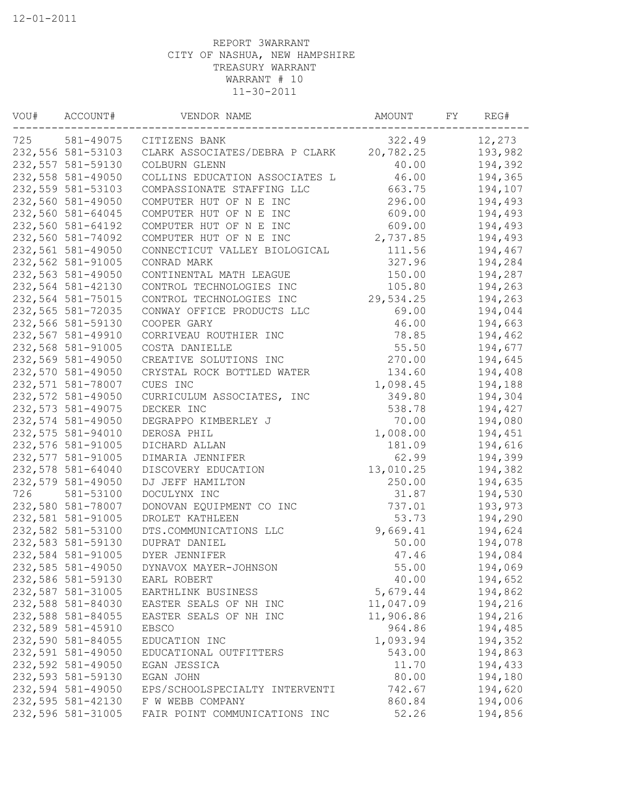| VOU# | ACCOUNT#          | VENDOR NAME                    | AMOUNT    | FY | REG#    |
|------|-------------------|--------------------------------|-----------|----|---------|
| 725  | 581-49075         | CITIZENS BANK                  | 322.49    |    | 12,273  |
|      | 232,556 581-53103 | CLARK ASSOCIATES/DEBRA P CLARK | 20,782.25 |    | 193,982 |
|      | 232,557 581-59130 | COLBURN GLENN                  | 40.00     |    | 194,392 |
|      | 232,558 581-49050 | COLLINS EDUCATION ASSOCIATES L | 46.00     |    | 194,365 |
|      | 232,559 581-53103 | COMPASSIONATE STAFFING LLC     | 663.75    |    | 194,107 |
|      | 232,560 581-49050 | COMPUTER HUT OF N E INC        | 296.00    |    | 194,493 |
|      | 232,560 581-64045 | COMPUTER HUT OF N E INC        | 609.00    |    | 194,493 |
|      | 232,560 581-64192 | COMPUTER HUT OF N E INC        | 609.00    |    | 194,493 |
|      | 232,560 581-74092 | COMPUTER HUT OF N E INC        | 2,737.85  |    | 194,493 |
|      | 232,561 581-49050 | CONNECTICUT VALLEY BIOLOGICAL  | 111.56    |    | 194,467 |
|      | 232,562 581-91005 | CONRAD MARK                    | 327.96    |    | 194,284 |
|      | 232,563 581-49050 | CONTINENTAL MATH LEAGUE        | 150.00    |    | 194,287 |
|      | 232,564 581-42130 | CONTROL TECHNOLOGIES INC       | 105.80    |    | 194,263 |
|      | 232,564 581-75015 | CONTROL TECHNOLOGIES INC       | 29,534.25 |    | 194,263 |
|      | 232,565 581-72035 | CONWAY OFFICE PRODUCTS LLC     | 69.00     |    | 194,044 |
|      | 232,566 581-59130 | COOPER GARY                    | 46.00     |    | 194,663 |
|      | 232,567 581-49910 | CORRIVEAU ROUTHIER INC         | 78.85     |    | 194,462 |
|      | 232,568 581-91005 | COSTA DANIELLE                 | 55.50     |    | 194,677 |
|      | 232,569 581-49050 | CREATIVE SOLUTIONS INC         | 270.00    |    | 194,645 |
|      | 232,570 581-49050 | CRYSTAL ROCK BOTTLED WATER     | 134.60    |    | 194,408 |
|      | 232,571 581-78007 | CUES INC                       | 1,098.45  |    | 194,188 |
|      | 232,572 581-49050 | CURRICULUM ASSOCIATES, INC     | 349.80    |    | 194,304 |
|      | 232,573 581-49075 | DECKER INC                     | 538.78    |    | 194,427 |
|      | 232,574 581-49050 | DEGRAPPO KIMBERLEY J           | 70.00     |    | 194,080 |
|      | 232,575 581-94010 | DEROSA PHIL                    | 1,008.00  |    | 194,451 |
|      | 232,576 581-91005 | DICHARD ALLAN                  | 181.09    |    | 194,616 |
|      | 232,577 581-91005 | DIMARIA JENNIFER               | 62.99     |    | 194,399 |
|      | 232,578 581-64040 | DISCOVERY EDUCATION            | 13,010.25 |    | 194,382 |
|      | 232,579 581-49050 | DJ JEFF HAMILTON               | 250.00    |    | 194,635 |
| 726  | 581-53100         | DOCULYNX INC                   | 31.87     |    | 194,530 |
|      | 232,580 581-78007 | DONOVAN EQUIPMENT CO INC       | 737.01    |    | 193,973 |
|      | 232,581 581-91005 | DROLET KATHLEEN                | 53.73     |    | 194,290 |
|      | 232,582 581-53100 | DTS.COMMUNICATIONS LLC         | 9,669.41  |    | 194,624 |
|      | 232,583 581-59130 | DUPRAT DANIEL                  | 50.00     |    | 194,078 |
|      | 232,584 581-91005 | DYER JENNIFER                  | 47.46     |    | 194,084 |
|      | 232,585 581-49050 | DYNAVOX MAYER-JOHNSON          | 55.00     |    | 194,069 |
|      | 232,586 581-59130 | EARL ROBERT                    | 40.00     |    | 194,652 |
|      | 232,587 581-31005 | EARTHLINK BUSINESS             | 5,679.44  |    | 194,862 |
|      | 232,588 581-84030 | EASTER SEALS OF NH INC         | 11,047.09 |    | 194,216 |
|      | 232,588 581-84055 | EASTER SEALS OF NH INC         | 11,906.86 |    | 194,216 |
|      | 232,589 581-45910 | <b>EBSCO</b>                   | 964.86    |    | 194,485 |
|      | 232,590 581-84055 | EDUCATION INC                  | 1,093.94  |    | 194,352 |
|      | 232,591 581-49050 | EDUCATIONAL OUTFITTERS         | 543.00    |    | 194,863 |
|      | 232,592 581-49050 | EGAN JESSICA                   | 11.70     |    | 194,433 |
|      | 232,593 581-59130 | EGAN JOHN                      | 80.00     |    | 194,180 |
|      | 232,594 581-49050 | EPS/SCHOOLSPECIALTY INTERVENTI | 742.67    |    | 194,620 |
|      | 232,595 581-42130 | F W WEBB COMPANY               | 860.84    |    | 194,006 |
|      | 232,596 581-31005 | FAIR POINT COMMUNICATIONS INC  | 52.26     |    | 194,856 |
|      |                   |                                |           |    |         |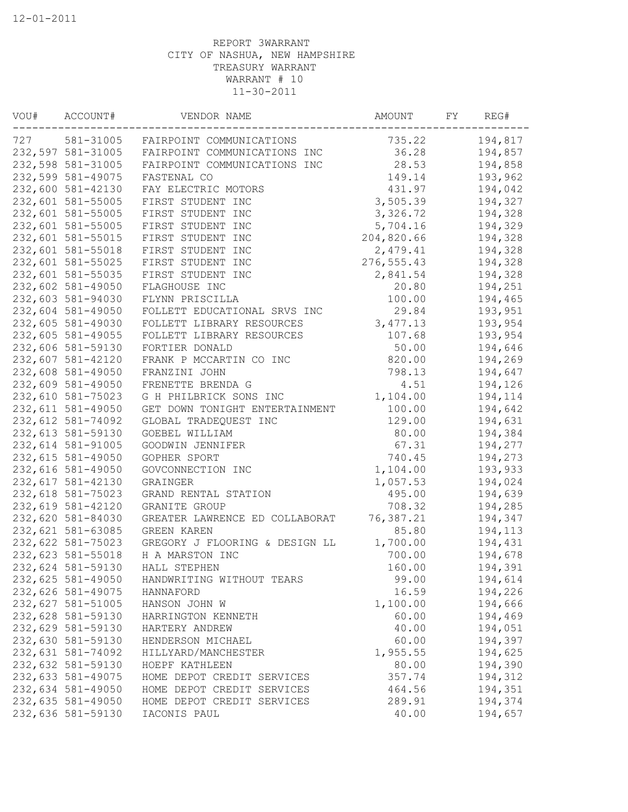| 727<br>581-31005  | FAIRPOINT COMMUNICATIONS       | 735.22      | 194,817 |
|-------------------|--------------------------------|-------------|---------|
| 232,597 581-31005 | FAIRPOINT COMMUNICATIONS INC   | 36.28       | 194,857 |
| 232,598 581-31005 | FAIRPOINT COMMUNICATIONS INC   | 28.53       | 194,858 |
| 232,599 581-49075 | FASTENAL CO                    | 149.14      | 193,962 |
| 232,600 581-42130 | FAY ELECTRIC MOTORS            | 431.97      | 194,042 |
| 232,601 581-55005 | FIRST STUDENT INC              | 3,505.39    | 194,327 |
| 232,601 581-55005 | FIRST STUDENT INC              | 3,326.72    | 194,328 |
| 232,601 581-55005 | FIRST STUDENT INC              | 5,704.16    | 194,329 |
| 232,601 581-55015 | FIRST STUDENT INC              | 204,820.66  | 194,328 |
| 232,601 581-55018 | FIRST STUDENT INC              | 2,479.41    | 194,328 |
| 232,601 581-55025 | FIRST STUDENT INC              | 276, 555.43 | 194,328 |
| 232,601 581-55035 | FIRST STUDENT INC              | 2,841.54    | 194,328 |
| 232,602 581-49050 | FLAGHOUSE INC                  | 20.80       | 194,251 |
| 232,603 581-94030 | FLYNN PRISCILLA                | 100.00      | 194,465 |
| 232,604 581-49050 | FOLLETT EDUCATIONAL SRVS INC   | 29.84       | 193,951 |
| 232,605 581-49030 | FOLLETT LIBRARY RESOURCES      | 3,477.13    | 193,954 |
| 232,605 581-49055 | FOLLETT LIBRARY RESOURCES      | 107.68      | 193,954 |
| 232,606 581-59130 | FORTIER DONALD                 | 50.00       | 194,646 |
| 232,607 581-42120 | FRANK P MCCARTIN CO INC        | 820.00      | 194,269 |
| 232,608 581-49050 | FRANZINI JOHN                  | 798.13      | 194,647 |
| 232,609 581-49050 | FRENETTE BRENDA G              | 4.51        | 194,126 |
| 232,610 581-75023 | G H PHILBRICK SONS INC         | 1,104.00    | 194,114 |
| 232,611 581-49050 | GET DOWN TONIGHT ENTERTAINMENT | 100.00      | 194,642 |
| 232,612 581-74092 | GLOBAL TRADEQUEST INC          | 129.00      | 194,631 |
| 232,613 581-59130 | GOEBEL WILLIAM                 | 80.00       | 194,384 |
| 232,614 581-91005 | GOODWIN JENNIFER               | 67.31       | 194,277 |
| 232,615 581-49050 | GOPHER SPORT                   | 740.45      | 194,273 |
| 232,616 581-49050 | GOVCONNECTION INC              | 1,104.00    | 193,933 |
| 232,617 581-42130 | GRAINGER                       | 1,057.53    | 194,024 |
| 232,618 581-75023 | GRAND RENTAL STATION           | 495.00      | 194,639 |
| 232,619 581-42120 | GRANITE GROUP                  | 708.32      | 194,285 |
| 232,620 581-84030 | GREATER LAWRENCE ED COLLABORAT | 76,387.21   | 194,347 |
| 232,621 581-63085 | GREEN KAREN                    | 85.80       | 194,113 |
| 232,622 581-75023 | GREGORY J FLOORING & DESIGN LL | 1,700.00    | 194,431 |
| 232,623 581-55018 | H A MARSTON INC                | 700.00      | 194,678 |
| 232,624 581-59130 | HALL STEPHEN                   | 160.00      | 194,391 |
| 232,625 581-49050 | HANDWRITING WITHOUT TEARS      | 99.00       | 194,614 |
| 232,626 581-49075 | HANNAFORD                      | 16.59       | 194,226 |
| 232,627 581-51005 | HANSON JOHN W                  | 1,100.00    | 194,666 |
| 232,628 581-59130 | HARRINGTON KENNETH             | 60.00       | 194,469 |
| 232,629 581-59130 | HARTERY ANDREW                 | 40.00       | 194,051 |
| 232,630 581-59130 | HENDERSON MICHAEL              | 60.00       | 194,397 |
| 232,631 581-74092 | HILLYARD/MANCHESTER            | 1,955.55    | 194,625 |
| 232,632 581-59130 | HOEPF KATHLEEN                 | 80.00       | 194,390 |
| 232,633 581-49075 | HOME DEPOT CREDIT SERVICES     | 357.74      | 194,312 |
| 232,634 581-49050 | HOME DEPOT CREDIT SERVICES     | 464.56      | 194,351 |
| 232,635 581-49050 | HOME DEPOT CREDIT SERVICES     | 289.91      | 194,374 |
| 232,636 581-59130 | IACONIS PAUL                   | 40.00       | 194,657 |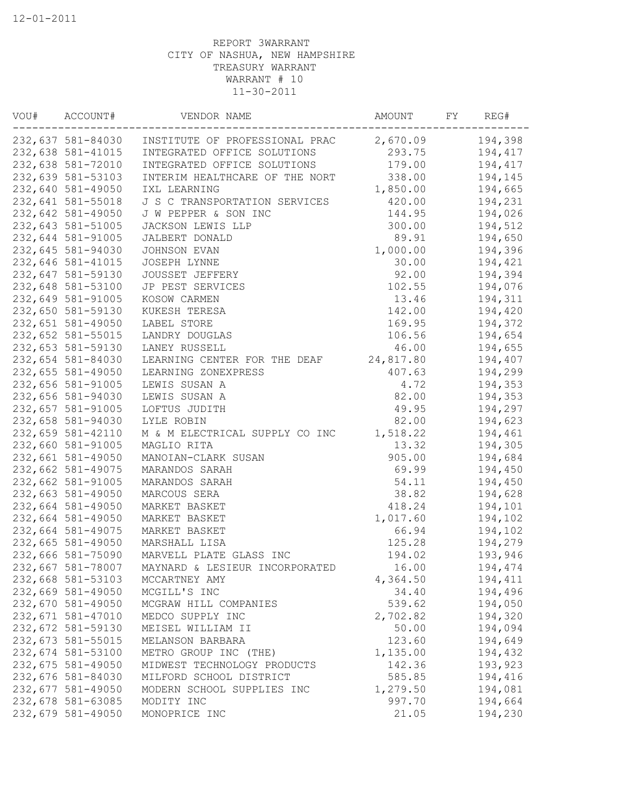| VOU# | ACCOUNT#          | VENDOR NAME                    | AMOUNT    | FY. | REG#    |
|------|-------------------|--------------------------------|-----------|-----|---------|
|      | 232,637 581-84030 | INSTITUTE OF PROFESSIONAL PRAC | 2,670.09  |     | 194,398 |
|      | 232,638 581-41015 | INTEGRATED OFFICE SOLUTIONS    | 293.75    |     | 194,417 |
|      | 232,638 581-72010 | INTEGRATED OFFICE SOLUTIONS    | 179.00    |     | 194,417 |
|      | 232,639 581-53103 | INTERIM HEALTHCARE OF THE NORT | 338.00    |     | 194,145 |
|      | 232,640 581-49050 | IXL LEARNING                   | 1,850.00  |     | 194,665 |
|      | 232,641 581-55018 | J S C TRANSPORTATION SERVICES  | 420.00    |     | 194,231 |
|      | 232,642 581-49050 | J W PEPPER & SON INC           | 144.95    |     | 194,026 |
|      | 232,643 581-51005 | JACKSON LEWIS LLP              | 300.00    |     | 194,512 |
|      | 232,644 581-91005 | JALBERT DONALD                 | 89.91     |     | 194,650 |
|      | 232,645 581-94030 | JOHNSON EVAN                   | 1,000.00  |     | 194,396 |
|      | 232,646 581-41015 | JOSEPH LYNNE                   | 30.00     |     | 194,421 |
|      | 232,647 581-59130 | JOUSSET JEFFERY                | 92.00     |     | 194,394 |
|      | 232,648 581-53100 | JP PEST SERVICES               | 102.55    |     | 194,076 |
|      | 232,649 581-91005 | KOSOW CARMEN                   | 13.46     |     | 194,311 |
|      | 232,650 581-59130 | KUKESH TERESA                  | 142.00    |     | 194,420 |
|      | 232,651 581-49050 | LABEL STORE                    | 169.95    |     | 194,372 |
|      | 232,652 581-55015 | LANDRY DOUGLAS                 | 106.56    |     | 194,654 |
|      | 232,653 581-59130 | LANEY RUSSELL                  | 46.00     |     | 194,655 |
|      | 232,654 581-84030 | LEARNING CENTER FOR THE DEAF   | 24,817.80 |     | 194,407 |
|      | 232,655 581-49050 | LEARNING ZONEXPRESS            | 407.63    |     | 194,299 |
|      | 232,656 581-91005 | LEWIS SUSAN A                  | 4.72      |     | 194,353 |
|      | 232,656 581-94030 | LEWIS SUSAN A                  | 82.00     |     | 194,353 |
|      | 232,657 581-91005 | LOFTUS JUDITH                  | 49.95     |     | 194,297 |
|      | 232,658 581-94030 | LYLE ROBIN                     | 82.00     |     | 194,623 |
|      | 232,659 581-42110 | M & M ELECTRICAL SUPPLY CO INC | 1,518.22  |     | 194,461 |
|      | 232,660 581-91005 | MAGLIO RITA                    | 13.32     |     | 194,305 |
|      | 232,661 581-49050 | MANOIAN-CLARK SUSAN            | 905.00    |     | 194,684 |
|      | 232,662 581-49075 | MARANDOS SARAH                 | 69.99     |     | 194,450 |
|      | 232,662 581-91005 | MARANDOS SARAH                 | 54.11     |     | 194,450 |
|      | 232,663 581-49050 | MARCOUS SERA                   | 38.82     |     | 194,628 |
|      | 232,664 581-49050 | MARKET BASKET                  | 418.24    |     | 194,101 |
|      | 232,664 581-49050 | MARKET BASKET                  | 1,017.60  |     | 194,102 |
|      | 232,664 581-49075 | MARKET BASKET                  | 66.94     |     | 194,102 |
|      | 232,665 581-49050 | MARSHALL LISA                  | 125.28    |     | 194,279 |
|      | 232,666 581-75090 | MARVELL PLATE GLASS INC        | 194.02    |     | 193,946 |
|      | 232,667 581-78007 | MAYNARD & LESIEUR INCORPORATED | 16.00     |     | 194,474 |
|      | 232,668 581-53103 | MCCARTNEY AMY                  | 4,364.50  |     | 194,411 |
|      | 232,669 581-49050 | MCGILL'S INC                   | 34.40     |     | 194,496 |
|      | 232,670 581-49050 | MCGRAW HILL COMPANIES          | 539.62    |     | 194,050 |
|      | 232,671 581-47010 | MEDCO SUPPLY INC               | 2,702.82  |     | 194,320 |
|      | 232,672 581-59130 | MEISEL WILLIAM II              | 50.00     |     | 194,094 |
|      | 232,673 581-55015 | MELANSON BARBARA               | 123.60    |     | 194,649 |
|      | 232,674 581-53100 | METRO GROUP INC (THE)          | 1,135.00  |     | 194,432 |
|      | 232,675 581-49050 | MIDWEST TECHNOLOGY PRODUCTS    | 142.36    |     | 193,923 |
|      | 232,676 581-84030 | MILFORD SCHOOL DISTRICT        | 585.85    |     | 194,416 |
|      | 232,677 581-49050 | MODERN SCHOOL SUPPLIES INC     | 1,279.50  |     | 194,081 |
|      | 232,678 581-63085 | MODITY INC                     | 997.70    |     | 194,664 |
|      | 232,679 581-49050 | MONOPRICE INC                  | 21.05     |     | 194,230 |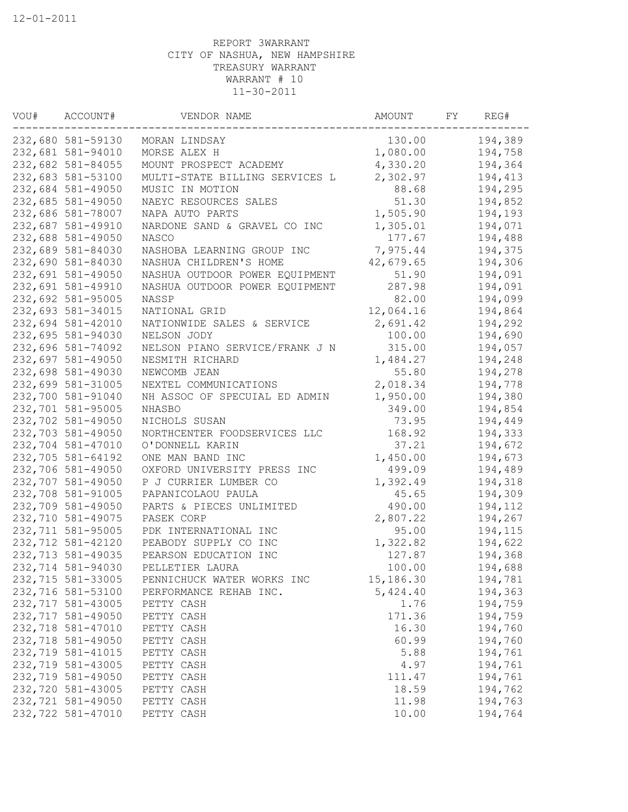| VOU# | ACCOUNT#          | VENDOR NAME                    | AMOUNT    | FΥ | REG#    |
|------|-------------------|--------------------------------|-----------|----|---------|
|      | 232,680 581-59130 | MORAN LINDSAY                  | 130.00    |    | 194,389 |
|      | 232,681 581-94010 | MORSE ALEX H                   | 1,080.00  |    | 194,758 |
|      | 232,682 581-84055 | MOUNT PROSPECT ACADEMY         | 4,330.20  |    | 194,364 |
|      | 232,683 581-53100 | MULTI-STATE BILLING SERVICES L | 2,302.97  |    | 194,413 |
|      | 232,684 581-49050 | MUSIC IN MOTION                | 88.68     |    | 194,295 |
|      | 232,685 581-49050 | NAEYC RESOURCES SALES          | 51.30     |    | 194,852 |
|      | 232,686 581-78007 | NAPA AUTO PARTS                | 1,505.90  |    | 194,193 |
|      | 232,687 581-49910 | NARDONE SAND & GRAVEL CO INC   | 1,305.01  |    | 194,071 |
|      | 232,688 581-49050 | NASCO                          | 177.67    |    | 194,488 |
|      | 232,689 581-84030 | NASHOBA LEARNING GROUP INC     | 7,975.44  |    | 194,375 |
|      | 232,690 581-84030 | NASHUA CHILDREN'S HOME         | 42,679.65 |    | 194,306 |
|      | 232,691 581-49050 | NASHUA OUTDOOR POWER EQUIPMENT | 51.90     |    | 194,091 |
|      | 232,691 581-49910 | NASHUA OUTDOOR POWER EQUIPMENT | 287.98    |    | 194,091 |
|      | 232,692 581-95005 | NASSP                          | 82.00     |    | 194,099 |
|      | 232,693 581-34015 | NATIONAL GRID                  | 12,064.16 |    | 194,864 |
|      | 232,694 581-42010 | NATIONWIDE SALES & SERVICE     | 2,691.42  |    | 194,292 |
|      | 232,695 581-94030 | NELSON JODY                    | 100.00    |    | 194,690 |
|      | 232,696 581-74092 | NELSON PIANO SERVICE/FRANK J N | 315.00    |    | 194,057 |
|      | 232,697 581-49050 | NESMITH RICHARD                | 1,484.27  |    | 194,248 |
|      | 232,698 581-49030 | NEWCOMB JEAN                   | 55.80     |    | 194,278 |
|      | 232,699 581-31005 | NEXTEL COMMUNICATIONS          | 2,018.34  |    | 194,778 |
|      | 232,700 581-91040 | NH ASSOC OF SPECUIAL ED ADMIN  | 1,950.00  |    | 194,380 |
|      | 232,701 581-95005 | NHASBO                         | 349.00    |    | 194,854 |
|      | 232,702 581-49050 | NICHOLS SUSAN                  | 73.95     |    | 194,449 |
|      | 232,703 581-49050 | NORTHCENTER FOODSERVICES LLC   | 168.92    |    | 194,333 |
|      | 232,704 581-47010 | O'DONNELL KARIN                | 37.21     |    | 194,672 |
|      | 232,705 581-64192 | ONE MAN BAND INC               | 1,450.00  |    | 194,673 |
|      | 232,706 581-49050 | OXFORD UNIVERSITY PRESS INC    | 499.09    |    | 194,489 |
|      | 232,707 581-49050 | P J CURRIER LUMBER CO          | 1,392.49  |    | 194,318 |
|      | 232,708 581-91005 | PAPANICOLAOU PAULA             | 45.65     |    | 194,309 |
|      | 232,709 581-49050 | PARTS & PIECES UNLIMITED       | 490.00    |    | 194,112 |
|      | 232,710 581-49075 | PASEK CORP                     | 2,807.22  |    | 194,267 |
|      | 232,711 581-95005 | PDK INTERNATIONAL INC          | 95.00     |    | 194,115 |
|      | 232,712 581-42120 | PEABODY SUPPLY CO INC          | 1,322.82  |    | 194,622 |
|      | 232,713 581-49035 | PEARSON EDUCATION INC          | 127.87    |    | 194,368 |
|      | 232,714 581-94030 | PELLETIER LAURA                | 100.00    |    | 194,688 |
|      | 232,715 581-33005 | PENNICHUCK WATER WORKS INC     | 15,186.30 |    | 194,781 |
|      | 232,716 581-53100 | PERFORMANCE REHAB INC.         | 5,424.40  |    | 194,363 |
|      | 232,717 581-43005 | PETTY CASH                     | 1.76      |    | 194,759 |
|      | 232,717 581-49050 | PETTY CASH                     | 171.36    |    | 194,759 |
|      | 232,718 581-47010 | PETTY CASH                     | 16.30     |    | 194,760 |
|      | 232,718 581-49050 | PETTY CASH                     | 60.99     |    | 194,760 |
|      | 232,719 581-41015 | PETTY CASH                     | 5.88      |    | 194,761 |
|      | 232,719 581-43005 | PETTY CASH                     | 4.97      |    | 194,761 |
|      | 232,719 581-49050 | PETTY CASH                     | 111.47    |    | 194,761 |
|      | 232,720 581-43005 | PETTY CASH                     | 18.59     |    | 194,762 |
|      | 232,721 581-49050 | PETTY CASH                     | 11.98     |    | 194,763 |
|      | 232,722 581-47010 | PETTY CASH                     | 10.00     |    | 194,764 |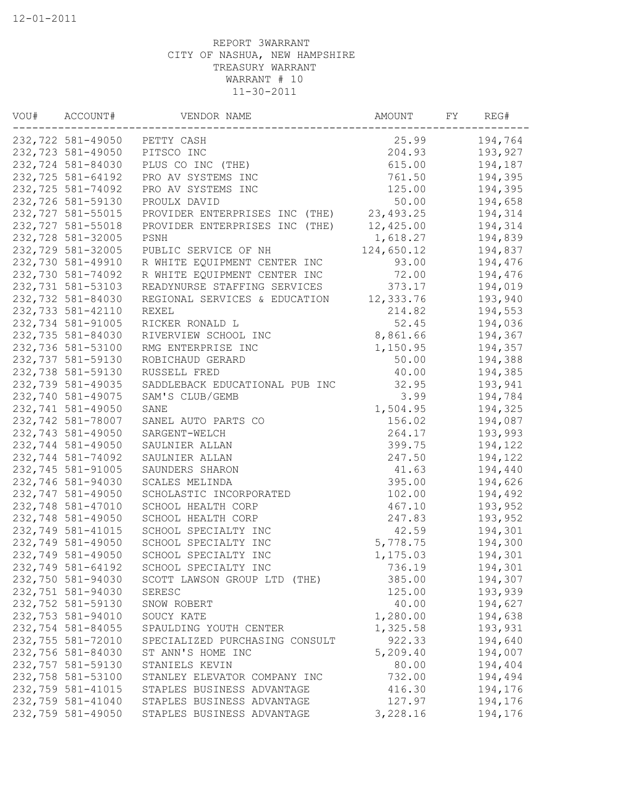| VOU# | ACCOUNT#          | VENDOR NAME                    | AMOUNT      | FΥ | REG#    |
|------|-------------------|--------------------------------|-------------|----|---------|
|      | 232,722 581-49050 | PETTY CASH                     | 25.99       |    | 194,764 |
|      | 232,723 581-49050 | PITSCO INC                     | 204.93      |    | 193,927 |
|      | 232,724 581-84030 | PLUS CO INC (THE)              | 615.00      |    | 194,187 |
|      | 232,725 581-64192 | PRO AV SYSTEMS INC             | 761.50      |    | 194,395 |
|      | 232,725 581-74092 | PRO AV SYSTEMS INC             | 125.00      |    | 194,395 |
|      | 232,726 581-59130 | PROULX DAVID                   | 50.00       |    | 194,658 |
|      | 232,727 581-55015 | PROVIDER ENTERPRISES INC (THE) | 23, 493. 25 |    | 194,314 |
|      | 232,727 581-55018 | PROVIDER ENTERPRISES INC (THE) | 12,425.00   |    | 194,314 |
|      | 232,728 581-32005 | PSNH                           | 1,618.27    |    | 194,839 |
|      | 232,729 581-32005 | PUBLIC SERVICE OF NH           | 124,650.12  |    | 194,837 |
|      | 232,730 581-49910 | R WHITE EQUIPMENT CENTER INC   | 93.00       |    | 194,476 |
|      | 232,730 581-74092 | R WHITE EQUIPMENT CENTER INC   | 72.00       |    | 194,476 |
|      | 232,731 581-53103 | READYNURSE STAFFING SERVICES   | 373.17      |    | 194,019 |
|      | 232,732 581-84030 | REGIONAL SERVICES & EDUCATION  | 12,333.76   |    | 193,940 |
|      | 232,733 581-42110 | REXEL                          | 214.82      |    | 194,553 |
|      | 232,734 581-91005 | RICKER RONALD L                | 52.45       |    | 194,036 |
|      | 232,735 581-84030 | RIVERVIEW SCHOOL INC           | 8,861.66    |    | 194,367 |
|      | 232,736 581-53100 | RMG ENTERPRISE INC             | 1,150.95    |    | 194,357 |
|      | 232,737 581-59130 | ROBICHAUD GERARD               | 50.00       |    | 194,388 |
|      | 232,738 581-59130 | RUSSELL FRED                   | 40.00       |    | 194,385 |
|      | 232,739 581-49035 | SADDLEBACK EDUCATIONAL PUB INC | 32.95       |    | 193,941 |
|      | 232,740 581-49075 | SAM'S CLUB/GEMB                | 3.99        |    | 194,784 |
|      | 232,741 581-49050 | SANE                           | 1,504.95    |    | 194,325 |
|      | 232,742 581-78007 | SANEL AUTO PARTS CO            | 156.02      |    | 194,087 |
|      | 232,743 581-49050 | SARGENT-WELCH                  | 264.17      |    | 193,993 |
|      | 232,744 581-49050 | SAULNIER ALLAN                 | 399.75      |    | 194,122 |
|      | 232,744 581-74092 | SAULNIER ALLAN                 | 247.50      |    | 194,122 |
|      | 232,745 581-91005 | SAUNDERS SHARON                | 41.63       |    | 194,440 |
|      | 232,746 581-94030 | SCALES MELINDA                 | 395.00      |    | 194,626 |
|      | 232,747 581-49050 | SCHOLASTIC INCORPORATED        | 102.00      |    | 194,492 |
|      | 232,748 581-47010 | SCHOOL HEALTH CORP             | 467.10      |    | 193,952 |
|      | 232,748 581-49050 | SCHOOL HEALTH CORP             | 247.83      |    | 193,952 |
|      | 232,749 581-41015 | SCHOOL SPECIALTY INC           | 42.59       |    | 194,301 |
|      | 232,749 581-49050 | SCHOOL SPECIALTY INC           | 5,778.75    |    | 194,300 |
|      | 232,749 581-49050 | SCHOOL SPECIALTY INC           | 1,175.03    |    | 194,301 |
|      | 232,749 581-64192 | SCHOOL SPECIALTY INC           | 736.19      |    | 194,301 |
|      | 232,750 581-94030 | SCOTT LAWSON GROUP LTD (THE)   | 385.00      |    | 194,307 |
|      | 232,751 581-94030 | SERESC                         | 125.00      |    | 193,939 |
|      | 232,752 581-59130 | SNOW ROBERT                    | 40.00       |    | 194,627 |
|      | 232,753 581-94010 | SOUCY KATE                     | 1,280.00    |    | 194,638 |
|      | 232,754 581-84055 | SPAULDING YOUTH CENTER         | 1,325.58    |    | 193,931 |
|      | 232,755 581-72010 | SPECIALIZED PURCHASING CONSULT | 922.33      |    | 194,640 |
|      | 232,756 581-84030 | ST ANN'S HOME INC              | 5,209.40    |    | 194,007 |
|      | 232,757 581-59130 | STANIELS KEVIN                 | 80.00       |    | 194,404 |
|      | 232,758 581-53100 | STANLEY ELEVATOR COMPANY INC   | 732.00      |    | 194,494 |
|      | 232,759 581-41015 | STAPLES BUSINESS ADVANTAGE     | 416.30      |    | 194,176 |
|      | 232,759 581-41040 | STAPLES BUSINESS ADVANTAGE     | 127.97      |    | 194,176 |
|      | 232,759 581-49050 | STAPLES BUSINESS ADVANTAGE     | 3,228.16    |    | 194,176 |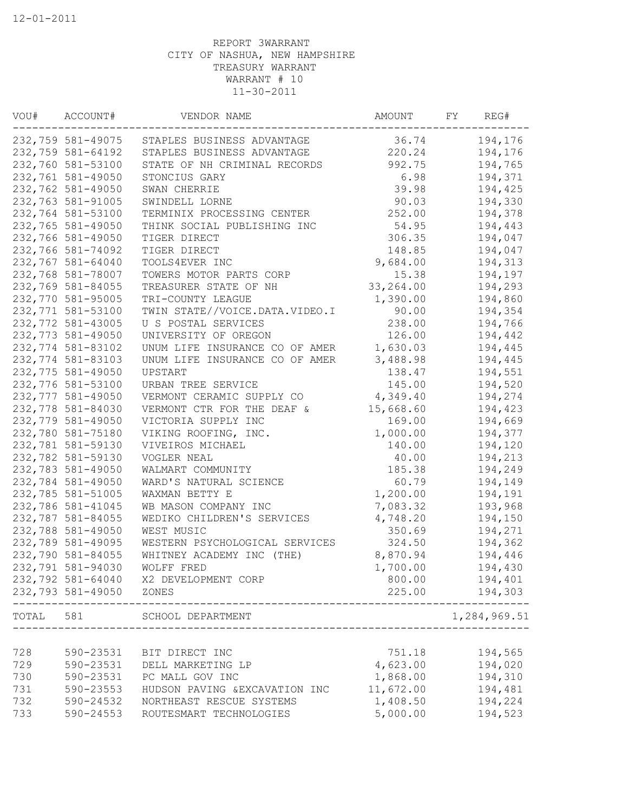| VOU#  | ACCOUNT#          | VENDOR NAME                    | AMOUNT     | FΥ | REG#         |
|-------|-------------------|--------------------------------|------------|----|--------------|
|       | 232,759 581-49075 | STAPLES BUSINESS ADVANTAGE     | 36.74      |    | 194,176      |
|       | 232,759 581-64192 | STAPLES BUSINESS ADVANTAGE     | 220.24     |    | 194,176      |
|       | 232,760 581-53100 | STATE OF NH CRIMINAL RECORDS   | 992.75     |    | 194,765      |
|       | 232,761 581-49050 | STONCIUS GARY                  | 6.98       |    | 194,371      |
|       | 232,762 581-49050 | SWAN CHERRIE                   | 39.98      |    | 194,425      |
|       | 232,763 581-91005 | SWINDELL LORNE                 | 90.03      |    | 194,330      |
|       | 232,764 581-53100 | TERMINIX PROCESSING CENTER     | 252.00     |    | 194,378      |
|       | 232,765 581-49050 | THINK SOCIAL PUBLISHING INC    | 54.95      |    | 194,443      |
|       | 232,766 581-49050 | TIGER DIRECT                   | 306.35     |    | 194,047      |
|       | 232,766 581-74092 | TIGER DIRECT                   | 148.85     |    | 194,047      |
|       | 232,767 581-64040 | TOOLS4EVER INC                 | 9,684.00   |    | 194,313      |
|       | 232,768 581-78007 | TOWERS MOTOR PARTS CORP        | 15.38      |    | 194,197      |
|       | 232,769 581-84055 | TREASURER STATE OF NH          | 33, 264.00 |    | 194,293      |
|       | 232,770 581-95005 | TRI-COUNTY LEAGUE              | 1,390.00   |    | 194,860      |
|       | 232,771 581-53100 | TWIN STATE//VOICE.DATA.VIDEO.I | 90.00      |    | 194,354      |
|       | 232,772 581-43005 | U S POSTAL SERVICES            | 238.00     |    | 194,766      |
|       | 232,773 581-49050 | UNIVERSITY OF OREGON           | 126.00     |    | 194,442      |
|       | 232,774 581-83102 | UNUM LIFE INSURANCE CO OF AMER | 1,630.03   |    | 194,445      |
|       | 232,774 581-83103 | UNUM LIFE INSURANCE CO OF AMER | 3,488.98   |    | 194,445      |
|       | 232,775 581-49050 | UPSTART                        | 138.47     |    | 194,551      |
|       | 232,776 581-53100 | URBAN TREE SERVICE             | 145.00     |    | 194,520      |
|       | 232,777 581-49050 | VERMONT CERAMIC SUPPLY CO      | 4,349.40   |    | 194,274      |
|       | 232,778 581-84030 | VERMONT CTR FOR THE DEAF &     | 15,668.60  |    | 194,423      |
|       | 232,779 581-49050 | VICTORIA SUPPLY INC            | 169.00     |    | 194,669      |
|       | 232,780 581-75180 | VIKING ROOFING, INC.           | 1,000.00   |    | 194,377      |
|       | 232,781 581-59130 | VIVEIROS MICHAEL               | 140.00     |    | 194,120      |
|       | 232,782 581-59130 | VOGLER NEAL                    | 40.00      |    | 194,213      |
|       | 232,783 581-49050 | WALMART COMMUNITY              | 185.38     |    | 194,249      |
|       | 232,784 581-49050 | WARD'S NATURAL SCIENCE         | 60.79      |    | 194,149      |
|       | 232,785 581-51005 | WAXMAN BETTY E                 | 1,200.00   |    | 194,191      |
|       | 232,786 581-41045 | WB MASON COMPANY INC           | 7,083.32   |    | 193,968      |
|       | 232,787 581-84055 | WEDIKO CHILDREN'S SERVICES     | 4,748.20   |    | 194,150      |
|       | 232,788 581-49050 | WEST MUSIC                     | 350.69     |    | 194,271      |
|       | 232,789 581-49095 | WESTERN PSYCHOLOGICAL SERVICES | 324.50     |    | 194,362      |
|       | 232,790 581-84055 | WHITNEY ACADEMY INC (THE)      | 8,870.94   |    | 194,446      |
|       | 232,791 581-94030 | WOLFF FRED                     | 1,700.00   |    | 194,430      |
|       | 232,792 581-64040 | X2 DEVELOPMENT CORP            | 800.00     |    | 194,401      |
|       | 232,793 581-49050 | ZONES                          | 225.00     |    | 194,303      |
| TOTAL | 581               | SCHOOL DEPARTMENT              |            |    | 1,284,969.51 |
|       |                   |                                |            |    |              |
| 728   | 590-23531         | BIT DIRECT INC                 | 751.18     |    | 194,565      |
| 729   | 590-23531         | DELL MARKETING LP              | 4,623.00   |    | 194,020      |
| 730   | 590-23531         | PC MALL GOV INC                | 1,868.00   |    | 194,310      |
| 731   | 590-23553         | HUDSON PAVING & EXCAVATION INC | 11,672.00  |    | 194,481      |
| 732   | 590-24532         | NORTHEAST RESCUE SYSTEMS       | 1,408.50   |    | 194,224      |
| 733   | 590-24553         | ROUTESMART TECHNOLOGIES        | 5,000.00   |    | 194,523      |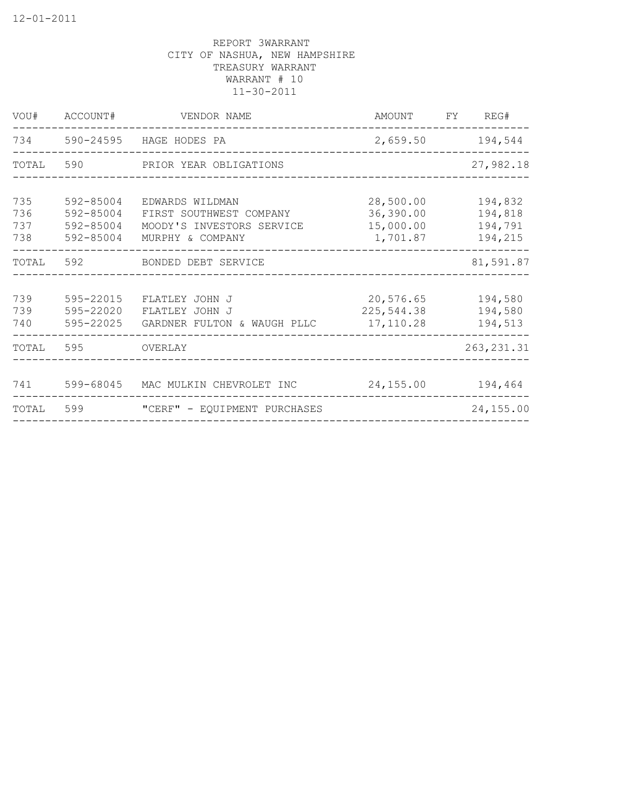| VOU#                     | ACCOUNT#                                         | VENDOR NAME                                                                                 | AMOUNT<br><b>FY</b>                             | REG#                                     |
|--------------------------|--------------------------------------------------|---------------------------------------------------------------------------------------------|-------------------------------------------------|------------------------------------------|
|                          |                                                  | 734 590-24595 HAGE HODES PA                                                                 |                                                 | 2,659.50 194,544                         |
| TOTAL                    |                                                  | 590 PRIOR YEAR OBLIGATIONS                                                                  |                                                 | 27,982.18                                |
| 735<br>736<br>737<br>738 | 592-85004<br>592-85004<br>592-85004<br>592-85004 | EDWARDS WILDMAN<br>FIRST SOUTHWEST COMPANY<br>MOODY'S INVESTORS SERVICE<br>MURPHY & COMPANY | 28,500.00<br>36,390.00<br>15,000.00<br>1,701.87 | 194,832<br>194,818<br>194,791<br>194,215 |
| TOTAL                    | 592                                              | BONDED DEBT SERVICE                                                                         |                                                 | 81,591.87                                |
| 739<br>739<br>740        | 595-22015<br>595-22020<br>595-22025              | FLATLEY JOHN J<br>FLATLEY JOHN J<br>GARDNER FULTON & WAUGH PLLC                             | 20,576.65<br>225,544.38<br>17,110.28            | 194,580<br>194,580<br>194,513            |
| TOTAL                    | 595                                              | OVERLAY                                                                                     |                                                 | 263, 231.31                              |
| 741                      | 599-68045                                        | MAC MULKIN CHEVROLET INC                                                                    | 24,155.00                                       | 194,464                                  |
| TOTAL                    | 599                                              | "CERF" - EQUIPMENT PURCHASES                                                                |                                                 | 24,155.00                                |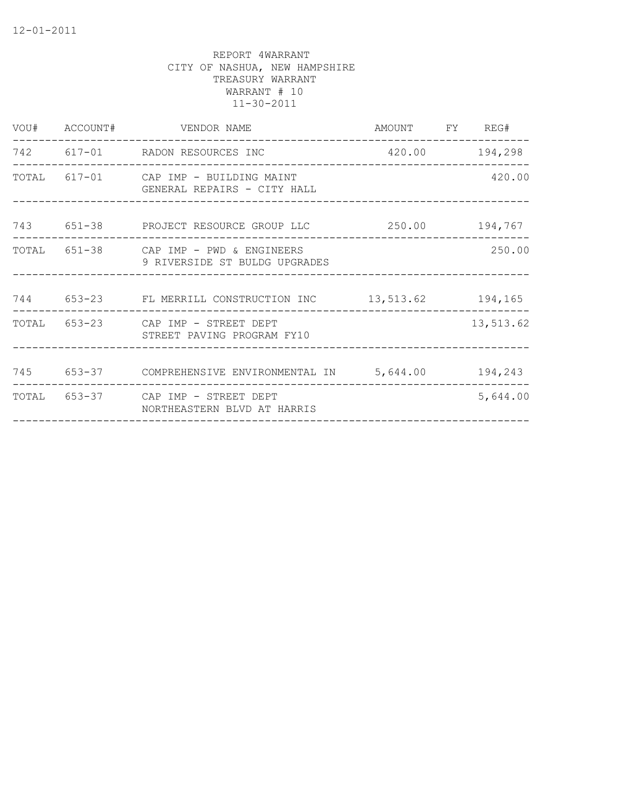|  | VOU# ACCOUNT# VENDOR NAME                                               | AMOUNT FY REG#                      |           |
|--|-------------------------------------------------------------------------|-------------------------------------|-----------|
|  | 742 617-01 RADON RESOURCES INC                                          | 420.00 194,298                      |           |
|  | TOTAL 617-01 CAP IMP - BUILDING MAINT<br>GENERAL REPAIRS - CITY HALL    |                                     | 420.00    |
|  | 743 651-38 PROJECT RESOURCE GROUP LLC 250.00 194,767                    |                                     |           |
|  | TOTAL 651-38 CAP IMP - PWD & ENGINEERS<br>9 RIVERSIDE ST BULDG UPGRADES | __________________________________  | 250.00    |
|  | 744 653-23 FL MERRILL CONSTRUCTION INC 13,513.62 194,165                |                                     |           |
|  | TOTAL 653-23 CAP IMP - STREET DEPT<br>STREET PAVING PROGRAM FY10        | __________________________________  | 13,513.62 |
|  | 745 653-37 COMPREHENSIVE ENVIRONMENTAL IN 5,644.00 194,243              |                                     |           |
|  | TOTAL 653-37 CAP IMP - STREET DEPT<br>NORTHEASTERN BLVD AT HARRIS       | ___________________________________ | 5,644.00  |
|  |                                                                         |                                     |           |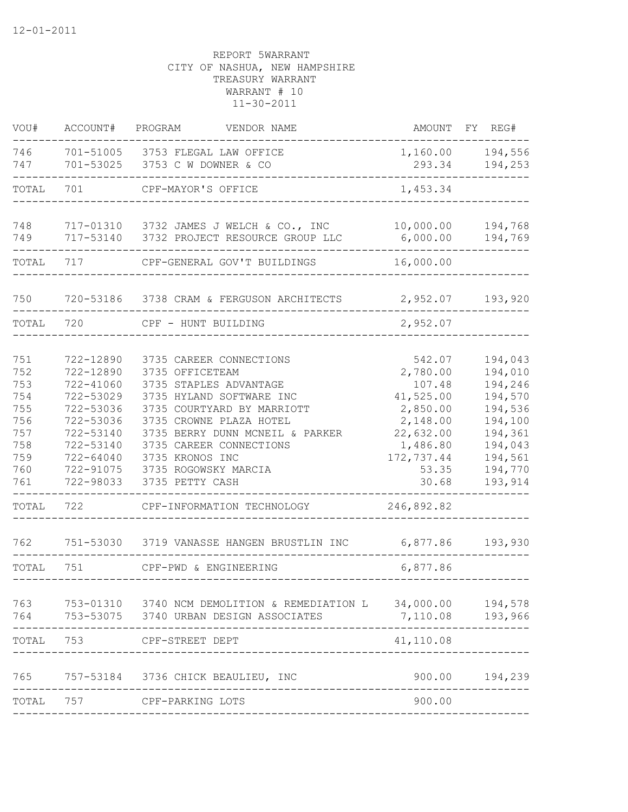| VOU#                                                                                      | ACCOUNT#                                                                                                                                               | PROGRAM<br>VENDOR NAME                                                                                                                                                                                                                                                                                                                                            |                                                                                                                                                      | AMOUNT FY REG#                                                                                                                   |
|-------------------------------------------------------------------------------------------|--------------------------------------------------------------------------------------------------------------------------------------------------------|-------------------------------------------------------------------------------------------------------------------------------------------------------------------------------------------------------------------------------------------------------------------------------------------------------------------------------------------------------------------|------------------------------------------------------------------------------------------------------------------------------------------------------|----------------------------------------------------------------------------------------------------------------------------------|
| 746<br>747                                                                                |                                                                                                                                                        | 701-51005 3753 FLEGAL LAW OFFICE<br>701-53025 3753 C W DOWNER & CO                                                                                                                                                                                                                                                                                                | 293.34                                                                                                                                               | 1,160.00 194,556<br>194,253                                                                                                      |
| TOTAL                                                                                     | 701                                                                                                                                                    | CPF-MAYOR'S OFFICE                                                                                                                                                                                                                                                                                                                                                | 1,453.34                                                                                                                                             |                                                                                                                                  |
| 748<br>749                                                                                | 717-53140                                                                                                                                              | 717-01310 3732 JAMES J WELCH & CO., INC<br>3732 PROJECT RESOURCE GROUP LLC                                                                                                                                                                                                                                                                                        | 6,000.00                                                                                                                                             | 10,000.00 194,768<br>194,769                                                                                                     |
| TOTAL                                                                                     | 717                                                                                                                                                    | CPF-GENERAL GOV'T BUILDINGS                                                                                                                                                                                                                                                                                                                                       | 16,000.00                                                                                                                                            |                                                                                                                                  |
| 750                                                                                       |                                                                                                                                                        | 720-53186 3738 CRAM & FERGUSON ARCHITECTS                                                                                                                                                                                                                                                                                                                         | 2,952.07                                                                                                                                             | 193,920                                                                                                                          |
| TOTAL                                                                                     | 720                                                                                                                                                    | CPF - HUNT BUILDING                                                                                                                                                                                                                                                                                                                                               | 2,952.07                                                                                                                                             |                                                                                                                                  |
| 751<br>752<br>753<br>754<br>755<br>756<br>757<br>758<br>759<br>760<br>761<br>TOTAL<br>762 | 722-12890<br>722-12890<br>722-41060<br>722-53029<br>722-53036<br>722-53036<br>722-53140<br>722-53140<br>$722 - 64040$<br>722-91075<br>722-98033<br>722 | 3735 CAREER CONNECTIONS<br>3735 OFFICETEAM<br>3735 STAPLES ADVANTAGE<br>3735 HYLAND SOFTWARE INC<br>3735 COURTYARD BY MARRIOTT<br>3735 CROWNE PLAZA HOTEL<br>3735 BERRY DUNN MCNEIL & PARKER<br>3735 CAREER CONNECTIONS<br>3735 KRONOS INC<br>3735 ROGOWSKY MARCIA<br>3735 PETTY CASH<br>CPF-INFORMATION TECHNOLOGY<br>751-53030 3719 VANASSE HANGEN BRUSTLIN INC | 542.07<br>2,780.00<br>107.48<br>41,525.00<br>2,850.00<br>2,148.00<br>22,632.00<br>1,486.80<br>172,737.44<br>53.35<br>30.68<br>246,892.82<br>6,877.86 | 194,043<br>194,010<br>194,246<br>194,570<br>194,536<br>194,100<br>194,361<br>194,043<br>194,561<br>194,770<br>193,914<br>193,930 |
| TOTAL                                                                                     | 751                                                                                                                                                    | CPF-PWD & ENGINEERING                                                                                                                                                                                                                                                                                                                                             | 6,877.86                                                                                                                                             |                                                                                                                                  |
| 763<br>764                                                                                |                                                                                                                                                        | 753-01310 3740 NCM DEMOLITION & REMEDIATION L<br>753-53075 3740 URBAN DESIGN ASSOCIATES                                                                                                                                                                                                                                                                           | 34,000.00<br>7,110.08                                                                                                                                | 194,578<br>193,966                                                                                                               |
| TOTAL                                                                                     | 753                                                                                                                                                    | CPF-STREET DEPT                                                                                                                                                                                                                                                                                                                                                   | 41,110.08                                                                                                                                            |                                                                                                                                  |
| 765<br>TOTAL                                                                              | 757-53184<br>757                                                                                                                                       | 3736 CHICK BEAULIEU, INC<br>CPF-PARKING LOTS                                                                                                                                                                                                                                                                                                                      | 900.00<br>900.00                                                                                                                                     | 194,239                                                                                                                          |
|                                                                                           |                                                                                                                                                        |                                                                                                                                                                                                                                                                                                                                                                   |                                                                                                                                                      |                                                                                                                                  |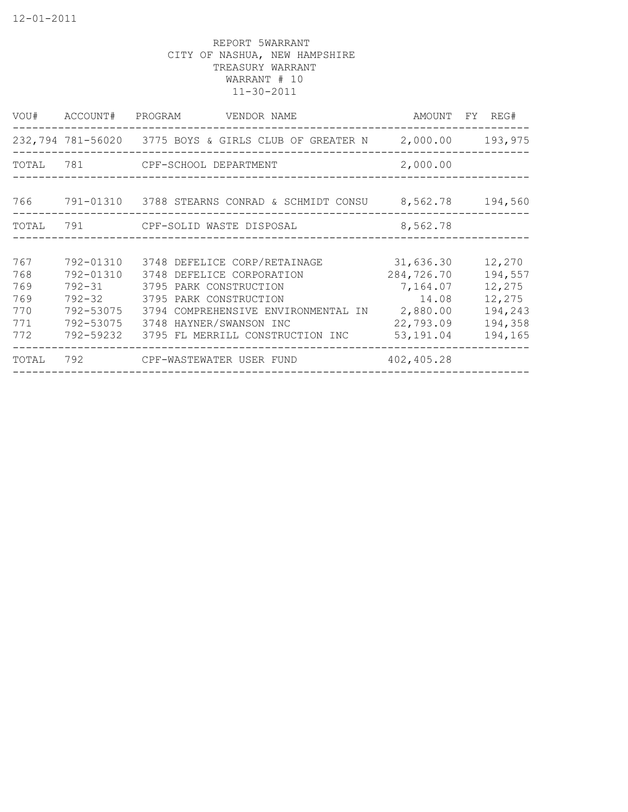| VOU#      | ACCOUNT#  | PROGRAM<br>VENDOR NAME                                         | AMOUNT     | FY REG# |
|-----------|-----------|----------------------------------------------------------------|------------|---------|
|           |           | 232,794 781-56020 3775 BOYS & GIRLS CLUB OF GREATER N 2,000.00 |            | 193,975 |
| TOTAL 781 |           | CPF-SCHOOL DEPARTMENT                                          | 2,000.00   |         |
| 766       |           | 791-01310 3788 STEARNS CONRAD & SCHMIDT CONSU 8,562.78         |            | 194,560 |
| TOTAL     |           | 791 CPF-SOLID WASTE DISPOSAL                                   | 8,562.78   |         |
|           |           |                                                                |            |         |
| 767       | 792-01310 | 3748 DEFELICE CORP/RETAINAGE                                   | 31,636.30  | 12,270  |
| 768       | 792-01310 | 3748 DEFELICE CORPORATION                                      | 284,726.70 | 194,557 |
| 769       | 792-31    | 3795 PARK CONSTRUCTION                                         | 7,164.07   | 12,275  |
| 769       |           | 792-32 3795 PARK CONSTRUCTION                                  | 14.08      | 12,275  |
| 770       | 792-53075 | 3794 COMPREHENSIVE ENVIRONMENTAL IN                            | 2,880.00   | 194,243 |
| 771       | 792-53075 | 3748 HAYNER/SWANSON INC                                        | 22,793.09  | 194,358 |
| 772       | 792-59232 | 3795 FL MERRILL CONSTRUCTION INC                               | 53,191.04  | 194,165 |
| TOTAL     | 792       | CPF-WASTEWATER USER FUND                                       | 402,405.28 |         |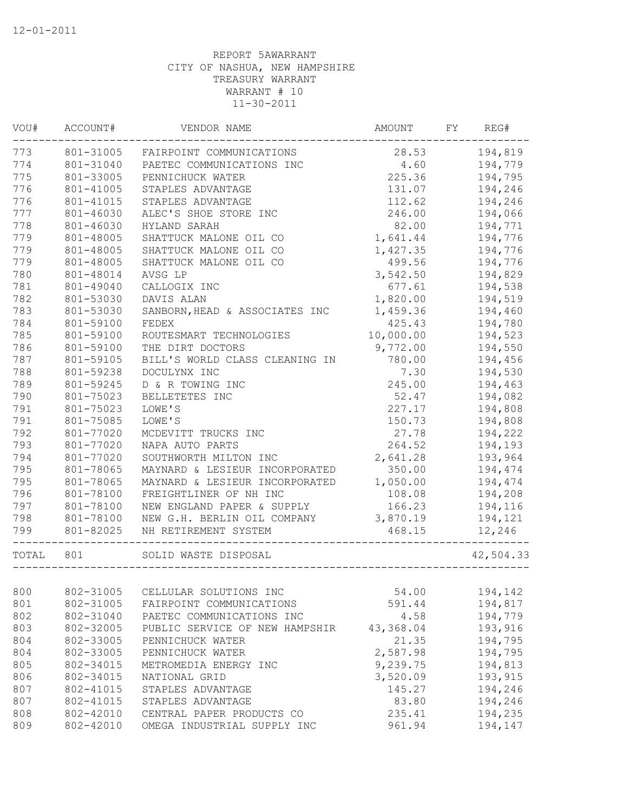| VOU#  | ACCOUNT#  | VENDOR NAME                    | AMOUNT    | FY | REG#      |
|-------|-----------|--------------------------------|-----------|----|-----------|
| 773   | 801-31005 | FAIRPOINT COMMUNICATIONS       | 28.53     |    | 194,819   |
| 774   | 801-31040 | PAETEC COMMUNICATIONS INC      | 4.60      |    | 194,779   |
| 775   | 801-33005 | PENNICHUCK WATER               | 225.36    |    | 194,795   |
| 776   | 801-41005 | STAPLES ADVANTAGE              | 131.07    |    | 194,246   |
| 776   | 801-41015 | STAPLES ADVANTAGE              | 112.62    |    | 194,246   |
| 777   | 801-46030 | ALEC'S SHOE STORE INC          | 246.00    |    | 194,066   |
| 778   | 801-46030 | HYLAND SARAH                   | 82.00     |    | 194,771   |
| 779   | 801-48005 | SHATTUCK MALONE OIL CO         | 1,641.44  |    | 194,776   |
| 779   | 801-48005 | SHATTUCK MALONE OIL CO         | 1,427.35  |    | 194,776   |
| 779   | 801-48005 | SHATTUCK MALONE OIL CO         | 499.56    |    | 194,776   |
| 780   | 801-48014 | AVSG LP                        | 3,542.50  |    | 194,829   |
| 781   | 801-49040 | CALLOGIX INC                   | 677.61    |    | 194,538   |
| 782   | 801-53030 | DAVIS ALAN                     | 1,820.00  |    | 194,519   |
| 783   | 801-53030 | SANBORN, HEAD & ASSOCIATES INC | 1,459.36  |    | 194,460   |
| 784   | 801-59100 | FEDEX                          | 425.43    |    | 194,780   |
| 785   | 801-59100 | ROUTESMART TECHNOLOGIES        | 10,000.00 |    | 194,523   |
| 786   | 801-59100 | THE DIRT DOCTORS               | 9,772.00  |    | 194,550   |
| 787   | 801-59105 | BILL'S WORLD CLASS CLEANING IN | 780.00    |    | 194,456   |
| 788   | 801-59238 | DOCULYNX INC                   | 7.30      |    | 194,530   |
| 789   | 801-59245 | D & R TOWING INC               | 245.00    |    | 194,463   |
| 790   | 801-75023 | BELLETETES INC                 | 52.47     |    | 194,082   |
| 791   | 801-75023 | LOWE'S                         | 227.17    |    | 194,808   |
| 791   | 801-75085 | LOWE'S                         | 150.73    |    | 194,808   |
| 792   | 801-77020 | MCDEVITT TRUCKS INC            | 27.78     |    | 194,222   |
| 793   | 801-77020 | NAPA AUTO PARTS                | 264.52    |    | 194,193   |
| 794   | 801-77020 | SOUTHWORTH MILTON INC          | 2,641.28  |    | 193,964   |
| 795   | 801-78065 | MAYNARD & LESIEUR INCORPORATED | 350.00    |    | 194,474   |
| 795   | 801-78065 | MAYNARD & LESIEUR INCORPORATED | 1,050.00  |    | 194,474   |
| 796   | 801-78100 | FREIGHTLINER OF NH INC         | 108.08    |    | 194,208   |
| 797   | 801-78100 | NEW ENGLAND PAPER & SUPPLY     | 166.23    |    | 194,116   |
| 798   | 801-78100 | NEW G.H. BERLIN OIL COMPANY    | 3,870.19  |    | 194,121   |
| 799   | 801-82025 | NH RETIREMENT SYSTEM           | 468.15    |    | 12,246    |
| TOTAL | 801       | SOLID WASTE DISPOSAL           |           |    | 42,504.33 |
|       |           |                                |           |    |           |
| 800   | 802-31005 | CELLULAR SOLUTIONS INC         | 54.00     |    | 194,142   |
| 801   | 802-31005 | FAIRPOINT COMMUNICATIONS       | 591.44    |    | 194,817   |
| 802   | 802-31040 | PAETEC COMMUNICATIONS INC      | 4.58      |    | 194,779   |
| 803   | 802-32005 | PUBLIC SERVICE OF NEW HAMPSHIR | 43,368.04 |    | 193,916   |
| 804   | 802-33005 | PENNICHUCK WATER               | 21.35     |    | 194,795   |
| 804   | 802-33005 | PENNICHUCK WATER               | 2,587.98  |    | 194,795   |
| 805   | 802-34015 | METROMEDIA ENERGY INC          | 9,239.75  |    | 194,813   |
| 806   | 802-34015 | NATIONAL GRID                  | 3,520.09  |    | 193,915   |
| 807   | 802-41015 | STAPLES ADVANTAGE              | 145.27    |    | 194,246   |
| 807   | 802-41015 | STAPLES ADVANTAGE              | 83.80     |    | 194,246   |
| 808   | 802-42010 | CENTRAL PAPER PRODUCTS CO      | 235.41    |    | 194,235   |
| 809   | 802-42010 | OMEGA INDUSTRIAL SUPPLY INC    | 961.94    |    | 194,147   |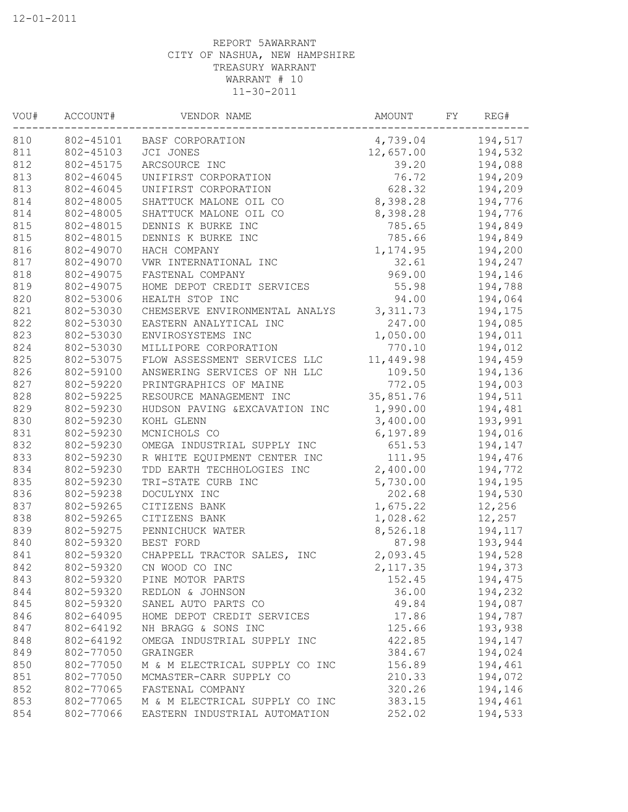| WOU# | ACCOUNT#               | VENDOR NAME                             | AMOUNT            | FY | REG#             |
|------|------------------------|-----------------------------------------|-------------------|----|------------------|
| 810  |                        | 802-45101 BASF CORPORATION              | 4,739.04          |    | 194,517          |
| 811  | 802-45103              | JCI JONES                               | 12,657.00 194,532 |    |                  |
| 812  | 802-45175              | ARCSOURCE INC                           |                   |    | 39.20    194,088 |
| 813  | 802-46045              | UNIFIRST CORPORATION                    | 76.72             |    | 194,209          |
| 813  | 802-46045              | UNIFIRST CORPORATION                    | 628.32            |    | 194,209          |
| 814  | 802-48005              | SHATTUCK MALONE OIL CO                  | 8,398.28          |    | 194,776          |
| 814  | 802-48005              | SHATTUCK MALONE OIL CO                  | 8,398.28 194,776  |    |                  |
| 815  | 802-48015              | DENNIS K BURKE INC                      |                   |    | 785.65 194,849   |
| 815  | 802-48015              | DENNIS K BURKE INC                      | 785.66            |    | 194,849          |
| 816  | 802-49070              | HACH COMPANY                            | 1, 174.95         |    | 194,200          |
| 817  | 802-49070              | VWR INTERNATIONAL INC                   | 32.61             |    | 194,247          |
| 818  | 802-49075              | FASTENAL COMPANY                        | 969.00            |    | 194,146          |
| 819  | 802-49075              | HOME DEPOT CREDIT SERVICES              | 55.98             |    | 194,788          |
| 820  | 802-53006              | HEALTH STOP INC                         | 94.00             |    | 194,064          |
| 821  | 802-53030              | CHEMSERVE ENVIRONMENTAL ANALYS 3,311.73 |                   |    | 194,175          |
| 822  | 802-53030              | EASTERN ANALYTICAL INC                  | 247.00            |    | 194,085          |
| 823  | 802-53030              | ENVIROSYSTEMS INC                       | 1,050.00          |    | 194,011          |
| 824  | 802-53030              | MILLIPORE CORPORATION                   | 770.10            |    | 194,012          |
| 825  | 802-53075              | FLOW ASSESSMENT SERVICES LLC            | 11,449.98         |    | 194,459          |
| 826  | 802-59100              | ANSWERING SERVICES OF NH LLC            | 109.50            |    | 194,136          |
| 827  | 802-59220              | PRINTGRAPHICS OF MAINE                  | 772.05            |    | 194,003          |
| 828  | 802-59225              | RESOURCE MANAGEMENT INC                 | 35,851.76         |    | 194,511          |
| 829  | 802-59230              | HUDSON PAVING & EXCAVATION INC          | 1,990.00          |    | 194,481          |
| 830  | 802-59230              | KOHL GLENN                              | 3,400.00          |    | 193,991          |
| 831  | 802-59230              | MCNICHOLS CO                            | 6,197.89          |    | 194,016          |
| 832  | 802-59230              | OMEGA INDUSTRIAL SUPPLY INC             | 651.53            |    | 194,147          |
| 833  | 802-59230              | R WHITE EQUIPMENT CENTER INC            | 111.95            |    | 194,476          |
| 834  | 802-59230              | TDD EARTH TECHHOLOGIES INC 2,400.00     |                   |    | 194,772          |
| 835  | 802-59230              | TRI-STATE CURB INC                      | 5,730.00          |    | 194,195          |
| 836  | 802-59238              | DOCULYNX INC                            | 202.68            |    | 194,530          |
| 837  | 802-59265              | CITIZENS BANK                           | 1,675.22          |    | 12,256           |
| 838  | 802-59265              | CITIZENS BANK                           | 1,028.62          |    | 12,257           |
| 839  | 802-59275              | PENNICHUCK WATER                        | 8,526.18          |    | 194,117          |
| 840  | 802-59320              | BEST FORD                               | 87.98             |    | 193,944          |
| 841  | 802-59320              | CHAPPELL TRACTOR SALES, INC             | 2,093.45          |    | 194,528          |
| 842  |                        | 802-59320 CN WOOD CO INC                | 2, 117.35         |    | 194,373          |
| 843  | 802-59320              | PINE MOTOR PARTS                        | 152.45            |    | 194,475          |
| 844  | 802-59320              | REDLON & JOHNSON                        | 36.00             |    | 194,232          |
| 845  | 802-59320              | SANEL AUTO PARTS CO                     | 49.84             |    | 194,087          |
| 846  | 802-64095              | HOME DEPOT CREDIT SERVICES              | 17.86             |    | 194,787          |
| 847  | 802-64192              | NH BRAGG & SONS INC                     | 125.66            |    | 193,938          |
| 848  | 802-64192              | OMEGA INDUSTRIAL SUPPLY INC             | 422.85            |    | 194,147          |
| 849  | 802-77050              | GRAINGER                                |                   |    |                  |
|      |                        |                                         | 384.67            |    | 194,024          |
| 850  | 802-77050<br>802-77050 | M & M ELECTRICAL SUPPLY CO INC          | 156.89            |    | 194,461          |
| 851  |                        | MCMASTER-CARR SUPPLY CO                 | 210.33            |    | 194,072          |
| 852  | 802-77065              | FASTENAL COMPANY                        | 320.26            |    | 194,146          |
| 853  | 802-77065              | M & M ELECTRICAL SUPPLY CO INC          | 383.15            |    | 194,461          |
| 854  | 802-77066              | EASTERN INDUSTRIAL AUTOMATION           | 252.02            |    | 194,533          |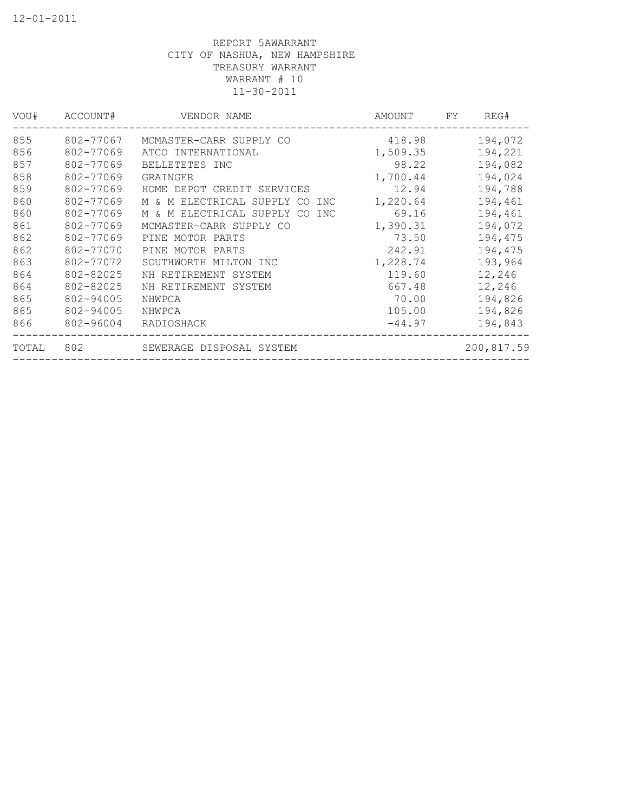| VOU#  | ACCOUNT#  | VENDOR NAME                        | AMOUNT   | FY. | REG#       |
|-------|-----------|------------------------------------|----------|-----|------------|
| 855   | 802-77067 | MCMASTER-CARR SUPPLY CO            | 418.98   |     | 194,072    |
| 856   | 802-77069 | ATCO INTERNATIONAL                 | 1,509.35 |     | 194,221    |
| 857   | 802-77069 | BELLETETES INC                     | 98.22    |     | 194,082    |
| 858   | 802-77069 | GRAINGER                           | 1,700.44 |     | 194,024    |
| 859   | 802-77069 | HOME DEPOT CREDIT SERVICES         | 12.94    |     | 194,788    |
| 860   | 802-77069 | M & M ELECTRICAL SUPPLY CO<br>INC  | 1,220.64 |     | 194,461    |
| 860   | 802-77069 | M & M ELECTRICAL SUPPLY CO<br>INC. | 69.16    |     | 194,461    |
| 861   | 802-77069 | MCMASTER-CARR SUPPLY CO            | 1,390.31 |     | 194,072    |
| 862   | 802-77069 | PINE MOTOR PARTS                   | 73.50    |     | 194,475    |
| 862   | 802-77070 | PINE MOTOR PARTS                   | 242.91   |     | 194,475    |
| 863   | 802-77072 | SOUTHWORTH MILTON INC              | 1,228.74 |     | 193,964    |
| 864   | 802-82025 | NH RETIREMENT SYSTEM               | 119.60   |     | 12,246     |
| 864   | 802-82025 | NH RETIREMENT SYSTEM               | 667.48   |     | 12,246     |
| 865   | 802-94005 | NHWPCA                             | 70.00    |     | 194,826    |
| 865   | 802-94005 | NHWPCA                             | 105.00   |     | 194,826    |
| 866   | 802-96004 | RADIOSHACK                         | $-44.97$ |     | 194,843    |
| TOTAL | 802       | SEWERAGE DISPOSAL SYSTEM           |          |     | 200,817.59 |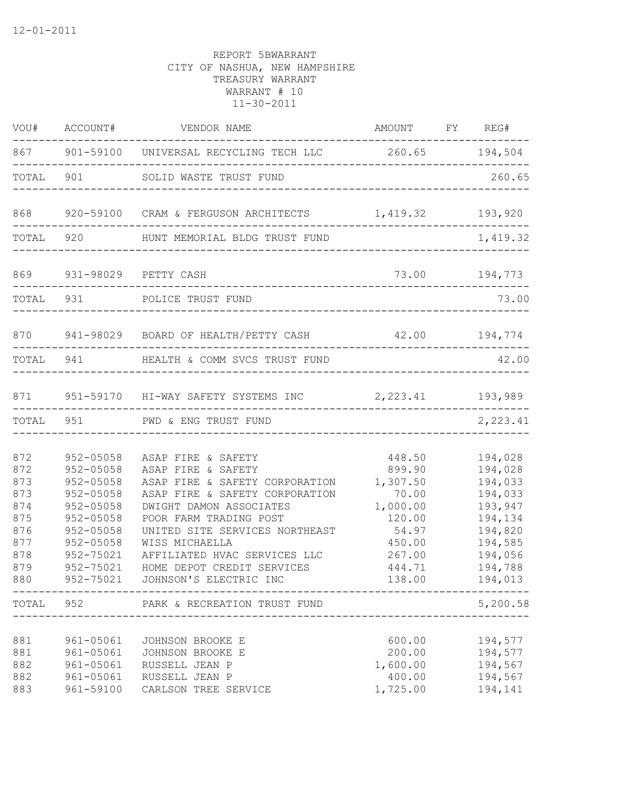| VOU#                                                                      | ACCOUNT#                                                                                                                                                    | VENDOR NAME                                                                                                                                                                                                                                                                                                   | AMOUNT FY REG#                                                                                               |                                                                                                                       |
|---------------------------------------------------------------------------|-------------------------------------------------------------------------------------------------------------------------------------------------------------|---------------------------------------------------------------------------------------------------------------------------------------------------------------------------------------------------------------------------------------------------------------------------------------------------------------|--------------------------------------------------------------------------------------------------------------|-----------------------------------------------------------------------------------------------------------------------|
|                                                                           |                                                                                                                                                             | 867 901-59100 UNIVERSAL RECYCLING TECH LLC 260.65 194,504                                                                                                                                                                                                                                                     |                                                                                                              |                                                                                                                       |
| TOTAL 901                                                                 |                                                                                                                                                             | SOLID WASTE TRUST FUND                                                                                                                                                                                                                                                                                        |                                                                                                              | 260.65                                                                                                                |
| 868                                                                       |                                                                                                                                                             | 920-59100 CRAM & FERGUSON ARCHITECTS 1,419.32 193,920                                                                                                                                                                                                                                                         |                                                                                                              |                                                                                                                       |
|                                                                           |                                                                                                                                                             | TOTAL 920 HUNT MEMORIAL BLDG TRUST FUND                                                                                                                                                                                                                                                                       |                                                                                                              | 1,419.32                                                                                                              |
| 869                                                                       |                                                                                                                                                             | 931-98029 PETTY CASH                                                                                                                                                                                                                                                                                          |                                                                                                              | 73.00 194,773                                                                                                         |
| TOTAL 931                                                                 |                                                                                                                                                             | POLICE TRUST FUND                                                                                                                                                                                                                                                                                             |                                                                                                              | 73.00                                                                                                                 |
| 870                                                                       |                                                                                                                                                             | 941-98029 BOARD OF HEALTH/PETTY CASH                                                                                                                                                                                                                                                                          |                                                                                                              | 42.00 194,774                                                                                                         |
| TOTAL 941                                                                 |                                                                                                                                                             | HEALTH & COMM SVCS TRUST FUND                                                                                                                                                                                                                                                                                 |                                                                                                              | 42.00                                                                                                                 |
| 871                                                                       |                                                                                                                                                             | 951-59170 HI-WAY SAFETY SYSTEMS INC                                                                                                                                                                                                                                                                           | 2, 223.41 193, 989                                                                                           |                                                                                                                       |
| TOTAL                                                                     | 951                                                                                                                                                         | PWD & ENG TRUST FUND                                                                                                                                                                                                                                                                                          |                                                                                                              | 2,223.41                                                                                                              |
| 872<br>872<br>873<br>873<br>874<br>875<br>876<br>877<br>878<br>879<br>880 | 952-05058<br>$952 - 05058$<br>$952 - 05058$<br>$952 - 05058$<br>952-05058<br>952-05058<br>$952 - 05058$<br>952-05058<br>952-75021<br>952-75021<br>952-75021 | ASAP FIRE & SAFETY<br>ASAP FIRE & SAFETY<br>ASAP FIRE & SAFETY CORPORATION<br>ASAP FIRE & SAFETY CORPORATION<br>DWIGHT DAMON ASSOCIATES<br>POOR FARM TRADING POST<br>UNITED SITE SERVICES NORTHEAST<br>WISS MICHAELLA<br>AFFILIATED HVAC SERVICES LLC<br>HOME DEPOT CREDIT SERVICES<br>JOHNSON'S ELECTRIC INC | 448.50<br>899.90<br>1,307.50<br>70.00<br>1,000.00<br>120.00<br>54.97<br>450.00<br>267.00<br>444.71<br>138.00 | 194,028<br>194,028<br>194,033<br>194,033<br>193,947<br>194,134<br>194,820<br>194,585<br>194,056<br>194,788<br>194,013 |
|                                                                           |                                                                                                                                                             | TOTAL 952 PARK & RECREATION TRUST FUND                                                                                                                                                                                                                                                                        |                                                                                                              | 5,200.58                                                                                                              |
| 881<br>881<br>882<br>882<br>883                                           | 961-05061<br>961-05061<br>961-05061<br>961-05061<br>961-59100                                                                                               | JOHNSON BROOKE E<br>JOHNSON BROOKE E<br>RUSSELL JEAN P<br>RUSSELL JEAN P<br>CARLSON TREE SERVICE                                                                                                                                                                                                              | 600.00<br>200.00<br>1,600.00<br>400.00<br>1,725.00                                                           | 194,577<br>194,577<br>194,567<br>194,567<br>194,141                                                                   |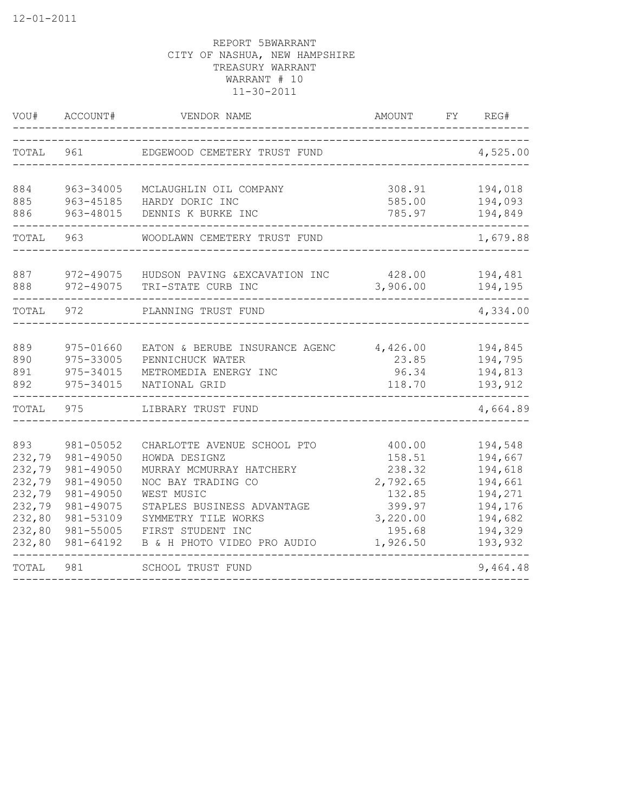| VOU#                                                                                | ACCOUNT#                                                                                                          | VENDOR NAME                                                                                                                                                                                                           | AMOUNT                                                                                       | FY | REG#                                                                                            |
|-------------------------------------------------------------------------------------|-------------------------------------------------------------------------------------------------------------------|-----------------------------------------------------------------------------------------------------------------------------------------------------------------------------------------------------------------------|----------------------------------------------------------------------------------------------|----|-------------------------------------------------------------------------------------------------|
| TOTAL                                                                               | 961                                                                                                               | EDGEWOOD CEMETERY TRUST FUND                                                                                                                                                                                          |                                                                                              |    | 4,525.00                                                                                        |
| 884<br>885<br>886                                                                   | 963-34005<br>963-45185<br>963-48015                                                                               | MCLAUGHLIN OIL COMPANY<br>HARDY DORIC INC<br>DENNIS K BURKE INC                                                                                                                                                       | 308.91<br>585.00<br>785.97                                                                   |    | 194,018<br>194,093<br>194,849                                                                   |
| TOTAL                                                                               | 963                                                                                                               | WOODLAWN CEMETERY TRUST FUND                                                                                                                                                                                          |                                                                                              |    | 1,679.88                                                                                        |
| 887<br>888                                                                          | 972-49075<br>972-49075                                                                                            | HUDSON PAVING & EXCAVATION INC<br>TRI-STATE CURB INC                                                                                                                                                                  | 428.00<br>3,906.00                                                                           |    | 194,481<br>194,195                                                                              |
| TOTAL                                                                               | 972                                                                                                               | PLANNING TRUST FUND                                                                                                                                                                                                   |                                                                                              |    | 4,334.00                                                                                        |
| 889<br>890<br>891<br>892                                                            | 975-01660<br>975-33005<br>975-34015<br>975-34015                                                                  | EATON & BERUBE INSURANCE AGENC<br>PENNICHUCK WATER<br>METROMEDIA ENERGY INC<br>NATIONAL GRID                                                                                                                          | 4,426.00<br>23.85<br>96.34<br>118.70                                                         |    | 194,845<br>194,795<br>194,813<br>193,912                                                        |
| TOTAL                                                                               | 975                                                                                                               | LIBRARY TRUST FUND                                                                                                                                                                                                    |                                                                                              |    | 4,664.89                                                                                        |
| 893<br>232,79<br>232,79<br>232,79<br>232,79<br>232,79<br>232,80<br>232,80<br>232,80 | 981-05052<br>981-49050<br>981-49050<br>981-49050<br>981-49050<br>981-49075<br>981-53109<br>981-55005<br>981-64192 | CHARLOTTE AVENUE SCHOOL PTO<br>HOWDA DESIGNZ<br>MURRAY MCMURRAY HATCHERY<br>NOC BAY TRADING CO<br>WEST MUSIC<br>STAPLES BUSINESS ADVANTAGE<br>SYMMETRY TILE WORKS<br>FIRST STUDENT INC<br>B & H PHOTO VIDEO PRO AUDIO | 400.00<br>158.51<br>238.32<br>2,792.65<br>132.85<br>399.97<br>3,220.00<br>195.68<br>1,926.50 |    | 194,548<br>194,667<br>194,618<br>194,661<br>194,271<br>194,176<br>194,682<br>194,329<br>193,932 |
| TOTAL                                                                               | 981                                                                                                               | SCHOOL TRUST FUND                                                                                                                                                                                                     |                                                                                              |    | 9,464.48                                                                                        |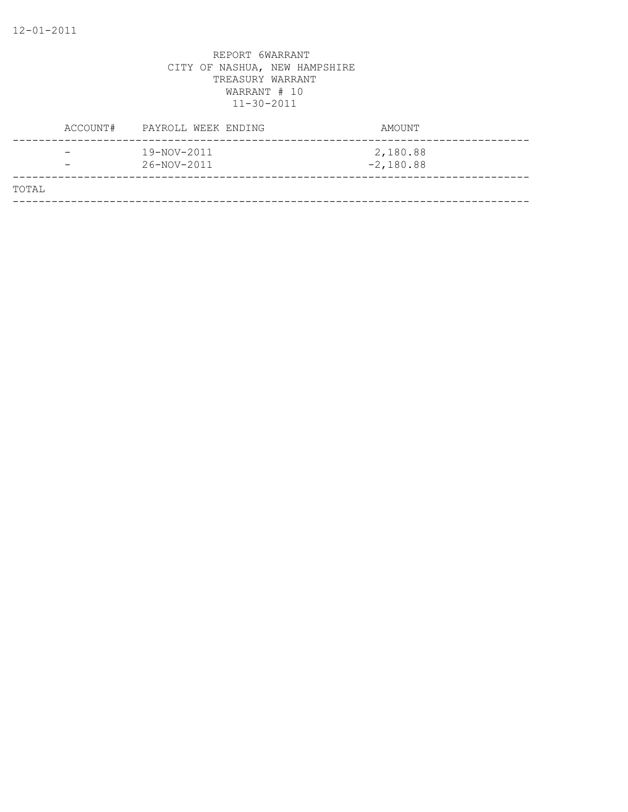|       | ACCOUNT#                                             | PAYROLL WEEK ENDING        | AMOUNT                  |
|-------|------------------------------------------------------|----------------------------|-------------------------|
|       | $\overline{\phantom{0}}$<br>$\overline{\phantom{0}}$ | 19-NOV-2011<br>26-NOV-2011 | 2,180.88<br>$-2,180.88$ |
| TOTAL |                                                      |                            |                         |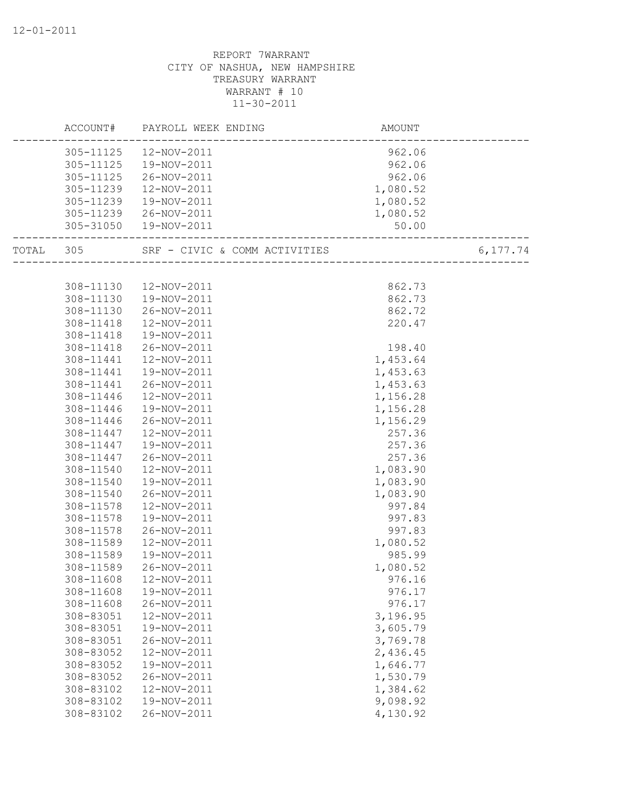|           |           | ACCOUNT# PAYROLL WEEK ENDING  | AMOUNT   |          |
|-----------|-----------|-------------------------------|----------|----------|
|           | 305-11125 | 12-NOV-2011                   | 962.06   |          |
|           | 305-11125 | 19-NOV-2011                   | 962.06   |          |
|           | 305-11125 | 26-NOV-2011                   | 962.06   |          |
|           | 305-11239 | 12-NOV-2011                   | 1,080.52 |          |
|           | 305-11239 | 19-NOV-2011                   | 1,080.52 |          |
|           | 305-11239 | 26-NOV-2011                   | 1,080.52 |          |
|           |           | 305-31050  19-NOV-2011        | 50.00    |          |
| TOTAL 305 |           | SRF - CIVIC & COMM ACTIVITIES |          | 6,177.74 |
|           |           |                               |          |          |
|           | 308-11130 | 12-NOV-2011                   | 862.73   |          |
|           | 308-11130 | 19-NOV-2011                   | 862.73   |          |
|           | 308-11130 | 26-NOV-2011                   | 862.72   |          |
|           | 308-11418 | 12-NOV-2011                   | 220.47   |          |
|           | 308-11418 | 19-NOV-2011                   |          |          |
|           | 308-11418 | 26-NOV-2011                   | 198.40   |          |
|           | 308-11441 | 12-NOV-2011                   | 1,453.64 |          |
|           | 308-11441 | 19-NOV-2011                   | 1,453.63 |          |
|           | 308-11441 | 26-NOV-2011                   | 1,453.63 |          |
|           | 308-11446 | 12-NOV-2011                   | 1,156.28 |          |
|           | 308-11446 | 19-NOV-2011                   | 1,156.28 |          |
|           | 308-11446 | 26-NOV-2011                   | 1,156.29 |          |
|           | 308-11447 | 12-NOV-2011                   | 257.36   |          |
|           | 308-11447 | 19-NOV-2011                   | 257.36   |          |
|           | 308-11447 | 26-NOV-2011                   | 257.36   |          |
|           | 308-11540 | 12-NOV-2011                   | 1,083.90 |          |
|           | 308-11540 | 19-NOV-2011                   | 1,083.90 |          |
|           | 308-11540 | 26-NOV-2011                   | 1,083.90 |          |
|           | 308-11578 | 12-NOV-2011                   | 997.84   |          |
|           | 308-11578 | 19-NOV-2011                   | 997.83   |          |
|           | 308-11578 | 26-NOV-2011                   | 997.83   |          |
|           | 308-11589 | 12-NOV-2011                   | 1,080.52 |          |
|           | 308-11589 | 19-NOV-2011                   | 985.99   |          |
|           | 308-11589 | 26-NOV-2011                   | 1,080.52 |          |
|           | 308-11608 | 12-NOV-2011                   | 976.16   |          |
|           | 308-11608 | 19-NOV-2011                   | 976.17   |          |
|           | 308-11608 | 26-NOV-2011                   | 976.17   |          |
|           | 308-83051 | 12-NOV-2011                   | 3,196.95 |          |
|           | 308-83051 | 19-NOV-2011                   | 3,605.79 |          |
|           | 308-83051 | 26-NOV-2011                   | 3,769.78 |          |
|           | 308-83052 | 12-NOV-2011                   | 2,436.45 |          |
|           | 308-83052 | 19-NOV-2011                   | 1,646.77 |          |
|           | 308-83052 | 26-NOV-2011                   | 1,530.79 |          |
|           | 308-83102 | 12-NOV-2011                   | 1,384.62 |          |
|           | 308-83102 | 19-NOV-2011                   | 9,098.92 |          |
|           | 308-83102 | 26-NOV-2011                   | 4,130.92 |          |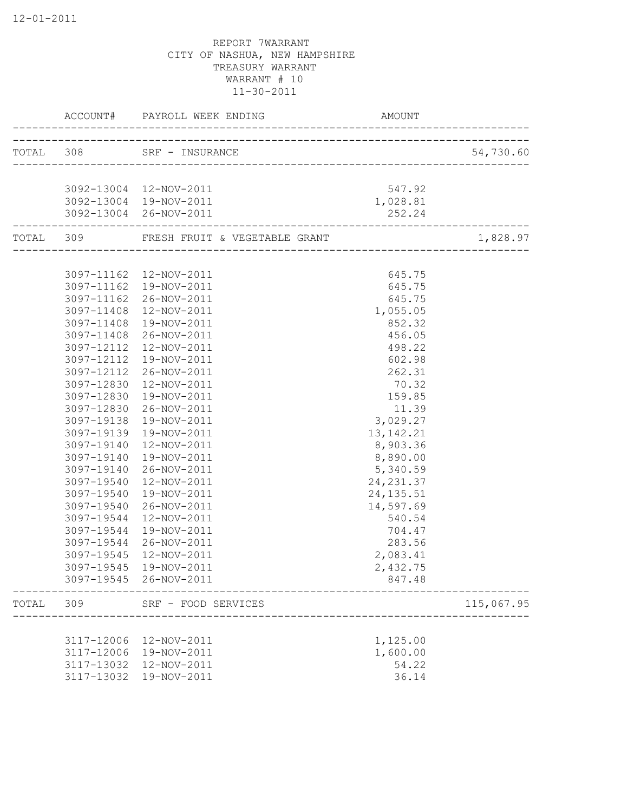|       |                          | ACCOUNT# PAYROLL WEEK ENDING                                                  | AMOUNT           |            |
|-------|--------------------------|-------------------------------------------------------------------------------|------------------|------------|
|       |                          | TOTAL 308 SRF - INSURANCE                                                     |                  | 54,730.60  |
|       |                          | _________________________________                                             |                  |            |
|       |                          | 3092-13004 12-NOV-2011                                                        | 547.92           |            |
|       |                          | 3092-13004 19-NOV-2011                                                        | 1,028.81         |            |
|       |                          | 3092-13004 26-NOV-2011                                                        | 252.24           |            |
|       |                          | TOTAL 309 FRESH FRUIT & VEGETABLE GRANT<br>---------------------------------- |                  | 1,828.97   |
|       |                          | 3097-11162  12-NOV-2011                                                       | 645.75           |            |
|       | 3097-11162               | 19-NOV-2011                                                                   | 645.75           |            |
|       | 3097-11162               | 26-NOV-2011                                                                   | 645.75           |            |
|       | 3097-11408               | 12-NOV-2011                                                                   | 1,055.05         |            |
|       | 3097-11408               | 19-NOV-2011                                                                   | 852.32           |            |
|       | 3097-11408               | 26-NOV-2011                                                                   | 456.05           |            |
|       | 3097-12112               | 12-NOV-2011                                                                   | 498.22           |            |
|       | 3097-12112               | 19-NOV-2011                                                                   | 602.98           |            |
|       | 3097-12112               | 26-NOV-2011                                                                   | 262.31           |            |
|       | 3097-12830               | 12-NOV-2011                                                                   | 70.32            |            |
|       | 3097-12830               | 19-NOV-2011                                                                   | 159.85           |            |
|       | 3097-12830               | 26-NOV-2011                                                                   | 11.39            |            |
|       | 3097-19138               | 19-NOV-2011                                                                   | 3,029.27         |            |
|       | 3097-19139               | 19-NOV-2011                                                                   | 13, 142. 21      |            |
|       | 3097-19140               | 12-NOV-2011                                                                   | 8,903.36         |            |
|       | 3097-19140               | 19-NOV-2011                                                                   | 8,890.00         |            |
|       | 3097-19140               | 26-NOV-2011                                                                   | 5,340.59         |            |
|       | 3097-19540               | 12-NOV-2011                                                                   | 24, 231.37       |            |
|       | 3097-19540               | 19-NOV-2011                                                                   | 24, 135.51       |            |
|       | 3097-19540               | 26-NOV-2011                                                                   | 14,597.69        |            |
|       | 3097-19544               | 12-NOV-2011                                                                   | 540.54<br>704.47 |            |
|       | 3097-19544<br>3097-19544 | 19-NOV-2011<br>26-NOV-2011                                                    | 283.56           |            |
|       | 3097-19545               | 12-NOV-2011                                                                   | 2,083.41         |            |
|       | 3097-19545               | 19-NOV-2011                                                                   | 2,432.75         |            |
|       |                          | 3097-19545 26-NOV-2011                                                        | 847.48           |            |
| TOTAL | 309                      | SRF - FOOD SERVICES                                                           |                  | 115,067.95 |
|       |                          |                                                                               |                  |            |
|       | 3117-12006               | 12-NOV-2011                                                                   | 1,125.00         |            |
|       | 3117-12006               | 19-NOV-2011                                                                   | 1,600.00         |            |
|       | 3117-13032               | 12-NOV-2011                                                                   | 54.22            |            |
|       | 3117-13032               | 19-NOV-2011                                                                   | 36.14            |            |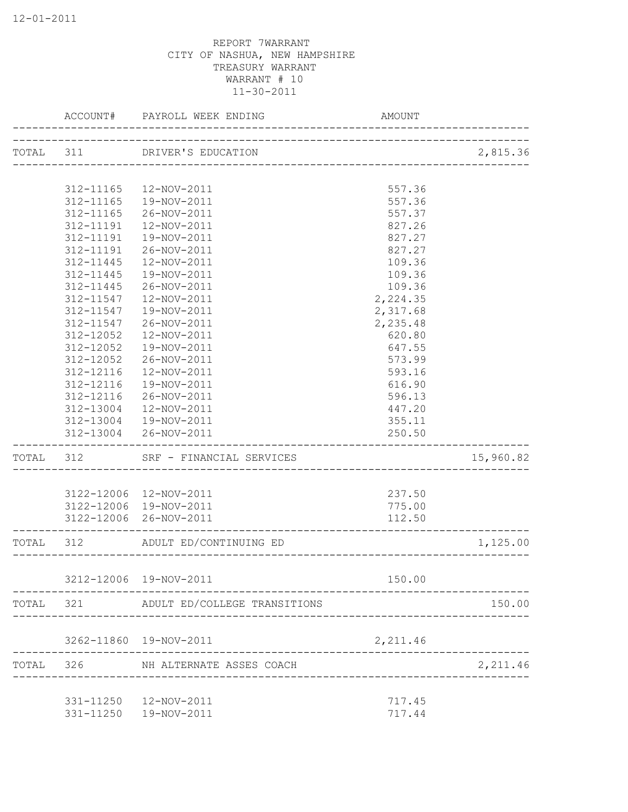|           | ACCOUNT#  | PAYROLL WEEK ENDING              | <b>AMOUNT</b> |           |
|-----------|-----------|----------------------------------|---------------|-----------|
|           |           | TOTAL 311 DRIVER'S EDUCATION     |               | 2,815.36  |
|           |           | ---------------------------      |               |           |
|           | 312-11165 | 12-NOV-2011                      | 557.36        |           |
|           | 312-11165 | 19-NOV-2011                      | 557.36        |           |
|           | 312-11165 | 26-NOV-2011                      | 557.37        |           |
|           | 312-11191 | 12-NOV-2011                      | 827.26        |           |
|           | 312-11191 | 19-NOV-2011                      | 827.27        |           |
|           | 312-11191 | 26-NOV-2011                      | 827.27        |           |
|           | 312-11445 | 12-NOV-2011                      | 109.36        |           |
|           | 312-11445 | 19-NOV-2011                      | 109.36        |           |
|           | 312-11445 | 26-NOV-2011                      | 109.36        |           |
|           | 312-11547 | 12-NOV-2011                      | 2,224.35      |           |
|           | 312-11547 | 19-NOV-2011                      | 2,317.68      |           |
|           | 312-11547 | 26-NOV-2011                      | 2,235.48      |           |
|           | 312-12052 | 12-NOV-2011                      | 620.80        |           |
|           | 312-12052 | 19-NOV-2011                      | 647.55        |           |
|           | 312-12052 | 26-NOV-2011                      | 573.99        |           |
|           | 312-12116 | 12-NOV-2011                      | 593.16        |           |
|           | 312-12116 | 19-NOV-2011                      | 616.90        |           |
|           | 312-12116 | 26-NOV-2011                      | 596.13        |           |
|           | 312-13004 | 12-NOV-2011                      | 447.20        |           |
|           |           | 312-13004  19-NOV-2011           | 355.11        |           |
|           |           | 312-13004 26-NOV-2011            | 250.50        |           |
| TOTAL 312 |           | SRF - FINANCIAL SERVICES         |               | 15,960.82 |
|           |           |                                  |               |           |
|           |           | 3122-12006 12-NOV-2011           | 237.50        |           |
|           |           | 3122-12006 19-NOV-2011           | 775.00        |           |
|           |           | 3122-12006 26-NOV-2011           | 112.50        |           |
| TOTAL     | 312       | ADULT ED/CONTINUING ED           |               | 1,125.00  |
|           |           | 3212-12006 19-NOV-2011           | 150.00        |           |
|           |           |                                  |               | 150.00    |
| TOTAL     |           | 321 ADULT ED/COLLEGE TRANSITIONS |               |           |
|           |           | 3262-11860  19-NOV-2011          | 2,211.46      |           |
| TOTAL     | 326       | NH ALTERNATE ASSES COACH         |               | 2,211.46  |
|           |           | 331-11250  12-NOV-2011           | 717.45        |           |
|           |           | 331-11250  19-NOV-2011           | 717.44        |           |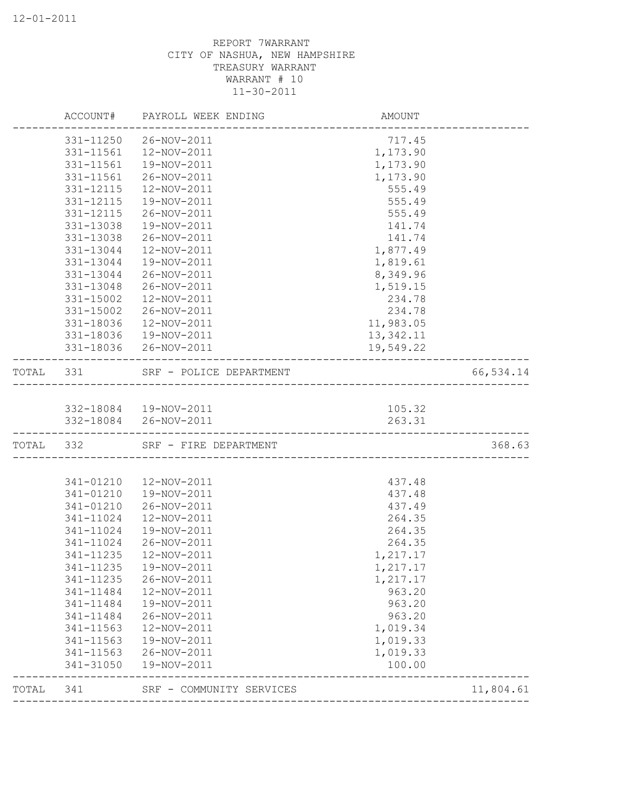|           |                        | ACCOUNT# PAYROLL WEEK ENDING    | AMOUNT                              |           |
|-----------|------------------------|---------------------------------|-------------------------------------|-----------|
|           | 331-11250              | 26-NOV-2011                     | 717.45                              |           |
|           | 331-11561              | 12-NOV-2011                     | 1,173.90                            |           |
|           | 331-11561              | 19-NOV-2011                     | 1,173.90                            |           |
|           | 331-11561              | 26-NOV-2011                     | 1,173.90                            |           |
|           | 331-12115              | 12-NOV-2011                     | 555.49                              |           |
|           | 331-12115              | 19-NOV-2011                     | 555.49                              |           |
|           | 331-12115              | 26-NOV-2011                     | 555.49                              |           |
|           | 331-13038              | 19-NOV-2011                     | 141.74                              |           |
|           | 331-13038              | 26-NOV-2011                     | 141.74                              |           |
|           | 331-13044              | 12-NOV-2011                     | 1,877.49                            |           |
|           | 331-13044              | 19-NOV-2011                     | 1,819.61                            |           |
|           | 331-13044              | 26-NOV-2011                     | 8,349.96                            |           |
|           | 331-13048              | 26-NOV-2011                     | 1,519.15                            |           |
|           | 331-15002              | 12-NOV-2011                     | 234.78                              |           |
|           | 331-15002              | 26-NOV-2011                     | 234.78                              |           |
|           | 331-18036              | 12-NOV-2011                     | 11,983.05                           |           |
|           |                        | 331-18036  19-NOV-2011          | 13,342.11                           |           |
|           |                        | 331-18036 26-NOV-2011           | 19,549.22                           |           |
| TOTAL 331 |                        | SRF - POLICE DEPARTMENT         | ___________________________________ | 66,534.14 |
|           |                        |                                 |                                     |           |
|           |                        | 332-18084  19-NOV-2011          | 105.32                              |           |
|           |                        | 332-18084 26-NOV-2011           | 263.31                              |           |
|           |                        | TOTAL 332 SRF - FIRE DEPARTMENT |                                     | 368.63    |
|           |                        |                                 |                                     |           |
|           | 341-01210              | 12-NOV-2011                     | 437.48                              |           |
|           | 341-01210              | 19-NOV-2011                     | 437.48                              |           |
|           | 341-01210              | 26-NOV-2011                     | 437.49                              |           |
|           | 341-11024              | 12-NOV-2011                     | 264.35                              |           |
|           | 341-11024              | 19-NOV-2011                     | 264.35                              |           |
|           | 341-11024              | 26-NOV-2011                     | 264.35                              |           |
|           | 341-11235              | 12-NOV-2011                     | 1,217.17                            |           |
|           | 341-11235              | 19-NOV-2011                     | 1,217.17                            |           |
|           | 341-11235              | 26-NOV-2011                     | 1,217.17                            |           |
|           | 341-11484              | 12-NOV-2011                     | 963.20                              |           |
|           | 341-11484              | 19-NOV-2011                     | 963.20                              |           |
|           | 341-11484              | 26-NOV-2011                     | 963.20                              |           |
|           | 341-11563              | 12-NOV-2011                     | 1,019.34                            |           |
|           | 341-11563              | 19-NOV-2011                     | 1,019.33                            |           |
|           | 341-11563<br>341-31050 | 26-NOV-2011<br>19-NOV-2011      | 1,019.33<br>100.00                  |           |
| TOTAL     | 341                    | SRF - COMMUNITY SERVICES        |                                     | 11,804.61 |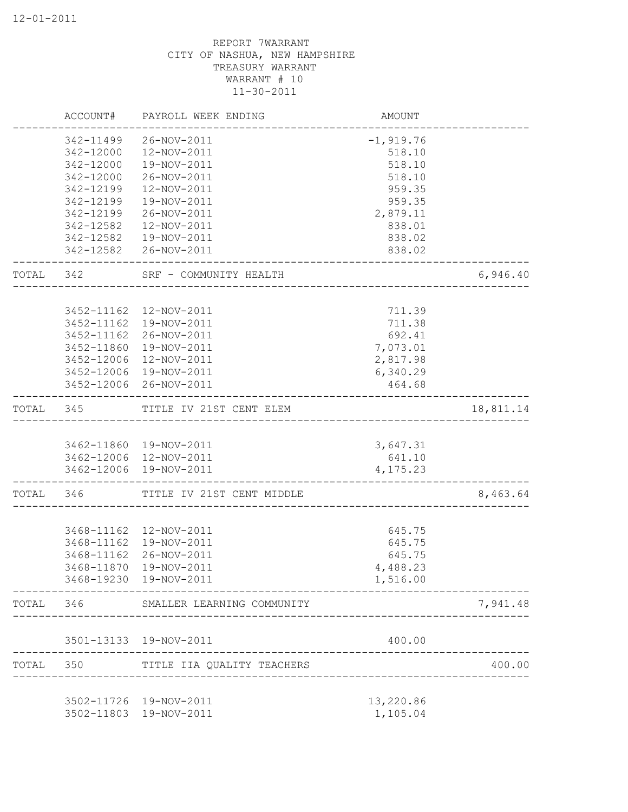|           | ACCOUNT#   | PAYROLL WEEK ENDING                                 | AMOUNT                |           |
|-----------|------------|-----------------------------------------------------|-----------------------|-----------|
|           | 342-11499  | 26-NOV-2011                                         | $-1,919.76$           |           |
|           | 342-12000  | 12-NOV-2011                                         | 518.10                |           |
|           | 342-12000  | 19-NOV-2011                                         | 518.10                |           |
|           | 342-12000  | 26-NOV-2011                                         | 518.10                |           |
|           | 342-12199  | 12-NOV-2011                                         | 959.35                |           |
|           | 342-12199  | 19-NOV-2011                                         | 959.35                |           |
|           | 342-12199  | 26-NOV-2011                                         | 2,879.11              |           |
|           | 342-12582  | 12-NOV-2011                                         | 838.01                |           |
|           | 342-12582  | 19-NOV-2011                                         | 838.02                |           |
|           |            | 342-12582 26-NOV-2011                               | 838.02                |           |
| TOTAL 342 |            | SRF - COMMUNITY HEALTH<br>------------------------- |                       | 6,946.40  |
|           |            |                                                     |                       |           |
|           |            | 3452-11162  12-NOV-2011                             | 711.39                |           |
|           |            | 3452-11162  19-NOV-2011                             | 711.38                |           |
|           |            | 3452-11162 26-NOV-2011                              | 692.41                |           |
|           |            | 3452-11860 19-NOV-2011                              | 7,073.01              |           |
|           |            | 3452-12006 12-NOV-2011                              | 2,817.98              |           |
|           |            | 3452-12006 19-NOV-2011                              | 6,340.29              |           |
|           |            | 3452-12006 26-NOV-2011                              | 464.68                |           |
| TOTAL 345 |            | TITLE IV 21ST CENT ELEM                             |                       | 18,811.14 |
|           |            |                                                     |                       |           |
|           |            | 3462-11860 19-NOV-2011<br>3462-12006 12-NOV-2011    | 3,647.31<br>641.10    |           |
|           |            | 3462-12006 19-NOV-2011                              | 4,175.23              |           |
|           |            |                                                     |                       |           |
| TOTAL 346 |            | TITLE IV 21ST CENT MIDDLE                           |                       | 8,463.64  |
|           |            |                                                     |                       |           |
|           |            | 3468-11162  12-NOV-2011                             | 645.75                |           |
|           |            | 3468-11162  19-NOV-2011                             | 645.75                |           |
|           | 3468-11162 | 26-NOV-2011                                         | 645.75                |           |
|           | 3468-11870 | 19-NOV-2011                                         | 4,488.23              |           |
|           |            | 3468-19230 19-NOV-2011                              | 1,516.00              |           |
| TOTAL     | 346        | SMALLER LEARNING COMMUNITY                          |                       | 7,941.48  |
|           |            | 3501-13133 19-NOV-2011                              | 400.00                |           |
| TOTAL     | 350        | TITLE IIA QUALITY TEACHERS                          |                       | 400.00    |
|           |            | 3502-11726 19-NOV-2011                              |                       |           |
|           | 3502-11803 | 19-NOV-2011                                         | 13,220.86<br>1,105.04 |           |
|           |            |                                                     |                       |           |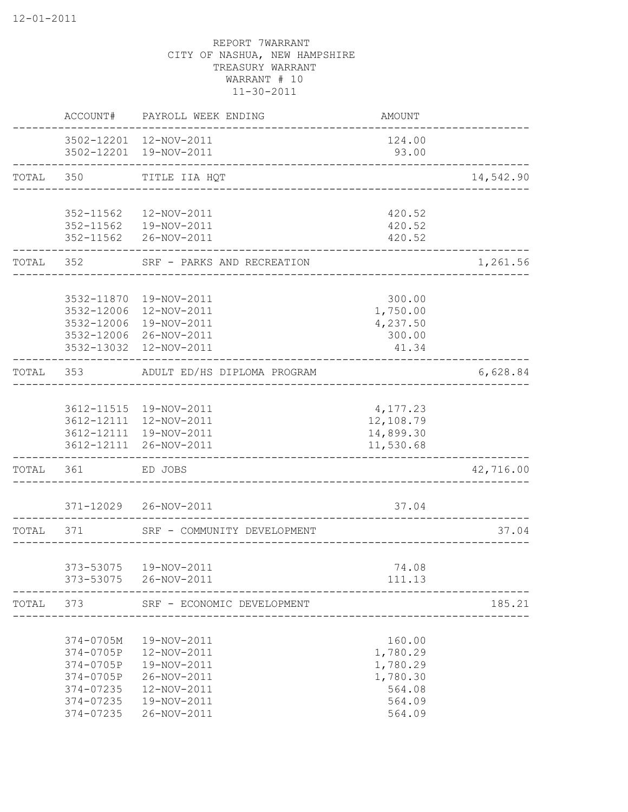|           | ACCOUNT#               | PAYROLL WEEK ENDING                              | AMOUNT                             |           |
|-----------|------------------------|--------------------------------------------------|------------------------------------|-----------|
|           |                        | 3502-12201 12-NOV-2011<br>3502-12201 19-NOV-2011 | 124.00<br>93.00                    |           |
| TOTAL 350 |                        | TITLE IIA HQT<br>______________________          |                                    | 14,542.90 |
|           |                        |                                                  |                                    |           |
|           | 352-11562              | 12-NOV-2011                                      | 420.52                             |           |
|           |                        | 352-11562  19-NOV-2011<br>352-11562 26-NOV-2011  | 420.52<br>420.52                   |           |
| TOTAL     | 352                    | SRF - PARKS AND RECREATION                       | ----------------                   | 1,261.56  |
|           |                        |                                                  |                                    |           |
|           |                        | 3532-11870  19-NOV-2011                          | 300.00                             |           |
|           | 3532-12006             | 3532-12006 12-NOV-2011<br>19-NOV-2011            | 1,750.00<br>4,237.50               |           |
|           |                        | 3532-12006 26-NOV-2011                           | 300.00                             |           |
|           |                        | 3532-13032  12-NOV-2011                          | 41.34                              |           |
| TOTAL     | 353                    | ADULT ED/HS DIPLOMA PROGRAM                      |                                    | 6,628.84  |
|           |                        |                                                  |                                    |           |
|           |                        | 3612-11515  19-NOV-2011                          | 4,177.23                           |           |
|           |                        | 3612-12111 12-NOV-2011<br>3612-12111 19-NOV-2011 | 12,108.79<br>14,899.30             |           |
|           |                        | 3612-12111 26-NOV-2011                           | 11,530.68                          |           |
| TOTAL     | 361                    | ED JOBS                                          |                                    | 42,716.00 |
|           |                        | 371-12029 26-NOV-2011                            | 37.04                              |           |
| TOTAL     | 371                    | SRF - COMMUNITY DEVELOPMENT                      |                                    | 37.04     |
|           |                        |                                                  | __________________________________ |           |
|           | 373-53075<br>373-53075 | 19-NOV-2011<br>26-NOV-2011                       | 74.08<br>111.13                    |           |
|           |                        |                                                  |                                    |           |
| TOTAL     | 373                    | SRF - ECONOMIC DEVELOPMENT                       |                                    | 185.21    |
|           | 374-0705M              | 19-NOV-2011                                      | 160.00                             |           |
|           | 374-0705P              | 12-NOV-2011                                      | 1,780.29                           |           |
|           | 374-0705P              | 19-NOV-2011                                      | 1,780.29                           |           |
|           | 374-0705P              | 26-NOV-2011                                      | 1,780.30                           |           |
|           | 374-07235              | 12-NOV-2011                                      | 564.08                             |           |
|           | 374-07235              | 19-NOV-2011                                      | 564.09                             |           |
|           | 374-07235              | 26-NOV-2011                                      | 564.09                             |           |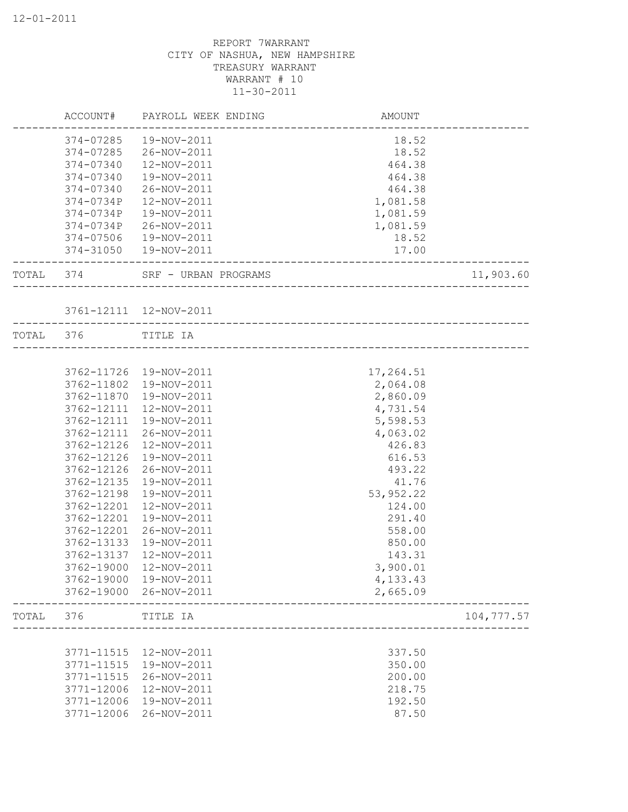|           | ACCOUNT#      | PAYROLL WEEK ENDING     | <b>AMOUNT</b> |            |
|-----------|---------------|-------------------------|---------------|------------|
|           | 374-07285     | 19-NOV-2011             | 18.52         |            |
|           | 374-07285     | 26-NOV-2011             | 18.52         |            |
|           | 374-07340     | 12-NOV-2011             | 464.38        |            |
|           | $374 - 07340$ | 19-NOV-2011             | 464.38        |            |
|           | 374-07340     | 26-NOV-2011             | 464.38        |            |
|           | 374-0734P     | 12-NOV-2011             | 1,081.58      |            |
|           | 374-0734P     | 19-NOV-2011             | 1,081.59      |            |
|           | 374-0734P     | 26-NOV-2011             | 1,081.59      |            |
|           | 374-07506     | 19-NOV-2011             | 18.52         |            |
|           | 374-31050     | 19-NOV-2011             | 17.00         |            |
| TOTAL 374 |               | SRF - URBAN PROGRAMS    |               | 11,903.60  |
|           |               | 3761-12111  12-NOV-2011 |               |            |
| TOTAL 376 |               | TITLE IA                |               |            |
|           |               |                         |               |            |
|           |               | 3762-11726 19-NOV-2011  | 17,264.51     |            |
|           | 3762-11802    | 19-NOV-2011             | 2,064.08      |            |
|           | 3762-11870    | 19-NOV-2011             | 2,860.09      |            |
|           | 3762-12111    | 12-NOV-2011             | 4,731.54      |            |
|           | 3762-12111    | 19-NOV-2011             | 5,598.53      |            |
|           | 3762-12111    | 26-NOV-2011             | 4,063.02      |            |
|           | 3762-12126    | 12-NOV-2011             | 426.83        |            |
|           | 3762-12126    | 19-NOV-2011             | 616.53        |            |
|           | 3762-12126    | 26-NOV-2011             | 493.22        |            |
|           | 3762-12135    | 19-NOV-2011             | 41.76         |            |
|           | 3762-12198    | 19-NOV-2011             | 53,952.22     |            |
|           | 3762-12201    | 12-NOV-2011             | 124.00        |            |
|           | 3762-12201    | 19-NOV-2011             | 291.40        |            |
|           | 3762-12201    | 26-NOV-2011             | 558.00        |            |
|           | 3762-13133    | 19-NOV-2011             | 850.00        |            |
|           | 3762-13137    | 12-NOV-2011             | 143.31        |            |
|           | 3762-19000    | 12-NOV-2011             | 3,900.01      |            |
|           | 3762-19000    | 19-NOV-2011             | 4,133.43      |            |
|           | 3762-19000    | 26-NOV-2011             | 2,665.09      |            |
| TOTAL     | 376           | TITLE IA                |               | 104,777.57 |
|           |               |                         |               |            |
|           | 3771-11515    | 12-NOV-2011             | 337.50        |            |
|           | 3771-11515    | 19-NOV-2011             | 350.00        |            |
|           | 3771-11515    | 26-NOV-2011             | 200.00        |            |
|           | 3771-12006    | 12-NOV-2011             | 218.75        |            |
|           | 3771-12006    | 19-NOV-2011             | 192.50        |            |
|           | 3771-12006    | 26-NOV-2011             | 87.50         |            |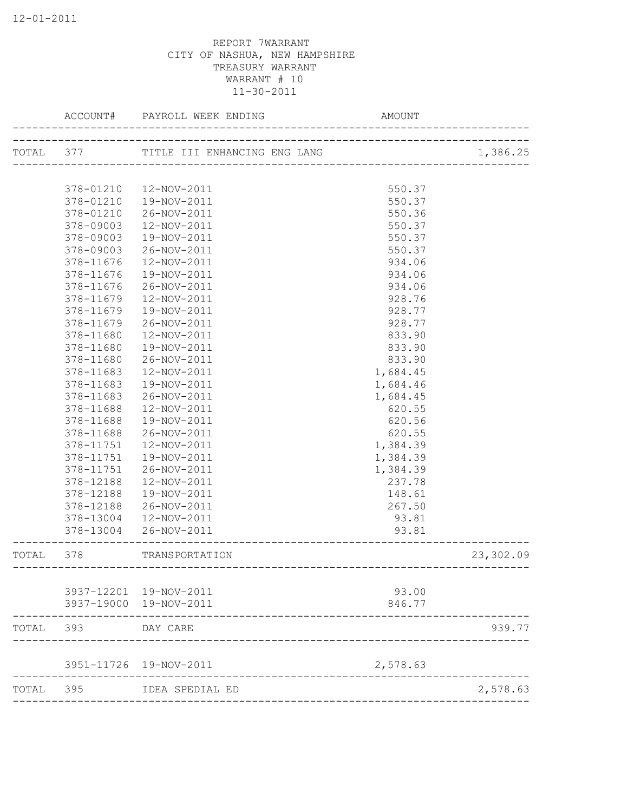|           | ACCOUNT#               | PAYROLL WEEK ENDING          | <b>AMOUNT</b>    |           |
|-----------|------------------------|------------------------------|------------------|-----------|
| TOTAL 377 |                        | TITLE III ENHANCING ENG LANG |                  | 1,386.25  |
|           |                        |                              |                  |           |
|           | 378-01210              | 12-NOV-2011                  | 550.37           |           |
|           | 378-01210              | 19-NOV-2011                  | 550.37           |           |
|           | 378-01210              | 26-NOV-2011                  | 550.36           |           |
|           | 378-09003              | 12-NOV-2011                  | 550.37           |           |
|           | 378-09003              | 19-NOV-2011                  | 550.37           |           |
|           | 378-09003              | 26-NOV-2011                  | 550.37           |           |
|           | 378-11676              | 12-NOV-2011                  | 934.06           |           |
|           | 378-11676              | 19-NOV-2011                  | 934.06           |           |
|           | 378-11676              | 26-NOV-2011                  | 934.06           |           |
|           | 378-11679              | 12-NOV-2011                  | 928.76           |           |
|           | 378-11679              | 19-NOV-2011                  | 928.77           |           |
|           | 378-11679              | 26-NOV-2011                  | 928.77           |           |
|           | 378-11680              | 12-NOV-2011                  | 833.90           |           |
|           | 378-11680              | 19-NOV-2011                  | 833.90           |           |
|           | 378-11680              | 26-NOV-2011                  | 833.90           |           |
|           | 378-11683              | 12-NOV-2011                  | 1,684.45         |           |
|           | 378-11683              | 19-NOV-2011                  | 1,684.46         |           |
|           | 378-11683<br>378-11688 | 26-NOV-2011                  | 1,684.45         |           |
|           |                        | 12-NOV-2011                  | 620.55           |           |
|           | 378-11688<br>378-11688 | 19-NOV-2011<br>26-NOV-2011   | 620.56<br>620.55 |           |
|           | 378-11751              | 12-NOV-2011                  | 1,384.39         |           |
|           | 378-11751              | 19-NOV-2011                  | 1,384.39         |           |
|           | 378-11751              | 26-NOV-2011                  | 1,384.39         |           |
|           | 378-12188              | 12-NOV-2011                  | 237.78           |           |
|           | 378-12188              | 19-NOV-2011                  | 148.61           |           |
|           | 378-12188              | 26-NOV-2011                  | 267.50           |           |
|           | 378-13004              | 12-NOV-2011                  | 93.81            |           |
|           | 378-13004              | 26-NOV-2011                  | 93.81            |           |
|           |                        |                              |                  |           |
| TOTAL     | 378                    | TRANSPORTATION               |                  | 23,302.09 |
|           |                        |                              |                  |           |
|           |                        | 3937-12201 19-NOV-2011       | 93.00            |           |
|           |                        | 3937-19000 19-NOV-2011       | 846.77           |           |
| TOTAL     | 393                    | DAY CARE                     |                  | 939.77    |
|           | 3951-11726             | 19-NOV-2011                  | 2,578.63         |           |
| TOTAL     | 395                    | IDEA SPEDIAL ED              |                  | 2,578.63  |
|           |                        |                              |                  |           |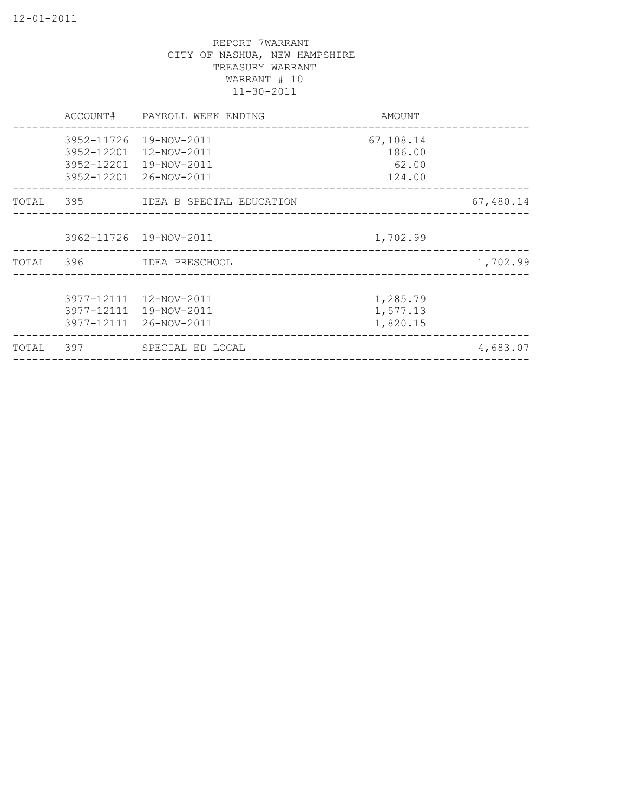|           | ACCOUNT#                 | PAYROLL WEEK ENDING                                                            | AMOUNT                                 |           |
|-----------|--------------------------|--------------------------------------------------------------------------------|----------------------------------------|-----------|
|           | 3952-12201<br>3952-12201 | 3952-11726 19-NOV-2011<br>12-NOV-2011<br>19-NOV-2011<br>3952-12201 26-NOV-2011 | 67,108.14<br>186.00<br>62.00<br>124.00 |           |
| TOTAL 395 |                          | IDEA B SPECIAL EDUCATION                                                       |                                        | 67,480.14 |
|           |                          | 3962-11726 19-NOV-2011                                                         | 1,702.99                               |           |
| TOTAL     |                          |                                                                                |                                        | 1,702.99  |
|           | 3977-12111<br>3977-12111 | 3977-12111 12-NOV-2011<br>19-NOV-2011<br>26-NOV-2011                           | 1,285.79<br>1,577.13<br>1,820.15       |           |
| TOTAL     | 397                      | SPECIAL ED LOCAL                                                               |                                        | 4,683.07  |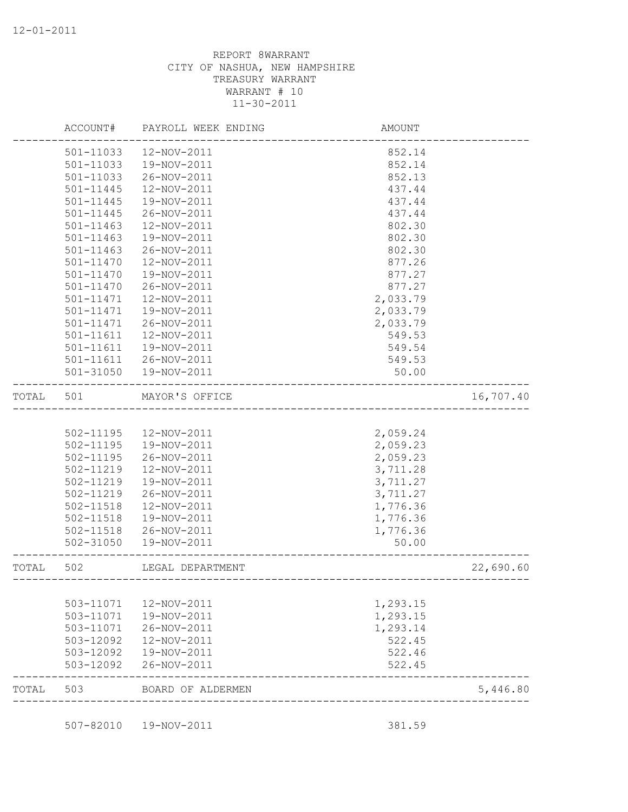| 501-11033<br>501-11033<br>501-11033<br>$501 - 11445$<br>501-11445<br>501-11445<br>501-11463 | 12-NOV-2011<br>19-NOV-2011<br>26-NOV-2011<br>12-NOV-2011<br>19-NOV-2011<br>26-NOV-2011      | 852.14<br>852.14<br>852.13<br>437.44<br>437.44                                                                                                                                                                                                                                                                                                                                                                                                                |                                                                                                       |
|---------------------------------------------------------------------------------------------|---------------------------------------------------------------------------------------------|---------------------------------------------------------------------------------------------------------------------------------------------------------------------------------------------------------------------------------------------------------------------------------------------------------------------------------------------------------------------------------------------------------------------------------------------------------------|-------------------------------------------------------------------------------------------------------|
|                                                                                             |                                                                                             |                                                                                                                                                                                                                                                                                                                                                                                                                                                               |                                                                                                       |
|                                                                                             |                                                                                             |                                                                                                                                                                                                                                                                                                                                                                                                                                                               |                                                                                                       |
|                                                                                             |                                                                                             |                                                                                                                                                                                                                                                                                                                                                                                                                                                               |                                                                                                       |
|                                                                                             |                                                                                             |                                                                                                                                                                                                                                                                                                                                                                                                                                                               |                                                                                                       |
|                                                                                             |                                                                                             |                                                                                                                                                                                                                                                                                                                                                                                                                                                               |                                                                                                       |
|                                                                                             |                                                                                             | 437.44                                                                                                                                                                                                                                                                                                                                                                                                                                                        |                                                                                                       |
|                                                                                             | 12-NOV-2011                                                                                 | 802.30                                                                                                                                                                                                                                                                                                                                                                                                                                                        |                                                                                                       |
|                                                                                             |                                                                                             |                                                                                                                                                                                                                                                                                                                                                                                                                                                               |                                                                                                       |
| 501-11463                                                                                   |                                                                                             |                                                                                                                                                                                                                                                                                                                                                                                                                                                               |                                                                                                       |
| 501-11470                                                                                   |                                                                                             | 877.26                                                                                                                                                                                                                                                                                                                                                                                                                                                        |                                                                                                       |
| 501-11470                                                                                   |                                                                                             | 877.27                                                                                                                                                                                                                                                                                                                                                                                                                                                        |                                                                                                       |
| 501-11470                                                                                   |                                                                                             | 877.27                                                                                                                                                                                                                                                                                                                                                                                                                                                        |                                                                                                       |
| 501-11471                                                                                   |                                                                                             | 2,033.79                                                                                                                                                                                                                                                                                                                                                                                                                                                      |                                                                                                       |
| 501-11471                                                                                   |                                                                                             | 2,033.79                                                                                                                                                                                                                                                                                                                                                                                                                                                      |                                                                                                       |
| 501-11471                                                                                   |                                                                                             | 2,033.79                                                                                                                                                                                                                                                                                                                                                                                                                                                      |                                                                                                       |
| 501-11611                                                                                   |                                                                                             | 549.53                                                                                                                                                                                                                                                                                                                                                                                                                                                        |                                                                                                       |
| 501-11611                                                                                   |                                                                                             | 549.54                                                                                                                                                                                                                                                                                                                                                                                                                                                        |                                                                                                       |
| 501-11611                                                                                   |                                                                                             | 549.53                                                                                                                                                                                                                                                                                                                                                                                                                                                        |                                                                                                       |
| 501-31050                                                                                   |                                                                                             | 50.00                                                                                                                                                                                                                                                                                                                                                                                                                                                         |                                                                                                       |
| 501                                                                                         |                                                                                             |                                                                                                                                                                                                                                                                                                                                                                                                                                                               | 16,707.40                                                                                             |
|                                                                                             |                                                                                             |                                                                                                                                                                                                                                                                                                                                                                                                                                                               |                                                                                                       |
| 502-11195                                                                                   |                                                                                             | 2,059.24                                                                                                                                                                                                                                                                                                                                                                                                                                                      |                                                                                                       |
| 502-11195                                                                                   |                                                                                             | 2,059.23                                                                                                                                                                                                                                                                                                                                                                                                                                                      |                                                                                                       |
| 502-11195                                                                                   |                                                                                             | 2,059.23                                                                                                                                                                                                                                                                                                                                                                                                                                                      |                                                                                                       |
| 502-11219                                                                                   |                                                                                             | 3,711.28                                                                                                                                                                                                                                                                                                                                                                                                                                                      |                                                                                                       |
| 502-11219                                                                                   |                                                                                             | 3,711.27                                                                                                                                                                                                                                                                                                                                                                                                                                                      |                                                                                                       |
| 502-11219                                                                                   |                                                                                             | 3,711.27                                                                                                                                                                                                                                                                                                                                                                                                                                                      |                                                                                                       |
| 502-11518                                                                                   | 12-NOV-2011                                                                                 | 1,776.36                                                                                                                                                                                                                                                                                                                                                                                                                                                      |                                                                                                       |
| 502-11518                                                                                   |                                                                                             | 1,776.36                                                                                                                                                                                                                                                                                                                                                                                                                                                      |                                                                                                       |
| 502-11518                                                                                   |                                                                                             | 1,776.36                                                                                                                                                                                                                                                                                                                                                                                                                                                      |                                                                                                       |
|                                                                                             | 19-NOV-2011                                                                                 | 50.00                                                                                                                                                                                                                                                                                                                                                                                                                                                         |                                                                                                       |
| 502                                                                                         |                                                                                             |                                                                                                                                                                                                                                                                                                                                                                                                                                                               | 22,690.60                                                                                             |
|                                                                                             |                                                                                             |                                                                                                                                                                                                                                                                                                                                                                                                                                                               |                                                                                                       |
| 503-11071                                                                                   |                                                                                             | 1,293.15                                                                                                                                                                                                                                                                                                                                                                                                                                                      |                                                                                                       |
|                                                                                             |                                                                                             |                                                                                                                                                                                                                                                                                                                                                                                                                                                               |                                                                                                       |
|                                                                                             |                                                                                             |                                                                                                                                                                                                                                                                                                                                                                                                                                                               |                                                                                                       |
|                                                                                             |                                                                                             |                                                                                                                                                                                                                                                                                                                                                                                                                                                               |                                                                                                       |
|                                                                                             |                                                                                             |                                                                                                                                                                                                                                                                                                                                                                                                                                                               |                                                                                                       |
|                                                                                             |                                                                                             | 522.45                                                                                                                                                                                                                                                                                                                                                                                                                                                        |                                                                                                       |
| 503                                                                                         |                                                                                             |                                                                                                                                                                                                                                                                                                                                                                                                                                                               | 5,446.80                                                                                              |
|                                                                                             | $501 - 11463$<br>502-31050<br>503-11071<br>503-11071<br>503-12092<br>503-12092<br>503-12092 | 19-NOV-2011<br>26-NOV-2011<br>12-NOV-2011<br>19-NOV-2011<br>26-NOV-2011<br>12-NOV-2011<br>19-NOV-2011<br>26-NOV-2011<br>12-NOV-2011<br>19-NOV-2011<br>26-NOV-2011<br>19-NOV-2011<br>MAYOR'S OFFICE<br>12-NOV-2011<br>19-NOV-2011<br>26-NOV-2011<br>12-NOV-2011<br>19-NOV-2011<br>26-NOV-2011<br>19-NOV-2011<br>26-NOV-2011<br>LEGAL DEPARTMENT<br>12-NOV-2011<br>19-NOV-2011<br>26-NOV-2011<br>12-NOV-2011<br>19-NOV-2011<br>26-NOV-2011<br>BOARD OF ALDERMEN | 802.30<br>802.30<br>-------------------------------------<br>1,293.15<br>1,293.14<br>522.45<br>522.46 |

507-82010 19-NOV-2011 381.59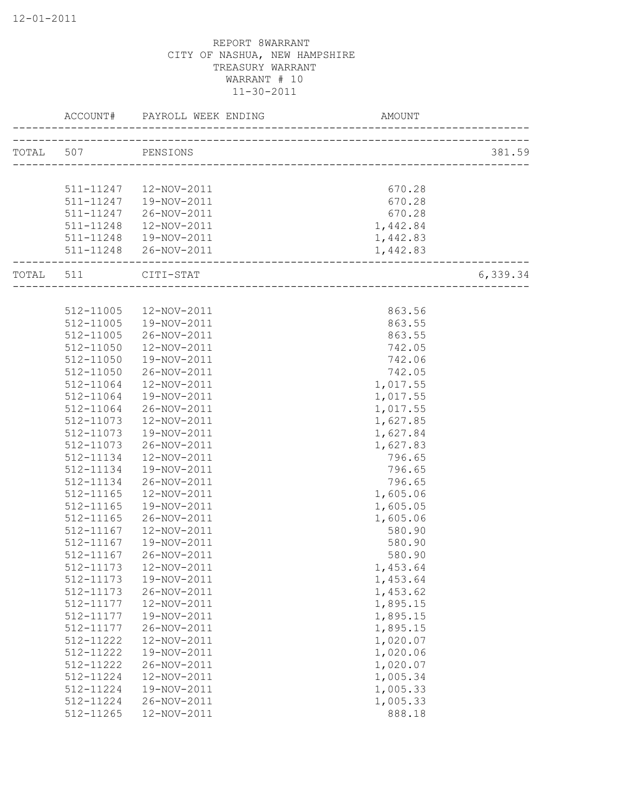|           | ACCOUNT#           | PAYROLL WEEK ENDING | <b>AMOUNT</b>                  |          |
|-----------|--------------------|---------------------|--------------------------------|----------|
|           | TOTAL 507 PENSIONS |                     |                                | 381.59   |
|           |                    |                     |                                |          |
|           | 511-11247          | 12-NOV-2011         | 670.28                         |          |
|           | 511-11247          | 19-NOV-2011         | 670.28                         |          |
|           | 511-11247          | 26-NOV-2011         | 670.28                         |          |
|           | 511-11248          | 12-NOV-2011         | 1,442.84                       |          |
|           | 511-11248          | 19-NOV-2011         | 1,442.83                       |          |
|           | 511-11248          | 26-NOV-2011         | 1,442.83                       |          |
| TOTAL 511 |                    | CITI-STAT           | ______________________________ | 6,339.34 |
|           |                    |                     |                                |          |
|           | 512-11005          | 12-NOV-2011         | 863.56                         |          |
|           | 512-11005          | 19-NOV-2011         | 863.55                         |          |
|           | 512-11005          | 26-NOV-2011         | 863.55                         |          |
|           | 512-11050          | 12-NOV-2011         | 742.05                         |          |
|           | 512-11050          | 19-NOV-2011         | 742.06                         |          |
|           | 512-11050          | 26-NOV-2011         | 742.05                         |          |
|           | 512-11064          | 12-NOV-2011         | 1,017.55                       |          |
|           | 512-11064          | 19-NOV-2011         | 1,017.55                       |          |
|           | 512-11064          | 26-NOV-2011         | 1,017.55                       |          |
|           | 512-11073          | 12-NOV-2011         | 1,627.85                       |          |
|           | 512-11073          | 19-NOV-2011         | 1,627.84                       |          |
|           | 512-11073          | 26-NOV-2011         | 1,627.83                       |          |
|           | 512-11134          | 12-NOV-2011         | 796.65                         |          |
|           | 512-11134          | 19-NOV-2011         | 796.65                         |          |
|           | 512-11134          | 26-NOV-2011         | 796.65                         |          |
|           | 512-11165          | 12-NOV-2011         | 1,605.06                       |          |
|           | 512-11165          | 19-NOV-2011         | 1,605.05                       |          |
|           | 512-11165          | 26-NOV-2011         | 1,605.06                       |          |
|           | 512-11167          | 12-NOV-2011         | 580.90                         |          |
|           | 512-11167          | 19-NOV-2011         | 580.90                         |          |
|           | 512-11167          | 26-NOV-2011         | 580.90                         |          |
|           | 512-11173          | 12-NOV-2011         | 1,453.64                       |          |
|           | 512-11173          | 19-NOV-2011         | 1,453.64                       |          |
|           | 512-11173          | 26-NOV-2011         | 1,453.62                       |          |
|           | 512-11177          | 12-NOV-2011         | 1,895.15                       |          |
|           | 512-11177          | 19-NOV-2011         | 1,895.15                       |          |
|           | 512-11177          | 26-NOV-2011         | 1,895.15                       |          |
|           | 512-11222          | 12-NOV-2011         | 1,020.07                       |          |
|           | 512-11222          | 19-NOV-2011         | 1,020.06                       |          |
|           | 512-11222          | 26-NOV-2011         | 1,020.07                       |          |
|           | 512-11224          | 12-NOV-2011         | 1,005.34                       |          |
|           | 512-11224          | 19-NOV-2011         | 1,005.33                       |          |
|           | 512-11224          | 26-NOV-2011         | 1,005.33                       |          |
|           | 512-11265          | 12-NOV-2011         | 888.18                         |          |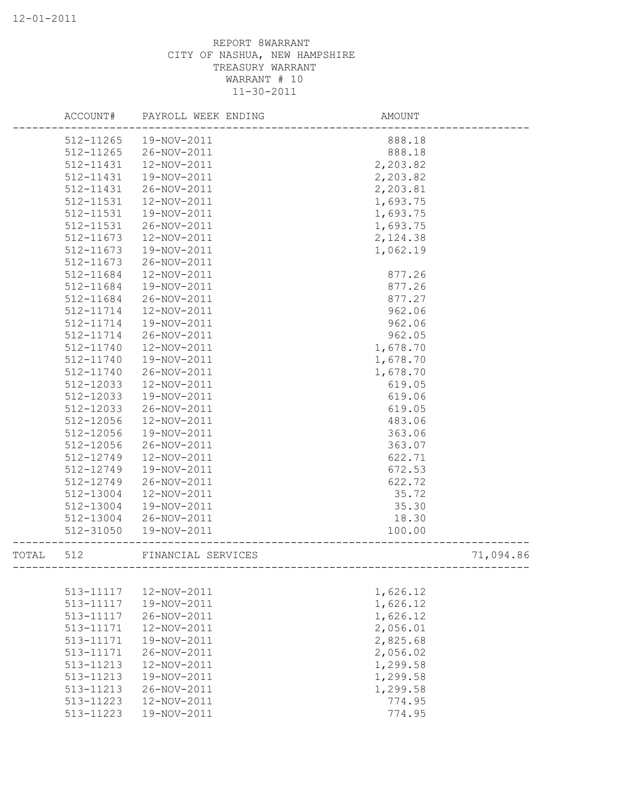|       | ACCOUNT#      | PAYROLL WEEK ENDING | AMOUNT   |           |
|-------|---------------|---------------------|----------|-----------|
|       | 512-11265     | 19-NOV-2011         | 888.18   |           |
|       | 512-11265     | 26-NOV-2011         | 888.18   |           |
|       | 512-11431     | 12-NOV-2011         | 2,203.82 |           |
|       | 512-11431     | 19-NOV-2011         | 2,203.82 |           |
|       | 512-11431     | 26-NOV-2011         | 2,203.81 |           |
|       | 512-11531     | 12-NOV-2011         | 1,693.75 |           |
|       | 512-11531     | 19-NOV-2011         | 1,693.75 |           |
|       | 512-11531     | 26-NOV-2011         | 1,693.75 |           |
|       | 512-11673     | 12-NOV-2011         | 2,124.38 |           |
|       | 512-11673     | 19-NOV-2011         | 1,062.19 |           |
|       | 512-11673     | 26-NOV-2011         |          |           |
|       | 512-11684     | 12-NOV-2011         | 877.26   |           |
|       | 512-11684     | 19-NOV-2011         | 877.26   |           |
|       | 512-11684     | 26-NOV-2011         | 877.27   |           |
|       | 512-11714     | 12-NOV-2011         | 962.06   |           |
|       | 512-11714     | 19-NOV-2011         | 962.06   |           |
|       | 512-11714     | 26-NOV-2011         | 962.05   |           |
|       | 512-11740     | 12-NOV-2011         | 1,678.70 |           |
|       | $512 - 11740$ | 19-NOV-2011         | 1,678.70 |           |
|       | 512-11740     | 26-NOV-2011         | 1,678.70 |           |
|       | 512-12033     | 12-NOV-2011         | 619.05   |           |
|       | 512-12033     | 19-NOV-2011         | 619.06   |           |
|       | 512-12033     | 26-NOV-2011         | 619.05   |           |
|       | 512-12056     | 12-NOV-2011         | 483.06   |           |
|       | 512-12056     | 19-NOV-2011         | 363.06   |           |
|       | 512-12056     | 26-NOV-2011         | 363.07   |           |
|       | 512-12749     | 12-NOV-2011         | 622.71   |           |
|       | 512-12749     | 19-NOV-2011         | 672.53   |           |
|       | 512-12749     | 26-NOV-2011         | 622.72   |           |
|       | 512-13004     | 12-NOV-2011         | 35.72    |           |
|       | 512-13004     | 19-NOV-2011         | 35.30    |           |
|       | 512-13004     | 26-NOV-2011         | 18.30    |           |
|       | 512-31050     | 19-NOV-2011         | 100.00   |           |
| TOTAL | 512           | FINANCIAL SERVICES  |          | 71,094.86 |
|       |               |                     |          |           |
|       | 513-11117     | 12-NOV-2011         | 1,626.12 |           |
|       | 513-11117     | 19-NOV-2011         | 1,626.12 |           |
|       | 513-11117     | 26-NOV-2011         | 1,626.12 |           |
|       | 513-11171     | 12-NOV-2011         | 2,056.01 |           |
|       | 513-11171     | 19-NOV-2011         | 2,825.68 |           |
|       | 513-11171     | 26-NOV-2011         | 2,056.02 |           |
|       | 513-11213     | 12-NOV-2011         | 1,299.58 |           |
|       | 513-11213     | 19-NOV-2011         | 1,299.58 |           |
|       | 513-11213     | 26-NOV-2011         | 1,299.58 |           |
|       | 513-11223     | 12-NOV-2011         | 774.95   |           |
|       | 513-11223     | 19-NOV-2011         | 774.95   |           |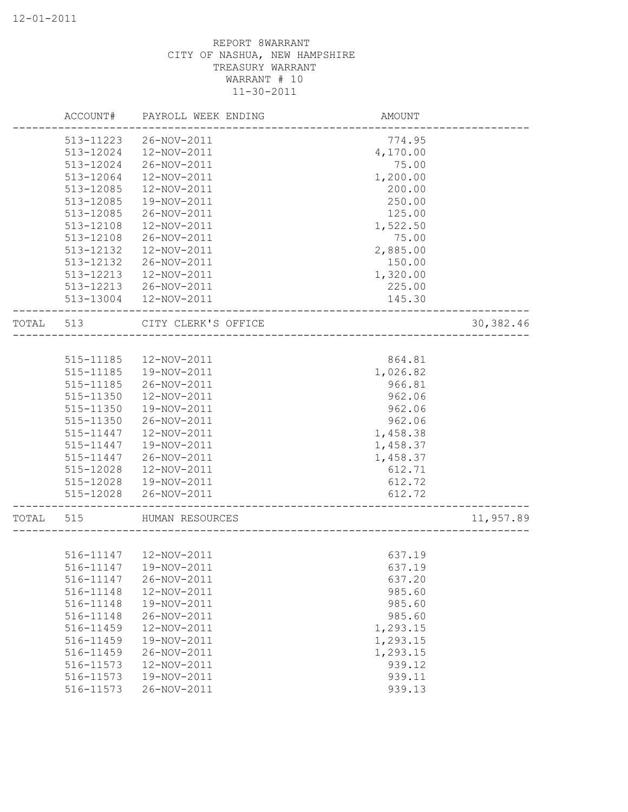|       | ACCOUNT#  | PAYROLL WEEK ENDING    | AMOUNT              |            |
|-------|-----------|------------------------|---------------------|------------|
|       | 513-11223 | 26-NOV-2011            | 774.95              |            |
|       | 513-12024 | 12-NOV-2011            | 4,170.00            |            |
|       | 513-12024 | 26-NOV-2011            | 75.00               |            |
|       | 513-12064 | 12-NOV-2011            | 1,200.00            |            |
|       | 513-12085 | 12-NOV-2011            | 200.00              |            |
|       | 513-12085 | 19-NOV-2011            | 250.00              |            |
|       | 513-12085 | 26-NOV-2011            | 125.00              |            |
|       | 513-12108 | 12-NOV-2011            | 1,522.50            |            |
|       | 513-12108 | 26-NOV-2011            | 75.00               |            |
|       | 513-12132 | 12-NOV-2011            | 2,885.00            |            |
|       | 513-12132 | 26-NOV-2011            | 150.00              |            |
|       | 513-12213 | 12-NOV-2011            | 1,320.00            |            |
|       | 513-12213 | 26-NOV-2011            | 225.00              |            |
|       | 513-13004 | 12-NOV-2011            | 145.30              |            |
| TOTAL | 513       | CITY CLERK'S OFFICE    | ------------------- | 30, 382.46 |
|       |           |                        |                     |            |
|       | 515-11185 | 12-NOV-2011            | 864.81              |            |
|       | 515-11185 | 19-NOV-2011            | 1,026.82            |            |
|       | 515-11185 | 26-NOV-2011            | 966.81              |            |
|       | 515-11350 | 12-NOV-2011            | 962.06              |            |
|       | 515-11350 | 19-NOV-2011            | 962.06              |            |
|       | 515-11350 | 26-NOV-2011            | 962.06              |            |
|       | 515-11447 | 12-NOV-2011            | 1,458.38            |            |
|       | 515-11447 | 19-NOV-2011            | 1,458.37            |            |
|       | 515-11447 | 26-NOV-2011            | 1,458.37            |            |
|       | 515-12028 | 12-NOV-2011            | 612.71              |            |
|       | 515-12028 | 19-NOV-2011            | 612.72              |            |
|       | 515-12028 | 26-NOV-2011            | 612.72              |            |
| TOTAL | 515       | HUMAN RESOURCES        |                     | 11,957.89  |
|       |           |                        |                     |            |
|       |           | 516-11147  12-NOV-2011 | 637.19              |            |
|       | 516-11147 | 19-NOV-2011            | 637.19              |            |
|       | 516-11147 | 26-NOV-2011            | 637.20              |            |
|       | 516-11148 | 12-NOV-2011            | 985.60              |            |
|       | 516-11148 | 19-NOV-2011            | 985.60              |            |
|       | 516-11148 | 26-NOV-2011            | 985.60              |            |
|       | 516-11459 | 12-NOV-2011            | 1,293.15            |            |
|       | 516-11459 | 19-NOV-2011            | 1,293.15            |            |
|       | 516-11459 | 26-NOV-2011            | 1,293.15            |            |
|       | 516-11573 | 12-NOV-2011            | 939.12              |            |
|       | 516-11573 | 19-NOV-2011            | 939.11              |            |
|       | 516-11573 | 26-NOV-2011            | 939.13              |            |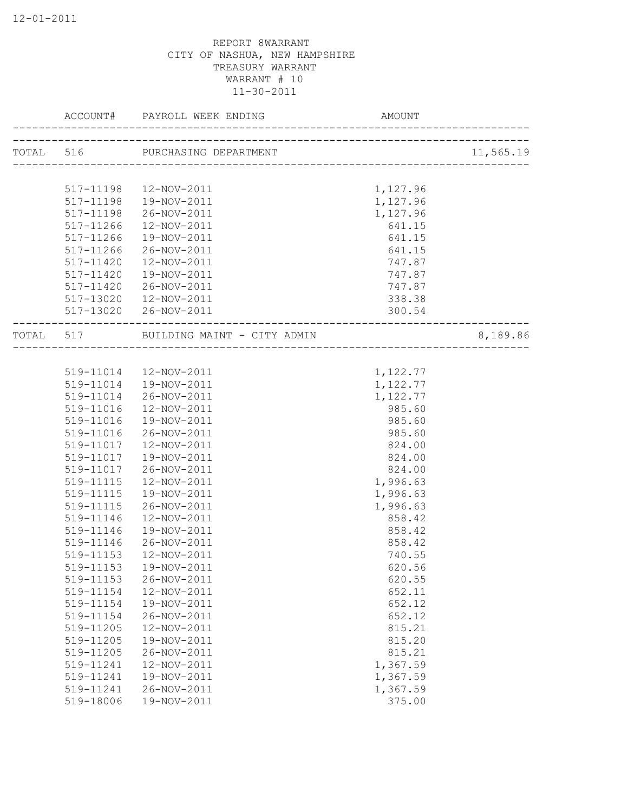|       |           | TOTAL 516 PURCHASING DEPARTMENT |          | 11,565.19 |
|-------|-----------|---------------------------------|----------|-----------|
|       |           |                                 |          |           |
|       | 517-11198 | 12-NOV-2011                     | 1,127.96 |           |
|       | 517-11198 | 19-NOV-2011                     | 1,127.96 |           |
|       | 517-11198 | 26-NOV-2011                     | 1,127.96 |           |
|       | 517-11266 | 12-NOV-2011                     | 641.15   |           |
|       | 517-11266 | 19-NOV-2011                     | 641.15   |           |
|       | 517-11266 | 26-NOV-2011                     | 641.15   |           |
|       | 517-11420 | 12-NOV-2011                     | 747.87   |           |
|       | 517-11420 | 19-NOV-2011                     | 747.87   |           |
|       | 517-11420 | 26-NOV-2011                     | 747.87   |           |
|       |           | 517-13020  12-NOV-2011          | 338.38   |           |
|       |           | 517-13020 26-NOV-2011           | 300.54   |           |
| TOTAL |           | 517 BUILDING MAINT - CITY ADMIN |          | 8,189.86  |
|       |           |                                 |          |           |
|       |           | 519-11014  12-NOV-2011          | 1,122.77 |           |
|       |           | 519-11014  19-NOV-2011          | 1,122.77 |           |
|       | 519-11014 | 26-NOV-2011                     | 1,122.77 |           |
|       | 519-11016 | 12-NOV-2011                     | 985.60   |           |
|       | 519-11016 | 19-NOV-2011                     | 985.60   |           |
|       | 519-11016 | 26-NOV-2011                     | 985.60   |           |
|       | 519-11017 | 12-NOV-2011                     | 824.00   |           |
|       | 519-11017 | 19-NOV-2011                     | 824.00   |           |
|       | 519-11017 | 26-NOV-2011                     | 824.00   |           |
|       | 519-11115 | 12-NOV-2011                     | 1,996.63 |           |
|       | 519-11115 | 19-NOV-2011                     | 1,996.63 |           |
|       | 519-11115 | 26-NOV-2011                     | 1,996.63 |           |
|       | 519-11146 | 12-NOV-2011                     | 858.42   |           |
|       | 519-11146 | 19-NOV-2011                     | 858.42   |           |
|       | 519-11146 | 26-NOV-2011                     | 858.42   |           |
|       | 519-11153 | 12-NOV-2011                     | 740.55   |           |
|       | 519-11153 | 19-NOV-2011                     | 620.56   |           |
|       | 519-11153 | 26-NOV-2011                     | 620.55   |           |
|       | 519-11154 | 12-NOV-2011                     | 652.11   |           |
|       | 519-11154 | 19-NOV-2011                     | 652.12   |           |
|       | 519-11154 | 26-NOV-2011                     | 652.12   |           |
|       | 519-11205 | 12-NOV-2011                     | 815.21   |           |
|       | 519-11205 | 19-NOV-2011                     | 815.20   |           |
|       | 519-11205 | 26-NOV-2011                     | 815.21   |           |
|       | 519-11241 | 12-NOV-2011                     | 1,367.59 |           |
|       | 519-11241 | 19-NOV-2011                     | 1,367.59 |           |
|       | 519-11241 | 26-NOV-2011                     | 1,367.59 |           |
|       | 519-18006 | 19-NOV-2011                     | 375.00   |           |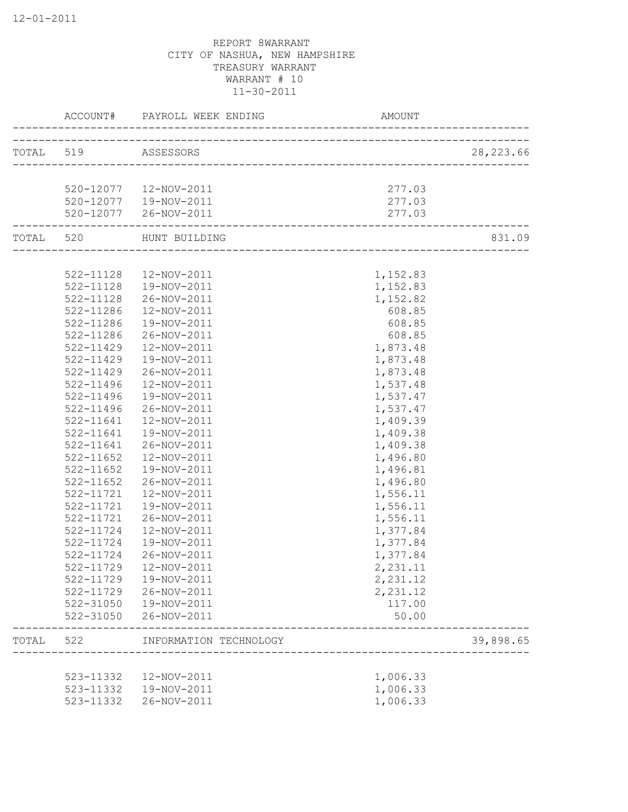|       |                     | ACCOUNT# PAYROLL WEEK ENDING<br>------------------ | AMOUNT                      |            |
|-------|---------------------|----------------------------------------------------|-----------------------------|------------|
|       | TOTAL 519 ASSESSORS |                                                    |                             | 28, 223.66 |
|       |                     | _________________________________                  |                             |            |
|       |                     | 520-12077  12-NOV-2011                             | 277.03                      |            |
|       |                     | 520-12077  19-NOV-2011                             | 277.03                      |            |
|       |                     | 520-12077 26-NOV-2011                              | 277.03                      |            |
|       | TOTAL 520           | HUNT BUILDING                                      | ___________________________ | 831.09     |
|       |                     |                                                    |                             |            |
|       | 522-11128           | 12-NOV-2011                                        | 1,152.83                    |            |
|       | 522-11128           | 19-NOV-2011                                        | 1,152.83                    |            |
|       | 522-11128           | 26-NOV-2011                                        | 1,152.82                    |            |
|       | 522-11286           | 12-NOV-2011                                        | 608.85                      |            |
|       | $522 - 11286$       | 19-NOV-2011                                        | 608.85                      |            |
|       | 522-11286           | 26-NOV-2011                                        | 608.85                      |            |
|       | 522-11429           | 12-NOV-2011                                        | 1,873.48                    |            |
|       | $522 - 11429$       | 19-NOV-2011                                        | 1,873.48                    |            |
|       | $522 - 11429$       | 26-NOV-2011                                        | 1,873.48                    |            |
|       | 522-11496           | 12-NOV-2011                                        | 1,537.48                    |            |
|       | 522-11496           | 19-NOV-2011                                        | 1,537.47                    |            |
|       | 522-11496           | 26-NOV-2011                                        | 1,537.47                    |            |
|       | 522-11641           | 12-NOV-2011                                        | 1,409.39                    |            |
|       | 522-11641           | 19-NOV-2011                                        | 1,409.38                    |            |
|       | 522-11641           | 26-NOV-2011                                        | 1,409.38                    |            |
|       | 522-11652           | 12-NOV-2011                                        | 1,496.80                    |            |
|       | 522-11652           | 19-NOV-2011                                        | 1,496.81                    |            |
|       | $522 - 11652$       | 26-NOV-2011                                        | 1,496.80                    |            |
|       | 522-11721           | 12-NOV-2011                                        | 1,556.11                    |            |
|       | 522-11721           | 19-NOV-2011                                        | 1,556.11                    |            |
|       | 522-11721           | 26-NOV-2011                                        | 1,556.11                    |            |
|       | 522-11724           | 12-NOV-2011                                        | 1,377.84                    |            |
|       | 522-11724           | 19-NOV-2011                                        | 1,377.84                    |            |
|       | 522-11724           | 26-NOV-2011                                        | 1,377.84                    |            |
|       | 522-11729           | 12-NOV-2011                                        | 2,231.11                    |            |
|       | 522-11729           | 19-NOV-2011                                        | 2,231.12                    |            |
|       | 522-11729           | 26-NOV-2011                                        | 2,231.12                    |            |
|       | 522-31050           | 19-NOV-2011                                        | 117.00                      |            |
|       | 522-31050           | 26-NOV-2011                                        | 50.00                       |            |
| TOTAL | 522                 | INFORMATION TECHNOLOGY                             |                             | 39,898.65  |
|       | 523-11332           | 12-NOV-2011                                        | 1,006.33                    |            |
|       | 523-11332           | 19-NOV-2011                                        | 1,006.33                    |            |
|       | 523-11332           | 26-NOV-2011                                        | 1,006.33                    |            |
|       |                     |                                                    |                             |            |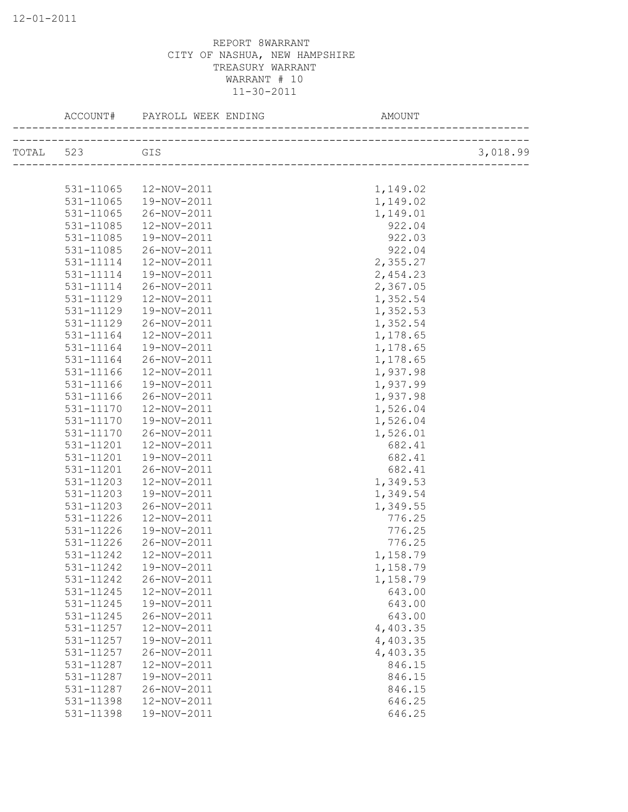|               | ACCOUNT# PAYROLL WEEK ENDING | AMOUNT   |          |
|---------------|------------------------------|----------|----------|
| TOTAL 523 GIS |                              |          | 3,018.99 |
|               |                              |          |          |
| 531-11065     | 12-NOV-2011                  | 1,149.02 |          |
| 531-11065     | 19-NOV-2011                  | 1,149.02 |          |
| 531-11065     | 26-NOV-2011                  | 1,149.01 |          |
| 531-11085     | 12-NOV-2011                  | 922.04   |          |
| 531-11085     | 19-NOV-2011                  | 922.03   |          |
| 531-11085     | 26-NOV-2011                  | 922.04   |          |
| 531-11114     | 12-NOV-2011                  | 2,355.27 |          |
| 531-11114     | 19-NOV-2011                  | 2,454.23 |          |
| 531-11114     | 26-NOV-2011                  | 2,367.05 |          |
| 531-11129     | 12-NOV-2011                  | 1,352.54 |          |
| 531-11129     | 19-NOV-2011                  | 1,352.53 |          |
| 531-11129     | 26-NOV-2011                  | 1,352.54 |          |
| 531-11164     | 12-NOV-2011                  | 1,178.65 |          |
| 531-11164     | 19-NOV-2011                  | 1,178.65 |          |
| 531-11164     | 26-NOV-2011                  | 1,178.65 |          |
| 531-11166     | 12-NOV-2011                  | 1,937.98 |          |
| 531-11166     | 19-NOV-2011                  | 1,937.99 |          |
| 531-11166     | 26-NOV-2011                  | 1,937.98 |          |
| 531-11170     | 12-NOV-2011                  | 1,526.04 |          |
| 531-11170     | 19-NOV-2011                  | 1,526.04 |          |
| 531-11170     | 26-NOV-2011                  | 1,526.01 |          |
| 531-11201     | 12-NOV-2011                  | 682.41   |          |
| 531-11201     | 19-NOV-2011                  | 682.41   |          |
| 531-11201     | 26-NOV-2011                  | 682.41   |          |
| 531-11203     | 12-NOV-2011                  | 1,349.53 |          |
| 531-11203     | 19-NOV-2011                  | 1,349.54 |          |
| 531-11203     | 26-NOV-2011                  | 1,349.55 |          |
| 531-11226     | 12-NOV-2011                  | 776.25   |          |
| 531-11226     | 19-NOV-2011                  | 776.25   |          |
| 531-11226     | 26-NOV-2011                  | 776.25   |          |
| 531-11242     | 12-NOV-2011                  | 1,158.79 |          |
|               | 531-11242  19-NOV-2011       | 1,158.79 |          |
| 531-11242     | 26-NOV-2011                  | 1,158.79 |          |
| 531-11245     | 12-NOV-2011                  | 643.00   |          |
| 531-11245     | 19-NOV-2011                  | 643.00   |          |
| 531-11245     | 26-NOV-2011                  | 643.00   |          |
| 531-11257     | 12-NOV-2011                  | 4,403.35 |          |
| 531-11257     | 19-NOV-2011                  | 4,403.35 |          |
| 531-11257     | 26-NOV-2011                  | 4,403.35 |          |
| 531-11287     | 12-NOV-2011                  | 846.15   |          |
| 531-11287     | 19-NOV-2011                  | 846.15   |          |
| 531-11287     | 26-NOV-2011                  | 846.15   |          |
| 531-11398     | 12-NOV-2011                  | 646.25   |          |
| 531-11398     | 19-NOV-2011                  | 646.25   |          |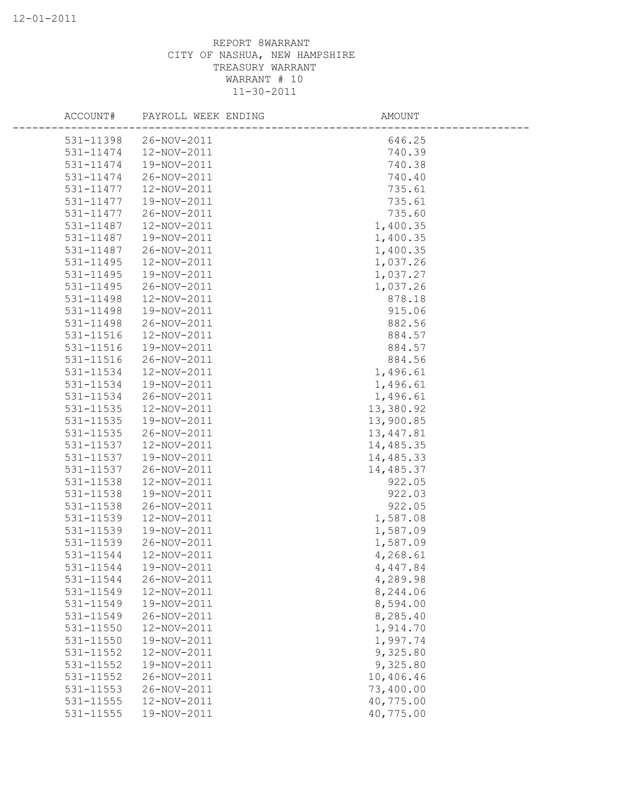| ACCOUNT#  | PAYROLL WEEK ENDING   | AMOUNT    |  |
|-----------|-----------------------|-----------|--|
|           | 531-11398 26-NOV-2011 | 646.25    |  |
| 531-11474 | 12-NOV-2011           | 740.39    |  |
| 531-11474 | 19-NOV-2011           | 740.38    |  |
| 531-11474 | 26-NOV-2011           | 740.40    |  |
| 531-11477 | 12-NOV-2011           | 735.61    |  |
| 531-11477 | 19-NOV-2011           | 735.61    |  |
| 531-11477 | 26-NOV-2011           | 735.60    |  |
| 531-11487 | 12-NOV-2011           | 1,400.35  |  |
| 531-11487 | 19-NOV-2011           | 1,400.35  |  |
| 531-11487 | 26-NOV-2011           | 1,400.35  |  |
| 531-11495 | 12-NOV-2011           | 1,037.26  |  |
| 531-11495 | 19-NOV-2011           | 1,037.27  |  |
| 531-11495 | 26-NOV-2011           | 1,037.26  |  |
| 531-11498 | 12-NOV-2011           | 878.18    |  |
| 531-11498 | 19-NOV-2011           | 915.06    |  |
| 531-11498 | 26-NOV-2011           | 882.56    |  |
| 531-11516 | 12-NOV-2011           | 884.57    |  |
| 531-11516 | 19-NOV-2011           | 884.57    |  |
| 531-11516 | 26-NOV-2011           | 884.56    |  |
| 531-11534 | 12-NOV-2011           | 1,496.61  |  |
| 531-11534 | 19-NOV-2011           | 1,496.61  |  |
| 531-11534 | 26-NOV-2011           | 1,496.61  |  |
| 531-11535 | 12-NOV-2011           | 13,380.92 |  |
| 531-11535 | 19-NOV-2011           | 13,900.85 |  |
| 531-11535 | 26-NOV-2011           | 13,447.81 |  |
| 531-11537 | 12-NOV-2011           | 14,485.35 |  |
| 531-11537 | 19-NOV-2011           | 14,485.33 |  |
| 531-11537 | 26-NOV-2011           | 14,485.37 |  |
| 531-11538 | 12-NOV-2011           | 922.05    |  |
| 531-11538 | 19-NOV-2011           | 922.03    |  |
| 531-11538 | 26-NOV-2011           | 922.05    |  |
| 531-11539 | 12-NOV-2011           | 1,587.08  |  |
| 531-11539 | 19-NOV-2011           | 1,587.09  |  |
| 531-11539 | 26-NOV-2011           | 1,587.09  |  |
| 531-11544 | 12-NOV-2011           | 4,268.61  |  |
| 531-11544 | 19-NOV-2011           | 4,447.84  |  |
| 531-11544 | 26-NOV-2011           | 4,289.98  |  |
| 531-11549 | 12-NOV-2011           | 8,244.06  |  |
| 531-11549 | 19-NOV-2011           | 8,594.00  |  |
| 531-11549 | 26-NOV-2011           | 8,285.40  |  |
| 531-11550 | 12-NOV-2011           | 1,914.70  |  |
| 531-11550 | 19-NOV-2011           | 1,997.74  |  |
| 531-11552 | 12-NOV-2011           | 9,325.80  |  |
| 531-11552 | 19-NOV-2011           | 9,325.80  |  |
| 531-11552 | 26-NOV-2011           | 10,406.46 |  |
| 531-11553 | 26-NOV-2011           | 73,400.00 |  |
| 531-11555 | 12-NOV-2011           | 40,775.00 |  |
| 531-11555 | 19-NOV-2011           | 40,775.00 |  |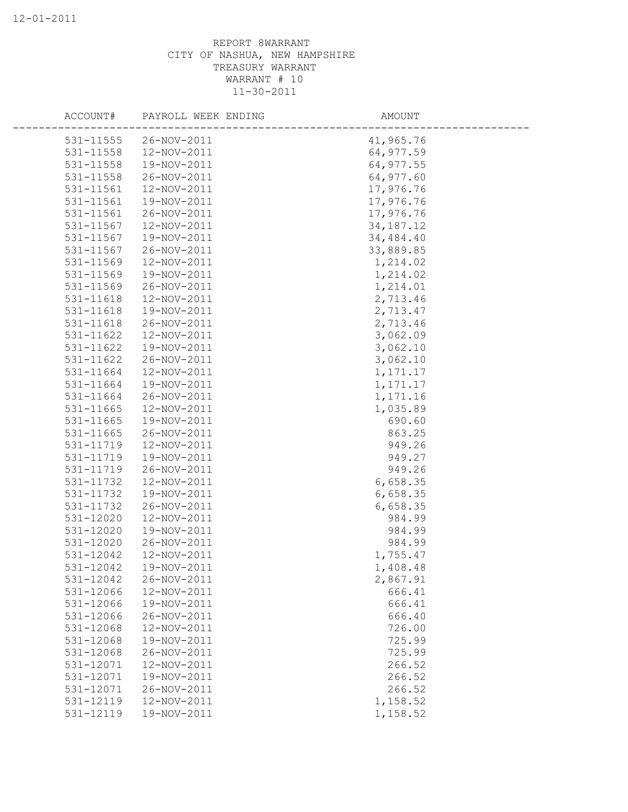| ACCOUNT#  | PAYROLL WEEK ENDING | AMOUNT      |  |
|-----------|---------------------|-------------|--|
| 531-11555 | 26-NOV-2011         | 41,965.76   |  |
| 531-11558 | 12-NOV-2011         | 64,977.59   |  |
| 531-11558 | 19-NOV-2011         | 64,977.55   |  |
| 531-11558 | 26-NOV-2011         | 64,977.60   |  |
| 531-11561 | 12-NOV-2011         | 17,976.76   |  |
| 531-11561 | 19-NOV-2011         | 17,976.76   |  |
| 531-11561 | 26-NOV-2011         | 17,976.76   |  |
| 531-11567 | 12-NOV-2011         | 34, 187. 12 |  |
| 531-11567 | 19-NOV-2011         | 34,484.40   |  |
| 531-11567 | 26-NOV-2011         | 33,889.85   |  |
| 531-11569 | 12-NOV-2011         | 1,214.02    |  |
| 531-11569 | 19-NOV-2011         | 1,214.02    |  |
| 531-11569 | 26-NOV-2011         | 1,214.01    |  |
| 531-11618 | 12-NOV-2011         | 2,713.46    |  |
| 531-11618 | 19-NOV-2011         | 2,713.47    |  |
| 531-11618 | 26-NOV-2011         | 2,713.46    |  |
| 531-11622 | 12-NOV-2011         | 3,062.09    |  |
| 531-11622 | 19-NOV-2011         | 3,062.10    |  |
| 531-11622 | 26-NOV-2011         | 3,062.10    |  |
| 531-11664 | 12-NOV-2011         | 1, 171. 17  |  |
| 531-11664 | 19-NOV-2011         | 1, 171. 17  |  |
| 531-11664 | 26-NOV-2011         | 1,171.16    |  |
| 531-11665 | 12-NOV-2011         | 1,035.89    |  |
| 531-11665 | 19-NOV-2011         | 690.60      |  |
| 531-11665 | 26-NOV-2011         | 863.25      |  |
| 531-11719 | 12-NOV-2011         | 949.26      |  |
| 531-11719 | 19-NOV-2011         | 949.27      |  |
| 531-11719 | 26-NOV-2011         | 949.26      |  |
| 531-11732 | 12-NOV-2011         | 6,658.35    |  |
| 531-11732 | 19-NOV-2011         | 6,658.35    |  |
| 531-11732 | 26-NOV-2011         | 6,658.35    |  |
| 531-12020 | 12-NOV-2011         | 984.99      |  |
| 531-12020 | 19-NOV-2011         | 984.99      |  |
| 531-12020 | 26-NOV-2011         | 984.99      |  |
| 531-12042 | 12-NOV-2011         | 1,755.47    |  |
| 531-12042 | 19-NOV-2011         | 1,408.48    |  |
| 531-12042 | 26-NOV-2011         | 2,867.91    |  |
| 531-12066 | 12-NOV-2011         | 666.41      |  |
| 531-12066 | 19-NOV-2011         | 666.41      |  |
| 531-12066 | 26-NOV-2011         | 666.40      |  |
| 531-12068 | 12-NOV-2011         | 726.00      |  |
| 531-12068 | 19-NOV-2011         | 725.99      |  |
| 531-12068 | 26-NOV-2011         | 725.99      |  |
| 531-12071 | 12-NOV-2011         | 266.52      |  |
| 531-12071 | 19-NOV-2011         | 266.52      |  |
| 531-12071 | 26-NOV-2011         | 266.52      |  |
| 531-12119 | 12-NOV-2011         | 1,158.52    |  |
| 531-12119 | 19-NOV-2011         | 1,158.52    |  |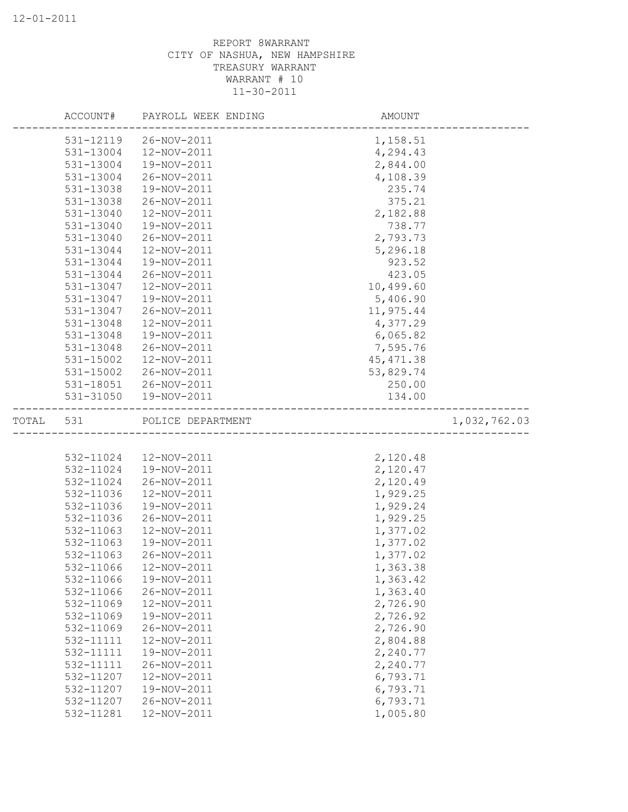|       | ACCOUNT#  | PAYROLL WEEK ENDING | AMOUNT                |              |
|-------|-----------|---------------------|-----------------------|--------------|
|       | 531-12119 | 26-NOV-2011         | 1,158.51              |              |
|       | 531-13004 | 12-NOV-2011         | 4,294.43              |              |
|       | 531-13004 | 19-NOV-2011         | 2,844.00              |              |
|       | 531-13004 | 26-NOV-2011         | 4,108.39              |              |
|       | 531-13038 | 19-NOV-2011         | 235.74                |              |
|       | 531-13038 | 26-NOV-2011         | 375.21                |              |
|       | 531-13040 | 12-NOV-2011         | 2,182.88              |              |
|       | 531-13040 | 19-NOV-2011         | 738.77                |              |
|       | 531-13040 | 26-NOV-2011         | 2,793.73              |              |
|       | 531-13044 | 12-NOV-2011         | 5,296.18              |              |
|       | 531-13044 | 19-NOV-2011         | 923.52                |              |
|       | 531-13044 | 26-NOV-2011         | 423.05                |              |
|       | 531-13047 | 12-NOV-2011         | 10,499.60             |              |
|       | 531-13047 | 19-NOV-2011         | 5,406.90              |              |
|       | 531-13047 | 26-NOV-2011         | 11,975.44             |              |
|       | 531-13048 | 12-NOV-2011         | 4,377.29              |              |
|       | 531-13048 | 19-NOV-2011         | 6,065.82              |              |
|       | 531-13048 | 26-NOV-2011         | 7,595.76              |              |
|       | 531-15002 | 12-NOV-2011         | 45, 471.38            |              |
|       | 531-15002 | 26-NOV-2011         | 53,829.74             |              |
|       | 531-18051 | 26-NOV-2011         | 250.00                |              |
|       | 531-31050 | 19-NOV-2011         | 134.00                |              |
| TOTAL | 531       | POLICE DEPARTMENT   | _____________________ | 1,032,762.03 |
|       |           |                     |                       |              |
|       | 532-11024 | 12-NOV-2011         | 2,120.48              |              |
|       | 532-11024 | 19-NOV-2011         | 2,120.47              |              |
|       | 532-11024 | 26-NOV-2011         | 2,120.49              |              |
|       | 532-11036 | 12-NOV-2011         | 1,929.25              |              |
|       | 532-11036 | 19-NOV-2011         | 1,929.24              |              |
|       | 532-11036 | 26-NOV-2011         | 1,929.25              |              |
|       | 532-11063 | 12-NOV-2011         | 1,377.02              |              |
|       |           |                     |                       |              |
|       | 532-11063 | 19-NOV-2011         | 1,377.02              |              |
|       | 532-11063 | 26-NOV-2011         | 1,377.02              |              |
|       | 532-11066 | 12-NOV-2011         | 1,363.38              |              |
|       | 532-11066 | 19-NOV-2011         |                       |              |
|       | 532-11066 | 26-NOV-2011         | 1,363.42<br>1,363.40  |              |
|       | 532-11069 | 12-NOV-2011         | 2,726.90              |              |
|       | 532-11069 | 19-NOV-2011         | 2,726.92              |              |
|       | 532-11069 | 26-NOV-2011         | 2,726.90              |              |
|       | 532-11111 | 12-NOV-2011         | 2,804.88              |              |
|       | 532-11111 | 19-NOV-2011         | 2,240.77              |              |
|       | 532-11111 | 26-NOV-2011         | 2,240.77              |              |
|       | 532-11207 | 12-NOV-2011         | 6,793.71              |              |
|       | 532-11207 | 19-NOV-2011         | 6,793.71              |              |
|       | 532-11207 | 26-NOV-2011         | 6,793.71              |              |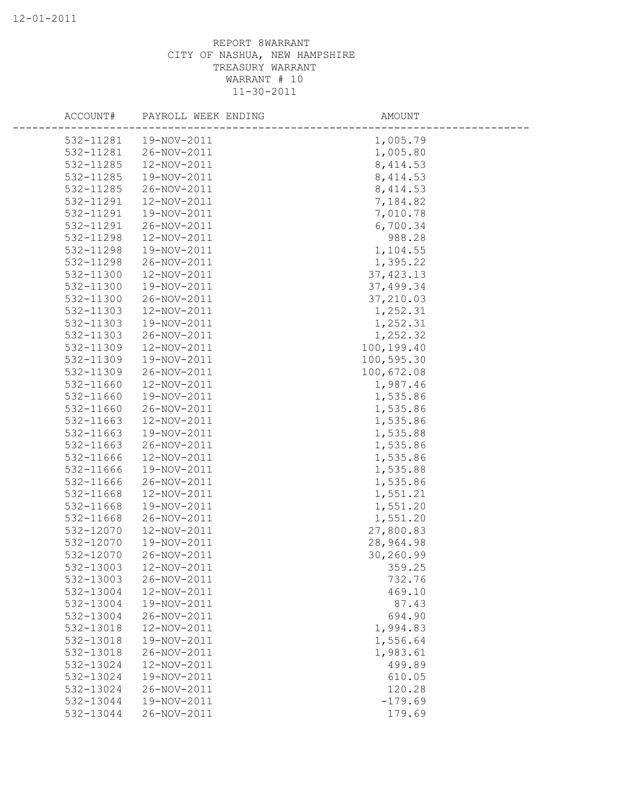| ACCOUNT#  | PAYROLL WEEK ENDING | AMOUNT     |  |
|-----------|---------------------|------------|--|
| 532-11281 | 19-NOV-2011         | 1,005.79   |  |
| 532-11281 | 26-NOV-2011         | 1,005.80   |  |
| 532-11285 | 12-NOV-2011         | 8, 414.53  |  |
| 532-11285 | 19-NOV-2011         | 8, 414.53  |  |
| 532-11285 | 26-NOV-2011         | 8, 414.53  |  |
| 532-11291 | 12-NOV-2011         | 7,184.82   |  |
| 532-11291 | 19-NOV-2011         | 7,010.78   |  |
| 532-11291 | 26-NOV-2011         | 6,700.34   |  |
| 532-11298 | 12-NOV-2011         | 988.28     |  |
| 532-11298 | 19-NOV-2011         | 1,104.55   |  |
| 532-11298 | 26-NOV-2011         | 1,395.22   |  |
| 532-11300 | 12-NOV-2011         | 37, 423.13 |  |
| 532-11300 | 19-NOV-2011         | 37,499.34  |  |
| 532-11300 | 26-NOV-2011         | 37,210.03  |  |
| 532-11303 | 12-NOV-2011         | 1,252.31   |  |
| 532-11303 | 19-NOV-2011         | 1,252.31   |  |
| 532-11303 | 26-NOV-2011         | 1,252.32   |  |
| 532-11309 | 12-NOV-2011         | 100,199.40 |  |
| 532-11309 | 19-NOV-2011         | 100,595.30 |  |
| 532-11309 | 26-NOV-2011         | 100,672.08 |  |
| 532-11660 | 12-NOV-2011         | 1,987.46   |  |
| 532-11660 | 19-NOV-2011         | 1,535.86   |  |
| 532-11660 | 26-NOV-2011         | 1,535.86   |  |
| 532-11663 | 12-NOV-2011         | 1,535.86   |  |
| 532-11663 | 19-NOV-2011         | 1,535.88   |  |
| 532-11663 | 26-NOV-2011         | 1,535.86   |  |
| 532-11666 | 12-NOV-2011         | 1,535.86   |  |
| 532-11666 | 19-NOV-2011         | 1,535.88   |  |
| 532-11666 | 26-NOV-2011         | 1,535.86   |  |
| 532-11668 | 12-NOV-2011         | 1,551.21   |  |
| 532-11668 | 19-NOV-2011         | 1,551.20   |  |
| 532-11668 | 26-NOV-2011         | 1,551.20   |  |
| 532-12070 | 12-NOV-2011         | 27,800.83  |  |
| 532-12070 | 19-NOV-2011         | 28,964.98  |  |
| 532-12070 | 26-NOV-2011         | 30,260.99  |  |
| 532-13003 | 12-NOV-2011         | 359.25     |  |
| 532-13003 | 26-NOV-2011         | 732.76     |  |
| 532-13004 | 12-NOV-2011         | 469.10     |  |
| 532-13004 | 19-NOV-2011         | 87.43      |  |
| 532-13004 | 26-NOV-2011         | 694.90     |  |
| 532-13018 | 12-NOV-2011         | 1,994.83   |  |
| 532-13018 | 19-NOV-2011         | 1,556.64   |  |
| 532-13018 | 26-NOV-2011         | 1,983.61   |  |
| 532-13024 | 12-NOV-2011         | 499.89     |  |
| 532-13024 | 19-NOV-2011         | 610.05     |  |
| 532-13024 | 26-NOV-2011         | 120.28     |  |
| 532-13044 | 19-NOV-2011         | $-179.69$  |  |
| 532-13044 | 26-NOV-2011         | 179.69     |  |
|           |                     |            |  |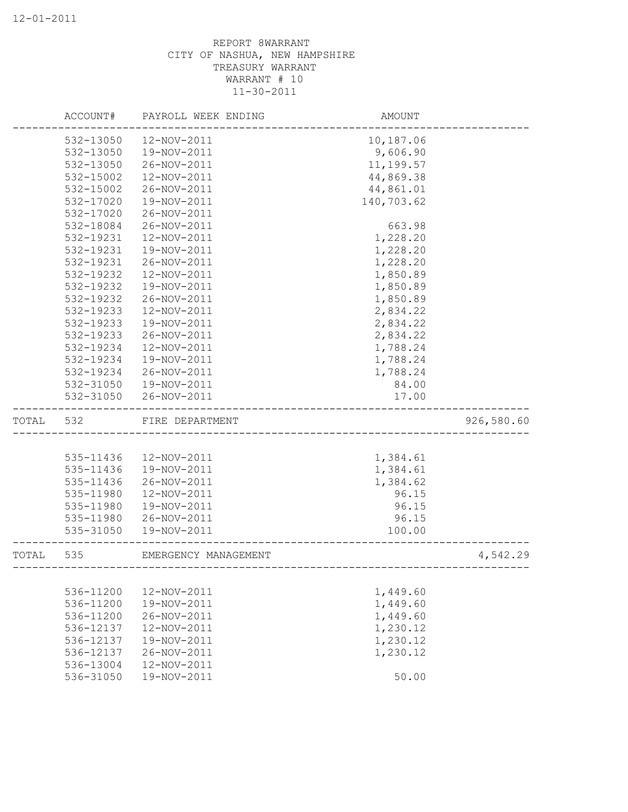|       | ACCOUNT#  | PAYROLL WEEK ENDING  | AMOUNT               |            |
|-------|-----------|----------------------|----------------------|------------|
|       | 532-13050 | 12-NOV-2011          | 10,187.06            |            |
|       | 532-13050 | 19-NOV-2011          | 9,606.90             |            |
|       | 532-13050 | 26-NOV-2011          | 11,199.57            |            |
|       | 532-15002 | 12-NOV-2011          | 44,869.38            |            |
|       | 532-15002 | 26-NOV-2011          | 44,861.01            |            |
|       | 532-17020 | 19-NOV-2011          | 140,703.62           |            |
|       | 532-17020 | 26-NOV-2011          |                      |            |
|       | 532-18084 | 26-NOV-2011          | 663.98               |            |
|       | 532-19231 | 12-NOV-2011          | 1,228.20             |            |
|       | 532-19231 | 19-NOV-2011          | 1,228.20             |            |
|       | 532-19231 | 26-NOV-2011          | 1,228.20             |            |
|       | 532-19232 | 12-NOV-2011          | 1,850.89             |            |
|       | 532-19232 | 19-NOV-2011          | 1,850.89             |            |
|       | 532-19232 | 26-NOV-2011          | 1,850.89             |            |
|       | 532-19233 | 12-NOV-2011          | 2,834.22             |            |
|       | 532-19233 | 19-NOV-2011          | 2,834.22             |            |
|       | 532-19233 | 26-NOV-2011          | 2,834.22             |            |
|       | 532-19234 | 12-NOV-2011          | 1,788.24             |            |
|       | 532-19234 | 19-NOV-2011          | 1,788.24             |            |
|       | 532-19234 | 26-NOV-2011          | 1,788.24             |            |
|       | 532-31050 | 19-NOV-2011          | 84.00                |            |
|       | 532-31050 | 26-NOV-2011          | 17.00                |            |
| TOTAL | 532       | FIRE DEPARTMENT      |                      | 926,580.60 |
|       |           |                      |                      |            |
|       | 535-11436 | 12-NOV-2011          | 1,384.61             |            |
|       | 535-11436 | 19-NOV-2011          | 1,384.61             |            |
|       | 535-11436 | 26-NOV-2011          | 1,384.62             |            |
|       | 535-11980 | 12-NOV-2011          | 96.15                |            |
|       | 535-11980 | 19-NOV-2011          | 96.15                |            |
|       | 535-11980 | 26-NOV-2011          | 96.15                |            |
|       | 535-31050 | 19-NOV-2011          | 100.00               |            |
| TOTAL | 535       | EMERGENCY MANAGEMENT | -------------------- | 4,542.29   |
|       |           |                      |                      |            |
|       | 536-11200 | 12-NOV-2011          | 1,449.60             |            |
|       | 536-11200 | 19-NOV-2011          | 1,449.60             |            |
|       | 536-11200 | 26-NOV-2011          | 1,449.60             |            |
|       | 536-12137 | 12-NOV-2011          | 1,230.12             |            |
|       | 536-12137 | 19-NOV-2011          | 1,230.12             |            |
|       | 536-12137 | 26-NOV-2011          | 1,230.12             |            |
|       | 536-13004 | 12-NOV-2011          |                      |            |
|       | 536-31050 | 19-NOV-2011          | 50.00                |            |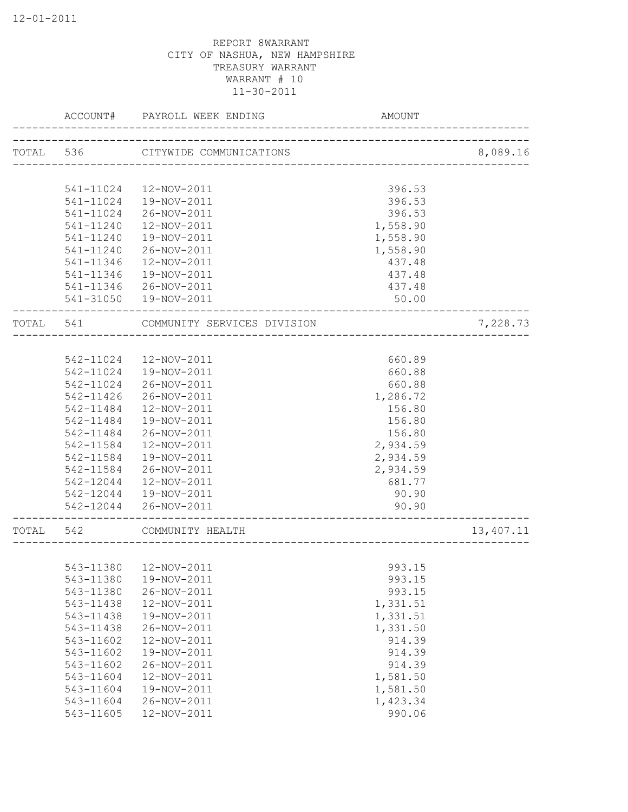|       | ACCOUNT#  | PAYROLL WEEK ENDING               | <b>AMOUNT</b> |           |
|-------|-----------|-----------------------------------|---------------|-----------|
|       |           | TOTAL 536 CITYWIDE COMMUNICATIONS |               | 8,089.16  |
|       |           |                                   |               |           |
|       | 541-11024 | 12-NOV-2011                       | 396.53        |           |
|       | 541-11024 | 19-NOV-2011                       | 396.53        |           |
|       | 541-11024 | 26-NOV-2011                       | 396.53        |           |
|       | 541-11240 | 12-NOV-2011                       | 1,558.90      |           |
|       | 541-11240 | 19-NOV-2011                       | 1,558.90      |           |
|       | 541-11240 | 26-NOV-2011                       | 1,558.90      |           |
|       | 541-11346 | 12-NOV-2011                       | 437.48        |           |
|       | 541-11346 | 19-NOV-2011                       | 437.48        |           |
|       | 541-11346 | 26-NOV-2011                       | 437.48        |           |
|       |           | 541-31050  19-NOV-2011            | 50.00         |           |
| TOTAL | 541       | COMMUNITY SERVICES DIVISION       |               | 7,228.73  |
|       |           |                                   |               |           |
|       |           | 542-11024 12-NOV-2011             | 660.89        |           |
|       | 542-11024 | 19-NOV-2011                       | 660.88        |           |
|       | 542-11024 | 26-NOV-2011                       | 660.88        |           |
|       | 542-11426 | 26-NOV-2011                       | 1,286.72      |           |
|       | 542-11484 | 12-NOV-2011                       | 156.80        |           |
|       | 542-11484 | 19-NOV-2011                       | 156.80        |           |
|       | 542-11484 | 26-NOV-2011                       | 156.80        |           |
|       | 542-11584 | 12-NOV-2011                       | 2,934.59      |           |
|       | 542-11584 | 19-NOV-2011                       | 2,934.59      |           |
|       | 542-11584 | 26-NOV-2011                       | 2,934.59      |           |
|       | 542-12044 | 12-NOV-2011                       | 681.77        |           |
|       | 542-12044 | 19-NOV-2011                       | 90.90         |           |
|       | 542-12044 | 26-NOV-2011                       | 90.90         |           |
| TOTAL | 542       | COMMUNITY HEALTH                  |               | 13,407.11 |
|       |           |                                   |               |           |
|       | 543-11380 | 12-NOV-2011                       | 993.15        |           |
|       | 543-11380 | 19-NOV-2011                       | 993.15        |           |
|       | 543-11380 | 26-NOV-2011                       | 993.15        |           |
|       | 543-11438 | 12-NOV-2011                       | 1,331.51      |           |
|       | 543-11438 | 19-NOV-2011                       | 1,331.51      |           |
|       | 543-11438 | 26-NOV-2011                       | 1,331.50      |           |
|       | 543-11602 | 12-NOV-2011                       | 914.39        |           |
|       | 543-11602 | 19-NOV-2011                       | 914.39        |           |
|       | 543-11602 | 26-NOV-2011                       | 914.39        |           |
|       | 543-11604 | 12-NOV-2011                       | 1,581.50      |           |
|       | 543-11604 | 19-NOV-2011                       | 1,581.50      |           |
|       | 543-11604 | 26-NOV-2011                       | 1,423.34      |           |
|       | 543-11605 | 12-NOV-2011                       | 990.06        |           |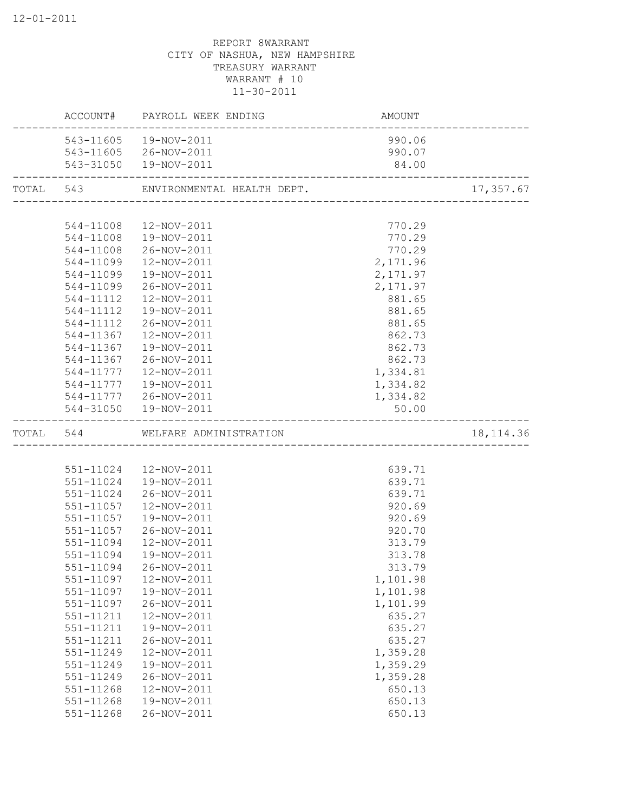|       |               | ACCOUNT# PAYROLL WEEK ENDING         | AMOUNT    |            |
|-------|---------------|--------------------------------------|-----------|------------|
|       | 543-11605     | 19-NOV-2011                          | 990.06    |            |
|       |               | 543-11605 26-NOV-2011                | 990.07    |            |
|       |               | 543-31050  19-NOV-2011               | 84.00     |            |
|       |               | TOTAL 543 ENVIRONMENTAL HEALTH DEPT. |           | 17,357.67  |
|       |               |                                      |           |            |
|       | 544-11008     | 12-NOV-2011                          | 770.29    |            |
|       | 544-11008     | 19-NOV-2011                          | 770.29    |            |
|       | 544-11008     | 26-NOV-2011                          | 770.29    |            |
|       | 544-11099     | 12-NOV-2011                          | 2,171.96  |            |
|       | 544-11099     | 19-NOV-2011                          | 2, 171.97 |            |
|       | 544-11099     | 26-NOV-2011                          | 2,171.97  |            |
|       | 544-11112     | 12-NOV-2011                          | 881.65    |            |
|       | 544-11112     | 19-NOV-2011                          | 881.65    |            |
|       | 544-11112     | 26-NOV-2011                          | 881.65    |            |
|       | 544-11367     | 12-NOV-2011                          | 862.73    |            |
|       | 544-11367     | 19-NOV-2011                          | 862.73    |            |
|       | 544-11367     | 26-NOV-2011                          | 862.73    |            |
|       | 544-11777     | 12-NOV-2011                          | 1,334.81  |            |
|       | 544-11777     | 19-NOV-2011                          | 1,334.82  |            |
|       |               | 544-11777 26-NOV-2011                | 1,334.82  |            |
|       |               | 544-31050  19-NOV-2011               | 50.00     |            |
| TOTAL | 544           | WELFARE ADMINISTRATION               |           | 18, 114.36 |
|       |               |                                      |           |            |
|       | 551-11024     | 12-NOV-2011                          | 639.71    |            |
|       | 551-11024     | 19-NOV-2011                          | 639.71    |            |
|       | 551-11024     | 26-NOV-2011                          | 639.71    |            |
|       | 551-11057     | 12-NOV-2011                          | 920.69    |            |
|       | 551-11057     | 19-NOV-2011                          | 920.69    |            |
|       | 551-11057     | 26-NOV-2011                          | 920.70    |            |
|       | 551-11094     | 12-NOV-2011                          | 313.79    |            |
|       | 551-11094     | 19-NOV-2011                          | 313.78    |            |
|       | 551-11094     | 26-NOV-2011                          | 313.79    |            |
|       | 551-11097     | 12-NOV-2011                          | 1,101.98  |            |
|       | 551-11097     | 19-NOV-2011                          | 1,101.98  |            |
|       | 551-11097     | 26-NOV-2011                          | 1,101.99  |            |
|       | 551-11211     | 12-NOV-2011                          | 635.27    |            |
|       | 551-11211     | 19-NOV-2011                          | 635.27    |            |
|       | 551-11211     | 26-NOV-2011                          | 635.27    |            |
|       | 551-11249     | 12-NOV-2011                          | 1,359.28  |            |
|       | 551-11249     | 19-NOV-2011                          | 1,359.29  |            |
|       | 551-11249     | 26-NOV-2011                          | 1,359.28  |            |
|       | 551-11268     | 12-NOV-2011                          | 650.13    |            |
|       | $551 - 11268$ | 19-NOV-2011                          | 650.13    |            |
|       | $551 - 11268$ | 26-NOV-2011                          | 650.13    |            |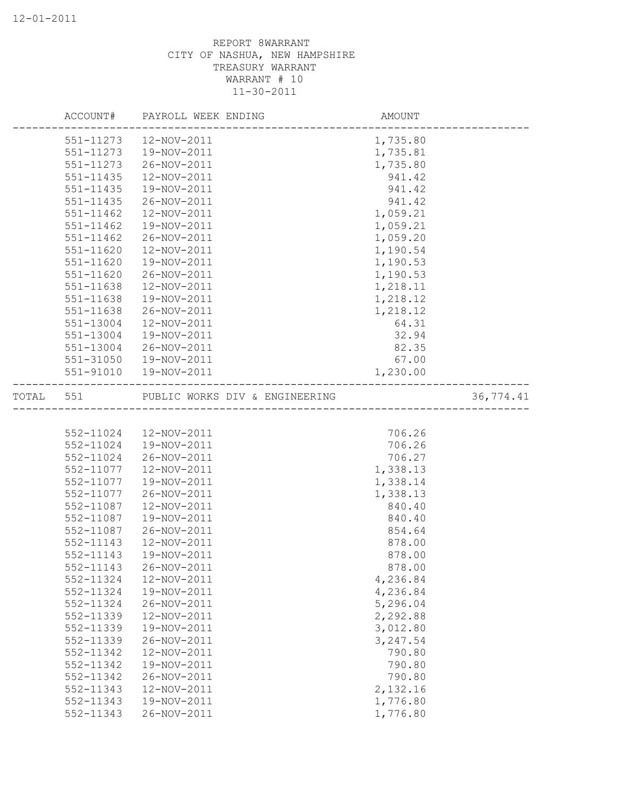|           | AMOUNT<br>-----------------------<br>ACCOUNT# PAYROLL WEEK ENDING             |          |           |
|-----------|-------------------------------------------------------------------------------|----------|-----------|
|           | 551-11273  12-NOV-2011                                                        | 1,735.80 |           |
| 551-11273 | 19-NOV-2011                                                                   | 1,735.81 |           |
| 551-11273 | 26-NOV-2011                                                                   | 1,735.80 |           |
| 551-11435 | 12-NOV-2011                                                                   | 941.42   |           |
| 551-11435 | 19-NOV-2011                                                                   | 941.42   |           |
| 551-11435 | 26-NOV-2011                                                                   | 941.42   |           |
| 551-11462 | 12-NOV-2011                                                                   | 1,059.21 |           |
| 551-11462 | 19-NOV-2011                                                                   | 1,059.21 |           |
| 551-11462 | 26-NOV-2011                                                                   | 1,059.20 |           |
| 551-11620 | 12-NOV-2011                                                                   | 1,190.54 |           |
| 551-11620 | 19-NOV-2011                                                                   | 1,190.53 |           |
| 551-11620 | 26-NOV-2011                                                                   | 1,190.53 |           |
| 551-11638 | 12-NOV-2011                                                                   | 1,218.11 |           |
| 551-11638 | 19-NOV-2011                                                                   | 1,218.12 |           |
| 551-11638 | 26-NOV-2011                                                                   | 1,218.12 |           |
| 551-13004 | 12-NOV-2011                                                                   | 64.31    |           |
| 551-13004 | 19-NOV-2011                                                                   | 32.94    |           |
| 551-13004 | 26-NOV-2011                                                                   | 82.35    |           |
|           | 551-31050  19-NOV-2011                                                        | 67.00    |           |
|           | 551-91010  19-NOV-2011<br>---------------                                     | 1,230.00 |           |
|           | TOTAL 551 PUBLIC WORKS DIV & ENGINEERING<br>_________________________________ |          | 36,774.41 |
|           |                                                                               |          |           |
| 552-11024 | 12-NOV-2011                                                                   | 706.26   |           |
| 552-11024 | 19-NOV-2011                                                                   | 706.26   |           |
| 552-11024 | 26-NOV-2011                                                                   | 706.27   |           |
| 552-11077 | 12-NOV-2011                                                                   | 1,338.13 |           |
| 552-11077 | 19-NOV-2011                                                                   | 1,338.14 |           |
| 552-11077 | 26-NOV-2011                                                                   | 1,338.13 |           |
| 552-11087 | 12-NOV-2011                                                                   | 840.40   |           |
| 552-11087 | 19-NOV-2011                                                                   | 840.40   |           |
| 552-11087 | 26-NOV-2011                                                                   | 854.64   |           |
| 552-11143 | 12-NOV-2011                                                                   | 878.00   |           |
| 552-11143 | 19-NOV-2011                                                                   | 878.00   |           |
| 552-11143 | 26-NOV-2011                                                                   | 878.00   |           |
| 552-11324 | 12-NOV-2011                                                                   | 4,236.84 |           |
| 552-11324 | 19-NOV-2011                                                                   | 4,236.84 |           |
| 552-11324 | 26-NOV-2011                                                                   | 5,296.04 |           |
| 552-11339 | 12-NOV-2011                                                                   | 2,292.88 |           |
| 552-11339 | 19-NOV-2011                                                                   | 3,012.80 |           |
| 552-11339 | 26-NOV-2011                                                                   | 3,247.54 |           |
| 552-11342 | 12-NOV-2011                                                                   | 790.80   |           |
| 552-11342 | 19-NOV-2011                                                                   | 790.80   |           |
| 552-11342 | 26-NOV-2011                                                                   | 790.80   |           |
| 552-11343 | 12-NOV-2011                                                                   | 2,132.16 |           |
| 552-11343 | 19-NOV-2011                                                                   | 1,776.80 |           |
| 552-11343 | 26-NOV-2011                                                                   | 1,776.80 |           |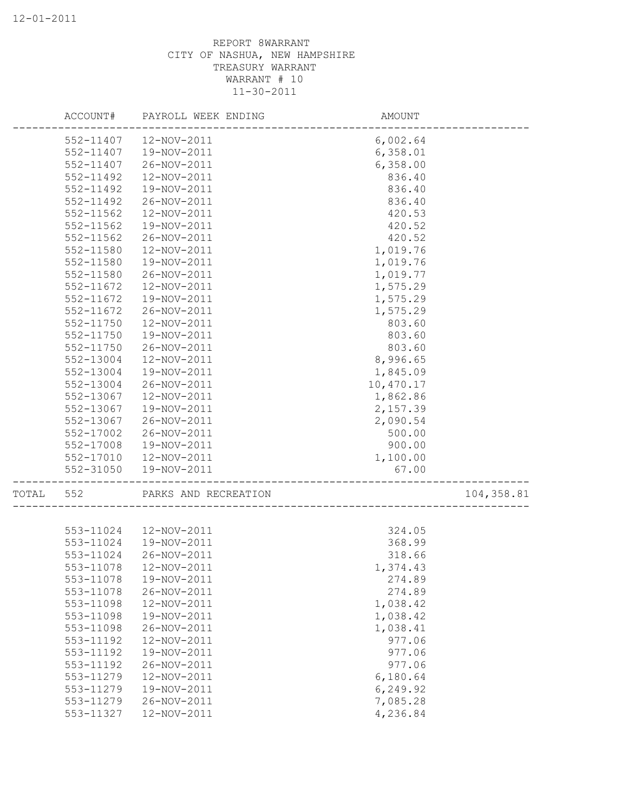|       | ACCOUNT#  | PAYROLL WEEK ENDING  | AMOUNT    |            |
|-------|-----------|----------------------|-----------|------------|
|       | 552-11407 | 12-NOV-2011          | 6,002.64  |            |
|       | 552-11407 | 19-NOV-2011          | 6,358.01  |            |
|       | 552-11407 | 26-NOV-2011          | 6,358.00  |            |
|       | 552-11492 | 12-NOV-2011          | 836.40    |            |
|       | 552-11492 | 19-NOV-2011          | 836.40    |            |
|       | 552-11492 | 26-NOV-2011          | 836.40    |            |
|       | 552-11562 | 12-NOV-2011          | 420.53    |            |
|       | 552-11562 | 19-NOV-2011          | 420.52    |            |
|       | 552-11562 | 26-NOV-2011          | 420.52    |            |
|       | 552-11580 | 12-NOV-2011          | 1,019.76  |            |
|       | 552-11580 | 19-NOV-2011          | 1,019.76  |            |
|       | 552-11580 | 26-NOV-2011          | 1,019.77  |            |
|       | 552-11672 | 12-NOV-2011          | 1,575.29  |            |
|       | 552-11672 | 19-NOV-2011          | 1,575.29  |            |
|       | 552-11672 | 26-NOV-2011          | 1,575.29  |            |
|       | 552-11750 | 12-NOV-2011          | 803.60    |            |
|       | 552-11750 | 19-NOV-2011          | 803.60    |            |
|       | 552-11750 | 26-NOV-2011          | 803.60    |            |
|       | 552-13004 | 12-NOV-2011          | 8,996.65  |            |
|       | 552-13004 | 19-NOV-2011          | 1,845.09  |            |
|       | 552-13004 | 26-NOV-2011          | 10,470.17 |            |
|       | 552-13067 | 12-NOV-2011          | 1,862.86  |            |
|       | 552-13067 | 19-NOV-2011          | 2,157.39  |            |
|       | 552-13067 | 26-NOV-2011          | 2,090.54  |            |
|       | 552-17002 | 26-NOV-2011          | 500.00    |            |
|       | 552-17008 | 19-NOV-2011          | 900.00    |            |
|       | 552-17010 | 12-NOV-2011          | 1,100.00  |            |
|       | 552-31050 | 19-NOV-2011          | 67.00     |            |
|       |           |                      |           |            |
| TOTAL | 552       | PARKS AND RECREATION |           | 104,358.81 |
|       |           |                      |           |            |
|       | 553-11024 | 12-NOV-2011          | 324.05    |            |
|       | 553-11024 | 19-NOV-2011          | 368.99    |            |
|       | 553-11024 | 26-NOV-2011          | 318.66    |            |
|       | 553-11078 | 12-NOV-2011          | 1,374.43  |            |
|       | 553-11078 | 19-NOV-2011          | 274.89    |            |
|       | 553-11078 | 26-NOV-2011          | 274.89    |            |
|       | 553-11098 | 12-NOV-2011          | 1,038.42  |            |
|       | 553-11098 | 19-NOV-2011          | 1,038.42  |            |
|       | 553-11098 | 26-NOV-2011          | 1,038.41  |            |
|       | 553-11192 | 12-NOV-2011          | 977.06    |            |
|       | 553-11192 | 19-NOV-2011          | 977.06    |            |
|       | 553-11192 | 26-NOV-2011          | 977.06    |            |
|       | 553-11279 | 12-NOV-2011          | 6,180.64  |            |
|       | 553-11279 | 19-NOV-2011          | 6,249.92  |            |
|       | 553-11279 | 26-NOV-2011          | 7,085.28  |            |
|       | 553-11327 | 12-NOV-2011          | 4,236.84  |            |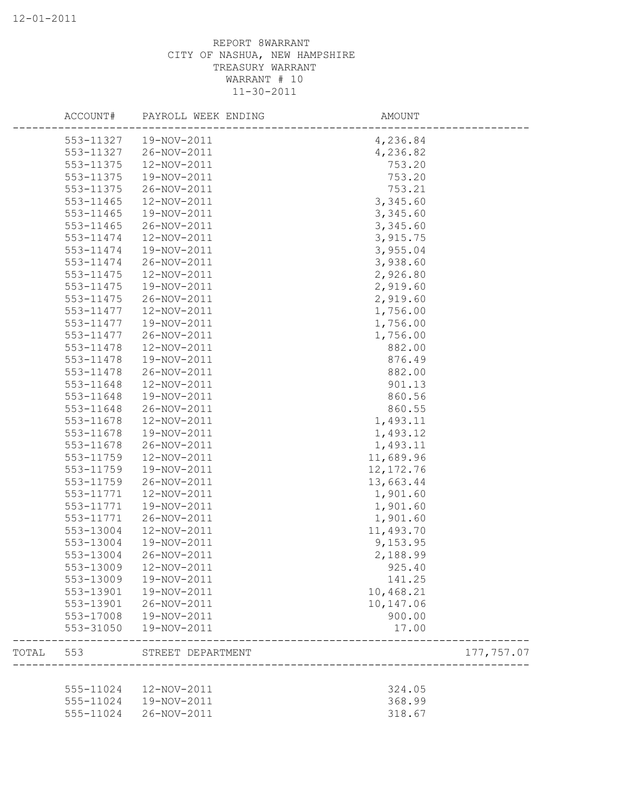|       | ACCOUNT#  | PAYROLL WEEK ENDING | AMOUNT     |
|-------|-----------|---------------------|------------|
|       | 553-11327 | 19-NOV-2011         | 4,236.84   |
|       | 553-11327 | 26-NOV-2011         | 4,236.82   |
|       | 553-11375 | 12-NOV-2011         | 753.20     |
|       | 553-11375 | 19-NOV-2011         | 753.20     |
|       | 553-11375 | 26-NOV-2011         | 753.21     |
|       | 553-11465 | 12-NOV-2011         | 3,345.60   |
|       | 553-11465 | 19-NOV-2011         | 3,345.60   |
|       | 553-11465 | 26-NOV-2011         | 3,345.60   |
|       | 553-11474 | 12-NOV-2011         | 3,915.75   |
|       | 553-11474 | 19-NOV-2011         | 3,955.04   |
|       | 553-11474 | 26-NOV-2011         | 3,938.60   |
|       | 553-11475 | 12-NOV-2011         | 2,926.80   |
|       | 553-11475 | 19-NOV-2011         | 2,919.60   |
|       | 553-11475 | 26-NOV-2011         | 2,919.60   |
|       | 553-11477 | 12-NOV-2011         | 1,756.00   |
|       | 553-11477 | 19-NOV-2011         | 1,756.00   |
|       | 553-11477 | 26-NOV-2011         | 1,756.00   |
|       | 553-11478 | 12-NOV-2011         | 882.00     |
|       | 553-11478 | 19-NOV-2011         | 876.49     |
|       | 553-11478 | 26-NOV-2011         | 882.00     |
|       | 553-11648 | 12-NOV-2011         | 901.13     |
|       | 553-11648 | 19-NOV-2011         | 860.56     |
|       | 553-11648 | 26-NOV-2011         | 860.55     |
|       | 553-11678 | 12-NOV-2011         | 1,493.11   |
|       | 553-11678 | 19-NOV-2011         | 1,493.12   |
|       | 553-11678 | 26-NOV-2011         | 1,493.11   |
|       | 553-11759 |                     | 11,689.96  |
|       |           | 12-NOV-2011         |            |
|       | 553-11759 | 19-NOV-2011         | 12, 172.76 |
|       | 553-11759 | 26-NOV-2011         | 13,663.44  |
|       | 553-11771 | 12-NOV-2011         | 1,901.60   |
|       | 553-11771 | 19-NOV-2011         | 1,901.60   |
|       | 553-11771 | 26-NOV-2011         | 1,901.60   |
|       | 553-13004 | 12-NOV-2011         | 11,493.70  |
|       | 553-13004 | 19-NOV-2011         | 9,153.95   |
|       | 553-13004 | 26-NOV-2011         | 2,188.99   |
|       | 553-13009 | 12-NOV-2011         | 925.40     |
|       | 553-13009 | 19-NOV-2011         | 141.25     |
|       | 553-13901 | 19-NOV-2011         | 10,468.21  |
|       | 553-13901 | 26-NOV-2011         | 10,147.06  |
|       | 553-17008 | 19-NOV-2011         | 900.00     |
|       | 553-31050 | 19-NOV-2011         | 17.00      |
| TOTAL | 553       | STREET DEPARTMENT   | 177,757.07 |
|       |           |                     |            |
|       | 555-11024 | 12-NOV-2011         | 324.05     |
|       | 555-11024 | 19-NOV-2011         | 368.99     |
|       | 555-11024 | 26-NOV-2011         | 318.67     |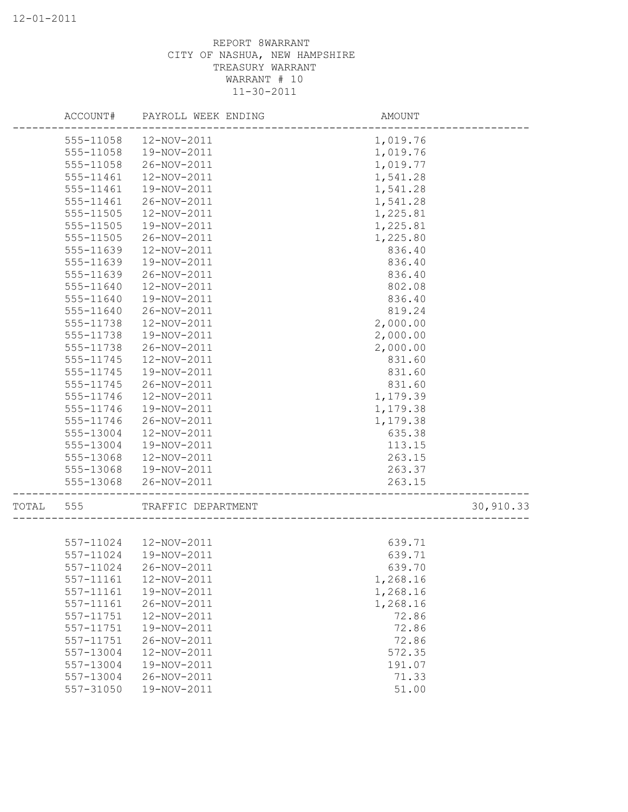|       | ACCOUNT#  | PAYROLL WEEK ENDING    | AMOUNT   |           |
|-------|-----------|------------------------|----------|-----------|
|       | 555-11058 | 12-NOV-2011            | 1,019.76 |           |
|       | 555-11058 | 19-NOV-2011            | 1,019.76 |           |
|       | 555-11058 | 26-NOV-2011            | 1,019.77 |           |
|       | 555-11461 | 12-NOV-2011            | 1,541.28 |           |
|       | 555-11461 | 19-NOV-2011            | 1,541.28 |           |
|       | 555-11461 | 26-NOV-2011            | 1,541.28 |           |
|       | 555-11505 | 12-NOV-2011            | 1,225.81 |           |
|       | 555-11505 | 19-NOV-2011            | 1,225.81 |           |
|       | 555-11505 | 26-NOV-2011            | 1,225.80 |           |
|       | 555-11639 | 12-NOV-2011            | 836.40   |           |
|       | 555-11639 | 19-NOV-2011            | 836.40   |           |
|       | 555-11639 | 26-NOV-2011            | 836.40   |           |
|       | 555-11640 | 12-NOV-2011            | 802.08   |           |
|       | 555-11640 | 19-NOV-2011            | 836.40   |           |
|       | 555-11640 | 26-NOV-2011            | 819.24   |           |
|       | 555-11738 | 12-NOV-2011            | 2,000.00 |           |
|       | 555-11738 | 19-NOV-2011            | 2,000.00 |           |
|       | 555-11738 | 26-NOV-2011            | 2,000.00 |           |
|       | 555-11745 | 12-NOV-2011            | 831.60   |           |
|       | 555-11745 | 19-NOV-2011            | 831.60   |           |
|       | 555-11745 | 26-NOV-2011            | 831.60   |           |
|       | 555-11746 | 12-NOV-2011            | 1,179.39 |           |
|       | 555-11746 | 19-NOV-2011            | 1,179.38 |           |
|       | 555-11746 | 26-NOV-2011            | 1,179.38 |           |
|       | 555-13004 | 12-NOV-2011            | 635.38   |           |
|       | 555-13004 | 19-NOV-2011            | 113.15   |           |
|       | 555-13068 | 12-NOV-2011            | 263.15   |           |
|       | 555-13068 | 19-NOV-2011            | 263.37   |           |
|       | 555-13068 | 26-NOV-2011            | 263.15   |           |
| TOTAL | 555       | TRAFFIC DEPARTMENT     |          | 30,910.33 |
|       |           |                        |          |           |
|       |           | 557-11024  12-NOV-2011 | 639.71   |           |
|       | 557-11024 | 19-NOV-2011            | 639.71   |           |
|       | 557-11024 | 26-NOV-2011            | 639.70   |           |
|       | 557-11161 | 12-NOV-2011            | 1,268.16 |           |
|       | 557-11161 | 19-NOV-2011            | 1,268.16 |           |
|       | 557-11161 | 26-NOV-2011            | 1,268.16 |           |
|       | 557-11751 | 12-NOV-2011            | 72.86    |           |
|       | 557-11751 | 19-NOV-2011            | 72.86    |           |
|       | 557-11751 | 26-NOV-2011            | 72.86    |           |
|       | 557-13004 | 12-NOV-2011            | 572.35   |           |
|       | 557-13004 | 19-NOV-2011            | 191.07   |           |
|       | 557-13004 | 26-NOV-2011            | 71.33    |           |
|       | 557-31050 | 19-NOV-2011            | 51.00    |           |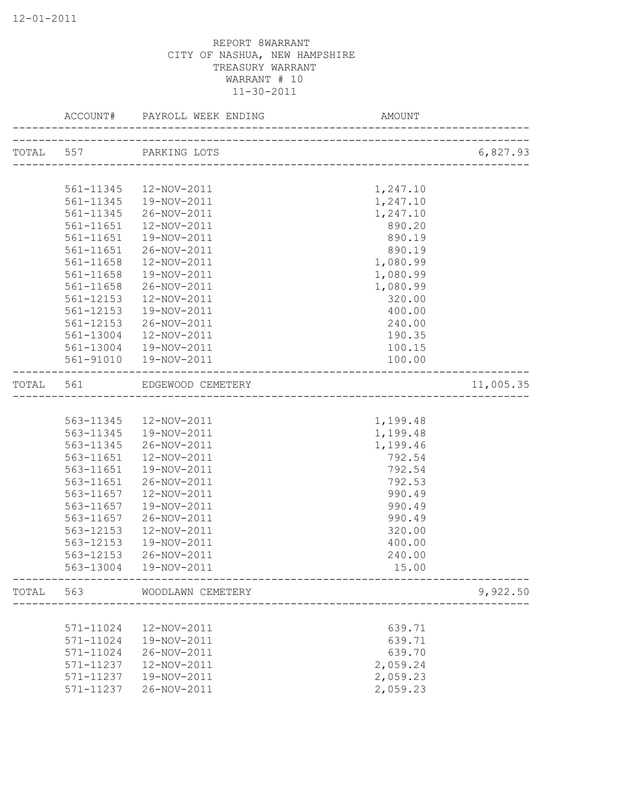|           |           | ACCOUNT# PAYROLL WEEK ENDING | AMOUNT                               |           |
|-----------|-----------|------------------------------|--------------------------------------|-----------|
|           |           | TOTAL 557 PARKING LOTS       | _________________________            | 6,827.93  |
|           |           |                              |                                      |           |
|           | 561-11345 | 12-NOV-2011                  | 1,247.10                             |           |
|           | 561-11345 | 19-NOV-2011                  | 1,247.10                             |           |
|           | 561-11345 | 26-NOV-2011                  | 1,247.10                             |           |
|           | 561-11651 | 12-NOV-2011                  | 890.20                               |           |
|           | 561-11651 | 19-NOV-2011                  | 890.19                               |           |
|           | 561-11651 | 26-NOV-2011                  | 890.19                               |           |
|           | 561-11658 | 12-NOV-2011                  | 1,080.99                             |           |
|           | 561-11658 | 19-NOV-2011                  | 1,080.99                             |           |
|           | 561-11658 | 26-NOV-2011                  | 1,080.99                             |           |
|           | 561-12153 | 12-NOV-2011                  | 320.00                               |           |
|           | 561-12153 | 19-NOV-2011                  | 400.00                               |           |
|           | 561-12153 | 26-NOV-2011                  | 240.00                               |           |
|           | 561-13004 | 12-NOV-2011                  | 190.35                               |           |
|           |           | 561-13004  19-NOV-2011       | 100.15                               |           |
|           |           | 561-91010  19-NOV-2011       | 100.00                               |           |
| TOTAL 561 |           | EDGEWOOD CEMETERY            | ------------------------------------ | 11,005.35 |
|           |           |                              |                                      |           |
|           | 563-11345 | 12-NOV-2011                  | 1,199.48                             |           |
|           | 563-11345 | 19-NOV-2011                  | 1,199.48                             |           |
|           | 563-11345 | 26-NOV-2011                  | 1,199.46                             |           |
|           | 563-11651 | 12-NOV-2011                  | 792.54                               |           |
|           | 563-11651 | 19-NOV-2011                  | 792.54                               |           |
|           | 563-11651 | 26-NOV-2011                  | 792.53                               |           |
|           | 563-11657 | 12-NOV-2011                  | 990.49                               |           |
|           | 563-11657 | 19-NOV-2011                  | 990.49                               |           |
|           | 563-11657 | 26-NOV-2011                  | 990.49                               |           |
|           | 563-12153 | 12-NOV-2011                  | 320.00                               |           |
|           | 563-12153 | 19-NOV-2011                  | 400.00                               |           |
|           | 563-12153 | 26-NOV-2011                  | 240.00                               |           |
|           | 563-13004 | 19-NOV-2011                  | 15.00                                |           |
| TOTAL     | 563       | WOODLAWN CEMETERY            |                                      | 9,922.50  |
|           |           |                              |                                      |           |
|           | 571-11024 | 12-NOV-2011                  | 639.71                               |           |
|           | 571-11024 | 19-NOV-2011                  | 639.71                               |           |
|           | 571-11024 | 26-NOV-2011                  | 639.70                               |           |
|           | 571-11237 | 12-NOV-2011                  | 2,059.24                             |           |
|           | 571-11237 | 19-NOV-2011                  | 2,059.23                             |           |
|           | 571-11237 | 26-NOV-2011                  | 2,059.23                             |           |
|           |           |                              |                                      |           |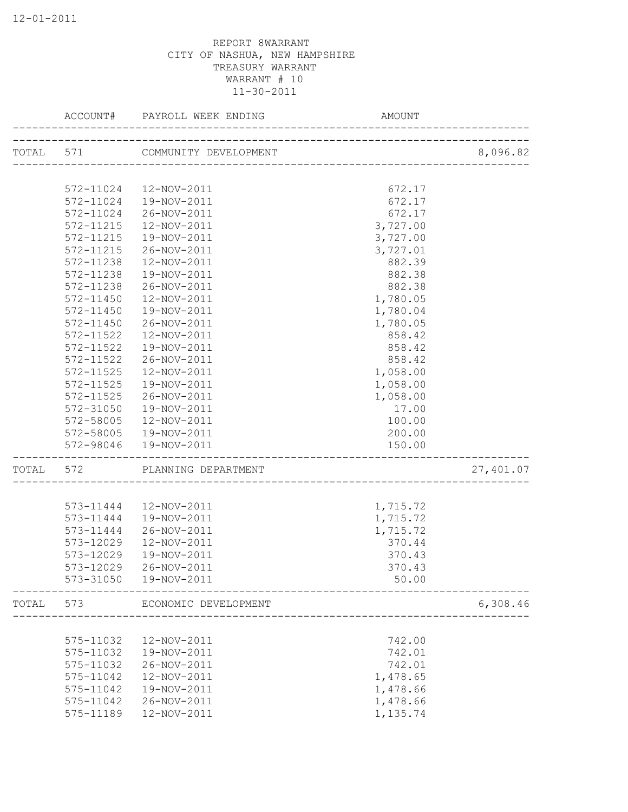|       | ACCOUNT#  | PAYROLL WEEK ENDING             | <b>AMOUNT</b>                         |           |
|-------|-----------|---------------------------------|---------------------------------------|-----------|
|       |           | TOTAL 571 COMMUNITY DEVELOPMENT | ______________________________        | 8,096.82  |
|       |           |                                 |                                       |           |
|       | 572-11024 | 12-NOV-2011                     | 672.17                                |           |
|       | 572-11024 | 19-NOV-2011                     | 672.17                                |           |
|       | 572-11024 | 26-NOV-2011                     | 672.17                                |           |
|       | 572-11215 | 12-NOV-2011                     | 3,727.00                              |           |
|       | 572-11215 | 19-NOV-2011                     | 3,727.00                              |           |
|       | 572-11215 | 26-NOV-2011                     | 3,727.01                              |           |
|       | 572-11238 | 12-NOV-2011                     | 882.39                                |           |
|       | 572-11238 | 19-NOV-2011                     | 882.38                                |           |
|       | 572-11238 | 26-NOV-2011                     | 882.38                                |           |
|       | 572-11450 | 12-NOV-2011                     | 1,780.05                              |           |
|       | 572-11450 | 19-NOV-2011                     | 1,780.04                              |           |
|       | 572-11450 | 26-NOV-2011                     | 1,780.05                              |           |
|       | 572-11522 | 12-NOV-2011                     | 858.42                                |           |
|       | 572-11522 | 19-NOV-2011                     | 858.42                                |           |
|       | 572-11522 | 26-NOV-2011                     | 858.42                                |           |
|       | 572-11525 | 12-NOV-2011                     | 1,058.00                              |           |
|       | 572-11525 | 19-NOV-2011                     | 1,058.00                              |           |
|       | 572-11525 | 26-NOV-2011                     | 1,058.00                              |           |
|       | 572-31050 | 19-NOV-2011                     | 17.00                                 |           |
|       | 572-58005 | 12-NOV-2011                     | 100.00                                |           |
|       | 572-58005 | 19-NOV-2011                     | 200.00                                |           |
|       | 572-98046 | 19-NOV-2011                     | 150.00                                |           |
| TOTAL | 572       | PLANNING DEPARTMENT             | _____________________________________ | 27,401.07 |
|       |           |                                 |                                       |           |
|       | 573-11444 | 12-NOV-2011                     | 1,715.72                              |           |
|       | 573-11444 | 19-NOV-2011                     | 1,715.72                              |           |
|       | 573-11444 | 26-NOV-2011                     | 1,715.72                              |           |
|       | 573-12029 | 12-NOV-2011                     | 370.44                                |           |
|       | 573-12029 | 19-NOV-2011                     | 370.43                                |           |
|       | 573-12029 | 26-NOV-2011                     | 370.43                                |           |
|       | 573-31050 | 19-NOV-2011                     | 50.00                                 |           |
| TOTAL | 573       | ECONOMIC DEVELOPMENT            |                                       | 6,308.46  |
|       |           |                                 |                                       |           |
|       | 575-11032 | 12-NOV-2011                     | 742.00                                |           |
|       | 575-11032 | 19-NOV-2011                     | 742.01                                |           |
|       | 575-11032 | 26-NOV-2011                     | 742.01                                |           |
|       | 575-11042 | 12-NOV-2011                     | 1,478.65                              |           |
|       | 575-11042 | 19-NOV-2011                     | 1,478.66                              |           |
|       | 575-11042 | 26-NOV-2011                     | 1,478.66                              |           |
|       | 575-11189 | 12-NOV-2011                     | 1,135.74                              |           |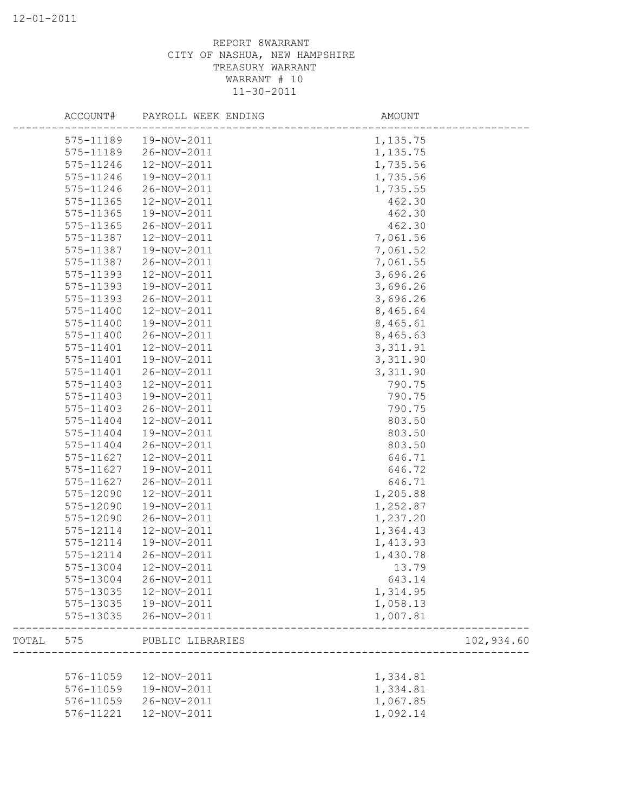|       | ACCOUNT#      | PAYROLL WEEK ENDING | AMOUNT     |  |
|-------|---------------|---------------------|------------|--|
|       | 575-11189     | 19-NOV-2011         | 1,135.75   |  |
|       | 575-11189     | 26-NOV-2011         | 1,135.75   |  |
|       | 575-11246     | 12-NOV-2011         | 1,735.56   |  |
|       | 575-11246     | 19-NOV-2011         | 1,735.56   |  |
|       | 575-11246     | 26-NOV-2011         | 1,735.55   |  |
|       | 575-11365     | 12-NOV-2011         | 462.30     |  |
|       | 575-11365     | 19-NOV-2011         | 462.30     |  |
|       | 575-11365     | 26-NOV-2011         | 462.30     |  |
|       | 575-11387     | 12-NOV-2011         | 7,061.56   |  |
|       | 575-11387     | 19-NOV-2011         | 7,061.52   |  |
|       | 575-11387     | 26-NOV-2011         | 7,061.55   |  |
|       | 575-11393     | 12-NOV-2011         | 3,696.26   |  |
|       | 575-11393     | 19-NOV-2011         | 3,696.26   |  |
|       | 575-11393     | 26-NOV-2011         | 3,696.26   |  |
|       | 575-11400     | 12-NOV-2011         | 8,465.64   |  |
|       | 575-11400     | 19-NOV-2011         | 8,465.61   |  |
|       | 575-11400     | 26-NOV-2011         | 8,465.63   |  |
|       | 575-11401     | 12-NOV-2011         | 3, 311.91  |  |
|       | 575-11401     | 19-NOV-2011         | 3,311.90   |  |
|       | 575-11401     | 26-NOV-2011         | 3,311.90   |  |
|       | 575-11403     | 12-NOV-2011         | 790.75     |  |
|       | 575-11403     | 19-NOV-2011         | 790.75     |  |
|       | 575-11403     | 26-NOV-2011         | 790.75     |  |
|       | 575-11404     | 12-NOV-2011         | 803.50     |  |
|       | 575-11404     | 19-NOV-2011         | 803.50     |  |
|       | 575-11404     | 26-NOV-2011         | 803.50     |  |
|       | 575-11627     | 12-NOV-2011         | 646.71     |  |
|       | 575-11627     | 19-NOV-2011         | 646.72     |  |
|       | 575-11627     | 26-NOV-2011         | 646.71     |  |
|       | 575-12090     | 12-NOV-2011         | 1,205.88   |  |
|       | 575-12090     | 19-NOV-2011         | 1,252.87   |  |
|       | 575-12090     | 26-NOV-2011         | 1,237.20   |  |
|       | 575-12114     | 12-NOV-2011         | 1,364.43   |  |
|       | 575-12114     | 19-NOV-2011         | 1,413.93   |  |
|       | 575-12114     | 26-NOV-2011         | 1,430.78   |  |
|       | $575 - 13004$ | 12-NOV-2011         | 13.79      |  |
|       | 575-13004     | 26-NOV-2011         | 643.14     |  |
|       | 575-13035     | 12-NOV-2011         | 1,314.95   |  |
|       | 575-13035     | 19-NOV-2011         | 1,058.13   |  |
|       | 575-13035     | 26-NOV-2011         | 1,007.81   |  |
| TOTAL | 575           | PUBLIC LIBRARIES    | 102,934.60 |  |
|       |               |                     |            |  |
|       | 576-11059     | 12-NOV-2011         | 1,334.81   |  |
|       | 576-11059     | 19-NOV-2011         | 1,334.81   |  |
|       | 576-11059     | 26-NOV-2011         | 1,067.85   |  |
|       | 576-11221     | 12-NOV-2011         | 1,092.14   |  |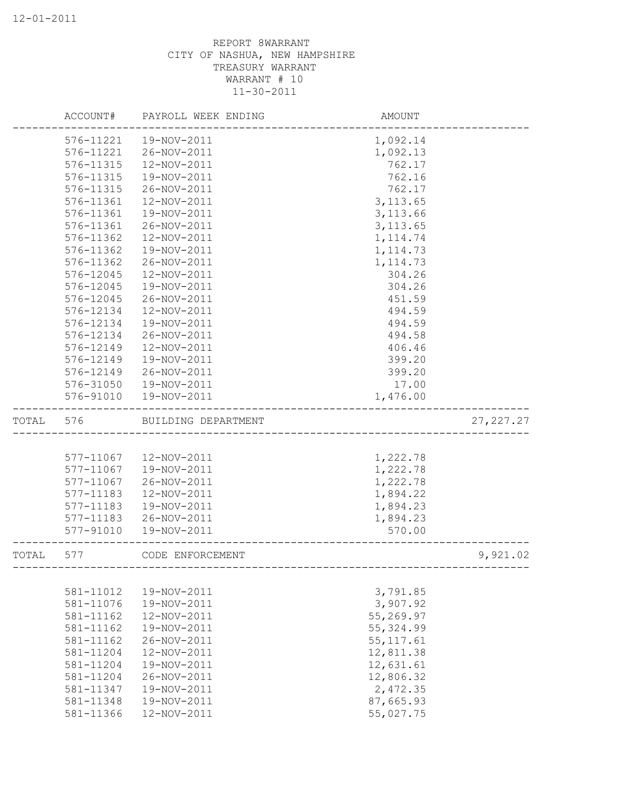|       | ACCOUNT#  | PAYROLL WEEK ENDING | AMOUNT                      |            |
|-------|-----------|---------------------|-----------------------------|------------|
|       | 576-11221 | 19-NOV-2011         | 1,092.14                    |            |
|       | 576-11221 | 26-NOV-2011         | 1,092.13                    |            |
|       | 576-11315 | 12-NOV-2011         | 762.17                      |            |
|       | 576-11315 | 19-NOV-2011         | 762.16                      |            |
|       | 576-11315 | 26-NOV-2011         | 762.17                      |            |
|       | 576-11361 | 12-NOV-2011         | 3, 113.65                   |            |
|       | 576-11361 | 19-NOV-2011         | 3, 113.66                   |            |
|       | 576-11361 | 26-NOV-2011         | 3, 113.65                   |            |
|       | 576-11362 | 12-NOV-2011         | 1, 114.74                   |            |
|       | 576-11362 | 19-NOV-2011         | 1, 114.73                   |            |
|       | 576-11362 | 26-NOV-2011         | 1, 114.73                   |            |
|       | 576-12045 | 12-NOV-2011         | 304.26                      |            |
|       | 576-12045 | 19-NOV-2011         | 304.26                      |            |
|       | 576-12045 | 26-NOV-2011         | 451.59                      |            |
|       | 576-12134 | 12-NOV-2011         | 494.59                      |            |
|       | 576-12134 | 19-NOV-2011         | 494.59                      |            |
|       | 576-12134 | 26-NOV-2011         | 494.58                      |            |
|       | 576-12149 | 12-NOV-2011         | 406.46                      |            |
|       | 576-12149 | 19-NOV-2011         | 399.20                      |            |
|       | 576-12149 | 26-NOV-2011         | 399.20                      |            |
|       | 576-31050 | 19-NOV-2011         | 17.00                       |            |
|       | 576-91010 | 19-NOV-2011         | 1,476.00                    |            |
| TOTAL | 576       | BUILDING DEPARTMENT |                             | 27, 227.27 |
|       |           |                     |                             |            |
|       | 577-11067 | 12-NOV-2011         | 1,222.78                    |            |
|       | 577-11067 | 19-NOV-2011         | 1,222.78                    |            |
|       | 577-11067 | 26-NOV-2011         | 1,222.78                    |            |
|       | 577-11183 | 12-NOV-2011         | 1,894.22                    |            |
|       | 577-11183 | 19-NOV-2011         | 1,894.23                    |            |
|       | 577-11183 | 26-NOV-2011         | 1,894.23                    |            |
|       | 577-91010 | 19-NOV-2011         | 570.00                      |            |
| TOTAL | 577       | CODE ENFORCEMENT    | --------------------------- | 9,921.02   |
|       |           |                     |                             |            |
|       | 581-11012 | 19-NOV-2011         | 3,791.85                    |            |
|       | 581-11076 | 19-NOV-2011         | 3,907.92                    |            |
|       | 581-11162 | 12-NOV-2011         | 55,269.97                   |            |
|       | 581-11162 | 19-NOV-2011         | 55, 324.99                  |            |
|       | 581-11162 | 26-NOV-2011         | 55, 117.61                  |            |
|       | 581-11204 | 12-NOV-2011         | 12,811.38                   |            |
|       | 581-11204 | 19-NOV-2011         | 12,631.61                   |            |
|       | 581-11204 | 26-NOV-2011         | 12,806.32                   |            |
|       | 581-11347 | 19-NOV-2011         | 2,472.35                    |            |
|       | 581-11348 | 19-NOV-2011         | 87,665.93                   |            |
|       | 581-11366 | 12-NOV-2011         | 55,027.75                   |            |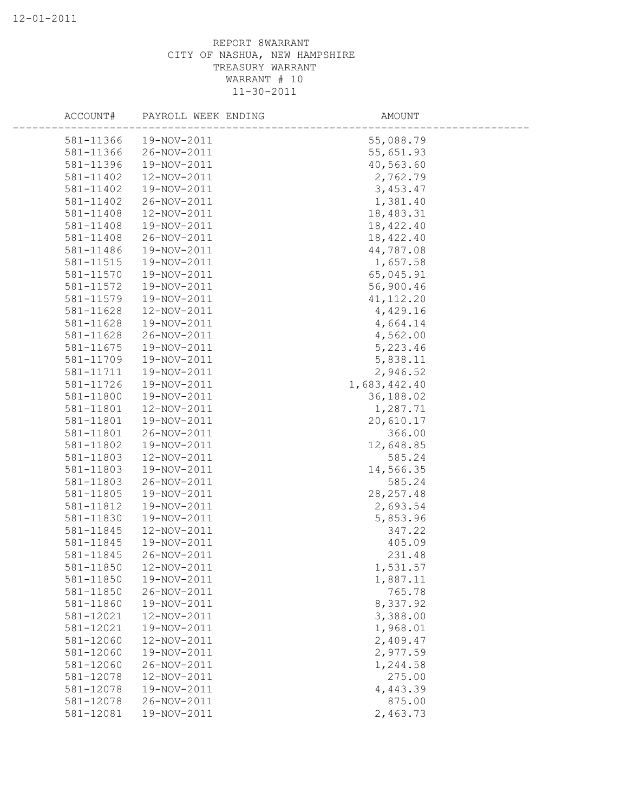| ACCOUNT#  | PAYROLL WEEK ENDING | AMOUNT       |  |
|-----------|---------------------|--------------|--|
| 581-11366 | 19-NOV-2011         | 55,088.79    |  |
| 581-11366 | 26-NOV-2011         | 55,651.93    |  |
| 581-11396 | 19-NOV-2011         | 40,563.60    |  |
| 581-11402 | 12-NOV-2011         | 2,762.79     |  |
| 581-11402 | 19-NOV-2011         | 3,453.47     |  |
| 581-11402 | 26-NOV-2011         | 1,381.40     |  |
| 581-11408 | 12-NOV-2011         | 18,483.31    |  |
| 581-11408 | 19-NOV-2011         | 18,422.40    |  |
| 581-11408 | 26-NOV-2011         | 18,422.40    |  |
| 581-11486 | 19-NOV-2011         | 44,787.08    |  |
| 581-11515 | 19-NOV-2011         | 1,657.58     |  |
| 581-11570 | 19-NOV-2011         | 65,045.91    |  |
| 581-11572 | 19-NOV-2011         | 56,900.46    |  |
| 581-11579 | 19-NOV-2011         | 41, 112.20   |  |
| 581-11628 | 12-NOV-2011         | 4,429.16     |  |
| 581-11628 | 19-NOV-2011         | 4,664.14     |  |
| 581-11628 | 26-NOV-2011         | 4,562.00     |  |
| 581-11675 | 19-NOV-2011         | 5,223.46     |  |
| 581-11709 | 19-NOV-2011         | 5,838.11     |  |
| 581-11711 | 19-NOV-2011         | 2,946.52     |  |
| 581-11726 | 19-NOV-2011         | 1,683,442.40 |  |
| 581-11800 | 19-NOV-2011         | 36,188.02    |  |
| 581-11801 | 12-NOV-2011         | 1,287.71     |  |
| 581-11801 | 19-NOV-2011         | 20,610.17    |  |
| 581-11801 | 26-NOV-2011         | 366.00       |  |
| 581-11802 | 19-NOV-2011         | 12,648.85    |  |
| 581-11803 | 12-NOV-2011         | 585.24       |  |
| 581-11803 | 19-NOV-2011         | 14,566.35    |  |
| 581-11803 | 26-NOV-2011         | 585.24       |  |
| 581-11805 | 19-NOV-2011         | 28, 257.48   |  |
| 581-11812 | 19-NOV-2011         | 2,693.54     |  |
| 581-11830 | 19-NOV-2011         | 5,853.96     |  |
| 581-11845 | 12-NOV-2011         | 347.22       |  |
| 581-11845 | 19-NOV-2011         | 405.09       |  |
| 581-11845 | 26-NOV-2011         | 231.48       |  |
| 581-11850 | 12-NOV-2011         | 1,531.57     |  |
| 581-11850 | 19-NOV-2011         | 1,887.11     |  |
| 581-11850 | 26-NOV-2011         | 765.78       |  |
| 581-11860 | 19-NOV-2011         | 8,337.92     |  |
| 581-12021 | 12-NOV-2011         | 3,388.00     |  |
| 581-12021 | 19-NOV-2011         | 1,968.01     |  |
| 581-12060 | 12-NOV-2011         | 2,409.47     |  |
| 581-12060 | 19-NOV-2011         | 2,977.59     |  |
| 581-12060 | 26-NOV-2011         | 1,244.58     |  |
| 581-12078 | 12-NOV-2011         | 275.00       |  |
| 581-12078 | 19-NOV-2011         | 4,443.39     |  |
| 581-12078 | 26-NOV-2011         | 875.00       |  |
| 581-12081 | 19-NOV-2011         | 2,463.73     |  |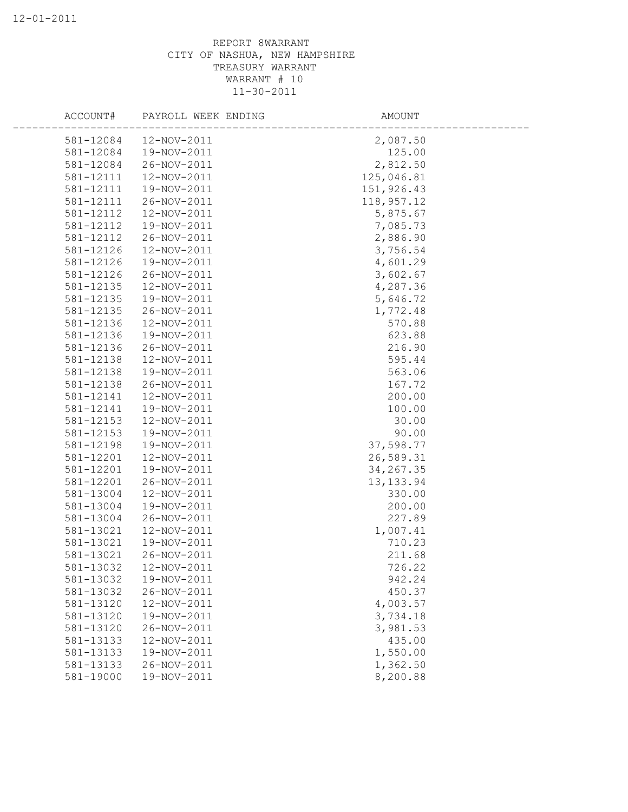| ACCOUNT#               | PAYROLL WEEK ENDING        | AMOUNT           |
|------------------------|----------------------------|------------------|
| 581-12084              | 12-NOV-2011                | 2,087.50         |
| 581-12084              | 19-NOV-2011                | 125.00           |
| 581-12084              | 26-NOV-2011                | 2,812.50         |
| 581-12111              | 12-NOV-2011                | 125,046.81       |
| 581-12111              | 19-NOV-2011                | 151,926.43       |
| 581-12111              | 26-NOV-2011                | 118,957.12       |
| 581-12112              | 12-NOV-2011                | 5,875.67         |
| 581-12112              | 19-NOV-2011                | 7,085.73         |
| 581-12112              | 26-NOV-2011                | 2,886.90         |
| 581-12126              | 12-NOV-2011                | 3,756.54         |
| 581-12126              | 19-NOV-2011                | 4,601.29         |
| 581-12126              | 26-NOV-2011                | 3,602.67         |
| 581-12135              | 12-NOV-2011                | 4,287.36         |
| 581-12135              | 19-NOV-2011                | 5,646.72         |
| 581-12135              | 26-NOV-2011                | 1,772.48         |
| 581-12136              | 12-NOV-2011                | 570.88           |
| 581-12136              | 19-NOV-2011                | 623.88           |
| 581-12136              | 26-NOV-2011                | 216.90           |
| 581-12138              | 12-NOV-2011                | 595.44           |
| 581-12138              | 19-NOV-2011                | 563.06           |
| 581-12138              | 26-NOV-2011                | 167.72           |
| 581-12141              | 12-NOV-2011                | 200.00           |
| 581-12141              | 19-NOV-2011                | 100.00           |
| 581-12153              | 12-NOV-2011                | 30.00            |
| 581-12153              | 19-NOV-2011                | 90.00            |
| 581-12198              | 19-NOV-2011                | 37,598.77        |
| 581-12201              | 12-NOV-2011                | 26,589.31        |
| 581-12201              | 19-NOV-2011                | 34, 267.35       |
| 581-12201              | 26-NOV-2011                | 13, 133.94       |
| 581-13004              | 12-NOV-2011                | 330.00           |
| 581-13004              | 19-NOV-2011                | 200.00           |
| 581-13004              | 26-NOV-2011                | 227.89           |
| 581-13021              | 12-NOV-2011                | 1,007.41         |
| 581-13021              | 19-NOV-2011<br>26-NOV-2011 | 710.23<br>211.68 |
| 581-13021              | 12-NOV-2011                | 726.22           |
| 581-13032<br>581-13032 | 19-NOV-2011                | 942.24           |
| 581-13032              | 26-NOV-2011                | 450.37           |
| 581-13120              | 12-NOV-2011                | 4,003.57         |
| 581-13120              | 19-NOV-2011                | 3,734.18         |
| 581-13120              | 26-NOV-2011                | 3,981.53         |
| 581-13133              | 12-NOV-2011                | 435.00           |
| 581-13133              | 19-NOV-2011                | 1,550.00         |
| 581-13133              | 26-NOV-2011                | 1,362.50         |
| 581-19000              | 19-NOV-2011                | 8,200.88         |
|                        |                            |                  |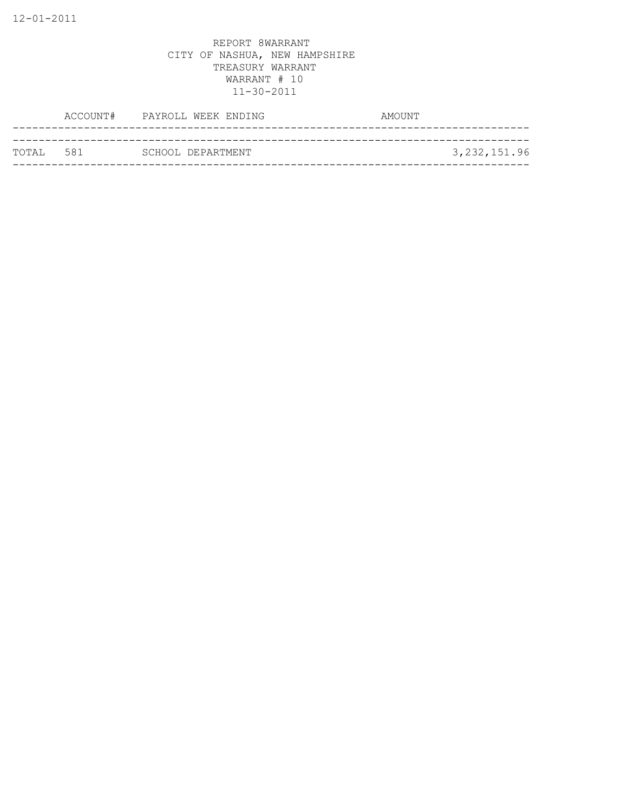| ТОТАІ. 581 | SCHOOL DEPARTMENT |  | 3, 232, 151.96 |
|------------|-------------------|--|----------------|
|            |                   |  |                |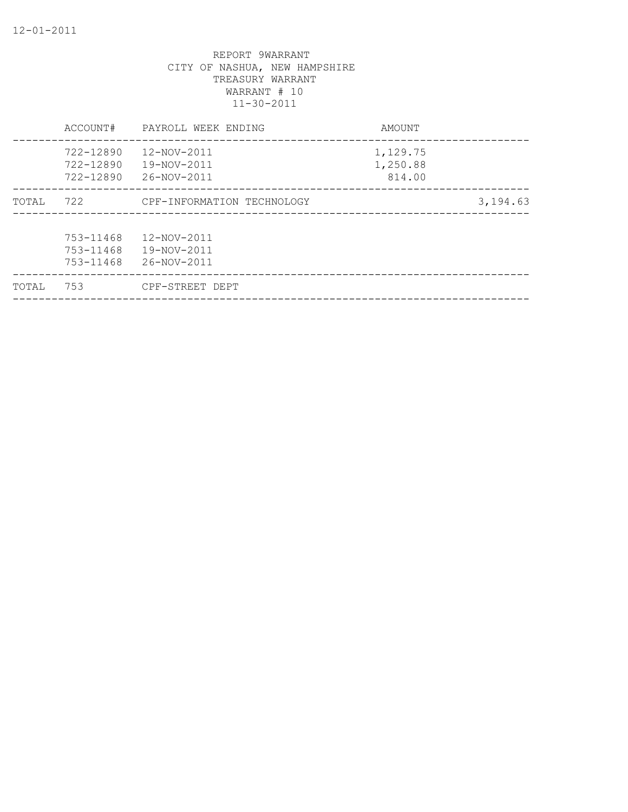| TOTAL | 753                                 | CPF-STREET DEPT                           |                                |          |
|-------|-------------------------------------|-------------------------------------------|--------------------------------|----------|
|       | 753-11468<br>753-11468<br>753-11468 | 12-NOV-2011<br>19-NOV-2011<br>26-NOV-2011 |                                |          |
| TOTAL | 722                                 | CPF-INFORMATION TECHNOLOGY                |                                | 3,194.63 |
|       | 722-12890<br>722-12890<br>722-12890 | 12-NOV-2011<br>19-NOV-2011<br>26-NOV-2011 | 1,129.75<br>1,250.88<br>814.00 |          |
|       | ACCOUNT#                            | PAYROLL WEEK ENDING                       | AMOUNT                         |          |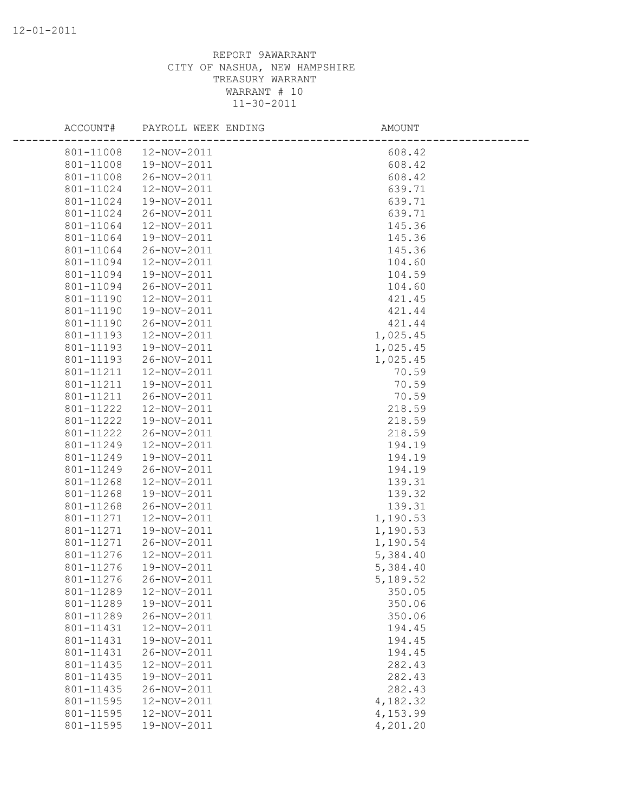| ACCOUNT#  | PAYROLL WEEK ENDING | AMOUNT   |  |
|-----------|---------------------|----------|--|
| 801-11008 | 12-NOV-2011         | 608.42   |  |
| 801-11008 | 19-NOV-2011         | 608.42   |  |
| 801-11008 | 26-NOV-2011         | 608.42   |  |
| 801-11024 | 12-NOV-2011         | 639.71   |  |
| 801-11024 | 19-NOV-2011         | 639.71   |  |
| 801-11024 | 26-NOV-2011         | 639.71   |  |
| 801-11064 | 12-NOV-2011         | 145.36   |  |
| 801-11064 | 19-NOV-2011         | 145.36   |  |
| 801-11064 | 26-NOV-2011         | 145.36   |  |
| 801-11094 | 12-NOV-2011         | 104.60   |  |
| 801-11094 | 19-NOV-2011         | 104.59   |  |
| 801-11094 | 26-NOV-2011         | 104.60   |  |
| 801-11190 | 12-NOV-2011         | 421.45   |  |
| 801-11190 | 19-NOV-2011         | 421.44   |  |
| 801-11190 | 26-NOV-2011         | 421.44   |  |
| 801-11193 | 12-NOV-2011         | 1,025.45 |  |
| 801-11193 | 19-NOV-2011         | 1,025.45 |  |
| 801-11193 | 26-NOV-2011         | 1,025.45 |  |
| 801-11211 | 12-NOV-2011         | 70.59    |  |
| 801-11211 | 19-NOV-2011         | 70.59    |  |
| 801-11211 | 26-NOV-2011         | 70.59    |  |
| 801-11222 | 12-NOV-2011         | 218.59   |  |
| 801-11222 | 19-NOV-2011         | 218.59   |  |
| 801-11222 | 26-NOV-2011         | 218.59   |  |
| 801-11249 | 12-NOV-2011         | 194.19   |  |
| 801-11249 | 19-NOV-2011         | 194.19   |  |
| 801-11249 | 26-NOV-2011         | 194.19   |  |
| 801-11268 | 12-NOV-2011         | 139.31   |  |
| 801-11268 | 19-NOV-2011         | 139.32   |  |
| 801-11268 | 26-NOV-2011         | 139.31   |  |
| 801-11271 | 12-NOV-2011         | 1,190.53 |  |
| 801-11271 | 19-NOV-2011         | 1,190.53 |  |
| 801-11271 | 26-NOV-2011         | 1,190.54 |  |
| 801-11276 | 12-NOV-2011         | 5,384.40 |  |
| 801-11276 | 19-NOV-2011         | 5,384.40 |  |
| 801-11276 | 26-NOV-2011         | 5,189.52 |  |
| 801-11289 | 12-NOV-2011         | 350.05   |  |
| 801-11289 | 19-NOV-2011         | 350.06   |  |
| 801-11289 | 26-NOV-2011         | 350.06   |  |
| 801-11431 | 12-NOV-2011         | 194.45   |  |
| 801-11431 | 19-NOV-2011         | 194.45   |  |
| 801-11431 | 26-NOV-2011         | 194.45   |  |
| 801-11435 | 12-NOV-2011         | 282.43   |  |
| 801-11435 | 19-NOV-2011         | 282.43   |  |
| 801-11435 | 26-NOV-2011         | 282.43   |  |
| 801-11595 | 12-NOV-2011         | 4,182.32 |  |
| 801-11595 | 12-NOV-2011         | 4,153.99 |  |
| 801-11595 | 19-NOV-2011         | 4,201.20 |  |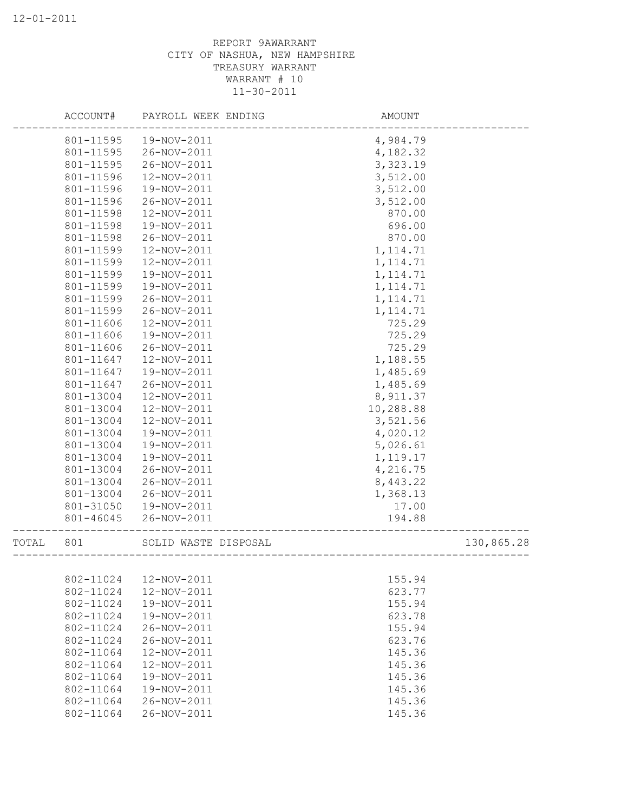|       | ACCOUNT#  | PAYROLL WEEK ENDING  | AMOUNT    |            |
|-------|-----------|----------------------|-----------|------------|
|       | 801-11595 | 19-NOV-2011          | 4,984.79  |            |
|       | 801-11595 | 26-NOV-2011          | 4,182.32  |            |
|       | 801-11595 | 26-NOV-2011          | 3,323.19  |            |
|       | 801-11596 | 12-NOV-2011          | 3,512.00  |            |
|       | 801-11596 | 19-NOV-2011          | 3,512.00  |            |
|       | 801-11596 | 26-NOV-2011          | 3,512.00  |            |
|       | 801-11598 | 12-NOV-2011          | 870.00    |            |
|       | 801-11598 | 19-NOV-2011          | 696.00    |            |
|       | 801-11598 | 26-NOV-2011          | 870.00    |            |
|       | 801-11599 | 12-NOV-2011          | 1, 114.71 |            |
|       | 801-11599 | 12-NOV-2011          | 1, 114.71 |            |
|       | 801-11599 | 19-NOV-2011          | 1, 114.71 |            |
|       | 801-11599 | 19-NOV-2011          | 1, 114.71 |            |
|       | 801-11599 | 26-NOV-2011          | 1, 114.71 |            |
|       | 801-11599 | 26-NOV-2011          | 1, 114.71 |            |
|       | 801-11606 | 12-NOV-2011          | 725.29    |            |
|       | 801-11606 | 19-NOV-2011          | 725.29    |            |
|       | 801-11606 | 26-NOV-2011          | 725.29    |            |
|       | 801-11647 | 12-NOV-2011          | 1,188.55  |            |
|       | 801-11647 | 19-NOV-2011          | 1,485.69  |            |
|       | 801-11647 | 26-NOV-2011          | 1,485.69  |            |
|       | 801-13004 | 12-NOV-2011          | 8,911.37  |            |
|       | 801-13004 | 12-NOV-2011          | 10,288.88 |            |
|       | 801-13004 | 12-NOV-2011          | 3,521.56  |            |
|       | 801-13004 | 19-NOV-2011          | 4,020.12  |            |
|       | 801-13004 | 19-NOV-2011          | 5,026.61  |            |
|       | 801-13004 | 19-NOV-2011          | 1,119.17  |            |
|       | 801-13004 | 26-NOV-2011          | 4,216.75  |            |
|       | 801-13004 | 26-NOV-2011          | 8,443.22  |            |
|       | 801-13004 | 26-NOV-2011          | 1,368.13  |            |
|       | 801-31050 | 19-NOV-2011          | 17.00     |            |
|       | 801-46045 | 26-NOV-2011          | 194.88    |            |
| TOTAL | 801       | SOLID WASTE DISPOSAL |           | 130,865.28 |
|       |           |                      |           |            |
|       | 802-11024 | 12-NOV-2011          | 155.94    |            |
|       | 802-11024 | 12-NOV-2011          | 623.77    |            |
|       | 802-11024 | 19-NOV-2011          | 155.94    |            |
|       | 802-11024 | 19-NOV-2011          | 623.78    |            |
|       | 802-11024 | 26-NOV-2011          | 155.94    |            |
|       | 802-11024 | 26-NOV-2011          | 623.76    |            |
|       | 802-11064 | 12-NOV-2011          | 145.36    |            |
|       | 802-11064 | 12-NOV-2011          | 145.36    |            |
|       | 802-11064 | 19-NOV-2011          | 145.36    |            |
|       | 802-11064 | 19-NOV-2011          | 145.36    |            |
|       | 802-11064 | 26-NOV-2011          | 145.36    |            |
|       | 802-11064 | 26-NOV-2011          | 145.36    |            |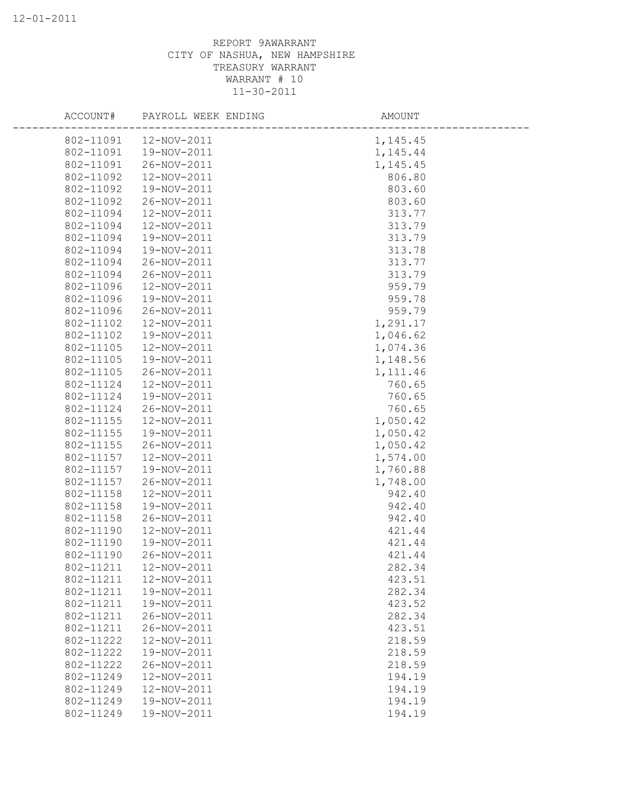| ACCOUNT#  | PAYROLL WEEK ENDING | AMOUNT    |  |
|-----------|---------------------|-----------|--|
| 802-11091 | 12-NOV-2011         | 1, 145.45 |  |
| 802-11091 | 19-NOV-2011         | 1,145.44  |  |
| 802-11091 | 26-NOV-2011         | 1,145.45  |  |
| 802-11092 | 12-NOV-2011         | 806.80    |  |
| 802-11092 | 19-NOV-2011         | 803.60    |  |
| 802-11092 | 26-NOV-2011         | 803.60    |  |
| 802-11094 | 12-NOV-2011         | 313.77    |  |
| 802-11094 | 12-NOV-2011         | 313.79    |  |
| 802-11094 | 19-NOV-2011         | 313.79    |  |
| 802-11094 | 19-NOV-2011         | 313.78    |  |
| 802-11094 | 26-NOV-2011         | 313.77    |  |
| 802-11094 | 26-NOV-2011         | 313.79    |  |
| 802-11096 | 12-NOV-2011         | 959.79    |  |
| 802-11096 | 19-NOV-2011         | 959.78    |  |
| 802-11096 | 26-NOV-2011         | 959.79    |  |
| 802-11102 | 12-NOV-2011         | 1,291.17  |  |
| 802-11102 | 19-NOV-2011         | 1,046.62  |  |
| 802-11105 | 12-NOV-2011         | 1,074.36  |  |
| 802-11105 | 19-NOV-2011         | 1,148.56  |  |
| 802-11105 | 26-NOV-2011         | 1,111.46  |  |
| 802-11124 | 12-NOV-2011         | 760.65    |  |
| 802-11124 | 19-NOV-2011         | 760.65    |  |
| 802-11124 | 26-NOV-2011         | 760.65    |  |
| 802-11155 | 12-NOV-2011         | 1,050.42  |  |
| 802-11155 | 19-NOV-2011         | 1,050.42  |  |
| 802-11155 | 26-NOV-2011         | 1,050.42  |  |
| 802-11157 | 12-NOV-2011         | 1,574.00  |  |
| 802-11157 | 19-NOV-2011         | 1,760.88  |  |
| 802-11157 | 26-NOV-2011         | 1,748.00  |  |
| 802-11158 | 12-NOV-2011         | 942.40    |  |
| 802-11158 | 19-NOV-2011         | 942.40    |  |
| 802-11158 | 26-NOV-2011         | 942.40    |  |
| 802-11190 | 12-NOV-2011         | 421.44    |  |
| 802-11190 | 19-NOV-2011         | 421.44    |  |
| 802-11190 | 26-NOV-2011         | 421.44    |  |
| 802-11211 | 12-NOV-2011         | 282.34    |  |
| 802-11211 | 12-NOV-2011         | 423.51    |  |
| 802-11211 | 19-NOV-2011         | 282.34    |  |
| 802-11211 | 19-NOV-2011         | 423.52    |  |
| 802-11211 | 26-NOV-2011         | 282.34    |  |
| 802-11211 | 26-NOV-2011         | 423.51    |  |
| 802-11222 | 12-NOV-2011         | 218.59    |  |
| 802-11222 | 19-NOV-2011         | 218.59    |  |
| 802-11222 | 26-NOV-2011         | 218.59    |  |
| 802-11249 | 12-NOV-2011         | 194.19    |  |
| 802-11249 | 12-NOV-2011         | 194.19    |  |
| 802-11249 | 19-NOV-2011         | 194.19    |  |
| 802-11249 | 19-NOV-2011         | 194.19    |  |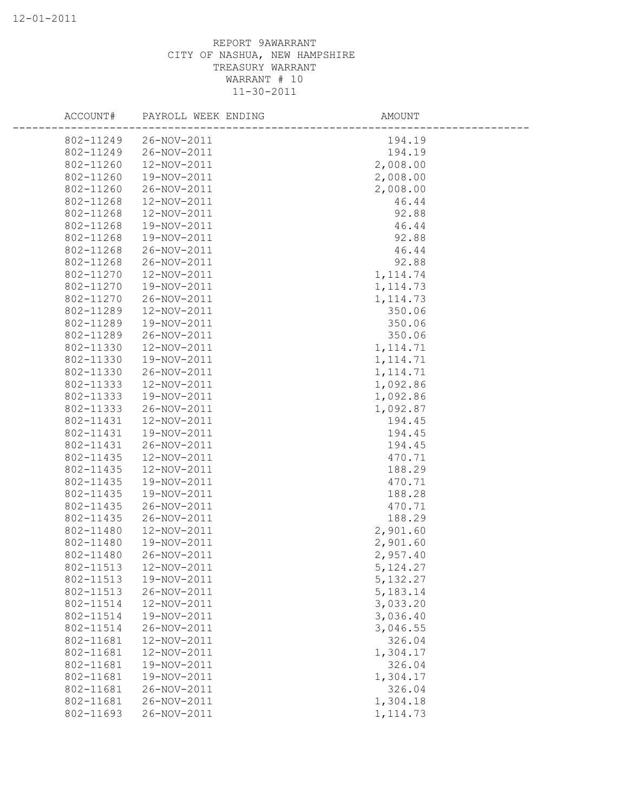| ACCOUNT#  | PAYROLL WEEK ENDING | AMOUNT    |
|-----------|---------------------|-----------|
| 802-11249 | 26-NOV-2011         | 194.19    |
| 802-11249 | 26-NOV-2011         | 194.19    |
| 802-11260 | 12-NOV-2011         | 2,008.00  |
| 802-11260 | 19-NOV-2011         | 2,008.00  |
| 802-11260 | 26-NOV-2011         | 2,008.00  |
| 802-11268 | 12-NOV-2011         | 46.44     |
| 802-11268 | 12-NOV-2011         | 92.88     |
| 802-11268 | 19-NOV-2011         | 46.44     |
| 802-11268 | 19-NOV-2011         | 92.88     |
| 802-11268 | 26-NOV-2011         | 46.44     |
| 802-11268 | 26-NOV-2011         | 92.88     |
| 802-11270 | 12-NOV-2011         | 1, 114.74 |
| 802-11270 | 19-NOV-2011         | 1, 114.73 |
| 802-11270 | 26-NOV-2011         | 1, 114.73 |
| 802-11289 | 12-NOV-2011         | 350.06    |
| 802-11289 | 19-NOV-2011         | 350.06    |
| 802-11289 | 26-NOV-2011         | 350.06    |
| 802-11330 | 12-NOV-2011         | 1, 114.71 |
| 802-11330 | 19-NOV-2011         | 1, 114.71 |
| 802-11330 | 26-NOV-2011         | 1, 114.71 |
| 802-11333 | 12-NOV-2011         | 1,092.86  |
| 802-11333 | 19-NOV-2011         | 1,092.86  |
| 802-11333 | 26-NOV-2011         | 1,092.87  |
| 802-11431 | 12-NOV-2011         | 194.45    |
| 802-11431 | 19-NOV-2011         | 194.45    |
| 802-11431 | 26-NOV-2011         | 194.45    |
| 802-11435 | 12-NOV-2011         | 470.71    |
| 802-11435 | 12-NOV-2011         | 188.29    |
| 802-11435 | 19-NOV-2011         | 470.71    |
| 802-11435 | 19-NOV-2011         | 188.28    |
| 802-11435 | 26-NOV-2011         | 470.71    |
| 802-11435 | 26-NOV-2011         | 188.29    |
| 802-11480 | 12-NOV-2011         | 2,901.60  |
| 802-11480 | 19-NOV-2011         | 2,901.60  |
| 802-11480 | 26-NOV-2011         | 2,957.40  |
| 802-11513 | 12-NOV-2011         | 5, 124.27 |
| 802-11513 | 19-NOV-2011         | 5, 132.27 |
| 802-11513 | 26-NOV-2011         | 5,183.14  |
| 802-11514 | 12-NOV-2011         | 3,033.20  |
| 802-11514 | 19-NOV-2011         | 3,036.40  |
| 802-11514 | 26-NOV-2011         | 3,046.55  |
| 802-11681 | 12-NOV-2011         | 326.04    |
| 802-11681 | 12-NOV-2011         | 1,304.17  |
| 802-11681 | 19-NOV-2011         | 326.04    |
| 802-11681 | 19-NOV-2011         | 1,304.17  |
| 802-11681 | 26-NOV-2011         | 326.04    |
| 802-11681 | 26-NOV-2011         | 1,304.18  |
| 802-11693 | 26-NOV-2011         | 1, 114.73 |